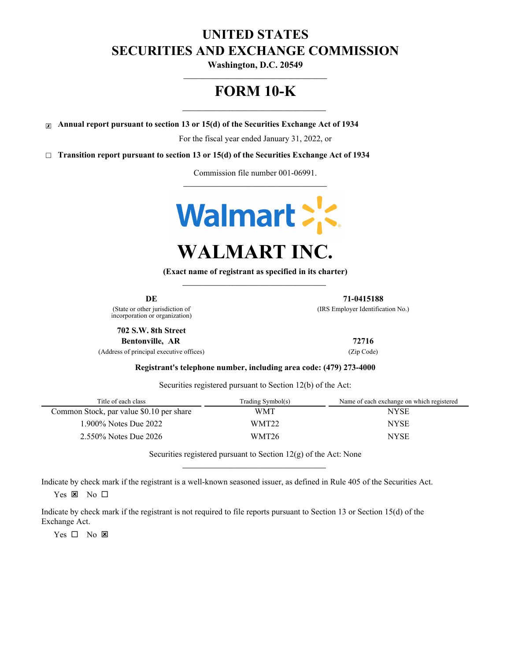# **UNITED STATES SECURITIES AND EXCHANGE COMMISSION**

**Washington, D.C. 20549 \_\_\_\_\_\_\_\_\_\_\_\_\_\_\_\_\_\_\_\_\_\_\_\_\_\_\_\_\_\_\_\_\_\_\_\_\_\_\_\_\_\_\_**

# **FORM 10-K \_\_\_\_\_\_\_\_\_\_\_\_\_\_\_\_\_\_\_\_\_\_\_\_\_\_\_\_\_\_\_\_\_\_\_\_\_\_\_\_\_\_\_**

☒ **Annual report pursuant to section 13 or 15(d) of the Securities Exchange Act of 1934**

For the fiscal year ended January 31, 2022, or

□ **Transition report pursuant to section 13 or 15(d) of the Securities Exchange Act of 1934** 

Commission file number 001-06991. **\_\_\_\_\_\_\_\_\_\_\_\_\_\_\_\_\_\_\_\_\_\_\_\_\_\_\_\_\_\_\_\_\_\_\_\_\_\_\_\_\_\_\_**



**(Exact name of registrant as specified in its charter) \_\_\_\_\_\_\_\_\_\_\_\_\_\_\_\_\_\_\_\_\_\_\_\_\_\_\_\_\_\_\_\_\_\_\_\_\_\_\_\_\_\_\_**

(State or other jurisdiction of incorporation or organization)

**DE 71-0415188** (IRS Employer Identification No.)

**702 S.W. 8th Street Bentonville, AR 72716**

(Address of principal executive offices) (Zip Code)

#### **Registrant's telephone number, including area code: (479) 273-4000**

Securities registered pursuant to Section 12(b) of the Act:

| Title of each class                      | Trading Symbol(s) | Name of each exchange on which registered |
|------------------------------------------|-------------------|-------------------------------------------|
| Common Stock, par value \$0.10 per share | WMT               | NYSE                                      |
| 1.900% Notes Due 2022                    | WMT22             | <b>NYSE</b>                               |
| 2.550% Notes Due 2026                    | WMT26             | NYSE                                      |

Securities registered pursuant to Section 12(g) of the Act: None **\_\_\_\_\_\_\_\_\_\_\_\_\_\_\_\_\_\_\_\_\_\_\_\_\_\_\_\_\_\_\_\_\_\_\_\_\_\_\_\_\_\_\_**

Indicate by check mark if the registrant is a well-known seasoned issuer, as defined in Rule 405 of the Securities Act.

Yes  $\boxtimes$  No  $\square$ 

Indicate by check mark if the registrant is not required to file reports pursuant to Section 13 or Section 15(d) of the Exchange Act.

 $Yes \Box No \boxtimes$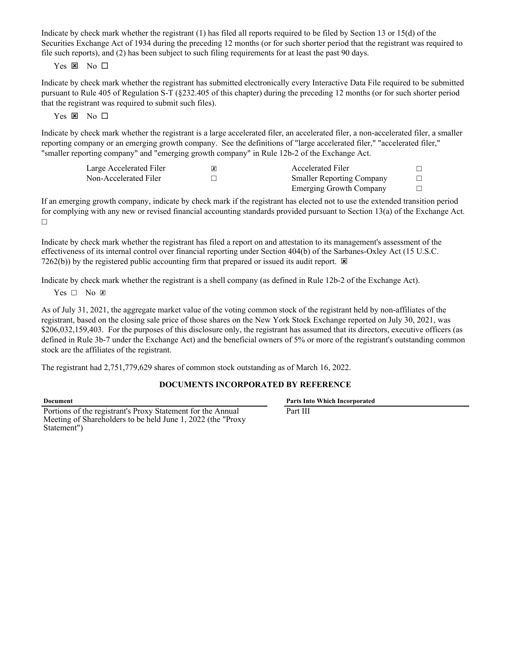Indicate by check mark whether the registrant (1) has filed all reports required to be filed by Section 13 or 15(d) of the Securities Exchange Act of 1934 during the preceding 12 months (or for such shorter period that the registrant was required to file such reports), and (2) has been subject to such filing requirements for at least the past 90 days.

Yes  $\boxtimes$  No  $\square$ 

Indicate by check mark whether the registrant has submitted electronically every Interactive Data File required to be submitted pursuant to Rule 405 of Regulation S-T (§232.405 of this chapter) during the preceding 12 months (or for such shorter period that the registrant was required to submit such files).

Yes  $\boxtimes$  No  $\square$ 

Indicate by check mark whether the registrant is a large accelerated filer, an accelerated filer, a non-accelerated filer, a smaller reporting company or an emerging growth company. See the definitions of "large accelerated filer," "accelerated filer," "smaller reporting company" and "emerging growth company" in Rule 12b-2 of the Exchange Act.

| Large Accelerated Filer | $\boldsymbol{x}$ | <b>Accelerated Filer</b>         |  |
|-------------------------|------------------|----------------------------------|--|
| Non-Accelerated Filer   |                  | <b>Smaller Reporting Company</b> |  |
|                         |                  | Emerging Growth Company          |  |

If an emerging growth company, indicate by check mark if the registrant has elected not to use the extended transition period for complying with any new or revised financial accounting standards provided pursuant to Section 13(a) of the Exchange Act. ☐

Indicate by check mark whether the registrant has filed a report on and attestation to its management's assessment of the effectiveness of its internal control over financial reporting under Section 404(b) of the Sarbanes-Oxley Act (15 U.S.C. 7262(b)) by the registered public accounting firm that prepared or issued its audit report.  $\mathbb{E}$ 

Indicate by check mark whether the registrant is a shell company (as defined in Rule 12b-2 of the Exchange Act).

Yes ☐ No **☒**

As of July 31, 2021, the aggregate market value of the voting common stock of the registrant held by non-affiliates of the registrant, based on the closing sale price of those shares on the New York Stock Exchange reported on July 30, 2021, was \$206,032,159,403. For the purposes of this disclosure only, the registrant has assumed that its directors, executive officers (as defined in Rule 3b-7 under the Exchange Act) and the beneficial owners of 5% or more of the registrant's outstanding common stock are the affiliates of the registrant.

The registrant had 2,751,779,629 shares of common stock outstanding as of March 16, 2022.

# **DOCUMENTS INCORPORATED BY REFERENCE**

Portions of the registrant's Proxy Statement for the Annual Meeting of Shareholders to be held June 1, 2022 (the "Proxy Statement")

**Document Parts Into Which Incorporated**

Part III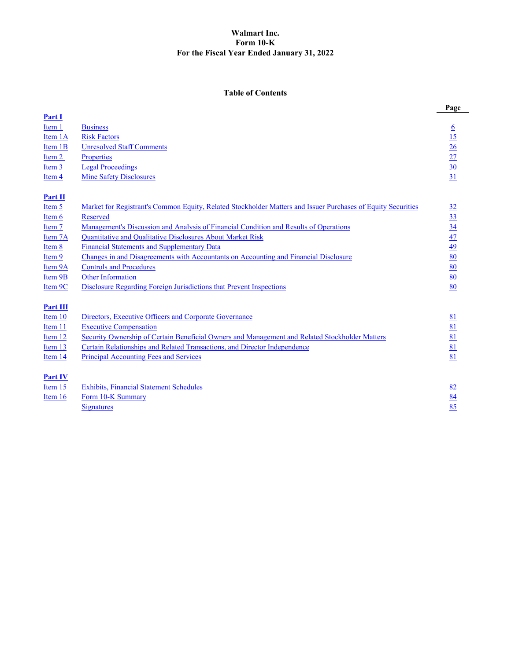# **Walmart Inc. Form 10-K For the Fiscal Year Ended January 31, 2022**

### **Table of Contents**

|                 |                                                                                                              | Page                                                  |
|-----------------|--------------------------------------------------------------------------------------------------------------|-------------------------------------------------------|
| <b>Part I</b>   |                                                                                                              |                                                       |
| Item 1          | <b>Business</b>                                                                                              | $6\overline{6}$                                       |
| Item 1A         | <b>Risk Factors</b>                                                                                          | 15                                                    |
| Item 1B         | <b>Unresolved Staff Comments</b>                                                                             |                                                       |
| Item 2          | Properties                                                                                                   |                                                       |
| Item 3          | <b>Legal Proceedings</b>                                                                                     | $\frac{26}{27}$<br>$\frac{30}{31}$                    |
| Item 4          | <b>Mine Safety Disclosures</b>                                                                               |                                                       |
| <b>Part II</b>  |                                                                                                              |                                                       |
| Item 5          | Market for Registrant's Common Equity, Related Stockholder Matters and Issuer Purchases of Equity Securities | 32                                                    |
| Item 6          | <b>Reserved</b>                                                                                              |                                                       |
| Item 7          | Management's Discussion and Analysis of Financial Condition and Results of Operations                        | $\frac{33}{24}$<br>$\frac{47}{49}$<br>$\frac{49}{80}$ |
| Item 7A         | Quantitative and Qualitative Disclosures About Market Risk                                                   |                                                       |
| Item 8          | <b>Financial Statements and Supplementary Data</b>                                                           |                                                       |
| Item 9          | Changes in and Disagreements with Accountants on Accounting and Financial Disclosure                         |                                                       |
| Item 9A         | <b>Controls and Procedures</b>                                                                               | 80                                                    |
| Item 9B         | Other Information                                                                                            | 80                                                    |
| Item 9C         | Disclosure Regarding Foreign Jurisdictions that Prevent Inspections                                          | 80                                                    |
| <b>Part III</b> |                                                                                                              |                                                       |
| Item 10         | Directors, Executive Officers and Corporate Governance                                                       | 81                                                    |
| Item 11         | <b>Executive Compensation</b>                                                                                | 81                                                    |
| Item 12         | Security Ownership of Certain Beneficial Owners and Management and Related Stockholder Matters               | 81                                                    |
| Item 13         | Certain Relationships and Related Transactions, and Director Independence                                    | 81                                                    |
| Item 14         | <b>Principal Accounting Fees and Services</b>                                                                | 81                                                    |
| <b>Part IV</b>  |                                                                                                              |                                                       |
| Item 15         | <b>Exhibits, Financial Statement Schedules</b>                                                               | 82                                                    |
| Item 16         | Form 10-K Summary                                                                                            | 84                                                    |
|                 | <b>Signatures</b>                                                                                            | 85                                                    |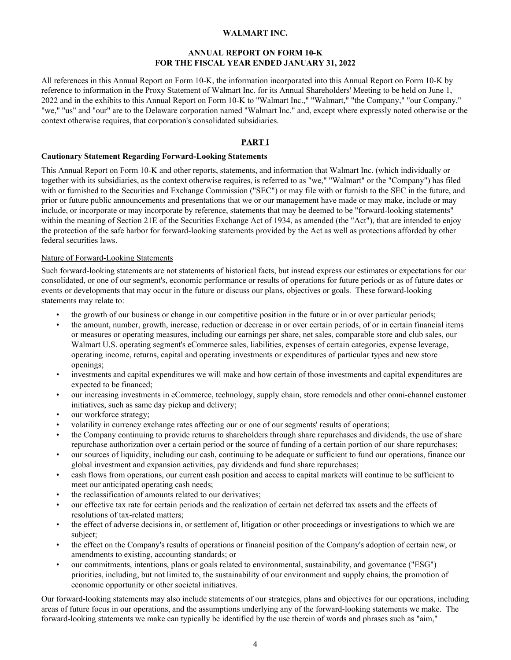#### **WALMART INC.**

#### **ANNUAL REPORT ON FORM 10-K FOR THE FISCAL YEAR ENDED JANUARY 31, 2022**

<span id="page-3-0"></span>All references in this Annual Report on Form 10-K, the information incorporated into this Annual Report on Form 10-K by reference to information in the Proxy Statement of Walmart Inc. for its Annual Shareholders' Meeting to be held on June 1, 2022 and in the exhibits to this Annual Report on Form 10-K to "Walmart Inc.," "Walmart," "the Company," "our Company," "we," "us" and "our" are to the Delaware corporation named "Walmart Inc." and, except where expressly noted otherwise or the context otherwise requires, that corporation's consolidated subsidiaries.

# **PART I**

#### **Cautionary Statement Regarding Forward-Looking Statements**

This Annual Report on Form 10-K and other reports, statements, and information that Walmart Inc. (which individually or together with its subsidiaries, as the context otherwise requires, is referred to as "we," "Walmart" or the "Company") has filed with or furnished to the Securities and Exchange Commission ("SEC") or may file with or furnish to the SEC in the future, and prior or future public announcements and presentations that we or our management have made or may make, include or may include, or incorporate or may incorporate by reference, statements that may be deemed to be "forward-looking statements" within the meaning of Section 21E of the Securities Exchange Act of 1934, as amended (the "Act"), that are intended to enjoy the protection of the safe harbor for forward-looking statements provided by the Act as well as protections afforded by other federal securities laws.

#### Nature of Forward-Looking Statements

Such forward-looking statements are not statements of historical facts, but instead express our estimates or expectations for our consolidated, or one of our segment's, economic performance or results of operations for future periods or as of future dates or events or developments that may occur in the future or discuss our plans, objectives or goals. These forward-looking statements may relate to:

- the growth of our business or change in our competitive position in the future or in or over particular periods;
- the amount, number, growth, increase, reduction or decrease in or over certain periods, of or in certain financial items or measures or operating measures, including our earnings per share, net sales, comparable store and club sales, our Walmart U.S. operating segment's eCommerce sales, liabilities, expenses of certain categories, expense leverage, operating income, returns, capital and operating investments or expenditures of particular types and new store openings;
- investments and capital expenditures we will make and how certain of those investments and capital expenditures are expected to be financed;
- our increasing investments in eCommerce, technology, supply chain, store remodels and other omni-channel customer initiatives, such as same day pickup and delivery;
- our workforce strategy;
- volatility in currency exchange rates affecting our or one of our segments' results of operations;
- the Company continuing to provide returns to shareholders through share repurchases and dividends, the use of share repurchase authorization over a certain period or the source of funding of a certain portion of our share repurchases;
- our sources of liquidity, including our cash, continuing to be adequate or sufficient to fund our operations, finance our global investment and expansion activities, pay dividends and fund share repurchases;
- cash flows from operations, our current cash position and access to capital markets will continue to be sufficient to meet our anticipated operating cash needs;
- the reclassification of amounts related to our derivatives;
- our effective tax rate for certain periods and the realization of certain net deferred tax assets and the effects of resolutions of tax-related matters;
- the effect of adverse decisions in, or settlement of, litigation or other proceedings or investigations to which we are subject;
- the effect on the Company's results of operations or financial position of the Company's adoption of certain new, or amendments to existing, accounting standards; or
- our commitments, intentions, plans or goals related to environmental, sustainability, and governance ("ESG") priorities, including, but not limited to, the sustainability of our environment and supply chains, the promotion of economic opportunity or other societal initiatives.

Our forward-looking statements may also include statements of our strategies, plans and objectives for our operations, including areas of future focus in our operations, and the assumptions underlying any of the forward-looking statements we make. The forward-looking statements we make can typically be identified by the use therein of words and phrases such as "aim,"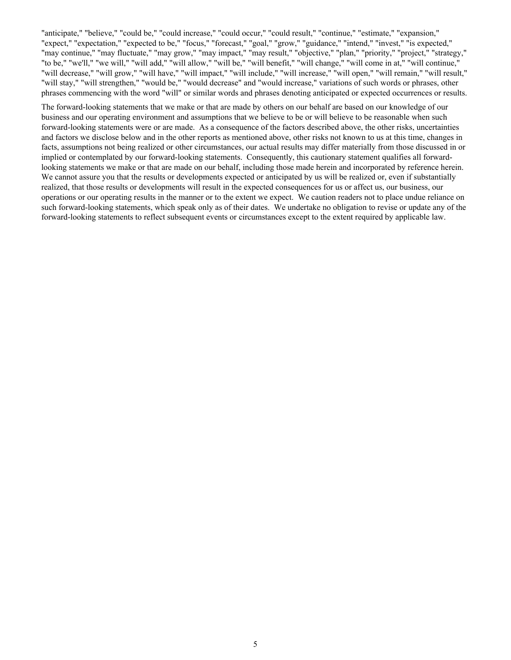"anticipate," "believe," "could be," "could increase," "could occur," "could result," "continue," "estimate," "expansion," "expect," "expectation," "expected to be," "focus," "forecast," "goal," "grow," "guidance," "intend," "invest," "is expected," "may continue," "may fluctuate," "may grow," "may impact," "may result," "objective," "plan," "priority," "project," "strategy," "to be," "we'll," "we will," "will add," "will allow," "will be," "will benefit," "will change," "will come in at," "will continue," "will decrease," "will grow," "will have," "will impact," "will include," "will increase," "will open," "will remain," "will result," "will stay," "will strengthen," "would be," "would decrease" and "would increase," variations of such words or phrases, other phrases commencing with the word "will" or similar words and phrases denoting anticipated or expected occurrences or results.

The forward-looking statements that we make or that are made by others on our behalf are based on our knowledge of our business and our operating environment and assumptions that we believe to be or will believe to be reasonable when such forward-looking statements were or are made. As a consequence of the factors described above, the other risks, uncertainties and factors we disclose below and in the other reports as mentioned above, other risks not known to us at this time, changes in facts, assumptions not being realized or other circumstances, our actual results may differ materially from those discussed in or implied or contemplated by our forward-looking statements. Consequently, this cautionary statement qualifies all forwardlooking statements we make or that are made on our behalf, including those made herein and incorporated by reference herein. We cannot assure you that the results or developments expected or anticipated by us will be realized or, even if substantially realized, that those results or developments will result in the expected consequences for us or affect us, our business, our operations or our operating results in the manner or to the extent we expect. We caution readers not to place undue reliance on such forward-looking statements, which speak only as of their dates. We undertake no obligation to revise or update any of the forward-looking statements to reflect subsequent events or circumstances except to the extent required by applicable law.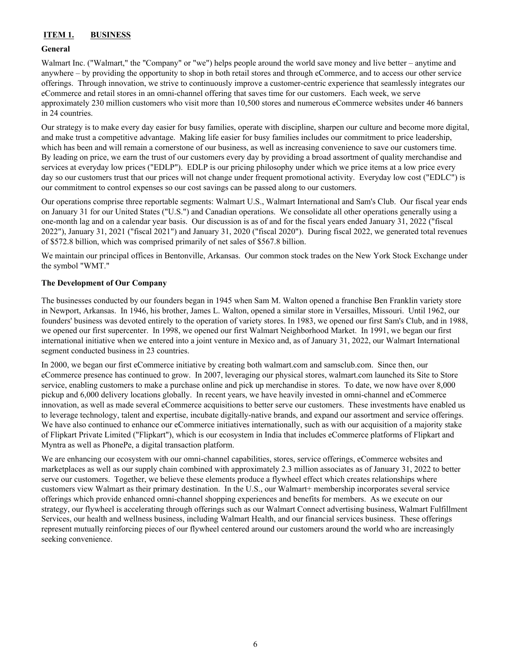# <span id="page-5-0"></span>**ITEM 1. BUSINESS**

#### **General**

Walmart Inc. ("Walmart," the "Company" or "we") helps people around the world save money and live better – anytime and anywhere – by providing the opportunity to shop in both retail stores and through eCommerce, and to access our other service offerings. Through innovation, we strive to continuously improve a customer-centric experience that seamlessly integrates our eCommerce and retail stores in an omni-channel offering that saves time for our customers. Each week, we serve approximately 230 million customers who visit more than 10,500 stores and numerous eCommerce websites under 46 banners in 24 countries.

Our strategy is to make every day easier for busy families, operate with discipline, sharpen our culture and become more digital, and make trust a competitive advantage. Making life easier for busy families includes our commitment to price leadership, which has been and will remain a cornerstone of our business, as well as increasing convenience to save our customers time. By leading on price, we earn the trust of our customers every day by providing a broad assortment of quality merchandise and services at everyday low prices ("EDLP"). EDLP is our pricing philosophy under which we price items at a low price every day so our customers trust that our prices will not change under frequent promotional activity. Everyday low cost ("EDLC") is our commitment to control expenses so our cost savings can be passed along to our customers.

Our operations comprise three reportable segments: Walmart U.S., Walmart International and Sam's Club. Our fiscal year ends on January 31 for our United States ("U.S.") and Canadian operations. We consolidate all other operations generally using a one-month lag and on a calendar year basis. Our discussion is as of and for the fiscal years ended January 31, 2022 ("fiscal 2022"), January 31, 2021 ("fiscal 2021") and January 31, 2020 ("fiscal 2020"). During fiscal 2022, we generated total revenues of \$572.8 billion, which was comprised primarily of net sales of \$567.8 billion.

We maintain our principal offices in Bentonville, Arkansas. Our common stock trades on the New York Stock Exchange under the symbol "WMT."

#### **The Development of Our Company**

The businesses conducted by our founders began in 1945 when Sam M. Walton opened a franchise Ben Franklin variety store in Newport, Arkansas. In 1946, his brother, James L. Walton, opened a similar store in Versailles, Missouri. Until 1962, our founders' business was devoted entirely to the operation of variety stores. In 1983, we opened our first Sam's Club, and in 1988, we opened our first supercenter. In 1998, we opened our first Walmart Neighborhood Market. In 1991, we began our first international initiative when we entered into a joint venture in Mexico and, as of January 31, 2022, our Walmart International segment conducted business in 23 countries.

In 2000, we began our first eCommerce initiative by creating both walmart.com and samsclub.com. Since then, our eCommerce presence has continued to grow. In 2007, leveraging our physical stores, walmart.com launched its Site to Store service, enabling customers to make a purchase online and pick up merchandise in stores. To date, we now have over 8,000 pickup and 6,000 delivery locations globally. In recent years, we have heavily invested in omni-channel and eCommerce innovation, as well as made several eCommerce acquisitions to better serve our customers. These investments have enabled us to leverage technology, talent and expertise, incubate digitally-native brands, and expand our assortment and service offerings. We have also continued to enhance our eCommerce initiatives internationally, such as with our acquisition of a majority stake of Flipkart Private Limited ("Flipkart"), which is our ecosystem in India that includes eCommerce platforms of Flipkart and Myntra as well as PhonePe, a digital transaction platform.

We are enhancing our ecosystem with our omni-channel capabilities, stores, service offerings, eCommerce websites and marketplaces as well as our supply chain combined with approximately 2.3 million associates as of January 31, 2022 to better serve our customers. Together, we believe these elements produce a flywheel effect which creates relationships where customers view Walmart as their primary destination. In the U.S., our Walmart+ membership incorporates several service offerings which provide enhanced omni-channel shopping experiences and benefits for members. As we execute on our strategy, our flywheel is accelerating through offerings such as our Walmart Connect advertising business, Walmart Fulfillment Services, our health and wellness business, including Walmart Health, and our financial services business. These offerings represent mutually reinforcing pieces of our flywheel centered around our customers around the world who are increasingly seeking convenience.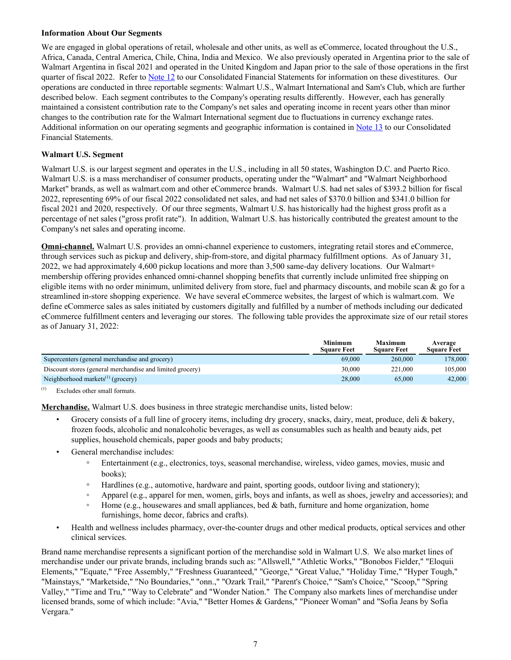#### **Information About Our Segments**

We are engaged in global operations of retail, wholesale and other units, as well as eCommerce, located throughout the U.S., Africa, Canada, Central America, Chile, China, India and Mexico. We also previously operated in Argentina prior to the sale of Walmart Argentina in fiscal 2021 and operated in the United Kingdom and Japan prior to the sale of those operations in the first quarter of fiscal 2022. Refer to [Note 12](#page-75-0) to our Consolidated Financial Statements for information on these divestitures. Our operations are conducted in three reportable segments: Walmart U.S., Walmart International and Sam's Club, which are further described below. Each segment contributes to the Company's operating results differently. However, each has generally maintained a consistent contribution rate to the Company's net sales and operating income in recent years other than minor changes to the contribution rate for the Walmart International segment due to fluctuations in currency exchange rates. Additional information on our operating segments and geographic information is contained in [Note 13](#page-76-0) to our Consolidated Financial Statements.

#### **Walmart U.S. Segment**

Walmart U.S. is our largest segment and operates in the U.S., including in all 50 states, Washington D.C. and Puerto Rico. Walmart U.S. is a mass merchandiser of consumer products, operating under the "Walmart" and "Walmart Neighborhood Market" brands, as well as walmart.com and other eCommerce brands. Walmart U.S. had net sales of \$393.2 billion for fiscal 2022, representing 69% of our fiscal 2022 consolidated net sales, and had net sales of \$370.0 billion and \$341.0 billion for fiscal 2021 and 2020, respectively. Of our three segments, Walmart U.S. has historically had the highest gross profit as a percentage of net sales ("gross profit rate"). In addition, Walmart U.S. has historically contributed the greatest amount to the Company's net sales and operating income.

**Omni-channel.** Walmart U.S. provides an omni-channel experience to customers, integrating retail stores and eCommerce, through services such as pickup and delivery, ship-from-store, and digital pharmacy fulfillment options. As of January 31, 2022, we had approximately 4,600 pickup locations and more than 3,500 same-day delivery locations. Our Walmart+ membership offering provides enhanced omni-channel shopping benefits that currently include unlimited free shipping on eligible items with no order minimum, unlimited delivery from store, fuel and pharmacy discounts, and mobile scan  $\&$  go for a streamlined in-store shopping experience. We have several eCommerce websites, the largest of which is walmart.com. We define eCommerce sales as sales initiated by customers digitally and fulfilled by a number of methods including our dedicated eCommerce fulfillment centers and leveraging our stores. The following table provides the approximate size of our retail stores as of January 31, 2022:

|                                                           | <b>Minimum</b><br><b>Square Feet</b> | Maximum<br><b>Square Feet</b> | Average<br><b>Square Feet</b> |
|-----------------------------------------------------------|--------------------------------------|-------------------------------|-------------------------------|
| Supercenters (general merchandise and grocery)            | 69,000                               | 260.000                       | 178.000                       |
| Discount stores (general merchandise and limited grocery) | 30.000                               | 221,000                       | 105,000                       |
| Neighborhood markets <sup>(1)</sup> (grocery)             | 28,000                               | 65,000                        | 42,000                        |

(1) Excludes other small formats.

**Merchandise.** Walmart U.S. does business in three strategic merchandise units, listed below:

- Grocery consists of a full line of grocery items, including dry grocery, snacks, dairy, meat, produce, deli & bakery, frozen foods, alcoholic and nonalcoholic beverages, as well as consumables such as health and beauty aids, pet supplies, household chemicals, paper goods and baby products;
- General merchandise includes:
	- Entertainment (e.g., electronics, toys, seasonal merchandise, wireless, video games, movies, music and books);
	- Hardlines (e.g., automotive, hardware and paint, sporting goods, outdoor living and stationery);
	- Apparel (e.g., apparel for men, women, girls, boys and infants, as well as shoes, jewelry and accessories); and
	- Home (e.g., housewares and small appliances, bed  $\&$  bath, furniture and home organization, home furnishings, home decor, fabrics and crafts).
- Health and wellness includes pharmacy, over-the-counter drugs and other medical products, optical services and other clinical services.

Brand name merchandise represents a significant portion of the merchandise sold in Walmart U.S. We also market lines of merchandise under our private brands, including brands such as: "Allswell," "Athletic Works," "Bonobos Fielder," "Eloquii Elements," "Equate," "Free Assembly," "Freshness Guaranteed," "George," "Great Value," "Holiday Time," "Hyper Tough," "Mainstays," "Marketside," "No Boundaries," "onn.," "Ozark Trail," "Parent's Choice," "Sam's Choice," "Scoop," "Spring Valley," "Time and Tru," "Way to Celebrate" and "Wonder Nation." The Company also markets lines of merchandise under licensed brands, some of which include: "Avia," "Better Homes & Gardens," "Pioneer Woman" and "Sofia Jeans by Sofia Vergara."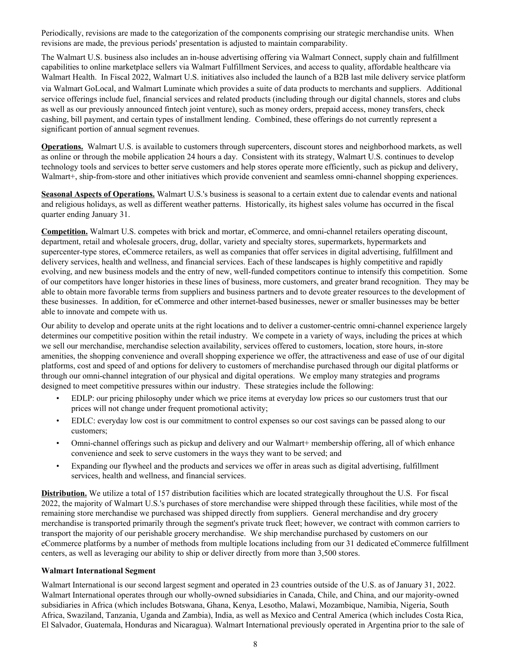Periodically, revisions are made to the categorization of the components comprising our strategic merchandise units. When revisions are made, the previous periods' presentation is adjusted to maintain comparability.

The Walmart U.S. business also includes an in-house advertising offering via Walmart Connect, supply chain and fulfillment capabilities to online marketplace sellers via Walmart Fulfillment Services, and access to quality, affordable healthcare via Walmart Health. In Fiscal 2022, Walmart U.S. initiatives also included the launch of a B2B last mile delivery service platform via Walmart GoLocal, and Walmart Luminate which provides a suite of data products to merchants and suppliers. Additional service offerings include fuel, financial services and related products (including through our digital channels, stores and clubs as well as our previously announced fintech joint venture), such as money orders, prepaid access, money transfers, check cashing, bill payment, and certain types of installment lending. Combined, these offerings do not currently represent a significant portion of annual segment revenues.

**Operations.** Walmart U.S. is available to customers through supercenters, discount stores and neighborhood markets, as well as online or through the mobile application 24 hours a day. Consistent with its strategy, Walmart U.S. continues to develop technology tools and services to better serve customers and help stores operate more efficiently, such as pickup and delivery, Walmart+, ship-from-store and other initiatives which provide convenient and seamless omni-channel shopping experiences.

**Seasonal Aspects of Operations.** Walmart U.S.'s business is seasonal to a certain extent due to calendar events and national and religious holidays, as well as different weather patterns. Historically, its highest sales volume has occurred in the fiscal quarter ending January 31.

**Competition.** Walmart U.S. competes with brick and mortar, eCommerce, and omni-channel retailers operating discount, department, retail and wholesale grocers, drug, dollar, variety and specialty stores, supermarkets, hypermarkets and supercenter-type stores, eCommerce retailers, as well as companies that offer services in digital advertising, fulfillment and delivery services, health and wellness, and financial services. Each of these landscapes is highly competitive and rapidly evolving, and new business models and the entry of new, well-funded competitors continue to intensify this competition. Some of our competitors have longer histories in these lines of business, more customers, and greater brand recognition. They may be able to obtain more favorable terms from suppliers and business partners and to devote greater resources to the development of these businesses. In addition, for eCommerce and other internet-based businesses, newer or smaller businesses may be better able to innovate and compete with us.

Our ability to develop and operate units at the right locations and to deliver a customer-centric omni-channel experience largely determines our competitive position within the retail industry. We compete in a variety of ways, including the prices at which we sell our merchandise, merchandise selection availability, services offered to customers, location, store hours, in-store amenities, the shopping convenience and overall shopping experience we offer, the attractiveness and ease of use of our digital platforms, cost and speed of and options for delivery to customers of merchandise purchased through our digital platforms or through our omni-channel integration of our physical and digital operations. We employ many strategies and programs designed to meet competitive pressures within our industry. These strategies include the following:

- EDLP: our pricing philosophy under which we price items at everyday low prices so our customers trust that our prices will not change under frequent promotional activity;
- EDLC: everyday low cost is our commitment to control expenses so our cost savings can be passed along to our customers;
- Omni-channel offerings such as pickup and delivery and our Walmart+ membership offering, all of which enhance convenience and seek to serve customers in the ways they want to be served; and
- Expanding our flywheel and the products and services we offer in areas such as digital advertising, fulfillment services, health and wellness, and financial services.

**Distribution.** We utilize a total of 157 distribution facilities which are located strategically throughout the U.S. For fiscal 2022, the majority of Walmart U.S.'s purchases of store merchandise were shipped through these facilities, while most of the remaining store merchandise we purchased was shipped directly from suppliers. General merchandise and dry grocery merchandise is transported primarily through the segment's private truck fleet; however, we contract with common carriers to transport the majority of our perishable grocery merchandise. We ship merchandise purchased by customers on our eCommerce platforms by a number of methods from multiple locations including from our 31 dedicated eCommerce fulfillment centers, as well as leveraging our ability to ship or deliver directly from more than 3,500 stores.

#### **Walmart International Segment**

Walmart International is our second largest segment and operated in 23 countries outside of the U.S. as of January 31, 2022. Walmart International operates through our wholly-owned subsidiaries in Canada, Chile, and China, and our majority-owned subsidiaries in Africa (which includes Botswana, Ghana, Kenya, Lesotho, Malawi, Mozambique, Namibia, Nigeria, South Africa, Swaziland, Tanzania, Uganda and Zambia), India, as well as Mexico and Central America (which includes Costa Rica, El Salvador, Guatemala, Honduras and Nicaragua). Walmart International previously operated in Argentina prior to the sale of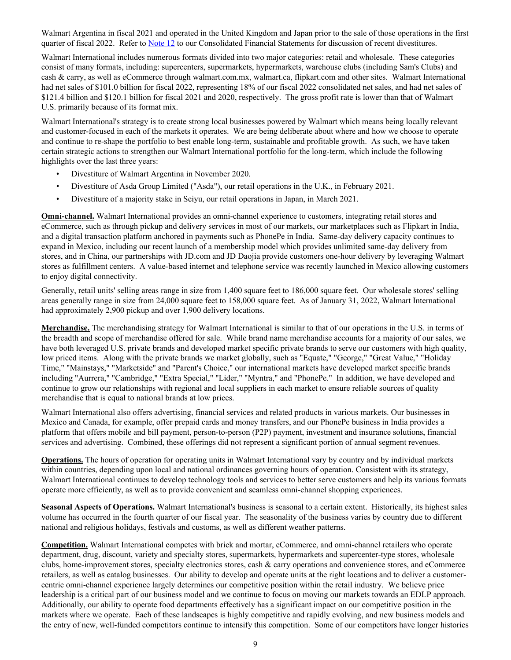Walmart Argentina in fiscal 2021 and operated in the United Kingdom and Japan prior to the sale of those operations in the first quarter of fiscal 2022. Refer to [Note 12](#page-75-0) to our Consolidated Financial Statements for discussion of recent divestitures.

Walmart International includes numerous formats divided into two major categories: retail and wholesale. These categories consist of many formats, including: supercenters, supermarkets, hypermarkets, warehouse clubs (including Sam's Clubs) and cash & carry, as well as eCommerce through walmart.com.mx, walmart.ca, flipkart.com and other sites. Walmart International had net sales of \$101.0 billion for fiscal 2022, representing 18% of our fiscal 2022 consolidated net sales, and had net sales of \$121.4 billion and \$120.1 billion for fiscal 2021 and 2020, respectively. The gross profit rate is lower than that of Walmart U.S. primarily because of its format mix.

Walmart International's strategy is to create strong local businesses powered by Walmart which means being locally relevant and customer-focused in each of the markets it operates. We are being deliberate about where and how we choose to operate and continue to re-shape the portfolio to best enable long-term, sustainable and profitable growth. As such, we have taken certain strategic actions to strengthen our Walmart International portfolio for the long-term, which include the following highlights over the last three years:

- Divestiture of Walmart Argentina in November 2020.
- Divestiture of Asda Group Limited ("Asda"), our retail operations in the U.K., in February 2021.
- Divestiture of a majority stake in Seiyu, our retail operations in Japan, in March 2021.

**Omni-channel.** Walmart International provides an omni-channel experience to customers, integrating retail stores and eCommerce, such as through pickup and delivery services in most of our markets, our marketplaces such as Flipkart in India, and a digital transaction platform anchored in payments such as PhonePe in India. Same-day delivery capacity continues to expand in Mexico, including our recent launch of a membership model which provides unlimited same-day delivery from stores, and in China, our partnerships with JD.com and JD Daojia provide customers one-hour delivery by leveraging Walmart stores as fulfillment centers. A value-based internet and telephone service was recently launched in Mexico allowing customers to enjoy digital connectivity.

Generally, retail units' selling areas range in size from 1,400 square feet to 186,000 square feet. Our wholesale stores' selling areas generally range in size from 24,000 square feet to 158,000 square feet. As of January 31, 2022, Walmart International had approximately 2,900 pickup and over 1,900 delivery locations.

**Merchandise.** The merchandising strategy for Walmart International is similar to that of our operations in the U.S. in terms of the breadth and scope of merchandise offered for sale. While brand name merchandise accounts for a majority of our sales, we have both leveraged U.S. private brands and developed market specific private brands to serve our customers with high quality, low priced items. Along with the private brands we market globally, such as "Equate," "George," "Great Value," "Holiday Time," "Mainstays," "Marketside" and "Parent's Choice," our international markets have developed market specific brands including "Aurrera," "Cambridge," "Extra Special," "Lider," "Myntra," and "PhonePe." In addition, we have developed and continue to grow our relationships with regional and local suppliers in each market to ensure reliable sources of quality merchandise that is equal to national brands at low prices.

Walmart International also offers advertising, financial services and related products in various markets. Our businesses in Mexico and Canada, for example, offer prepaid cards and money transfers, and our PhonePe business in India provides a platform that offers mobile and bill payment, person-to-person (P2P) payment, investment and insurance solutions, financial services and advertising. Combined, these offerings did not represent a significant portion of annual segment revenues.

**Operations.** The hours of operation for operating units in Walmart International vary by country and by individual markets within countries, depending upon local and national ordinances governing hours of operation. Consistent with its strategy, Walmart International continues to develop technology tools and services to better serve customers and help its various formats operate more efficiently, as well as to provide convenient and seamless omni-channel shopping experiences.

**Seasonal Aspects of Operations.** Walmart International's business is seasonal to a certain extent. Historically, its highest sales volume has occurred in the fourth quarter of our fiscal year. The seasonality of the business varies by country due to different national and religious holidays, festivals and customs, as well as different weather patterns.

**Competition.** Walmart International competes with brick and mortar, eCommerce, and omni-channel retailers who operate department, drug, discount, variety and specialty stores, supermarkets, hypermarkets and supercenter-type stores, wholesale clubs, home-improvement stores, specialty electronics stores, cash & carry operations and convenience stores, and eCommerce retailers, as well as catalog businesses. Our ability to develop and operate units at the right locations and to deliver a customercentric omni-channel experience largely determines our competitive position within the retail industry. We believe price leadership is a critical part of our business model and we continue to focus on moving our markets towards an EDLP approach. Additionally, our ability to operate food departments effectively has a significant impact on our competitive position in the markets where we operate. Each of these landscapes is highly competitive and rapidly evolving, and new business models and the entry of new, well-funded competitors continue to intensify this competition. Some of our competitors have longer histories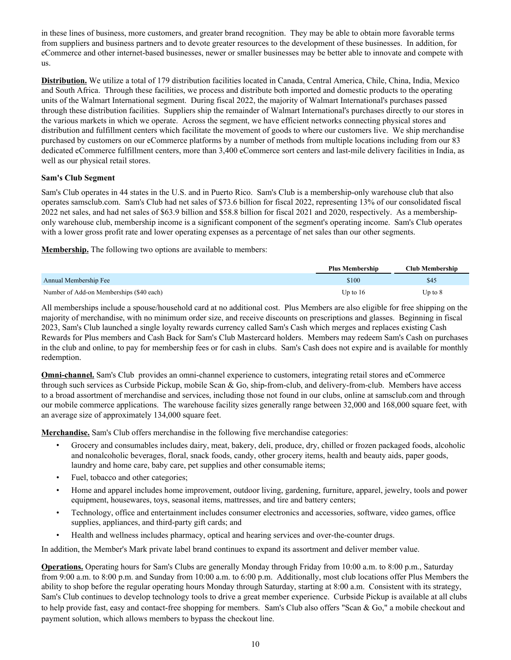in these lines of business, more customers, and greater brand recognition. They may be able to obtain more favorable terms from suppliers and business partners and to devote greater resources to the development of these businesses. In addition, for eCommerce and other internet-based businesses, newer or smaller businesses may be better able to innovate and compete with us.

**Distribution.** We utilize a total of 179 distribution facilities located in Canada, Central America, Chile, China, India, Mexico and South Africa. Through these facilities, we process and distribute both imported and domestic products to the operating units of the Walmart International segment. During fiscal 2022, the majority of Walmart International's purchases passed through these distribution facilities. Suppliers ship the remainder of Walmart International's purchases directly to our stores in the various markets in which we operate. Across the segment, we have efficient networks connecting physical stores and distribution and fulfillment centers which facilitate the movement of goods to where our customers live. We ship merchandise purchased by customers on our eCommerce platforms by a number of methods from multiple locations including from our 83 dedicated eCommerce fulfillment centers, more than 3,400 eCommerce sort centers and last-mile delivery facilities in India, as well as our physical retail stores.

#### **Sam's Club Segment**

Sam's Club operates in 44 states in the U.S. and in Puerto Rico. Sam's Club is a membership-only warehouse club that also operates samsclub.com. Sam's Club had net sales of \$73.6 billion for fiscal 2022, representing 13% of our consolidated fiscal 2022 net sales, and had net sales of \$63.9 billion and \$58.8 billion for fiscal 2021 and 2020, respectively. As a membershiponly warehouse club, membership income is a significant component of the segment's operating income. Sam's Club operates with a lower gross profit rate and lower operating expenses as a percentage of net sales than our other segments.

**Membership.** The following two options are available to members:

|                                          | <b>Plus Membership</b> | <b>Club Membership</b> |
|------------------------------------------|------------------------|------------------------|
| Annual Membership Fee                    | \$100                  | \$45                   |
| Number of Add-on Memberships (\$40 each) | Up to $16$             | Up to $8$              |

All memberships include a spouse/household card at no additional cost. Plus Members are also eligible for free shipping on the majority of merchandise, with no minimum order size, and receive discounts on prescriptions and glasses. Beginning in fiscal 2023, Sam's Club launched a single loyalty rewards currency called Sam's Cash which merges and replaces existing Cash Rewards for Plus members and Cash Back for Sam's Club Mastercard holders. Members may redeem Sam's Cash on purchases in the club and online, to pay for membership fees or for cash in clubs. Sam's Cash does not expire and is available for monthly redemption.

**Omni-channel.** Sam's Club provides an omni-channel experience to customers, integrating retail stores and eCommerce through such services as Curbside Pickup, mobile Scan & Go, ship-from-club, and delivery-from-club. Members have access to a broad assortment of merchandise and services, including those not found in our clubs, online at samsclub.com and through our mobile commerce applications. The warehouse facility sizes generally range between 32,000 and 168,000 square feet, with an average size of approximately 134,000 square feet.

**Merchandise.** Sam's Club offers merchandise in the following five merchandise categories:

- Grocery and consumables includes dairy, meat, bakery, deli, produce, dry, chilled or frozen packaged foods, alcoholic and nonalcoholic beverages, floral, snack foods, candy, other grocery items, health and beauty aids, paper goods, laundry and home care, baby care, pet supplies and other consumable items;
- Fuel, tobacco and other categories;
- Home and apparel includes home improvement, outdoor living, gardening, furniture, apparel, jewelry, tools and power equipment, housewares, toys, seasonal items, mattresses, and tire and battery centers;
- Technology, office and entertainment includes consumer electronics and accessories, software, video games, office supplies, appliances, and third-party gift cards; and
- Health and wellness includes pharmacy, optical and hearing services and over-the-counter drugs.

In addition, the Member's Mark private label brand continues to expand its assortment and deliver member value.

**Operations.** Operating hours for Sam's Clubs are generally Monday through Friday from 10:00 a.m. to 8:00 p.m., Saturday from 9:00 a.m. to 8:00 p.m. and Sunday from 10:00 a.m. to 6:00 p.m. Additionally, most club locations offer Plus Members the ability to shop before the regular operating hours Monday through Saturday, starting at 8:00 a.m. Consistent with its strategy, Sam's Club continues to develop technology tools to drive a great member experience. Curbside Pickup is available at all clubs to help provide fast, easy and contact-free shopping for members. Sam's Club also offers "Scan & Go," a mobile checkout and payment solution, which allows members to bypass the checkout line.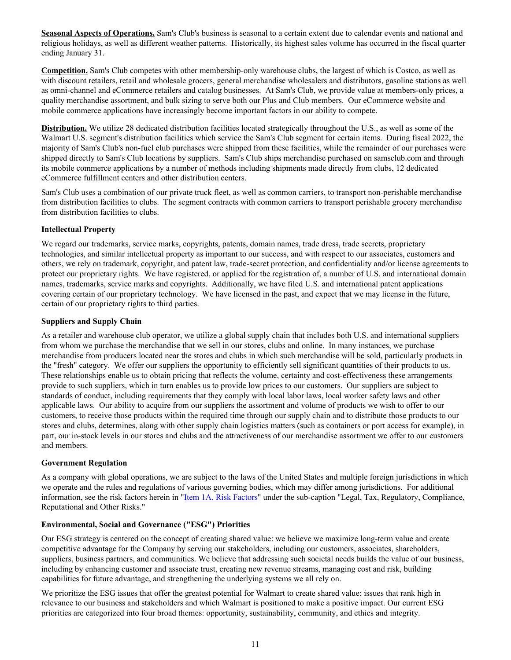**Seasonal Aspects of Operations.** Sam's Club's business is seasonal to a certain extent due to calendar events and national and religious holidays, as well as different weather patterns. Historically, its highest sales volume has occurred in the fiscal quarter ending January 31.

**Competition.** Sam's Club competes with other membership-only warehouse clubs, the largest of which is Costco, as well as with discount retailers, retail and wholesale grocers, general merchandise wholesalers and distributors, gasoline stations as well as omni-channel and eCommerce retailers and catalog businesses. At Sam's Club, we provide value at members-only prices, a quality merchandise assortment, and bulk sizing to serve both our Plus and Club members. Our eCommerce website and mobile commerce applications have increasingly become important factors in our ability to compete.

**Distribution.** We utilize 28 dedicated distribution facilities located strategically throughout the U.S., as well as some of the Walmart U.S. segment's distribution facilities which service the Sam's Club segment for certain items. During fiscal 2022, the majority of Sam's Club's non-fuel club purchases were shipped from these facilities, while the remainder of our purchases were shipped directly to Sam's Club locations by suppliers. Sam's Club ships merchandise purchased on samsclub.com and through its mobile commerce applications by a number of methods including shipments made directly from clubs, 12 dedicated eCommerce fulfillment centers and other distribution centers.

Sam's Club uses a combination of our private truck fleet, as well as common carriers, to transport non-perishable merchandise from distribution facilities to clubs. The segment contracts with common carriers to transport perishable grocery merchandise from distribution facilities to clubs.

#### **Intellectual Property**

We regard our trademarks, service marks, copyrights, patents, domain names, trade dress, trade secrets, proprietary technologies, and similar intellectual property as important to our success, and with respect to our associates, customers and others, we rely on trademark, copyright, and patent law, trade-secret protection, and confidentiality and/or license agreements to protect our proprietary rights. We have registered, or applied for the registration of, a number of U.S. and international domain names, trademarks, service marks and copyrights. Additionally, we have filed U.S. and international patent applications covering certain of our proprietary technology. We have licensed in the past, and expect that we may license in the future, certain of our proprietary rights to third parties.

### **Suppliers and Supply Chain**

As a retailer and warehouse club operator, we utilize a global supply chain that includes both U.S. and international suppliers from whom we purchase the merchandise that we sell in our stores, clubs and online. In many instances, we purchase merchandise from producers located near the stores and clubs in which such merchandise will be sold, particularly products in the "fresh" category. We offer our suppliers the opportunity to efficiently sell significant quantities of their products to us. These relationships enable us to obtain pricing that reflects the volume, certainty and cost-effectiveness these arrangements provide to such suppliers, which in turn enables us to provide low prices to our customers. Our suppliers are subject to standards of conduct, including requirements that they comply with local labor laws, local worker safety laws and other applicable laws. Our ability to acquire from our suppliers the assortment and volume of products we wish to offer to our customers, to receive those products within the required time through our supply chain and to distribute those products to our stores and clubs, determines, along with other supply chain logistics matters (such as containers or port access for example), in part, our in-stock levels in our stores and clubs and the attractiveness of our merchandise assortment we offer to our customers and members.

#### **Government Regulation**

As a company with global operations, we are subject to the laws of the United States and multiple foreign jurisdictions in which we operate and the rules and regulations of various governing bodies, which may differ among jurisdictions. For additional information, see the risk factors herein in "[Item 1A. Risk Factors"](#page-14-0) under the sub-caption "Legal, Tax, Regulatory, Compliance, Reputational and Other Risks."

# **Environmental, Social and Governance ("ESG") Priorities**

Our ESG strategy is centered on the concept of creating shared value: we believe we maximize long-term value and create competitive advantage for the Company by serving our stakeholders, including our customers, associates, shareholders, suppliers, business partners, and communities. We believe that addressing such societal needs builds the value of our business, including by enhancing customer and associate trust, creating new revenue streams, managing cost and risk, building capabilities for future advantage, and strengthening the underlying systems we all rely on.

We prioritize the ESG issues that offer the greatest potential for Walmart to create shared value: issues that rank high in relevance to our business and stakeholders and which Walmart is positioned to make a positive impact. Our current ESG priorities are categorized into four broad themes: opportunity, sustainability, community, and ethics and integrity.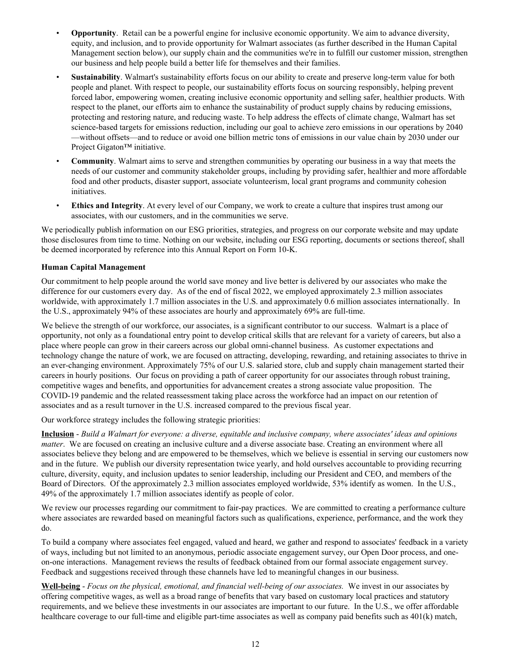- **Opportunity**. Retail can be a powerful engine for inclusive economic opportunity. We aim to advance diversity, equity, and inclusion, and to provide opportunity for Walmart associates (as further described in the Human Capital Management section below), our supply chain and the communities we're in to fulfill our customer mission, strengthen our business and help people build a better life for themselves and their families.
- **Sustainability**. Walmart's sustainability efforts focus on our ability to create and preserve long-term value for both people and planet. With respect to people, our sustainability efforts focus on sourcing responsibly, helping prevent forced labor, empowering women, creating inclusive economic opportunity and selling safer, healthier products. With respect to the planet, our efforts aim to enhance the sustainability of product supply chains by reducing emissions, protecting and restoring nature, and reducing waste. To help address the effects of climate change, Walmart has set science-based targets for emissions reduction, including our goal to achieve zero emissions in our operations by 2040 —without offsets—and to reduce or avoid one billion metric tons of emissions in our value chain by 2030 under our Project Gigaton™ initiative.
- **Community**. Walmart aims to serve and strengthen communities by operating our business in a way that meets the needs of our customer and community stakeholder groups, including by providing safer, healthier and more affordable food and other products, disaster support, associate volunteerism, local grant programs and community cohesion initiatives.
- **Ethics and Integrity**. At every level of our Company, we work to create a culture that inspires trust among our associates, with our customers, and in the communities we serve.

We periodically publish information on our ESG priorities, strategies, and progress on our corporate website and may update those disclosures from time to time. Nothing on our website, including our ESG reporting, documents or sections thereof, shall be deemed incorporated by reference into this Annual Report on Form 10-K.

#### **Human Capital Management**

Our commitment to help people around the world save money and live better is delivered by our associates who make the difference for our customers every day. As of the end of fiscal 2022, we employed approximately 2.3 million associates worldwide, with approximately 1.7 million associates in the U.S. and approximately 0.6 million associates internationally. In the U.S., approximately 94% of these associates are hourly and approximately 69% are full-time.

We believe the strength of our workforce, our associates, is a significant contributor to our success. Walmart is a place of opportunity, not only as a foundational entry point to develop critical skills that are relevant for a variety of careers, but also a place where people can grow in their careers across our global omni-channel business. As customer expectations and technology change the nature of work, we are focused on attracting, developing, rewarding, and retaining associates to thrive in an ever-changing environment. Approximately 75% of our U.S. salaried store, club and supply chain management started their careers in hourly positions. Our focus on providing a path of career opportunity for our associates through robust training, competitive wages and benefits, and opportunities for advancement creates a strong associate value proposition. The COVID-19 pandemic and the related reassessment taking place across the workforce had an impact on our retention of associates and as a result turnover in the U.S. increased compared to the previous fiscal year.

Our workforce strategy includes the following strategic priorities:

**Inclusion** - *Build a Walmart for everyone: a diverse, equitable and inclusive company, where associates' ideas and opinions matter*. We are focused on creating an inclusive culture and a diverse associate base. Creating an environment where all associates believe they belong and are empowered to be themselves, which we believe is essential in serving our customers now and in the future. We publish our diversity representation twice yearly, and hold ourselves accountable to providing recurring culture, diversity, equity, and inclusion updates to senior leadership, including our President and CEO, and members of the Board of Directors. Of the approximately 2.3 million associates employed worldwide, 53% identify as women. In the U.S., 49% of the approximately 1.7 million associates identify as people of color.

We review our processes regarding our commitment to fair-pay practices. We are committed to creating a performance culture where associates are rewarded based on meaningful factors such as qualifications, experience, performance, and the work they do.

To build a company where associates feel engaged, valued and heard, we gather and respond to associates' feedback in a variety of ways, including but not limited to an anonymous, periodic associate engagement survey, our Open Door process, and oneon-one interactions. Management reviews the results of feedback obtained from our formal associate engagement survey. Feedback and suggestions received through these channels have led to meaningful changes in our business.

**Well-being** - *Focus on the physical, emotional, and financial well-being of our associates.* We invest in our associates by offering competitive wages, as well as a broad range of benefits that vary based on customary local practices and statutory requirements, and we believe these investments in our associates are important to our future. In the U.S., we offer affordable healthcare coverage to our full-time and eligible part-time associates as well as company paid benefits such as 401(k) match,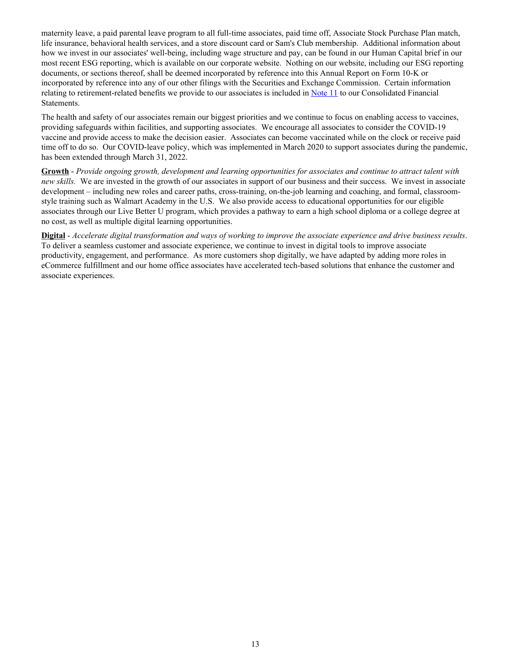maternity leave, a paid parental leave program to all full-time associates, paid time off, Associate Stock Purchase Plan match, life insurance, behavioral health services, and a store discount card or Sam's Club membership. Additional information about how we invest in our associates' well-being, including wage structure and pay, can be found in our Human Capital brief in our most recent ESG reporting, which is available on our corporate website. Nothing on our website, including our ESG reporting documents, or sections thereof, shall be deemed incorporated by reference into this Annual Report on Form 10-K or incorporated by reference into any of our other filings with the Securities and Exchange Commission. Certain information relating to retirement-related benefits we provide to our associates is included in [Note 11](#page-74-0) to our Consolidated Financial Statements.

The health and safety of our associates remain our biggest priorities and we continue to focus on enabling access to vaccines, providing safeguards within facilities, and supporting associates. We encourage all associates to consider the COVID-19 vaccine and provide access to make the decision easier. Associates can become vaccinated while on the clock or receive paid time off to do so. Our COVID-leave policy, which was implemented in March 2020 to support associates during the pandemic, has been extended through March 31, 2022.

**Growth** - *Provide ongoing growth, development and learning opportunities for associates and continue to attract talent with new skills.* We are invested in the growth of our associates in support of our business and their success. We invest in associate development – including new roles and career paths, cross-training, on-the-job learning and coaching, and formal, classroomstyle training such as Walmart Academy in the U.S. We also provide access to educational opportunities for our eligible associates through our Live Better U program, which provides a pathway to earn a high school diploma or a college degree at no cost, as well as multiple digital learning opportunities.

**Digital** - *Accelerate digital transformation and ways of working to improve the associate experience and drive business results*. To deliver a seamless customer and associate experience, we continue to invest in digital tools to improve associate productivity, engagement, and performance. As more customers shop digitally, we have adapted by adding more roles in eCommerce fulfillment and our home office associates have accelerated tech-based solutions that enhance the customer and associate experiences.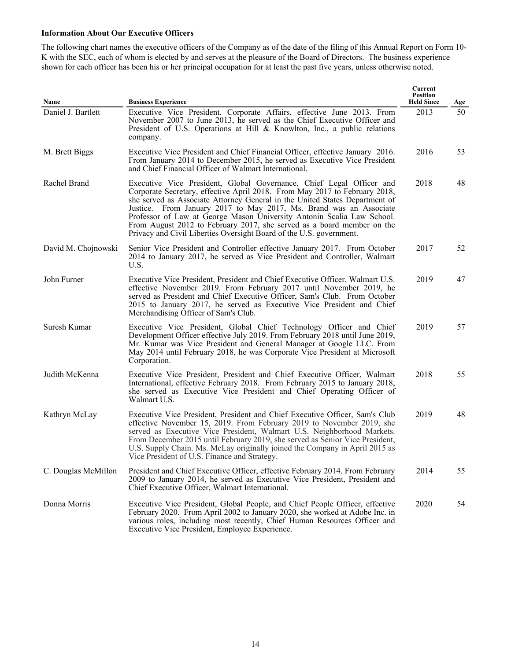### **Information About Our Executive Officers**

The following chart names the executive officers of the Company as of the date of the filing of this Annual Report on Form 10- K with the SEC, each of whom is elected by and serves at the pleasure of the Board of Directors. The business experience shown for each officer has been his or her principal occupation for at least the past five years, unless otherwise noted.

| Name                | <b>Business Experience</b>                                                                                                                                                                                                                                                                                                                                                                                                                                                                                                         | Current<br><b>Position</b><br><b>Held Since</b> | Age |
|---------------------|------------------------------------------------------------------------------------------------------------------------------------------------------------------------------------------------------------------------------------------------------------------------------------------------------------------------------------------------------------------------------------------------------------------------------------------------------------------------------------------------------------------------------------|-------------------------------------------------|-----|
| Daniel J. Bartlett  | Executive Vice President, Corporate Affairs, effective June 2013. From<br>November 2007 to June 2013, he served as the Chief Executive Officer and<br>President of U.S. Operations at Hill & Knowlton, Inc., a public relations<br>company.                                                                                                                                                                                                                                                                                        | 2013                                            | 50  |
| M. Brett Biggs      | Executive Vice President and Chief Financial Officer, effective January 2016.<br>From January 2014 to December 2015, he served as Executive Vice President<br>and Chief Financial Officer of Walmart International.                                                                                                                                                                                                                                                                                                                | 2016                                            | 53  |
| Rachel Brand        | Executive Vice President, Global Governance, Chief Legal Officer and<br>Corporate Secretary, effective April 2018. From May 2017 to February 2018,<br>she served as Associate Attorney General in the United States Department of<br>Justice. From January 2017 to May 2017, Ms. Brand was an Associate<br>Professor of Law at George Mason University Antonin Scalia Law School.<br>From August 2012 to February 2017, she served as a board member on the<br>Privacy and Civil Liberties Oversight Board of the U.S. government. | 2018                                            | 48  |
| David M. Chojnowski | Senior Vice President and Controller effective January 2017. From October<br>2014 to January 2017, he served as Vice President and Controller, Walmart<br>U.S.                                                                                                                                                                                                                                                                                                                                                                     | 2017                                            | 52  |
| John Furner         | Executive Vice President, President and Chief Executive Officer, Walmart U.S.<br>effective November 2019. From February 2017 until November 2019, he<br>served as President and Chief Executive Officer, Sam's Club. From October<br>2015 to January 2017, he served as Executive Vice President and Chief<br>Merchandising Officer of Sam's Club.                                                                                                                                                                                 | 2019                                            | 47  |
| Suresh Kumar        | Executive Vice President, Global Chief Technology Officer and Chief<br>Development Officer effective July 2019. From February 2018 until June 2019,<br>Mr. Kumar was Vice President and General Manager at Google LLC. From<br>May 2014 until February 2018, he was Corporate Vice President at Microsoft<br>Corporation.                                                                                                                                                                                                          | 2019                                            | 57  |
| Judith McKenna      | Executive Vice President, President and Chief Executive Officer, Walmart<br>International, effective February 2018. From February 2015 to January 2018,<br>she served as Executive Vice President and Chief Operating Officer of<br>Walmart U.S.                                                                                                                                                                                                                                                                                   | 2018                                            | 55  |
| Kathryn McLay       | Executive Vice President, President and Chief Executive Officer, Sam's Club<br>effective November 15, 2019. From February 2019 to November 2019, she<br>served as Executive Vice President, Walmart U.S. Neighborhood Markets.<br>From December 2015 until February 2019, she served as Senior Vice President,<br>U.S. Supply Chain. Ms. McLay originally joined the Company in April 2015 as<br>Vice President of U.S. Finance and Strategy.                                                                                      | 2019                                            | 48  |
| C. Douglas McMillon | President and Chief Executive Officer, effective February 2014. From February<br>2009 to January 2014, he served as Executive Vice President, President and<br>Chief Executive Officer, Walmart International.                                                                                                                                                                                                                                                                                                                     | 2014                                            | 55  |
| Donna Morris        | Executive Vice President, Global People, and Chief People Officer, effective<br>February 2020. From April 2002 to January 2020, she worked at Adobe Inc. in<br>various roles, including most recently, Chief Human Resources Officer and<br>Executive Vice President, Employee Experience.                                                                                                                                                                                                                                         | 2020                                            | 54  |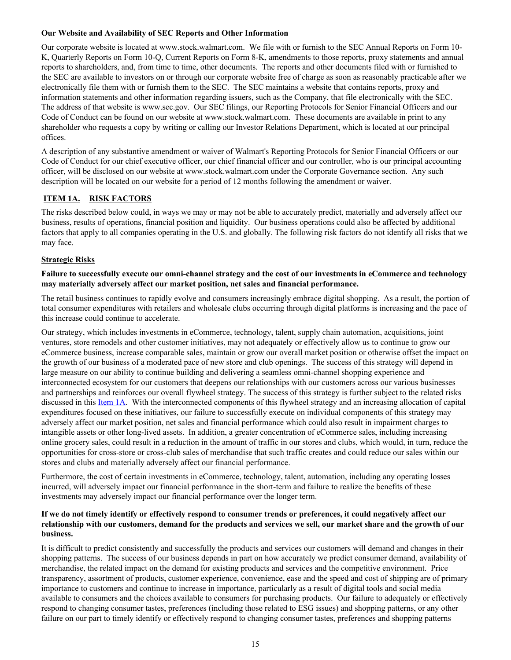#### <span id="page-14-0"></span>**Our Website and Availability of SEC Reports and Other Information**

Our corporate website is located at www.stock.walmart.com. We file with or furnish to the SEC Annual Reports on Form 10- K, Quarterly Reports on Form 10-Q, Current Reports on Form 8-K, amendments to those reports, proxy statements and annual reports to shareholders, and, from time to time, other documents. The reports and other documents filed with or furnished to the SEC are available to investors on or through our corporate website free of charge as soon as reasonably practicable after we electronically file them with or furnish them to the SEC. The SEC maintains a website that contains reports, proxy and information statements and other information regarding issuers, such as the Company, that file electronically with the SEC. The address of that website is www.sec.gov. Our SEC filings, our Reporting Protocols for Senior Financial Officers and our Code of Conduct can be found on our website at www.stock.walmart.com. These documents are available in print to any shareholder who requests a copy by writing or calling our Investor Relations Department, which is located at our principal offices.

A description of any substantive amendment or waiver of Walmart's Reporting Protocols for Senior Financial Officers or our Code of Conduct for our chief executive officer, our chief financial officer and our controller, who is our principal accounting officer, will be disclosed on our website at www.stock.walmart.com under the Corporate Governance section. Any such description will be located on our website for a period of 12 months following the amendment or waiver.

# **ITEM 1A. RISK FACTORS**

The risks described below could, in ways we may or may not be able to accurately predict, materially and adversely affect our business, results of operations, financial position and liquidity. Our business operations could also be affected by additional factors that apply to all companies operating in the U.S. and globally. The following risk factors do not identify all risks that we may face.

#### **Strategic Risks**

#### **Failure to successfully execute our omni-channel strategy and the cost of our investments in eCommerce and technology may materially adversely affect our market position, net sales and financial performance.**

The retail business continues to rapidly evolve and consumers increasingly embrace digital shopping. As a result, the portion of total consumer expenditures with retailers and wholesale clubs occurring through digital platforms is increasing and the pace of this increase could continue to accelerate.

Our strategy, which includes investments in eCommerce, technology, talent, supply chain automation, acquisitions, joint ventures, store remodels and other customer initiatives, may not adequately or effectively allow us to continue to grow our eCommerce business, increase comparable sales, maintain or grow our overall market position or otherwise offset the impact on the growth of our business of a moderated pace of new store and club openings. The success of this strategy will depend in large measure on our ability to continue building and delivering a seamless omni-channel shopping experience and interconnected ecosystem for our customers that deepens our relationships with our customers across our various businesses and partnerships and reinforces our overall flywheel strategy. The success of this strategy is further subject to the related risks discussed in this Item 1A. With the interconnected components of this flywheel strategy and an increasing allocation of capital expenditures focused on these initiatives, our failure to successfully execute on individual components of this strategy may adversely affect our market position, net sales and financial performance which could also result in impairment charges to intangible assets or other long-lived assets. In addition, a greater concentration of eCommerce sales, including increasing online grocery sales, could result in a reduction in the amount of traffic in our stores and clubs, which would, in turn, reduce the opportunities for cross-store or cross-club sales of merchandise that such traffic creates and could reduce our sales within our stores and clubs and materially adversely affect our financial performance.

Furthermore, the cost of certain investments in eCommerce, technology, talent, automation, including any operating losses incurred, will adversely impact our financial performance in the short-term and failure to realize the benefits of these investments may adversely impact our financial performance over the longer term.

#### **If we do not timely identify or effectively respond to consumer trends or preferences, it could negatively affect our relationship with our customers, demand for the products and services we sell, our market share and the growth of our business.**

It is difficult to predict consistently and successfully the products and services our customers will demand and changes in their shopping patterns. The success of our business depends in part on how accurately we predict consumer demand, availability of merchandise, the related impact on the demand for existing products and services and the competitive environment. Price transparency, assortment of products, customer experience, convenience, ease and the speed and cost of shipping are of primary importance to customers and continue to increase in importance, particularly as a result of digital tools and social media available to consumers and the choices available to consumers for purchasing products. Our failure to adequately or effectively respond to changing consumer tastes, preferences (including those related to ESG issues) and shopping patterns, or any other failure on our part to timely identify or effectively respond to changing consumer tastes, preferences and shopping patterns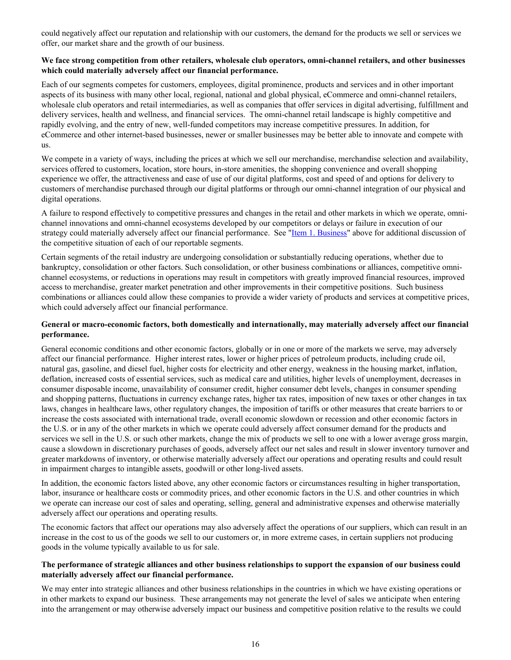could negatively affect our reputation and relationship with our customers, the demand for the products we sell or services we offer, our market share and the growth of our business.

#### **We face strong competition from other retailers, wholesale club operators, omni-channel retailers, and other businesses which could materially adversely affect our financial performance.**

Each of our segments competes for customers, employees, digital prominence, products and services and in other important aspects of its business with many other local, regional, national and global physical, eCommerce and omni-channel retailers, wholesale club operators and retail intermediaries, as well as companies that offer services in digital advertising, fulfillment and delivery services, health and wellness, and financial services. The omni-channel retail landscape is highly competitive and rapidly evolving, and the entry of new, well-funded competitors may increase competitive pressures. In addition, for eCommerce and other internet-based businesses, newer or smaller businesses may be better able to innovate and compete with us.

We compete in a variety of ways, including the prices at which we sell our merchandise, merchandise selection and availability, services offered to customers, location, store hours, in-store amenities, the shopping convenience and overall shopping experience we offer, the attractiveness and ease of use of our digital platforms, cost and speed of and options for delivery to customers of merchandise purchased through our digital platforms or through our omni-channel integration of our physical and digital operations.

A failure to respond effectively to competitive pressures and changes in the retail and other markets in which we operate, omnichannel innovations and omni-channel ecosystems developed by our competitors or delays or failure in execution of our strategy could materially adversely affect our financial performance. See "[Item 1. Business"](#page-5-0) above for additional discussion of the competitive situation of each of our reportable segments.

Certain segments of the retail industry are undergoing consolidation or substantially reducing operations, whether due to bankruptcy, consolidation or other factors. Such consolidation, or other business combinations or alliances, competitive omnichannel ecosystems, or reductions in operations may result in competitors with greatly improved financial resources, improved access to merchandise, greater market penetration and other improvements in their competitive positions. Such business combinations or alliances could allow these companies to provide a wider variety of products and services at competitive prices, which could adversely affect our financial performance.

#### **General or macro-economic factors, both domestically and internationally, may materially adversely affect our financial performance.**

General economic conditions and other economic factors, globally or in one or more of the markets we serve, may adversely affect our financial performance. Higher interest rates, lower or higher prices of petroleum products, including crude oil, natural gas, gasoline, and diesel fuel, higher costs for electricity and other energy, weakness in the housing market, inflation, deflation, increased costs of essential services, such as medical care and utilities, higher levels of unemployment, decreases in consumer disposable income, unavailability of consumer credit, higher consumer debt levels, changes in consumer spending and shopping patterns, fluctuations in currency exchange rates, higher tax rates, imposition of new taxes or other changes in tax laws, changes in healthcare laws, other regulatory changes, the imposition of tariffs or other measures that create barriers to or increase the costs associated with international trade, overall economic slowdown or recession and other economic factors in the U.S. or in any of the other markets in which we operate could adversely affect consumer demand for the products and services we sell in the U.S. or such other markets, change the mix of products we sell to one with a lower average gross margin, cause a slowdown in discretionary purchases of goods, adversely affect our net sales and result in slower inventory turnover and greater markdowns of inventory, or otherwise materially adversely affect our operations and operating results and could result in impairment charges to intangible assets, goodwill or other long-lived assets.

In addition, the economic factors listed above, any other economic factors or circumstances resulting in higher transportation, labor, insurance or healthcare costs or commodity prices, and other economic factors in the U.S. and other countries in which we operate can increase our cost of sales and operating, selling, general and administrative expenses and otherwise materially adversely affect our operations and operating results.

The economic factors that affect our operations may also adversely affect the operations of our suppliers, which can result in an increase in the cost to us of the goods we sell to our customers or, in more extreme cases, in certain suppliers not producing goods in the volume typically available to us for sale.

#### **The performance of strategic alliances and other business relationships to support the expansion of our business could materially adversely affect our financial performance.**

We may enter into strategic alliances and other business relationships in the countries in which we have existing operations or in other markets to expand our business. These arrangements may not generate the level of sales we anticipate when entering into the arrangement or may otherwise adversely impact our business and competitive position relative to the results we could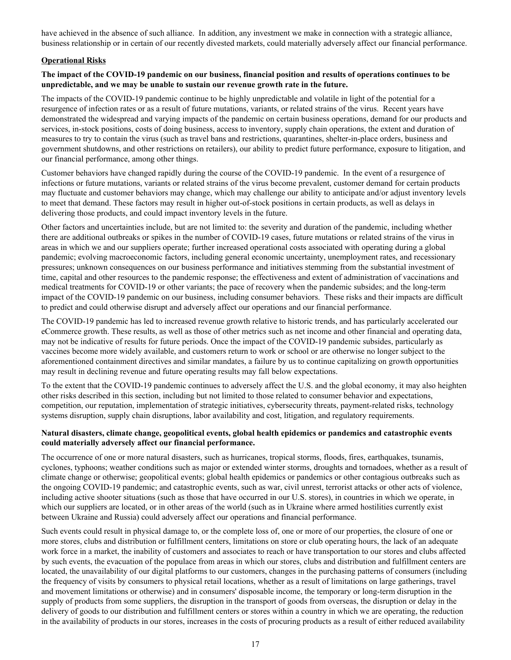have achieved in the absence of such alliance. In addition, any investment we make in connection with a strategic alliance, business relationship or in certain of our recently divested markets, could materially adversely affect our financial performance.

#### **Operational Risks**

#### **The impact of the COVID-19 pandemic on our business, financial position and results of operations continues to be unpredictable, and we may be unable to sustain our revenue growth rate in the future.**

The impacts of the COVID-19 pandemic continue to be highly unpredictable and volatile in light of the potential for a resurgence of infection rates or as a result of future mutations, variants, or related strains of the virus. Recent years have demonstrated the widespread and varying impacts of the pandemic on certain business operations, demand for our products and services, in-stock positions, costs of doing business, access to inventory, supply chain operations, the extent and duration of measures to try to contain the virus (such as travel bans and restrictions, quarantines, shelter-in-place orders, business and government shutdowns, and other restrictions on retailers), our ability to predict future performance, exposure to litigation, and our financial performance, among other things.

Customer behaviors have changed rapidly during the course of the COVID-19 pandemic. In the event of a resurgence of infections or future mutations, variants or related strains of the virus become prevalent, customer demand for certain products may fluctuate and customer behaviors may change, which may challenge our ability to anticipate and/or adjust inventory levels to meet that demand. These factors may result in higher out-of-stock positions in certain products, as well as delays in delivering those products, and could impact inventory levels in the future.

Other factors and uncertainties include, but are not limited to: the severity and duration of the pandemic, including whether there are additional outbreaks or spikes in the number of COVID-19 cases, future mutations or related strains of the virus in areas in which we and our suppliers operate; further increased operational costs associated with operating during a global pandemic; evolving macroeconomic factors, including general economic uncertainty, unemployment rates, and recessionary pressures; unknown consequences on our business performance and initiatives stemming from the substantial investment of time, capital and other resources to the pandemic response; the effectiveness and extent of administration of vaccinations and medical treatments for COVID-19 or other variants; the pace of recovery when the pandemic subsides; and the long-term impact of the COVID-19 pandemic on our business, including consumer behaviors. These risks and their impacts are difficult to predict and could otherwise disrupt and adversely affect our operations and our financial performance.

The COVID-19 pandemic has led to increased revenue growth relative to historic trends, and has particularly accelerated our eCommerce growth. These results, as well as those of other metrics such as net income and other financial and operating data, may not be indicative of results for future periods. Once the impact of the COVID-19 pandemic subsides, particularly as vaccines become more widely available, and customers return to work or school or are otherwise no longer subject to the aforementioned containment directives and similar mandates, a failure by us to continue capitalizing on growth opportunities may result in declining revenue and future operating results may fall below expectations.

To the extent that the COVID-19 pandemic continues to adversely affect the U.S. and the global economy, it may also heighten other risks described in this section, including but not limited to those related to consumer behavior and expectations, competition, our reputation, implementation of strategic initiatives, cybersecurity threats, payment-related risks, technology systems disruption, supply chain disruptions, labor availability and cost, litigation, and regulatory requirements.

### **Natural disasters, climate change, geopolitical events, global health epidemics or pandemics and catastrophic events could materially adversely affect our financial performance.**

The occurrence of one or more natural disasters, such as hurricanes, tropical storms, floods, fires, earthquakes, tsunamis, cyclones, typhoons; weather conditions such as major or extended winter storms, droughts and tornadoes, whether as a result of climate change or otherwise; geopolitical events; global health epidemics or pandemics or other contagious outbreaks such as the ongoing COVID-19 pandemic; and catastrophic events, such as war, civil unrest, terrorist attacks or other acts of violence, including active shooter situations (such as those that have occurred in our U.S. stores), in countries in which we operate, in which our suppliers are located, or in other areas of the world (such as in Ukraine where armed hostilities currently exist between Ukraine and Russia) could adversely affect our operations and financial performance.

Such events could result in physical damage to, or the complete loss of, one or more of our properties, the closure of one or more stores, clubs and distribution or fulfillment centers, limitations on store or club operating hours, the lack of an adequate work force in a market, the inability of customers and associates to reach or have transportation to our stores and clubs affected by such events, the evacuation of the populace from areas in which our stores, clubs and distribution and fulfillment centers are located, the unavailability of our digital platforms to our customers, changes in the purchasing patterns of consumers (including the frequency of visits by consumers to physical retail locations, whether as a result of limitations on large gatherings, travel and movement limitations or otherwise) and in consumers' disposable income, the temporary or long-term disruption in the supply of products from some suppliers, the disruption in the transport of goods from overseas, the disruption or delay in the delivery of goods to our distribution and fulfillment centers or stores within a country in which we are operating, the reduction in the availability of products in our stores, increases in the costs of procuring products as a result of either reduced availability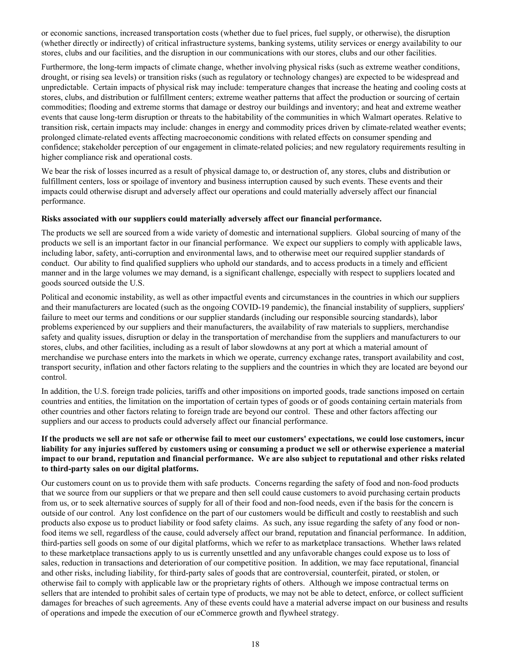or economic sanctions, increased transportation costs (whether due to fuel prices, fuel supply, or otherwise), the disruption (whether directly or indirectly) of critical infrastructure systems, banking systems, utility services or energy availability to our stores, clubs and our facilities, and the disruption in our communications with our stores, clubs and our other facilities.

Furthermore, the long-term impacts of climate change, whether involving physical risks (such as extreme weather conditions, drought, or rising sea levels) or transition risks (such as regulatory or technology changes) are expected to be widespread and unpredictable. Certain impacts of physical risk may include: temperature changes that increase the heating and cooling costs at stores, clubs, and distribution or fulfillment centers; extreme weather patterns that affect the production or sourcing of certain commodities; flooding and extreme storms that damage or destroy our buildings and inventory; and heat and extreme weather events that cause long-term disruption or threats to the habitability of the communities in which Walmart operates. Relative to transition risk, certain impacts may include: changes in energy and commodity prices driven by climate-related weather events; prolonged climate-related events affecting macroeconomic conditions with related effects on consumer spending and confidence; stakeholder perception of our engagement in climate-related policies; and new regulatory requirements resulting in higher compliance risk and operational costs.

We bear the risk of losses incurred as a result of physical damage to, or destruction of, any stores, clubs and distribution or fulfillment centers, loss or spoilage of inventory and business interruption caused by such events. These events and their impacts could otherwise disrupt and adversely affect our operations and could materially adversely affect our financial performance.

#### **Risks associated with our suppliers could materially adversely affect our financial performance.**

The products we sell are sourced from a wide variety of domestic and international suppliers. Global sourcing of many of the products we sell is an important factor in our financial performance. We expect our suppliers to comply with applicable laws, including labor, safety, anti-corruption and environmental laws, and to otherwise meet our required supplier standards of conduct. Our ability to find qualified suppliers who uphold our standards, and to access products in a timely and efficient manner and in the large volumes we may demand, is a significant challenge, especially with respect to suppliers located and goods sourced outside the U.S.

Political and economic instability, as well as other impactful events and circumstances in the countries in which our suppliers and their manufacturers are located (such as the ongoing COVID-19 pandemic), the financial instability of suppliers, suppliers' failure to meet our terms and conditions or our supplier standards (including our responsible sourcing standards), labor problems experienced by our suppliers and their manufacturers, the availability of raw materials to suppliers, merchandise safety and quality issues, disruption or delay in the transportation of merchandise from the suppliers and manufacturers to our stores, clubs, and other facilities, including as a result of labor slowdowns at any port at which a material amount of merchandise we purchase enters into the markets in which we operate, currency exchange rates, transport availability and cost, transport security, inflation and other factors relating to the suppliers and the countries in which they are located are beyond our control.

In addition, the U.S. foreign trade policies, tariffs and other impositions on imported goods, trade sanctions imposed on certain countries and entities, the limitation on the importation of certain types of goods or of goods containing certain materials from other countries and other factors relating to foreign trade are beyond our control. These and other factors affecting our suppliers and our access to products could adversely affect our financial performance.

#### **If the products we sell are not safe or otherwise fail to meet our customers' expectations, we could lose customers, incur liability for any injuries suffered by customers using or consuming a product we sell or otherwise experience a material impact to our brand, reputation and financial performance. We are also subject to reputational and other risks related to third-party sales on our digital platforms.**

Our customers count on us to provide them with safe products. Concerns regarding the safety of food and non-food products that we source from our suppliers or that we prepare and then sell could cause customers to avoid purchasing certain products from us, or to seek alternative sources of supply for all of their food and non-food needs, even if the basis for the concern is outside of our control. Any lost confidence on the part of our customers would be difficult and costly to reestablish and such products also expose us to product liability or food safety claims. As such, any issue regarding the safety of any food or nonfood items we sell, regardless of the cause, could adversely affect our brand, reputation and financial performance. In addition, third-parties sell goods on some of our digital platforms, which we refer to as marketplace transactions. Whether laws related to these marketplace transactions apply to us is currently unsettled and any unfavorable changes could expose us to loss of sales, reduction in transactions and deterioration of our competitive position. In addition, we may face reputational, financial and other risks, including liability, for third-party sales of goods that are controversial, counterfeit, pirated, or stolen, or otherwise fail to comply with applicable law or the proprietary rights of others. Although we impose contractual terms on sellers that are intended to prohibit sales of certain type of products, we may not be able to detect, enforce, or collect sufficient damages for breaches of such agreements. Any of these events could have a material adverse impact on our business and results of operations and impede the execution of our eCommerce growth and flywheel strategy.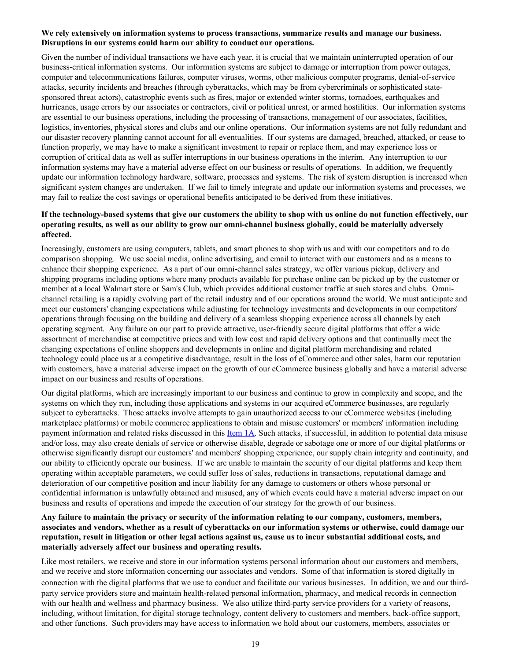#### **We rely extensively on information systems to process transactions, summarize results and manage our business. Disruptions in our systems could harm our ability to conduct our operations.**

Given the number of individual transactions we have each year, it is crucial that we maintain uninterrupted operation of our business-critical information systems. Our information systems are subject to damage or interruption from power outages, computer and telecommunications failures, computer viruses, worms, other malicious computer programs, denial-of-service attacks, security incidents and breaches (through cyberattacks, which may be from cybercriminals or sophisticated statesponsored threat actors), catastrophic events such as fires, major or extended winter storms, tornadoes, earthquakes and hurricanes, usage errors by our associates or contractors, civil or political unrest, or armed hostilities. Our information systems are essential to our business operations, including the processing of transactions, management of our associates, facilities, logistics, inventories, physical stores and clubs and our online operations. Our information systems are not fully redundant and our disaster recovery planning cannot account for all eventualities. If our systems are damaged, breached, attacked, or cease to function properly, we may have to make a significant investment to repair or replace them, and may experience loss or corruption of critical data as well as suffer interruptions in our business operations in the interim. Any interruption to our information systems may have a material adverse effect on our business or results of operations. In addition, we frequently update our information technology hardware, software, processes and systems. The risk of system disruption is increased when significant system changes are undertaken. If we fail to timely integrate and update our information systems and processes, we may fail to realize the cost savings or operational benefits anticipated to be derived from these initiatives.

#### **If the technology-based systems that give our customers the ability to shop with us online do not function effectively, our operating results, as well as our ability to grow our omni-channel business globally, could be materially adversely affected.**

Increasingly, customers are using computers, tablets, and smart phones to shop with us and with our competitors and to do comparison shopping. We use social media, online advertising, and email to interact with our customers and as a means to enhance their shopping experience. As a part of our omni-channel sales strategy, we offer various pickup, delivery and shipping programs including options where many products available for purchase online can be picked up by the customer or member at a local Walmart store or Sam's Club, which provides additional customer traffic at such stores and clubs. Omnichannel retailing is a rapidly evolving part of the retail industry and of our operations around the world. We must anticipate and meet our customers' changing expectations while adjusting for technology investments and developments in our competitors' operations through focusing on the building and delivery of a seamless shopping experience across all channels by each operating segment. Any failure on our part to provide attractive, user-friendly secure digital platforms that offer a wide assortment of merchandise at competitive prices and with low cost and rapid delivery options and that continually meet the changing expectations of online shoppers and developments in online and digital platform merchandising and related technology could place us at a competitive disadvantage, result in the loss of eCommerce and other sales, harm our reputation with customers, have a material adverse impact on the growth of our eCommerce business globally and have a material adverse impact on our business and results of operations.

Our digital platforms, which are increasingly important to our business and continue to grow in complexity and scope, and the systems on which they run, including those applications and systems in our acquired eCommerce businesses, are regularly subject to cyberattacks. Those attacks involve attempts to gain unauthorized access to our eCommerce websites (including marketplace platforms) or mobile commerce applications to obtain and misuse customers' or members' information including payment information and related risks discussed in this [Item 1A](#page-14-0). Such attacks, if successful, in addition to potential data misuse and/or loss, may also create denials of service or otherwise disable, degrade or sabotage one or more of our digital platforms or otherwise significantly disrupt our customers' and members' shopping experience, our supply chain integrity and continuity, and our ability to efficiently operate our business. If we are unable to maintain the security of our digital platforms and keep them operating within acceptable parameters, we could suffer loss of sales, reductions in transactions, reputational damage and deterioration of our competitive position and incur liability for any damage to customers or others whose personal or confidential information is unlawfully obtained and misused, any of which events could have a material adverse impact on our business and results of operations and impede the execution of our strategy for the growth of our business.

#### **Any failure to maintain the privacy or security of the information relating to our company, customers, members, associates and vendors, whether as a result of cyberattacks on our information systems or otherwise, could damage our reputation, result in litigation or other legal actions against us, cause us to incur substantial additional costs, and materially adversely affect our business and operating results.**

Like most retailers, we receive and store in our information systems personal information about our customers and members, and we receive and store information concerning our associates and vendors. Some of that information is stored digitally in connection with the digital platforms that we use to conduct and facilitate our various businesses. In addition, we and our thirdparty service providers store and maintain health-related personal information, pharmacy, and medical records in connection with our health and wellness and pharmacy business. We also utilize third-party service providers for a variety of reasons, including, without limitation, for digital storage technology, content delivery to customers and members, back-office support, and other functions. Such providers may have access to information we hold about our customers, members, associates or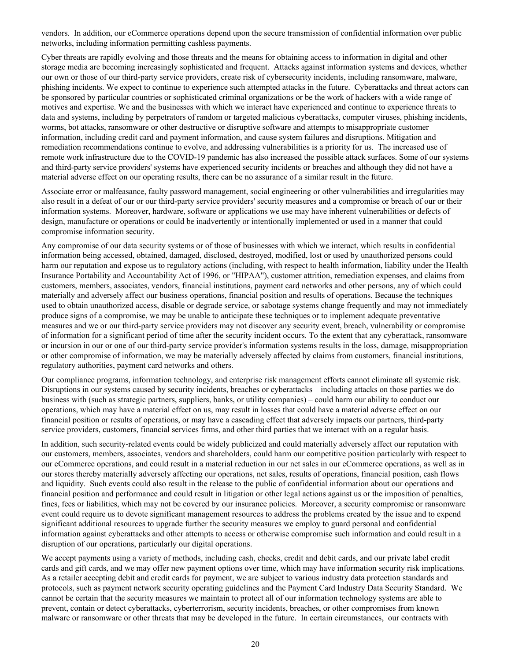vendors. In addition, our eCommerce operations depend upon the secure transmission of confidential information over public networks, including information permitting cashless payments.

Cyber threats are rapidly evolving and those threats and the means for obtaining access to information in digital and other storage media are becoming increasingly sophisticated and frequent. Attacks against information systems and devices, whether our own or those of our third-party service providers, create risk of cybersecurity incidents, including ransomware, malware, phishing incidents. We expect to continue to experience such attempted attacks in the future. Cyberattacks and threat actors can be sponsored by particular countries or sophisticated criminal organizations or be the work of hackers with a wide range of motives and expertise. We and the businesses with which we interact have experienced and continue to experience threats to data and systems, including by perpetrators of random or targeted malicious cyberattacks, computer viruses, phishing incidents, worms, bot attacks, ransomware or other destructive or disruptive software and attempts to misappropriate customer information, including credit card and payment information, and cause system failures and disruptions. Mitigation and remediation recommendations continue to evolve, and addressing vulnerabilities is a priority for us. The increased use of remote work infrastructure due to the COVID-19 pandemic has also increased the possible attack surfaces. Some of our systems and third-party service providers' systems have experienced security incidents or breaches and although they did not have a material adverse effect on our operating results, there can be no assurance of a similar result in the future.

Associate error or malfeasance, faulty password management, social engineering or other vulnerabilities and irregularities may also result in a defeat of our or our third-party service providers' security measures and a compromise or breach of our or their information systems. Moreover, hardware, software or applications we use may have inherent vulnerabilities or defects of design, manufacture or operations or could be inadvertently or intentionally implemented or used in a manner that could compromise information security.

Any compromise of our data security systems or of those of businesses with which we interact, which results in confidential information being accessed, obtained, damaged, disclosed, destroyed, modified, lost or used by unauthorized persons could harm our reputation and expose us to regulatory actions (including, with respect to health information, liability under the Health Insurance Portability and Accountability Act of 1996, or "HIPAA"), customer attrition, remediation expenses, and claims from customers, members, associates, vendors, financial institutions, payment card networks and other persons, any of which could materially and adversely affect our business operations, financial position and results of operations. Because the techniques used to obtain unauthorized access, disable or degrade service, or sabotage systems change frequently and may not immediately produce signs of a compromise, we may be unable to anticipate these techniques or to implement adequate preventative measures and we or our third-party service providers may not discover any security event, breach, vulnerability or compromise of information for a significant period of time after the security incident occurs. To the extent that any cyberattack, ransomware or incursion in our or one of our third-party service provider's information systems results in the loss, damage, misappropriation or other compromise of information, we may be materially adversely affected by claims from customers, financial institutions, regulatory authorities, payment card networks and others.

Our compliance programs, information technology, and enterprise risk management efforts cannot eliminate all systemic risk. Disruptions in our systems caused by security incidents, breaches or cyberattacks – including attacks on those parties we do business with (such as strategic partners, suppliers, banks, or utility companies) – could harm our ability to conduct our operations, which may have a material effect on us, may result in losses that could have a material adverse effect on our financial position or results of operations, or may have a cascading effect that adversely impacts our partners, third-party service providers, customers, financial services firms, and other third parties that we interact with on a regular basis.

In addition, such security-related events could be widely publicized and could materially adversely affect our reputation with our customers, members, associates, vendors and shareholders, could harm our competitive position particularly with respect to our eCommerce operations, and could result in a material reduction in our net sales in our eCommerce operations, as well as in our stores thereby materially adversely affecting our operations, net sales, results of operations, financial position, cash flows and liquidity. Such events could also result in the release to the public of confidential information about our operations and financial position and performance and could result in litigation or other legal actions against us or the imposition of penalties, fines, fees or liabilities, which may not be covered by our insurance policies. Moreover, a security compromise or ransomware event could require us to devote significant management resources to address the problems created by the issue and to expend significant additional resources to upgrade further the security measures we employ to guard personal and confidential information against cyberattacks and other attempts to access or otherwise compromise such information and could result in a disruption of our operations, particularly our digital operations.

We accept payments using a variety of methods, including cash, checks, credit and debit cards, and our private label credit cards and gift cards, and we may offer new payment options over time, which may have information security risk implications. As a retailer accepting debit and credit cards for payment, we are subject to various industry data protection standards and protocols, such as payment network security operating guidelines and the Payment Card Industry Data Security Standard. We cannot be certain that the security measures we maintain to protect all of our information technology systems are able to prevent, contain or detect cyberattacks, cyberterrorism, security incidents, breaches, or other compromises from known malware or ransomware or other threats that may be developed in the future. In certain circumstances, our contracts with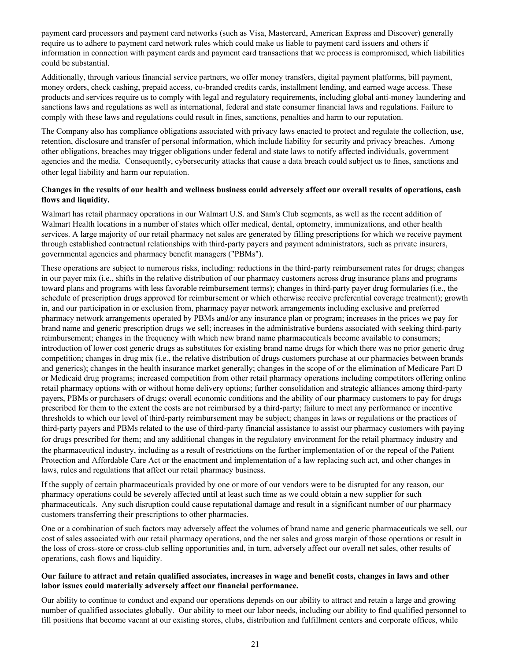payment card processors and payment card networks (such as Visa, Mastercard, American Express and Discover) generally require us to adhere to payment card network rules which could make us liable to payment card issuers and others if information in connection with payment cards and payment card transactions that we process is compromised, which liabilities could be substantial.

Additionally, through various financial service partners, we offer money transfers, digital payment platforms, bill payment, money orders, check cashing, prepaid access, co-branded credits cards, installment lending, and earned wage access. These products and services require us to comply with legal and regulatory requirements, including global anti-money laundering and sanctions laws and regulations as well as international, federal and state consumer financial laws and regulations. Failure to comply with these laws and regulations could result in fines, sanctions, penalties and harm to our reputation.

The Company also has compliance obligations associated with privacy laws enacted to protect and regulate the collection, use, retention, disclosure and transfer of personal information, which include liability for security and privacy breaches. Among other obligations, breaches may trigger obligations under federal and state laws to notify affected individuals, government agencies and the media. Consequently, cybersecurity attacks that cause a data breach could subject us to fines, sanctions and other legal liability and harm our reputation.

#### **Changes in the results of our health and wellness business could adversely affect our overall results of operations, cash flows and liquidity.**

Walmart has retail pharmacy operations in our Walmart U.S. and Sam's Club segments, as well as the recent addition of Walmart Health locations in a number of states which offer medical, dental, optometry, immunizations, and other health services. A large majority of our retail pharmacy net sales are generated by filling prescriptions for which we receive payment through established contractual relationships with third-party payers and payment administrators, such as private insurers, governmental agencies and pharmacy benefit managers ("PBMs").

These operations are subject to numerous risks, including: reductions in the third-party reimbursement rates for drugs; changes in our payer mix (i.e., shifts in the relative distribution of our pharmacy customers across drug insurance plans and programs toward plans and programs with less favorable reimbursement terms); changes in third-party payer drug formularies (i.e., the schedule of prescription drugs approved for reimbursement or which otherwise receive preferential coverage treatment); growth in, and our participation in or exclusion from, pharmacy payer network arrangements including exclusive and preferred pharmacy network arrangements operated by PBMs and/or any insurance plan or program; increases in the prices we pay for brand name and generic prescription drugs we sell; increases in the administrative burdens associated with seeking third-party reimbursement; changes in the frequency with which new brand name pharmaceuticals become available to consumers; introduction of lower cost generic drugs as substitutes for existing brand name drugs for which there was no prior generic drug competition; changes in drug mix (i.e., the relative distribution of drugs customers purchase at our pharmacies between brands and generics); changes in the health insurance market generally; changes in the scope of or the elimination of Medicare Part D or Medicaid drug programs; increased competition from other retail pharmacy operations including competitors offering online retail pharmacy options with or without home delivery options; further consolidation and strategic alliances among third-party payers, PBMs or purchasers of drugs; overall economic conditions and the ability of our pharmacy customers to pay for drugs prescribed for them to the extent the costs are not reimbursed by a third-party; failure to meet any performance or incentive thresholds to which our level of third-party reimbursement may be subject; changes in laws or regulations or the practices of third-party payers and PBMs related to the use of third-party financial assistance to assist our pharmacy customers with paying for drugs prescribed for them; and any additional changes in the regulatory environment for the retail pharmacy industry and the pharmaceutical industry, including as a result of restrictions on the further implementation of or the repeal of the Patient Protection and Affordable Care Act or the enactment and implementation of a law replacing such act, and other changes in laws, rules and regulations that affect our retail pharmacy business.

If the supply of certain pharmaceuticals provided by one or more of our vendors were to be disrupted for any reason, our pharmacy operations could be severely affected until at least such time as we could obtain a new supplier for such pharmaceuticals. Any such disruption could cause reputational damage and result in a significant number of our pharmacy customers transferring their prescriptions to other pharmacies.

One or a combination of such factors may adversely affect the volumes of brand name and generic pharmaceuticals we sell, our cost of sales associated with our retail pharmacy operations, and the net sales and gross margin of those operations or result in the loss of cross-store or cross-club selling opportunities and, in turn, adversely affect our overall net sales, other results of operations, cash flows and liquidity.

#### **Our failure to attract and retain qualified associates, increases in wage and benefit costs, changes in laws and other labor issues could materially adversely affect our financial performance.**

Our ability to continue to conduct and expand our operations depends on our ability to attract and retain a large and growing number of qualified associates globally. Our ability to meet our labor needs, including our ability to find qualified personnel to fill positions that become vacant at our existing stores, clubs, distribution and fulfillment centers and corporate offices, while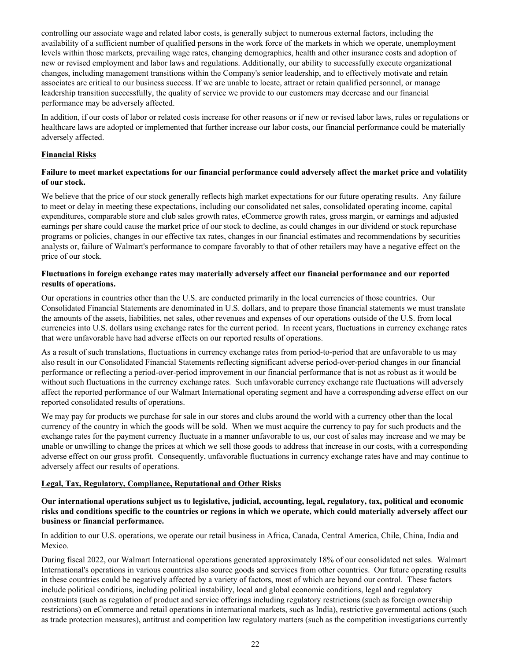controlling our associate wage and related labor costs, is generally subject to numerous external factors, including the availability of a sufficient number of qualified persons in the work force of the markets in which we operate, unemployment levels within those markets, prevailing wage rates, changing demographics, health and other insurance costs and adoption of new or revised employment and labor laws and regulations. Additionally, our ability to successfully execute organizational changes, including management transitions within the Company's senior leadership, and to effectively motivate and retain associates are critical to our business success. If we are unable to locate, attract or retain qualified personnel, or manage leadership transition successfully, the quality of service we provide to our customers may decrease and our financial performance may be adversely affected.

In addition, if our costs of labor or related costs increase for other reasons or if new or revised labor laws, rules or regulations or healthcare laws are adopted or implemented that further increase our labor costs, our financial performance could be materially adversely affected.

#### **Financial Risks**

### **Failure to meet market expectations for our financial performance could adversely affect the market price and volatility of our stock.**

We believe that the price of our stock generally reflects high market expectations for our future operating results. Any failure to meet or delay in meeting these expectations, including our consolidated net sales, consolidated operating income, capital expenditures, comparable store and club sales growth rates, eCommerce growth rates, gross margin, or earnings and adjusted earnings per share could cause the market price of our stock to decline, as could changes in our dividend or stock repurchase programs or policies, changes in our effective tax rates, changes in our financial estimates and recommendations by securities analysts or, failure of Walmart's performance to compare favorably to that of other retailers may have a negative effect on the price of our stock.

#### **Fluctuations in foreign exchange rates may materially adversely affect our financial performance and our reported results of operations.**

Our operations in countries other than the U.S. are conducted primarily in the local currencies of those countries. Our Consolidated Financial Statements are denominated in U.S. dollars, and to prepare those financial statements we must translate the amounts of the assets, liabilities, net sales, other revenues and expenses of our operations outside of the U.S. from local currencies into U.S. dollars using exchange rates for the current period. In recent years, fluctuations in currency exchange rates that were unfavorable have had adverse effects on our reported results of operations.

As a result of such translations, fluctuations in currency exchange rates from period-to-period that are unfavorable to us may also result in our Consolidated Financial Statements reflecting significant adverse period-over-period changes in our financial performance or reflecting a period-over-period improvement in our financial performance that is not as robust as it would be without such fluctuations in the currency exchange rates. Such unfavorable currency exchange rate fluctuations will adversely affect the reported performance of our Walmart International operating segment and have a corresponding adverse effect on our reported consolidated results of operations.

We may pay for products we purchase for sale in our stores and clubs around the world with a currency other than the local currency of the country in which the goods will be sold. When we must acquire the currency to pay for such products and the exchange rates for the payment currency fluctuate in a manner unfavorable to us, our cost of sales may increase and we may be unable or unwilling to change the prices at which we sell those goods to address that increase in our costs, with a corresponding adverse effect on our gross profit. Consequently, unfavorable fluctuations in currency exchange rates have and may continue to adversely affect our results of operations.

# **Legal, Tax, Regulatory, Compliance, Reputational and Other Risks**

**Our international operations subject us to legislative, judicial, accounting, legal, regulatory, tax, political and economic risks and conditions specific to the countries or regions in which we operate, which could materially adversely affect our business or financial performance.**

In addition to our U.S. operations, we operate our retail business in Africa, Canada, Central America, Chile, China, India and Mexico.

During fiscal 2022, our Walmart International operations generated approximately 18% of our consolidated net sales. Walmart International's operations in various countries also source goods and services from other countries. Our future operating results in these countries could be negatively affected by a variety of factors, most of which are beyond our control. These factors include political conditions, including political instability, local and global economic conditions, legal and regulatory constraints (such as regulation of product and service offerings including regulatory restrictions (such as foreign ownership restrictions) on eCommerce and retail operations in international markets, such as India), restrictive governmental actions (such as trade protection measures), antitrust and competition law regulatory matters (such as the competition investigations currently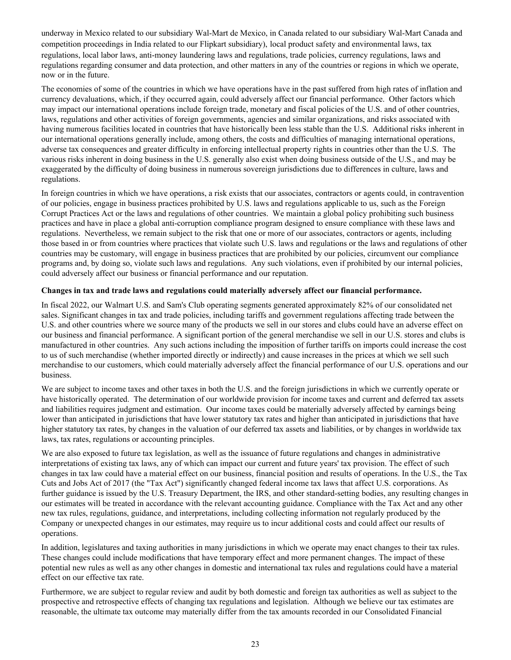underway in Mexico related to our subsidiary Wal-Mart de Mexico, in Canada related to our subsidiary Wal-Mart Canada and competition proceedings in India related to our Flipkart subsidiary), local product safety and environmental laws, tax regulations, local labor laws, anti-money laundering laws and regulations, trade policies, currency regulations, laws and regulations regarding consumer and data protection, and other matters in any of the countries or regions in which we operate, now or in the future.

The economies of some of the countries in which we have operations have in the past suffered from high rates of inflation and currency devaluations, which, if they occurred again, could adversely affect our financial performance. Other factors which may impact our international operations include foreign trade, monetary and fiscal policies of the U.S. and of other countries, laws, regulations and other activities of foreign governments, agencies and similar organizations, and risks associated with having numerous facilities located in countries that have historically been less stable than the U.S. Additional risks inherent in our international operations generally include, among others, the costs and difficulties of managing international operations, adverse tax consequences and greater difficulty in enforcing intellectual property rights in countries other than the U.S. The various risks inherent in doing business in the U.S. generally also exist when doing business outside of the U.S., and may be exaggerated by the difficulty of doing business in numerous sovereign jurisdictions due to differences in culture, laws and regulations.

In foreign countries in which we have operations, a risk exists that our associates, contractors or agents could, in contravention of our policies, engage in business practices prohibited by U.S. laws and regulations applicable to us, such as the Foreign Corrupt Practices Act or the laws and regulations of other countries. We maintain a global policy prohibiting such business practices and have in place a global anti-corruption compliance program designed to ensure compliance with these laws and regulations. Nevertheless, we remain subject to the risk that one or more of our associates, contractors or agents, including those based in or from countries where practices that violate such U.S. laws and regulations or the laws and regulations of other countries may be customary, will engage in business practices that are prohibited by our policies, circumvent our compliance programs and, by doing so, violate such laws and regulations. Any such violations, even if prohibited by our internal policies, could adversely affect our business or financial performance and our reputation.

#### **Changes in tax and trade laws and regulations could materially adversely affect our financial performance.**

In fiscal 2022, our Walmart U.S. and Sam's Club operating segments generated approximately 82% of our consolidated net sales. Significant changes in tax and trade policies, including tariffs and government regulations affecting trade between the U.S. and other countries where we source many of the products we sell in our stores and clubs could have an adverse effect on our business and financial performance. A significant portion of the general merchandise we sell in our U.S. stores and clubs is manufactured in other countries. Any such actions including the imposition of further tariffs on imports could increase the cost to us of such merchandise (whether imported directly or indirectly) and cause increases in the prices at which we sell such merchandise to our customers, which could materially adversely affect the financial performance of our U.S. operations and our business.

We are subject to income taxes and other taxes in both the U.S. and the foreign jurisdictions in which we currently operate or have historically operated. The determination of our worldwide provision for income taxes and current and deferred tax assets and liabilities requires judgment and estimation. Our income taxes could be materially adversely affected by earnings being lower than anticipated in jurisdictions that have lower statutory tax rates and higher than anticipated in jurisdictions that have higher statutory tax rates, by changes in the valuation of our deferred tax assets and liabilities, or by changes in worldwide tax laws, tax rates, regulations or accounting principles.

We are also exposed to future tax legislation, as well as the issuance of future regulations and changes in administrative interpretations of existing tax laws, any of which can impact our current and future years' tax provision. The effect of such changes in tax law could have a material effect on our business, financial position and results of operations. In the U.S., the Tax Cuts and Jobs Act of 2017 (the "Tax Act") significantly changed federal income tax laws that affect U.S. corporations. As further guidance is issued by the U.S. Treasury Department, the IRS, and other standard-setting bodies, any resulting changes in our estimates will be treated in accordance with the relevant accounting guidance. Compliance with the Tax Act and any other new tax rules, regulations, guidance, and interpretations, including collecting information not regularly produced by the Company or unexpected changes in our estimates, may require us to incur additional costs and could affect our results of operations.

In addition, legislatures and taxing authorities in many jurisdictions in which we operate may enact changes to their tax rules. These changes could include modifications that have temporary effect and more permanent changes. The impact of these potential new rules as well as any other changes in domestic and international tax rules and regulations could have a material effect on our effective tax rate.

Furthermore, we are subject to regular review and audit by both domestic and foreign tax authorities as well as subject to the prospective and retrospective effects of changing tax regulations and legislation. Although we believe our tax estimates are reasonable, the ultimate tax outcome may materially differ from the tax amounts recorded in our Consolidated Financial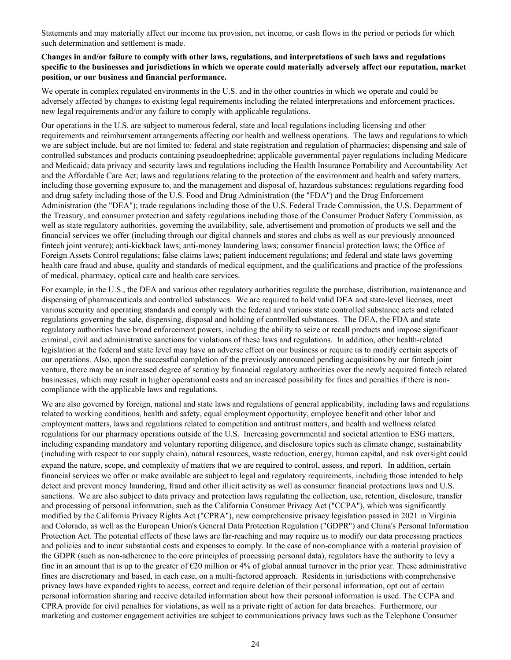Statements and may materially affect our income tax provision, net income, or cash flows in the period or periods for which such determination and settlement is made.

#### **Changes in and/or failure to comply with other laws, regulations, and interpretations of such laws and regulations specific to the businesses and jurisdictions in which we operate could materially adversely affect our reputation, market position, or our business and financial performance.**

We operate in complex regulated environments in the U.S. and in the other countries in which we operate and could be adversely affected by changes to existing legal requirements including the related interpretations and enforcement practices, new legal requirements and/or any failure to comply with applicable regulations.

Our operations in the U.S. are subject to numerous federal, state and local regulations including licensing and other requirements and reimbursement arrangements affecting our health and wellness operations. The laws and regulations to which we are subject include, but are not limited to: federal and state registration and regulation of pharmacies; dispensing and sale of controlled substances and products containing pseudoephedrine; applicable governmental payer regulations including Medicare and Medicaid; data privacy and security laws and regulations including the Health Insurance Portability and Accountability Act and the Affordable Care Act; laws and regulations relating to the protection of the environment and health and safety matters, including those governing exposure to, and the management and disposal of, hazardous substances; regulations regarding food and drug safety including those of the U.S. Food and Drug Administration (the "FDA") and the Drug Enforcement Administration (the "DEA"); trade regulations including those of the U.S. Federal Trade Commission, the U.S. Department of the Treasury, and consumer protection and safety regulations including those of the Consumer Product Safety Commission, as well as state regulatory authorities, governing the availability, sale, advertisement and promotion of products we sell and the financial services we offer (including through our digital channels and stores and clubs as well as our previously announced fintech joint venture); anti-kickback laws; anti-money laundering laws; consumer financial protection laws; the Office of Foreign Assets Control regulations; false claims laws; patient inducement regulations; and federal and state laws governing health care fraud and abuse, quality and standards of medical equipment, and the qualifications and practice of the professions of medical, pharmacy, optical care and health care services.

For example, in the U.S., the DEA and various other regulatory authorities regulate the purchase, distribution, maintenance and dispensing of pharmaceuticals and controlled substances. We are required to hold valid DEA and state-level licenses, meet various security and operating standards and comply with the federal and various state controlled substance acts and related regulations governing the sale, dispensing, disposal and holding of controlled substances. The DEA, the FDA and state regulatory authorities have broad enforcement powers, including the ability to seize or recall products and impose significant criminal, civil and administrative sanctions for violations of these laws and regulations. In addition, other health-related legislation at the federal and state level may have an adverse effect on our business or require us to modify certain aspects of our operations. Also, upon the successful completion of the previously announced pending acquisitions by our fintech joint venture, there may be an increased degree of scrutiny by financial regulatory authorities over the newly acquired fintech related businesses, which may result in higher operational costs and an increased possibility for fines and penalties if there is noncompliance with the applicable laws and regulations.

We are also governed by foreign, national and state laws and regulations of general applicability, including laws and regulations related to working conditions, health and safety, equal employment opportunity, employee benefit and other labor and employment matters, laws and regulations related to competition and antitrust matters, and health and wellness related regulations for our pharmacy operations outside of the U.S. Increasing governmental and societal attention to ESG matters, including expanding mandatory and voluntary reporting diligence, and disclosure topics such as climate change, sustainability (including with respect to our supply chain), natural resources, waste reduction, energy, human capital, and risk oversight could expand the nature, scope, and complexity of matters that we are required to control, assess, and report. In addition, certain financial services we offer or make available are subject to legal and regulatory requirements, including those intended to help detect and prevent money laundering, fraud and other illicit activity as well as consumer financial protections laws and U.S. sanctions. We are also subject to data privacy and protection laws regulating the collection, use, retention, disclosure, transfer and processing of personal information, such as the California Consumer Privacy Act ("CCPA"), which was significantly modified by the California Privacy Rights Act ("CPRA"), new comprehensive privacy legislation passed in 2021 in Virginia and Colorado, as well as the European Union's General Data Protection Regulation ("GDPR") and China's Personal Information Protection Act. The potential effects of these laws are far-reaching and may require us to modify our data processing practices and policies and to incur substantial costs and expenses to comply. In the case of non-compliance with a material provision of the GDPR (such as non-adherence to the core principles of processing personal data), regulators have the authority to levy a fine in an amount that is up to the greater of  $\epsilon$ 20 million or 4% of global annual turnover in the prior year. These administrative fines are discretionary and based, in each case, on a multi-factored approach. Residents in jurisdictions with comprehensive privacy laws have expanded rights to access, correct and require deletion of their personal information, opt out of certain personal information sharing and receive detailed information about how their personal information is used. The CCPA and CPRA provide for civil penalties for violations, as well as a private right of action for data breaches. Furthermore, our marketing and customer engagement activities are subject to communications privacy laws such as the Telephone Consumer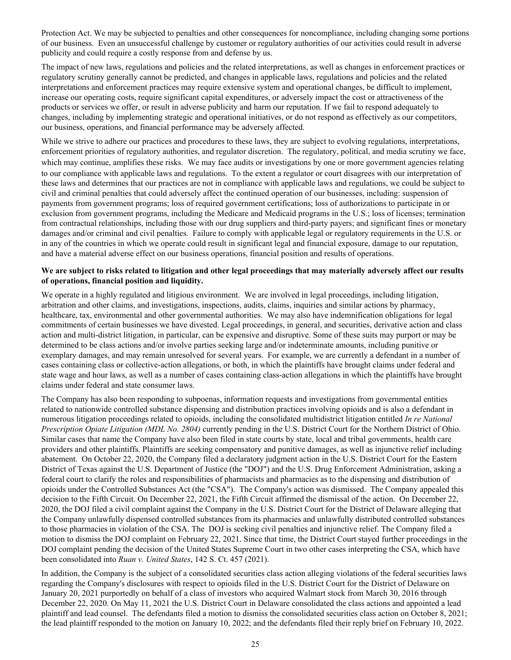Protection Act. We may be subjected to penalties and other consequences for noncompliance, including changing some portions of our business. Even an unsuccessful challenge by customer or regulatory authorities of our activities could result in adverse publicity and could require a costly response from and defense by us.

The impact of new laws, regulations and policies and the related interpretations, as well as changes in enforcement practices or regulatory scrutiny generally cannot be predicted, and changes in applicable laws, regulations and policies and the related interpretations and enforcement practices may require extensive system and operational changes, be difficult to implement, increase our operating costs, require significant capital expenditures, or adversely impact the cost or attractiveness of the products or services we offer, or result in adverse publicity and harm our reputation. If we fail to respond adequately to changes, including by implementing strategic and operational initiatives, or do not respond as effectively as our competitors, our business, operations, and financial performance may be adversely affected.

While we strive to adhere our practices and procedures to these laws, they are subject to evolving regulations, interpretations, enforcement priorities of regulatory authorities, and regulator discretion. The regulatory, political, and media scrutiny we face, which may continue, amplifies these risks. We may face audits or investigations by one or more government agencies relating to our compliance with applicable laws and regulations. To the extent a regulator or court disagrees with our interpretation of these laws and determines that our practices are not in compliance with applicable laws and regulations, we could be subject to civil and criminal penalties that could adversely affect the continued operation of our businesses, including: suspension of payments from government programs; loss of required government certifications; loss of authorizations to participate in or exclusion from government programs, including the Medicare and Medicaid programs in the U.S.; loss of licenses; termination from contractual relationships, including those with our drug suppliers and third-party payers; and significant fines or monetary damages and/or criminal and civil penalties. Failure to comply with applicable legal or regulatory requirements in the U.S. or in any of the countries in which we operate could result in significant legal and financial exposure, damage to our reputation, and have a material adverse effect on our business operations, financial position and results of operations.

#### **We are subject to risks related to litigation and other legal proceedings that may materially adversely affect our results of operations, financial position and liquidity.**

We operate in a highly regulated and litigious environment. We are involved in legal proceedings, including litigation, arbitration and other claims, and investigations, inspections, audits, claims, inquiries and similar actions by pharmacy, healthcare, tax, environmental and other governmental authorities. We may also have indemnification obligations for legal commitments of certain businesses we have divested. Legal proceedings, in general, and securities, derivative action and class action and multi-district litigation, in particular, can be expensive and disruptive. Some of these suits may purport or may be determined to be class actions and/or involve parties seeking large and/or indeterminate amounts, including punitive or exemplary damages, and may remain unresolved for several years. For example, we are currently a defendant in a number of cases containing class or collective-action allegations, or both, in which the plaintiffs have brought claims under federal and state wage and hour laws, as well as a number of cases containing class-action allegations in which the plaintiffs have brought claims under federal and state consumer laws.

The Company has also been responding to subpoenas, information requests and investigations from governmental entities related to nationwide controlled substance dispensing and distribution practices involving opioids and is also a defendant in numerous litigation proceedings related to opioids, including the consolidated multidistrict litigation entitled *In re National Prescription Opiate Litigation (MDL No. 2804)* currently pending in the U.S. District Court for the Northern District of Ohio. Similar cases that name the Company have also been filed in state courts by state, local and tribal governments, health care providers and other plaintiffs. Plaintiffs are seeking compensatory and punitive damages, as well as injunctive relief including abatement. On October 22, 2020, the Company filed a declaratory judgment action in the U.S. District Court for the Eastern District of Texas against the U.S. Department of Justice (the "DOJ") and the U.S. Drug Enforcement Administration, asking a federal court to clarify the roles and responsibilities of pharmacists and pharmacies as to the dispensing and distribution of opioids under the Controlled Substances Act (the "CSA"). The Company's action was dismissed. The Company appealed this decision to the Fifth Circuit. On December 22, 2021, the Fifth Circuit affirmed the dismissal of the action. On December 22, 2020, the DOJ filed a civil complaint against the Company in the U.S. District Court for the District of Delaware alleging that the Company unlawfully dispensed controlled substances from its pharmacies and unlawfully distributed controlled substances to those pharmacies in violation of the CSA. The DOJ is seeking civil penalties and injunctive relief. The Company filed a motion to dismiss the DOJ complaint on February 22, 2021. Since that time, the District Court stayed further proceedings in the DOJ complaint pending the decision of the United States Supreme Court in two other cases interpreting the CSA, which have been consolidated into *Ruan v. United States*, 142 S. Ct. 457 (2021).

In addition, the Company is the subject of a consolidated securities class action alleging violations of the federal securities laws regarding the Company's disclosures with respect to opioids filed in the U.S. District Court for the District of Delaware on January 20, 2021 purportedly on behalf of a class of investors who acquired Walmart stock from March 30, 2016 through December 22, 2020. On May 11, 2021 the U.S. District Court in Delaware consolidated the class actions and appointed a lead plaintiff and lead counsel. The defendants filed a motion to dismiss the consolidated securities class action on October 8, 2021; the lead plaintiff responded to the motion on January 10, 2022; and the defendants filed their reply brief on February 10, 2022.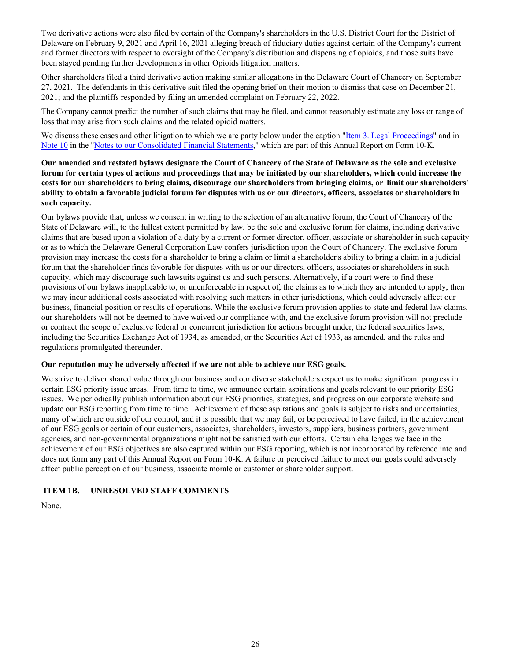<span id="page-25-0"></span>Two derivative actions were also filed by certain of the Company's shareholders in the U.S. District Court for the District of Delaware on February 9, 2021 and April 16, 2021 alleging breach of fiduciary duties against certain of the Company's current and former directors with respect to oversight of the Company's distribution and dispensing of opioids, and those suits have been stayed pending further developments in other Opioids litigation matters.

Other shareholders filed a third derivative action making similar allegations in the Delaware Court of Chancery on September 27, 2021. The defendants in this derivative suit filed the opening brief on their motion to dismiss that case on December 21, 2021; and the plaintiffs responded by filing an amended complaint on February 22, 2022.

The Company cannot predict the number of such claims that may be filed, and cannot reasonably estimate any loss or range of loss that may arise from such claims and the related opioid matters.

We discuss these cases and other litigation to which we are party below under the caption ["Item 3. Legal Proceedings](#page-29-0)" and in [Note 10](#page-73-0) in the "[Notes to our Consolidated Financial Statements,](#page-57-0)" which are part of this Annual Report on Form 10-K.

**Our amended and restated bylaws designate the Court of Chancery of the State of Delaware as the sole and exclusive forum for certain types of actions and proceedings that may be initiated by our shareholders, which could increase the costs for our shareholders to bring claims, discourage our shareholders from bringing claims, or limit our shareholders' ability to obtain a favorable judicial forum for disputes with us or our directors, officers, associates or shareholders in such capacity.**

Our bylaws provide that, unless we consent in writing to the selection of an alternative forum, the Court of Chancery of the State of Delaware will, to the fullest extent permitted by law, be the sole and exclusive forum for claims, including derivative claims that are based upon a violation of a duty by a current or former director, officer, associate or shareholder in such capacity or as to which the Delaware General Corporation Law confers jurisdiction upon the Court of Chancery. The exclusive forum provision may increase the costs for a shareholder to bring a claim or limit a shareholder's ability to bring a claim in a judicial forum that the shareholder finds favorable for disputes with us or our directors, officers, associates or shareholders in such capacity, which may discourage such lawsuits against us and such persons. Alternatively, if a court were to find these provisions of our bylaws inapplicable to, or unenforceable in respect of, the claims as to which they are intended to apply, then we may incur additional costs associated with resolving such matters in other jurisdictions, which could adversely affect our business, financial position or results of operations. While the exclusive forum provision applies to state and federal law claims, our shareholders will not be deemed to have waived our compliance with, and the exclusive forum provision will not preclude or contract the scope of exclusive federal or concurrent jurisdiction for actions brought under, the federal securities laws, including the Securities Exchange Act of 1934, as amended, or the Securities Act of 1933, as amended, and the rules and regulations promulgated thereunder.

#### **Our reputation may be adversely affected if we are not able to achieve our ESG goals.**

We strive to deliver shared value through our business and our diverse stakeholders expect us to make significant progress in certain ESG priority issue areas. From time to time, we announce certain aspirations and goals relevant to our priority ESG issues. We periodically publish information about our ESG priorities, strategies, and progress on our corporate website and update our ESG reporting from time to time. Achievement of these aspirations and goals is subject to risks and uncertainties, many of which are outside of our control, and it is possible that we may fail, or be perceived to have failed, in the achievement of our ESG goals or certain of our customers, associates, shareholders, investors, suppliers, business partners, government agencies, and non-governmental organizations might not be satisfied with our efforts. Certain challenges we face in the achievement of our ESG objectives are also captured within our ESG reporting, which is not incorporated by reference into and does not form any part of this Annual Report on Form 10-K. A failure or perceived failure to meet our goals could adversely affect public perception of our business, associate morale or customer or shareholder support.

#### **ITEM 1B. UNRESOLVED STAFF COMMENTS**

None.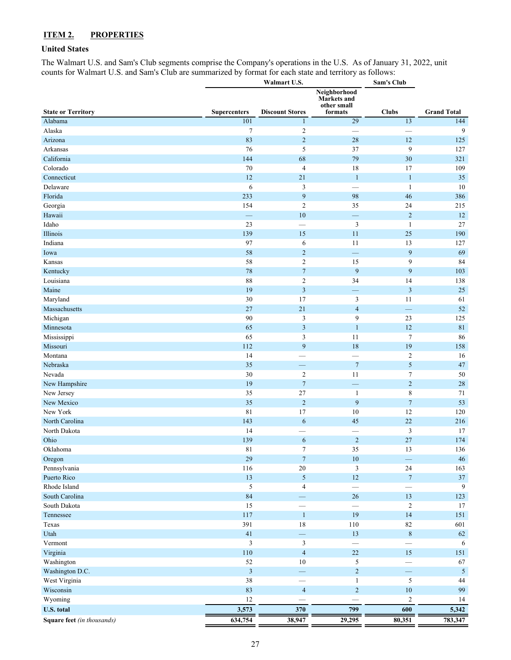# <span id="page-26-0"></span>**ITEM 2. PROPERTIES**

#### **United States**

The Walmart U.S. and Sam's Club segments comprise the Company's operations in the U.S. As of January 31, 2022, unit counts for Walmart U.S. and Sam's Club are summarized by format for each state and territory as follows:

|                            | Walmart U.S.        |                          |                                            |                         |                    |  |
|----------------------------|---------------------|--------------------------|--------------------------------------------|-------------------------|--------------------|--|
|                            |                     |                          | Neighborhood<br>Markets and<br>other small |                         |                    |  |
| <b>State or Territory</b>  | <b>Supercenters</b> | <b>Discount Stores</b>   | formats                                    | <b>Clubs</b>            | <b>Grand Total</b> |  |
| Alabama                    | 101                 | $\mathbf{1}$             | 29                                         | 13                      | 144                |  |
| Alaska                     | $\overline{7}$      | $\boldsymbol{2}$         | $\overline{\phantom{0}}$                   |                         | 9                  |  |
| Arizona                    | 83                  | $\overline{2}$           | 28                                         | 12                      | 125                |  |
| Arkansas                   | 76                  | 5                        | 37                                         | 9                       | 127                |  |
| California                 | 144                 | 68                       | 79                                         | 30                      | 321                |  |
| Colorado                   | 70                  | $\overline{4}$           | 18                                         | 17                      | 109                |  |
| Connecticut                | 12                  | 21                       | $\mathbf{1}$                               | $\mathbf{1}$            | 35                 |  |
| Delaware                   | 6                   | 3                        | $\overline{\phantom{0}}$                   | $\mathbf{1}$            | 10                 |  |
| Florida                    | 233                 | $\boldsymbol{9}$         | 98                                         | 46                      | 386                |  |
| Georgia                    | 154                 | $\boldsymbol{2}$         | 35                                         | 24                      | 215                |  |
| Hawaii                     |                     | $10\,$                   | $\equiv$                                   | $\sqrt{2}$              | 12                 |  |
| Idaho                      | 23                  | $\overline{\phantom{0}}$ | $\mathfrak{Z}$                             | $\mathbf{1}$            | 27                 |  |
| Illinois                   | 139                 | 15                       | 11                                         | 25                      | 190                |  |
| Indiana                    | 97                  | 6                        | 11                                         | 13                      | 127                |  |
| Iowa                       | 58                  | $\overline{c}$           | $\overline{\phantom{0}}$                   | 9                       | 69                 |  |
| Kansas                     | 58                  | $\boldsymbol{2}$         | 15                                         | 9                       | 84                 |  |
| Kentucky                   | 78                  | $\boldsymbol{7}$         | 9                                          | 9                       | 103                |  |
| Louisiana                  | 88                  | $\overline{c}$           | 34                                         | 14                      | 138                |  |
| Maine                      | 19                  | $\mathfrak{Z}$           | —                                          | $\overline{\mathbf{3}}$ | 25                 |  |
| Maryland                   | 30                  | 17                       | $\mathfrak{Z}$                             | 11                      | 61                 |  |
| Massachusetts              | 27                  | 21                       | $\overline{4}$                             |                         | 52                 |  |
| Michigan                   | 90                  | 3                        | 9                                          | 23                      | 125                |  |
| Minnesota                  | 65                  | $\mathfrak{Z}$           | $\mathbf{1}$                               | 12                      | 81                 |  |
| Mississippi                | 65                  | 3                        | 11                                         | $\overline{7}$          | 86                 |  |
| Missouri                   | 112                 | 9                        | 18                                         | 19                      | 158                |  |
| Montana                    | 14                  | $\overline{\phantom{0}}$ | $\equiv$                                   | $\sqrt{2}$              | 16                 |  |
| Nebraska                   | 35                  | $\overline{\phantom{0}}$ | $\overline{7}$                             | 5                       | 47                 |  |
| Nevada                     | 30                  | $\overline{c}$           | 11                                         | $\tau$                  | 50                 |  |
| New Hampshire              | 19                  | $\boldsymbol{7}$         | $\equiv$                                   | $\overline{2}$          | 28                 |  |
| New Jersey                 | 35                  | 27                       | $\mathbf{1}$                               | $\,$ 8 $\,$             | 71                 |  |
| New Mexico                 | 35                  | $\overline{c}$           | 9                                          | $\overline{7}$          | 53                 |  |
| New York                   | 81                  | $17\,$                   | 10                                         | 12                      | 120                |  |
| North Carolina             | 143                 | 6                        | 45                                         | 22                      | 216                |  |
| North Dakota               | 14                  |                          |                                            | $\mathfrak{Z}$          | 17                 |  |
| Ohio                       | 139                 | 6                        | $\overline{2}$                             | 27                      | 174                |  |
| Oklahoma                   | 81                  | $\tau$                   | 35                                         | 13                      | 136                |  |
| Oregon                     | $29\,$              | $\boldsymbol{7}$         | $10\,$                                     |                         | 46                 |  |
| Pennsylvania               | 116                 | $20\,$                   | $\mathfrak z$                              | 24                      | 163                |  |
| Puerto Rico                | 13                  | $\sqrt{5}$               | 12                                         | $\overline{7}$          | 37                 |  |
| Rhode Island               | $\sqrt{5}$          | $\overline{\mathbf{4}}$  | $\overline{\phantom{0}}$                   |                         | 9                  |  |
| South Carolina             | 84                  | —                        | 26                                         | 13                      | 123                |  |
| South Dakota               | 15                  | $\overline{\phantom{0}}$ | $\overline{\phantom{0}}$                   | $\sqrt{2}$              | 17                 |  |
| Tennessee                  | 117                 | $\mathbf{1}$             | 19                                         | 14                      | 151                |  |
| Texas                      | 391                 | $18\,$                   | $110\,$                                    | $82\,$                  | 601                |  |
| Utah                       | 41                  | $\overline{\phantom{0}}$ | 13                                         | $\,8\,$                 | $62\,$             |  |
| Vermont                    | 3                   | 3                        |                                            |                         | 6                  |  |
| Virginia                   | $110\,$             | $\overline{4}$           | $22\,$                                     | 15                      | 151                |  |
| Washington                 | $52\,$              | $10\,$                   | 5                                          |                         | 67                 |  |
| Washington D.C.            | $\overline{3}$      | $\overline{\phantom{0}}$ | $\overline{2}$                             | -                       | 5                  |  |
| West Virginia              | 38                  | $\overline{\phantom{0}}$ | $\mathbf{1}$                               | $\sqrt{5}$              | 44                 |  |
| Wisconsin                  | 83                  | $\overline{4}$           | $\overline{2}$                             | $10\,$                  | 99                 |  |
| Wyoming                    | 12                  |                          |                                            | $\sqrt{2}$              | 14                 |  |
| <b>U.S.</b> total          | 3,573               | 370                      | 799                                        | 600                     | 5,342              |  |
| Square feet (in thousands) | 634,754             | 38,947                   | 29,295                                     | 80,351                  | 783,347            |  |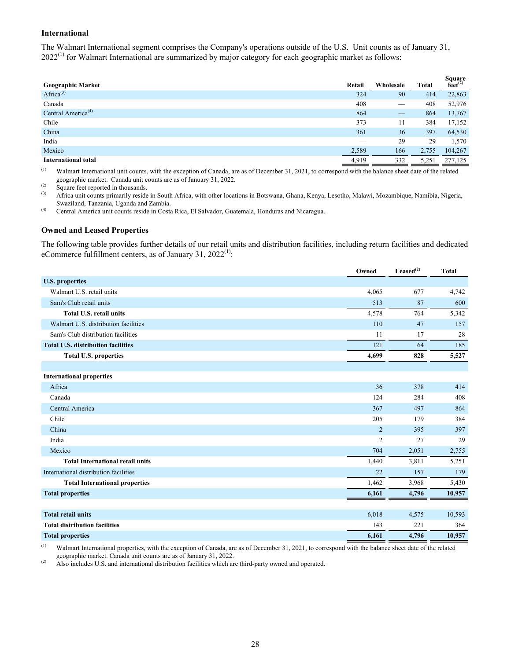#### **International**

The Walmart International segment comprises the Company's operations outside of the U.S. Unit counts as of January 31,  $2022<sup>(1)</sup>$  for Walmart International are summarized by major category for each geographic market as follows:

| <b>Geographic Market</b>       | Retail | Wholesale                | <b>Total</b> | $Square_{\text{feet}^{(2)}}$ |
|--------------------------------|--------|--------------------------|--------------|------------------------------|
| Africa <sup>(3)</sup>          | 324    | 90                       | 414          | 22,863                       |
| Canada                         | 408    | $\overline{\phantom{a}}$ | 408          | 52,976                       |
| Central America <sup>(4)</sup> | 864    |                          | 864          | 13,767                       |
| Chile                          | 373    | 11                       | 384          | 17,152                       |
| China                          | 361    | 36                       | 397          | 64,530                       |
| India                          | __     | 29                       | 29           | 1,570                        |
| Mexico                         | 2,589  | 166                      | 2,755        | 104,267                      |
| <b>International total</b>     | 4,919  | 332                      | 5,251        | 277,125                      |

(1) Walmart International unit counts, with the exception of Canada, are as of December 31, 2021, to correspond with the balance sheet date of the related geographic market. Canada unit counts are as of January 31, 2022.

(2) Square feet reported in thousands.<br>  $\overrightarrow{AB}$  Africa unit counts primarily reside

(3) Africa unit counts primarily reside in South Africa, with other locations in Botswana, Ghana, Kenya, Lesotho, Malawi, Mozambique, Namibia, Nigeria, Swaziland, Tanzania, Uganda and Zambia.

(4) Central America unit counts reside in Costa Rica, El Salvador, Guatemala, Honduras and Nicaragua.

#### **Owned and Leased Properties**

The following table provides further details of our retail units and distribution facilities, including return facilities and dedicated eCommerce fulfillment centers, as of January 31,  $2022^{(1)}$ :

|                                           | Owned          | Leased $^{(2)}$ | <b>Total</b> |
|-------------------------------------------|----------------|-----------------|--------------|
| <b>U.S. properties</b>                    |                |                 |              |
| Walmart U.S. retail units                 | 4,065          | 677             | 4,742        |
| Sam's Club retail units                   | 513            | 87              | 600          |
| <b>Total U.S. retail units</b>            | 4,578          | 764             | 5,342        |
| Walmart U.S. distribution facilities      | 110            | 47              | 157          |
| Sam's Club distribution facilities        | 11             | 17              | 28           |
| <b>Total U.S. distribution facilities</b> | 121            | 64              | 185          |
| <b>Total U.S. properties</b>              | 4,699          | 828             | 5,527        |
|                                           |                |                 |              |
| <b>International properties</b>           |                |                 |              |
| Africa                                    | 36             | 378             | 414          |
| Canada                                    | 124            | 284             | 408          |
| Central America                           | 367            | 497             | 864          |
| Chile                                     | 205            | 179             | 384          |
| China                                     | $\overline{2}$ | 395             | 397          |
| India                                     | $\overline{2}$ | 27              | 29           |
| Mexico                                    | 704            | 2,051           | 2,755        |
| <b>Total International retail units</b>   | 1,440          | 3,811           | 5,251        |
| International distribution facilities     | 22             | 157             | 179          |
| <b>Total International properties</b>     | 1,462          | 3,968           | 5,430        |
| <b>Total properties</b>                   | 6,161          | 4,796           | 10,957       |
|                                           |                |                 |              |
| <b>Total retail units</b>                 | 6,018          | 4,575           | 10,593       |
| <b>Total distribution facilities</b>      | 143            | 221             | 364          |
| <b>Total properties</b>                   | 6,161          | 4,796           | 10,957       |
|                                           |                |                 |              |

(1) Walmart International properties, with the exception of Canada, are as of December 31, 2021, to correspond with the balance sheet date of the related geographic market. Canada unit counts are as of January 31, 2022.

(2) Also includes U.S. and international distribution facilities which are third-party owned and operated.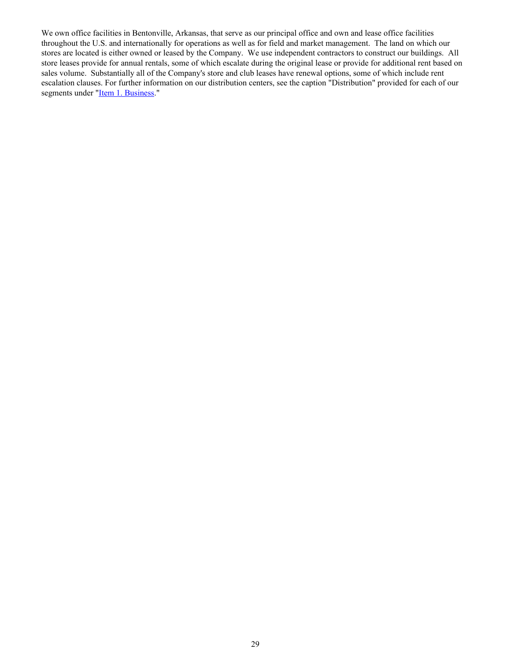We own office facilities in Bentonville, Arkansas, that serve as our principal office and own and lease office facilities throughout the U.S. and internationally for operations as well as for field and market management. The land on which our stores are located is either owned or leased by the Company. We use independent contractors to construct our buildings. All store leases provide for annual rentals, some of which escalate during the original lease or provide for additional rent based on sales volume. Substantially all of the Company's store and club leases have renewal options, some of which include rent escalation clauses. For further information on our distribution centers, see the caption "Distribution" provided for each of our segments under "[Item 1. Business.](#page-5-0)"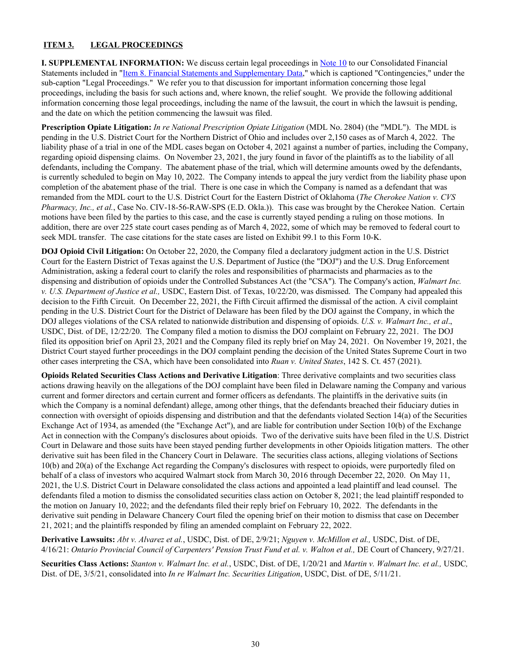# <span id="page-29-0"></span>**ITEM 3. LEGAL PROCEEDINGS**

**I. SUPPLEMENTAL INFORMATION:** We discuss certain legal proceedings in [Note 10](#page-73-0) to our Consolidated Financial Statements included in ["Item 8. Financial Statements and Supplementary Data,](#page-48-0)" which is captioned "Contingencies," under the sub-caption "Legal Proceedings." We refer you to that discussion for important information concerning those legal proceedings, including the basis for such actions and, where known, the relief sought. We provide the following additional information concerning those legal proceedings, including the name of the lawsuit, the court in which the lawsuit is pending, and the date on which the petition commencing the lawsuit was filed.

**Prescription Opiate Litigation:** *In re National Prescription Opiate Litigation* (MDL No. 2804) (the "MDL"). The MDL is pending in the U.S. District Court for the Northern District of Ohio and includes over 2,150 cases as of March 4, 2022. The liability phase of a trial in one of the MDL cases began on October 4, 2021 against a number of parties, including the Company, regarding opioid dispensing claims. On November 23, 2021, the jury found in favor of the plaintiffs as to the liability of all defendants, including the Company. The abatement phase of the trial, which will determine amounts owed by the defendants, is currently scheduled to begin on May 10, 2022. The Company intends to appeal the jury verdict from the liability phase upon completion of the abatement phase of the trial. There is one case in which the Company is named as a defendant that was remanded from the MDL court to the U.S. District Court for the Eastern District of Oklahoma (*The Cherokee Nation v. CVS Pharmacy, Inc., et al., Case No. CIV-18-56-RAW-SPS (E.D. Okla.)). This case was brought by the Cherokee Nation. Certain* motions have been filed by the parties to this case, and the case is currently stayed pending a ruling on those motions. In addition, there are over 225 state court cases pending as of March 4, 2022, some of which may be removed to federal court to seek MDL transfer. The case citations for the state cases are listed on Exhibit 99.1 to this Form 10-K.

**DOJ Opioid Civil Litigation:** On October 22, 2020, the Company filed a declaratory judgment action in the U.S. District Court for the Eastern District of Texas against the U.S. Department of Justice (the "DOJ") and the U.S. Drug Enforcement Administration, asking a federal court to clarify the roles and responsibilities of pharmacists and pharmacies as to the dispensing and distribution of opioids under the Controlled Substances Act (the "CSA")*.* The Company's action, *Walmart Inc. v. U.S. Department of Justice et al.,* USDC, Eastern Dist. of Texas, 10/22/20, was dismissed. The Company had appealed this decision to the Fifth Circuit. On December 22, 2021, the Fifth Circuit affirmed the dismissal of the action. A civil complaint pending in the U.S. District Court for the District of Delaware has been filed by the DOJ against the Company, in which the DOJ alleges violations of the CSA related to nationwide distribution and dispensing of opioids. *U.S. v. Walmart Inc., et al*., USDC, Dist. of DE, 12/22/20. The Company filed a motion to dismiss the DOJ complaint on February 22, 2021. The DOJ filed its opposition brief on April 23, 2021 and the Company filed its reply brief on May 24, 2021. On November 19, 2021, the District Court stayed further proceedings in the DOJ complaint pending the decision of the United States Supreme Court in two other cases interpreting the CSA, which have been consolidated into *Ruan v. United States*, 142 S. Ct. 457 (2021).

**Opioids Related Securities Class Actions and Derivative Litigation**: Three derivative complaints and two securities class actions drawing heavily on the allegations of the DOJ complaint have been filed in Delaware naming the Company and various current and former directors and certain current and former officers as defendants. The plaintiffs in the derivative suits (in which the Company is a nominal defendant) allege, among other things, that the defendants breached their fiduciary duties in connection with oversight of opioids dispensing and distribution and that the defendants violated Section 14(a) of the Securities Exchange Act of 1934, as amended (the "Exchange Act"), and are liable for contribution under Section 10(b) of the Exchange Act in connection with the Company's disclosures about opioids. Two of the derivative suits have been filed in the U.S. District Court in Delaware and those suits have been stayed pending further developments in other Opioids litigation matters. The other derivative suit has been filed in the Chancery Court in Delaware. The securities class actions, alleging violations of Sections 10(b) and 20(a) of the Exchange Act regarding the Company's disclosures with respect to opioids, were purportedly filed on behalf of a class of investors who acquired Walmart stock from March 30, 2016 through December 22, 2020. On May 11, 2021, the U.S. District Court in Delaware consolidated the class actions and appointed a lead plaintiff and lead counsel. The defendants filed a motion to dismiss the consolidated securities class action on October 8, 2021; the lead plaintiff responded to the motion on January 10, 2022; and the defendants filed their reply brief on February 10, 2022. The defendants in the derivative suit pending in Delaware Chancery Court filed the opening brief on their motion to dismiss that case on December 21, 2021; and the plaintiffs responded by filing an amended complaint on February 22, 2022.

**Derivative Lawsuits:** *Abt v. Alvarez et al.*, USDC, Dist. of DE, 2/9/21; *Nguyen v. McMillon et al.,* USDC, Dist. of DE, 4/16/21: *Ontario Provincial Council of Carpenters' Pension Trust Fund et al. v. Walton et al.,* DE Court of Chancery, 9/27/21.

**Securities Class Actions:** *Stanton v. Walmart Inc. et al.*, USDC, Dist. of DE, 1/20/21 and *Martin v. Walmart Inc. et al.,* USDC*,*  Dist. of DE, 3/5/21, consolidated into *In re Walmart Inc. Securities Litigation*, USDC, Dist. of DE, 5/11/21.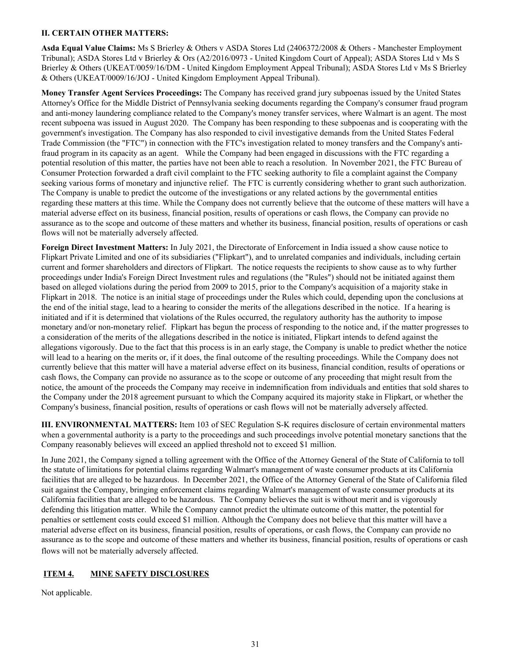#### <span id="page-30-0"></span>**II. CERTAIN OTHER MATTERS:**

**Asda Equal Value Claims:** Ms S Brierley & Others v ASDA Stores Ltd (2406372/2008 & Others - Manchester Employment Tribunal); ASDA Stores Ltd v Brierley & Ors (A2/2016/0973 - United Kingdom Court of Appeal); ASDA Stores Ltd v Ms S Brierley & Others (UKEAT/0059/16/DM - United Kingdom Employment Appeal Tribunal); ASDA Stores Ltd v Ms S Brierley & Others (UKEAT/0009/16/JOJ - United Kingdom Employment Appeal Tribunal).

**Money Transfer Agent Services Proceedings:** The Company has received grand jury subpoenas issued by the United States Attorney's Office for the Middle District of Pennsylvania seeking documents regarding the Company's consumer fraud program and anti-money laundering compliance related to the Company's money transfer services, where Walmart is an agent. The most recent subpoena was issued in August 2020. The Company has been responding to these subpoenas and is cooperating with the government's investigation. The Company has also responded to civil investigative demands from the United States Federal Trade Commission (the "FTC") in connection with the FTC's investigation related to money transfers and the Company's antifraud program in its capacity as an agent. While the Company had been engaged in discussions with the FTC regarding a potential resolution of this matter, the parties have not been able to reach a resolution. In November 2021, the FTC Bureau of Consumer Protection forwarded a draft civil complaint to the FTC seeking authority to file a complaint against the Company seeking various forms of monetary and injunctive relief. The FTC is currently considering whether to grant such authorization. The Company is unable to predict the outcome of the investigations or any related actions by the governmental entities regarding these matters at this time. While the Company does not currently believe that the outcome of these matters will have a material adverse effect on its business, financial position, results of operations or cash flows, the Company can provide no assurance as to the scope and outcome of these matters and whether its business, financial position, results of operations or cash flows will not be materially adversely affected.

**Foreign Direct Investment Matters:** In July 2021, the Directorate of Enforcement in India issued a show cause notice to Flipkart Private Limited and one of its subsidiaries ("Flipkart"), and to unrelated companies and individuals, including certain current and former shareholders and directors of Flipkart. The notice requests the recipients to show cause as to why further proceedings under India's Foreign Direct Investment rules and regulations (the "Rules") should not be initiated against them based on alleged violations during the period from 2009 to 2015, prior to the Company's acquisition of a majority stake in Flipkart in 2018. The notice is an initial stage of proceedings under the Rules which could, depending upon the conclusions at the end of the initial stage, lead to a hearing to consider the merits of the allegations described in the notice. If a hearing is initiated and if it is determined that violations of the Rules occurred, the regulatory authority has the authority to impose monetary and/or non-monetary relief. Flipkart has begun the process of responding to the notice and, if the matter progresses to a consideration of the merits of the allegations described in the notice is initiated, Flipkart intends to defend against the allegations vigorously. Due to the fact that this process is in an early stage, the Company is unable to predict whether the notice will lead to a hearing on the merits or, if it does, the final outcome of the resulting proceedings. While the Company does not currently believe that this matter will have a material adverse effect on its business, financial condition, results of operations or cash flows, the Company can provide no assurance as to the scope or outcome of any proceeding that might result from the notice, the amount of the proceeds the Company may receive in indemnification from individuals and entities that sold shares to the Company under the 2018 agreement pursuant to which the Company acquired its majority stake in Flipkart, or whether the Company's business, financial position, results of operations or cash flows will not be materially adversely affected.

**III. ENVIRONMENTAL MATTERS:** Item 103 of SEC Regulation S-K requires disclosure of certain environmental matters when a governmental authority is a party to the proceedings and such proceedings involve potential monetary sanctions that the Company reasonably believes will exceed an applied threshold not to exceed \$1 million.

In June 2021, the Company signed a tolling agreement with the Office of the Attorney General of the State of California to toll the statute of limitations for potential claims regarding Walmart's management of waste consumer products at its California facilities that are alleged to be hazardous. In December 2021, the Office of the Attorney General of the State of California filed suit against the Company, bringing enforcement claims regarding Walmart's management of waste consumer products at its California facilities that are alleged to be hazardous. The Company believes the suit is without merit and is vigorously defending this litigation matter. While the Company cannot predict the ultimate outcome of this matter, the potential for penalties or settlement costs could exceed \$1 million. Although the Company does not believe that this matter will have a material adverse effect on its business, financial position, results of operations, or cash flows, the Company can provide no assurance as to the scope and outcome of these matters and whether its business, financial position, results of operations or cash flows will not be materially adversely affected.

#### **ITEM 4. MINE SAFETY DISCLOSURES**

Not applicable.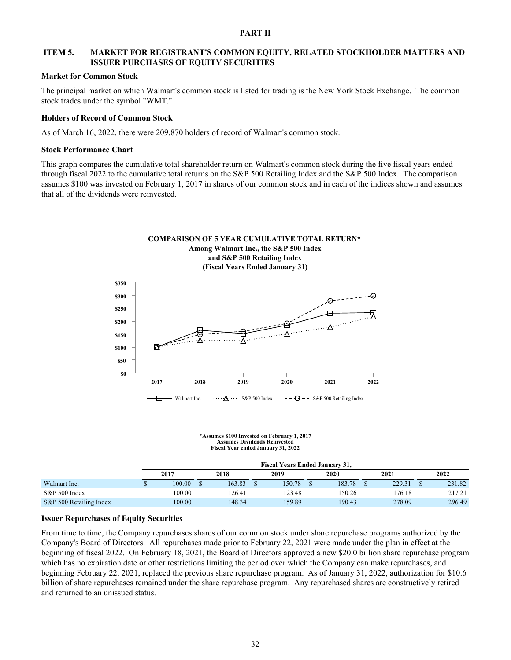#### **PART II**

#### <span id="page-31-0"></span>**ITEM 5. MARKET FOR REGISTRANT'S COMMON EQUITY, RELATED STOCKHOLDER MATTERS AND ISSUER PURCHASES OF EQUITY SECURITIES**

#### **Market for Common Stock**

The principal market on which Walmart's common stock is listed for trading is the New York Stock Exchange. The common stock trades under the symbol "WMT."

#### **Holders of Record of Common Stock**

As of March 16, 2022, there were 209,870 holders of record of Walmart's common stock.

#### **Stock Performance Chart**

This graph compares the cumulative total shareholder return on Walmart's common stock during the five fiscal years ended through fiscal 2022 to the cumulative total returns on the S&P 500 Retailing Index and the S&P 500 Index. The comparison assumes \$100 was invested on February 1, 2017 in shares of our common stock and in each of the indices shown and assumes that all of the dividends were reinvested.



#### **\*Assumes \$100 Invested on February 1, 2017 Assumes Dividends Reinveste Fiscal Year ended January 31, 2022**

|                         | <b>Fiscal Years Ended January 31,</b> |  |        |  |        |  |             |  |        |        |
|-------------------------|---------------------------------------|--|--------|--|--------|--|-------------|--|--------|--------|
|                         | 2017                                  |  | 2018   |  | 2019   |  | <b>2020</b> |  | 2021   | 2022   |
| Walmart Inc.            | 100.00                                |  | 163.83 |  | 150.78 |  | 183.78      |  | 229.31 | 231.82 |
| S&P 500 Index           | 100.00                                |  | 126.41 |  | 23.48  |  | 150.26      |  | 176.18 | 217.21 |
| S&P 500 Retailing Index | 100.00                                |  | 148.34 |  | 159.89 |  | 190.43      |  | 278.09 | 296.49 |

#### **Issuer Repurchases of Equity Securities**

From time to time, the Company repurchases shares of our common stock under share repurchase programs authorized by the Company's Board of Directors. All repurchases made prior to February 22, 2021 were made under the plan in effect at the beginning of fiscal 2022. On February 18, 2021, the Board of Directors approved a new \$20.0 billion share repurchase program which has no expiration date or other restrictions limiting the period over which the Company can make repurchases, and beginning February 22, 2021, replaced the previous share repurchase program. As of January 31, 2022, authorization for \$10.6 billion of share repurchases remained under the share repurchase program. Any repurchased shares are constructively retired and returned to an unissued status.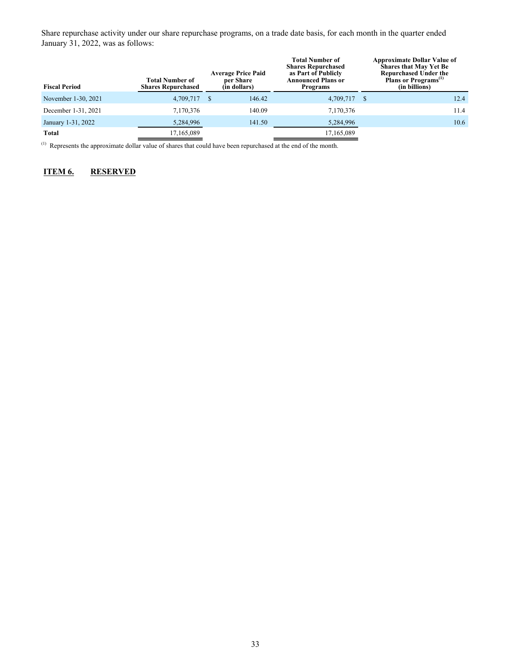<span id="page-32-0"></span>Share repurchase activity under our share repurchase programs, on a trade date basis, for each month in the quarter ended January 31, 2022, was as follows:

| <b>Fiscal Period</b> | Total Number of<br><b>Shares Repurchased</b> | <b>Average Price Paid</b><br>per Share<br>(in dollars) | <b>Total Number of</b><br><b>Shares Repurchased</b><br>as Part of Publicly<br>Announced Plans or<br>Programs | <b>Approximate Dollar Value of</b><br><b>Shares that May Yet Be</b><br><b>Repurchased Under the</b><br>Plans or Programs <sup>(1)</sup><br>(in billions) |
|----------------------|----------------------------------------------|--------------------------------------------------------|--------------------------------------------------------------------------------------------------------------|----------------------------------------------------------------------------------------------------------------------------------------------------------|
| November 1-30, 2021  | 4,709,717                                    | 146.42                                                 | 4,709,717 \$                                                                                                 | 12.4                                                                                                                                                     |
| December 1-31, 2021  | 7,170,376                                    | 140.09                                                 | 7,170,376                                                                                                    | 11.4                                                                                                                                                     |
| January 1-31, 2022   | 5,284,996                                    | 141.50                                                 | 5,284,996                                                                                                    | 10.6                                                                                                                                                     |
| Total                | 17,165,089                                   |                                                        | 17,165,089                                                                                                   |                                                                                                                                                          |

 $<sup>(1)</sup>$  Represents the approximate dollar value of shares that could have been repurchased at the end of the month.</sup>

# **ITEM 6. RESERVED**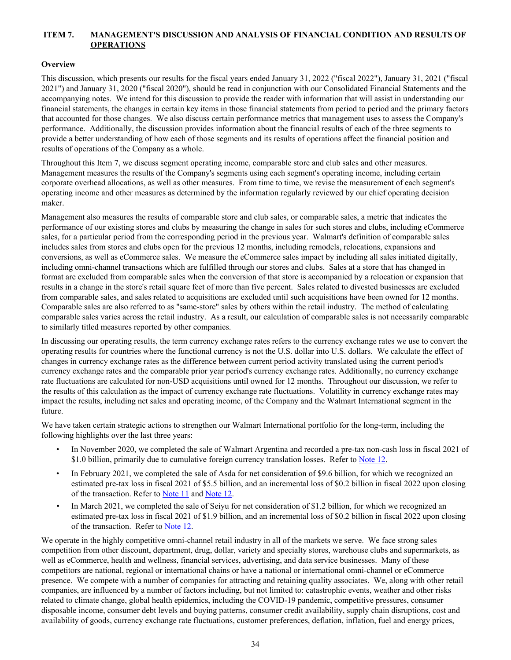### <span id="page-33-0"></span>**ITEM 7. MANAGEMENT'S DISCUSSION AND ANALYSIS OF FINANCIAL CONDITION AND RESULTS OF OPERATIONS**

### **Overview**

This discussion, which presents our results for the fiscal years ended January 31, 2022 ("fiscal 2022"), January 31, 2021 ("fiscal 2021") and January 31, 2020 ("fiscal 2020"), should be read in conjunction with our Consolidated Financial Statements and the accompanying notes. We intend for this discussion to provide the reader with information that will assist in understanding our financial statements, the changes in certain key items in those financial statements from period to period and the primary factors that accounted for those changes. We also discuss certain performance metrics that management uses to assess the Company's performance. Additionally, the discussion provides information about the financial results of each of the three segments to provide a better understanding of how each of those segments and its results of operations affect the financial position and results of operations of the Company as a whole.

Throughout this Item 7, we discuss segment operating income, comparable store and club sales and other measures. Management measures the results of the Company's segments using each segment's operating income, including certain corporate overhead allocations, as well as other measures. From time to time, we revise the measurement of each segment's operating income and other measures as determined by the information regularly reviewed by our chief operating decision maker.

Management also measures the results of comparable store and club sales, or comparable sales, a metric that indicates the performance of our existing stores and clubs by measuring the change in sales for such stores and clubs, including eCommerce sales, for a particular period from the corresponding period in the previous year. Walmart's definition of comparable sales includes sales from stores and clubs open for the previous 12 months, including remodels, relocations, expansions and conversions, as well as eCommerce sales. We measure the eCommerce sales impact by including all sales initiated digitally, including omni-channel transactions which are fulfilled through our stores and clubs. Sales at a store that has changed in format are excluded from comparable sales when the conversion of that store is accompanied by a relocation or expansion that results in a change in the store's retail square feet of more than five percent. Sales related to divested businesses are excluded from comparable sales, and sales related to acquisitions are excluded until such acquisitions have been owned for 12 months. Comparable sales are also referred to as "same-store" sales by others within the retail industry. The method of calculating comparable sales varies across the retail industry. As a result, our calculation of comparable sales is not necessarily comparable to similarly titled measures reported by other companies.

In discussing our operating results, the term currency exchange rates refers to the currency exchange rates we use to convert the operating results for countries where the functional currency is not the U.S. dollar into U.S. dollars. We calculate the effect of changes in currency exchange rates as the difference between current period activity translated using the current period's currency exchange rates and the comparable prior year period's currency exchange rates. Additionally, no currency exchange rate fluctuations are calculated for non-USD acquisitions until owned for 12 months. Throughout our discussion, we refer to the results of this calculation as the impact of currency exchange rate fluctuations. Volatility in currency exchange rates may impact the results, including net sales and operating income, of the Company and the Walmart International segment in the future.

We have taken certain strategic actions to strengthen our Walmart International portfolio for the long-term, including the following highlights over the last three years:

- In November 2020, we completed the sale of Walmart Argentina and recorded a pre-tax non-cash loss in fiscal 2021 of \$1.0 billion, primarily due to cumulative foreign currency translation losses. Refer to [Note 12](#page-75-0).
- In February 2021, we completed the sale of Asda for net consideration of \$9.6 billion, for which we recognized an estimated pre-tax loss in fiscal 2021 of \$5.5 billion, and an incremental loss of \$0.2 billion in fiscal 2022 upon closing of the transaction. Refer to [Note 11](#page-74-0) and [Note 12](#page-75-0).
- *•* In March 2021, we completed the sale of Seiyu for net consideration of \$1.2 billion, for which we recognized an estimated pre-tax loss in fiscal 2021 of \$1.9 billion, and an incremental loss of \$0.2 billion in fiscal 2022 upon closing of the transaction. Refer to [Note 12](#page-75-0).

We operate in the highly competitive omni-channel retail industry in all of the markets we serve. We face strong sales competition from other discount, department, drug, dollar, variety and specialty stores, warehouse clubs and supermarkets, as well as eCommerce, health and wellness, financial services, advertising, and data service businesses. Many of these competitors are national, regional or international chains or have a national or international omni-channel or eCommerce presence. We compete with a number of companies for attracting and retaining quality associates. We, along with other retail companies, are influenced by a number of factors including, but not limited to: catastrophic events, weather and other risks related to climate change, global health epidemics, including the COVID-19 pandemic, competitive pressures, consumer disposable income, consumer debt levels and buying patterns, consumer credit availability, supply chain disruptions, cost and availability of goods, currency exchange rate fluctuations, customer preferences, deflation, inflation, fuel and energy prices,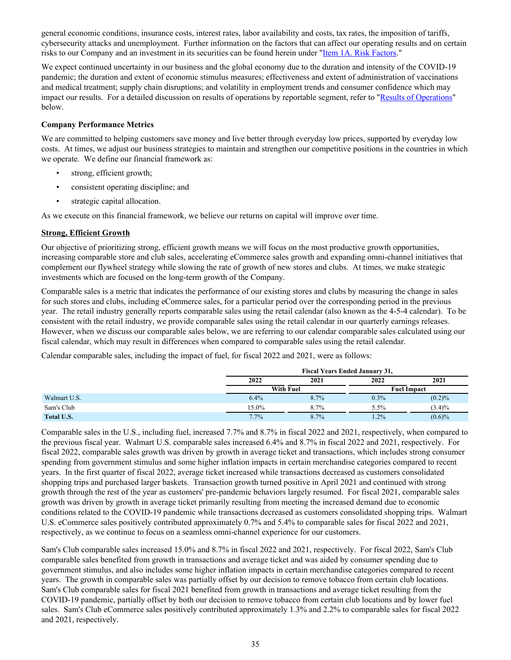general economic conditions, insurance costs, interest rates, labor availability and costs, tax rates, the imposition of tariffs, cybersecurity attacks and unemployment. Further information on the factors that can affect our operating results and on certain risks to our Company and an investment in its securities can be found herein under "[Item 1A. Risk Factors](#page-14-0)."

We expect continued uncertainty in our business and the global economy due to the duration and intensity of the COVID-19 pandemic; the duration and extent of economic stimulus measures; effectiveness and extent of administration of vaccinations and medical treatment; supply chain disruptions; and volatility in employment trends and consumer confidence which may impact our results. For a detailed discussion on results of operations by reportable segment, refer to "[Results of Operations](#page-37-0)" below.

#### **Company Performance Metrics**

We are committed to helping customers save money and live better through everyday low prices, supported by everyday low costs. At times, we adjust our business strategies to maintain and strengthen our competitive positions in the countries in which we operate. We define our financial framework as:

- strong, efficient growth;
- consistent operating discipline; and
- strategic capital allocation.

As we execute on this financial framework, we believe our returns on capital will improve over time.

#### **Strong, Efficient Growth**

Our objective of prioritizing strong, efficient growth means we will focus on the most productive growth opportunities, increasing comparable store and club sales, accelerating eCommerce sales growth and expanding omni-channel initiatives that complement our flywheel strategy while slowing the rate of growth of new stores and clubs. At times, we make strategic investments which are focused on the long-term growth of the Company.

Comparable sales is a metric that indicates the performance of our existing stores and clubs by measuring the change in sales for such stores and clubs, including eCommerce sales, for a particular period over the corresponding period in the previous year. The retail industry generally reports comparable sales using the retail calendar (also known as the 4-5-4 calendar). To be consistent with the retail industry, we provide comparable sales using the retail calendar in our quarterly earnings releases. However, when we discuss our comparable sales below, we are referring to our calendar comparable sales calculated using our fiscal calendar, which may result in differences when compared to comparable sales using the retail calendar.

Calendar comparable sales, including the impact of fuel, for fiscal 2022 and 2021, were as follows:

|                   |                  | <b>Fiscal Years Ended January 31,</b> |         |                    |  |  |  |  |
|-------------------|------------------|---------------------------------------|---------|--------------------|--|--|--|--|
|                   | 2022             | 2021                                  | 2022    | 2021               |  |  |  |  |
|                   | <b>With Fuel</b> |                                       |         | <b>Fuel Impact</b> |  |  |  |  |
| Walmart U.S.      | 6.4%             | 8.7%                                  | $0.3\%$ | $(0.2)\%$          |  |  |  |  |
| Sam's Club        | 15.0%            | 8.7%                                  | $5.5\%$ | $(3.4)\%$          |  |  |  |  |
| <b>Total U.S.</b> | 7.7%             | 8.7%                                  | 1.2%    | $(0.6)\%$          |  |  |  |  |

Comparable sales in the U.S., including fuel, increased 7.7% and 8.7% in fiscal 2022 and 2021, respectively, when compared to the previous fiscal year. Walmart U.S. comparable sales increased 6.4% and 8.7% in fiscal 2022 and 2021, respectively. For fiscal 2022, comparable sales growth was driven by growth in average ticket and transactions, which includes strong consumer spending from government stimulus and some higher inflation impacts in certain merchandise categories compared to recent years. In the first quarter of fiscal 2022, average ticket increased while transactions decreased as customers consolidated shopping trips and purchased larger baskets. Transaction growth turned positive in April 2021 and continued with strong growth through the rest of the year as customers' pre-pandemic behaviors largely resumed. For fiscal 2021, comparable sales growth was driven by growth in average ticket primarily resulting from meeting the increased demand due to economic conditions related to the COVID-19 pandemic while transactions decreased as customers consolidated shopping trips. Walmart U.S. eCommerce sales positively contributed approximately 0.7% and 5.4% to comparable sales for fiscal 2022 and 2021, respectively, as we continue to focus on a seamless omni-channel experience for our customers.

Sam's Club comparable sales increased 15.0% and 8.7% in fiscal 2022 and 2021, respectively. For fiscal 2022, Sam's Club comparable sales benefited from growth in transactions and average ticket and was aided by consumer spending due to government stimulus, and also includes some higher inflation impacts in certain merchandise categories compared to recent years. The growth in comparable sales was partially offset by our decision to remove tobacco from certain club locations. Sam's Club comparable sales for fiscal 2021 benefited from growth in transactions and average ticket resulting from the COVID-19 pandemic, partially offset by both our decision to remove tobacco from certain club locations and by lower fuel sales. Sam's Club eCommerce sales positively contributed approximately 1.3% and 2.2% to comparable sales for fiscal 2022 and 2021, respectively.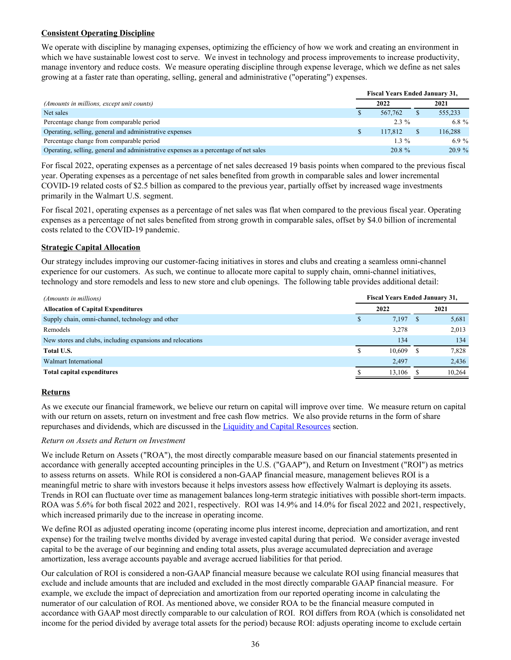### **Consistent Operating Discipline**

We operate with discipline by managing expenses, optimizing the efficiency of how we work and creating an environment in which we have sustainable lowest cost to serve. We invest in technology and process improvements to increase productivity, manage inventory and reduce costs. We measure operating discipline through expense leverage, which we define as net sales growing at a faster rate than operating, selling, general and administrative ("operating") expenses.

|                                                                                      | <b>Fiscal Years Ended January 31,</b> |    |         |
|--------------------------------------------------------------------------------------|---------------------------------------|----|---------|
| (Amounts in millions, except unit counts)                                            | 2022                                  |    | 2021    |
| Net sales                                                                            | 567.762                               | \$ | 555,233 |
| Percentage change from comparable period                                             | $2.3\%$                               |    | 6.8%    |
| Operating, selling, general and administrative expenses                              | 117.812                               |    | 116,288 |
| Percentage change from comparable period                                             | $1.3\%$                               |    | $6.9\%$ |
| Operating, selling, general and administrative expenses as a percentage of net sales | 20.8 %                                |    | 20.9%   |

For fiscal 2022, operating expenses as a percentage of net sales decreased 19 basis points when compared to the previous fiscal year. Operating expenses as a percentage of net sales benefited from growth in comparable sales and lower incremental COVID-19 related costs of \$2.5 billion as compared to the previous year, partially offset by increased wage investments primarily in the Walmart U.S. segment.

For fiscal 2021, operating expenses as a percentage of net sales was flat when compared to the previous fiscal year. Operating expenses as a percentage of net sales benefited from strong growth in comparable sales, offset by \$4.0 billion of incremental costs related to the COVID-19 pandemic.

### **Strategic Capital Allocation**

Our strategy includes improving our customer-facing initiatives in stores and clubs and creating a seamless omni-channel experience for our customers. As such, we continue to allocate more capital to supply chain, omni-channel initiatives, technology and store remodels and less to new store and club openings. The following table provides additional detail:

| (Amounts in millions)                                      | <b>Fiscal Years Ended January 31,</b> |        |      |        |
|------------------------------------------------------------|---------------------------------------|--------|------|--------|
| <b>Allocation of Capital Expenditures</b>                  |                                       | 2022   |      | 2021   |
| Supply chain, omni-channel, technology and other           |                                       | 7,197  | - \$ | 5,681  |
| Remodels                                                   |                                       | 3,278  |      | 2,013  |
| New stores and clubs, including expansions and relocations |                                       | 134    |      | 134    |
| Total U.S.                                                 |                                       | 10.609 |      | 7,828  |
| Walmart International                                      |                                       | 2.497  |      | 2,436  |
| <b>Total capital expenditures</b>                          |                                       | 13.106 |      | 10,264 |

#### **Returns**

As we execute our financial framework, we believe our return on capital will improve over time. We measure return on capital with our return on assets, return on investment and free cash flow metrics. We also provide returns in the form of share repurchases and dividends, which are discussed in the [Liquidity and Capital Resources](#page-40-0) section.

#### *Return on Assets and Return on Investment*

We include Return on Assets ("ROA"), the most directly comparable measure based on our financial statements presented in accordance with generally accepted accounting principles in the U.S. ("GAAP"), and Return on Investment ("ROI") as metrics to assess returns on assets. While ROI is considered a non-GAAP financial measure, management believes ROI is a meaningful metric to share with investors because it helps investors assess how effectively Walmart is deploying its assets. Trends in ROI can fluctuate over time as management balances long-term strategic initiatives with possible short-term impacts. ROA was 5.6% for both fiscal 2022 and 2021, respectively. ROI was 14.9% and 14.0% for fiscal 2022 and 2021, respectively, which increased primarily due to the increase in operating income.

We define ROI as adjusted operating income (operating income plus interest income, depreciation and amortization, and rent expense) for the trailing twelve months divided by average invested capital during that period. We consider average invested capital to be the average of our beginning and ending total assets, plus average accumulated depreciation and average amortization, less average accounts payable and average accrued liabilities for that period.

Our calculation of ROI is considered a non-GAAP financial measure because we calculate ROI using financial measures that exclude and include amounts that are included and excluded in the most directly comparable GAAP financial measure. For example, we exclude the impact of depreciation and amortization from our reported operating income in calculating the numerator of our calculation of ROI. As mentioned above, we consider ROA to be the financial measure computed in accordance with GAAP most directly comparable to our calculation of ROI. ROI differs from ROA (which is consolidated net income for the period divided by average total assets for the period) because ROI: adjusts operating income to exclude certain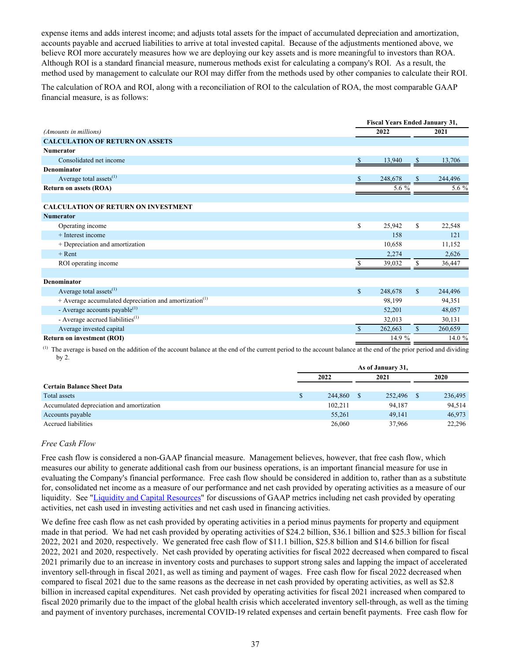expense items and adds interest income; and adjusts total assets for the impact of accumulated depreciation and amortization, accounts payable and accrued liabilities to arrive at total invested capital. Because of the adjustments mentioned above, we believe ROI more accurately measures how we are deploying our key assets and is more meaningful to investors than ROA. Although ROI is a standard financial measure, numerous methods exist for calculating a company's ROI. As a result, the method used by management to calculate our ROI may differ from the methods used by other companies to calculate their ROI.

The calculation of ROA and ROI, along with a reconciliation of ROI to the calculation of ROA, the most comparable GAAP financial measure, is as follows:

|                                                                    |              | <b>Fiscal Years Ended January 31,</b> |               |          |  |  |
|--------------------------------------------------------------------|--------------|---------------------------------------|---------------|----------|--|--|
| (Amounts in millions)                                              |              | 2022                                  |               | 2021     |  |  |
| <b>CALCULATION OF RETURN ON ASSETS</b>                             |              |                                       |               |          |  |  |
| <b>Numerator</b>                                                   |              |                                       |               |          |  |  |
| Consolidated net income                                            | $\mathbb{S}$ | 13,940                                | <sup>\$</sup> | 13,706   |  |  |
| <b>Denominator</b>                                                 |              |                                       |               |          |  |  |
| Average total assets <sup>(1)</sup>                                | <sup>8</sup> | 248,678                               | <sup>S</sup>  | 244,496  |  |  |
| Return on assets (ROA)                                             |              | 5.6 %                                 |               | 5.6 %    |  |  |
|                                                                    |              |                                       |               |          |  |  |
| <b>CALCULATION OF RETURN ON INVESTMENT</b>                         |              |                                       |               |          |  |  |
| <b>Numerator</b>                                                   |              |                                       |               |          |  |  |
| Operating income                                                   | \$           | 25,942                                | \$            | 22,548   |  |  |
| + Interest income                                                  |              | 158                                   |               | 121      |  |  |
| + Depreciation and amortization                                    |              | 10,658                                |               | 11,152   |  |  |
| $+$ Rent                                                           |              | 2,274                                 |               | 2,626    |  |  |
| ROI operating income                                               | S            | 39,032                                | \$            | 36,447   |  |  |
|                                                                    |              |                                       |               |          |  |  |
| <b>Denominator</b>                                                 |              |                                       |               |          |  |  |
| Average total assets <sup>(1)</sup>                                | $\mathbf S$  | 248,678                               | $\mathbb{S}$  | 244,496  |  |  |
| + Average accumulated depreciation and amortization <sup>(1)</sup> |              | 98,199                                |               | 94,351   |  |  |
| - Average accounts payable $^{(1)}$                                |              | 52,201                                |               | 48,057   |  |  |
| - Average accrued liabilities <sup>(1)</sup>                       |              | 32,013                                |               | 30,131   |  |  |
| Average invested capital                                           | $\mathbf{s}$ | 262,663                               | S             | 260,659  |  |  |
| <b>Return on investment (ROI)</b>                                  |              | 14.9 %                                |               | 14.0 $%$ |  |  |
|                                                                    |              |                                       |               |          |  |  |

<sup>(1)</sup> The average is based on the addition of the account balance at the end of the current period to the account balance at the end of the prior period and dividing by 2.

|                                           | As of January 31, |      |            |  |         |  |  |  |  |
|-------------------------------------------|-------------------|------|------------|--|---------|--|--|--|--|
|                                           | 2022              | 2021 |            |  | 2020    |  |  |  |  |
| <b>Certain Balance Sheet Data</b>         |                   |      |            |  |         |  |  |  |  |
| Total assets                              | 244,860           |      | 252,496 \$ |  | 236,495 |  |  |  |  |
| Accumulated depreciation and amortization | 102,211           |      | 94,187     |  | 94,514  |  |  |  |  |
| Accounts payable                          | 55,261            |      | 49.141     |  | 46,973  |  |  |  |  |
| Accrued liabilities                       | 26,060            |      | 37,966     |  | 22,296  |  |  |  |  |

### *Free Cash Flow*

Free cash flow is considered a non-GAAP financial measure. Management believes, however, that free cash flow, which measures our ability to generate additional cash from our business operations, is an important financial measure for use in evaluating the Company's financial performance. Free cash flow should be considered in addition to, rather than as a substitute for, consolidated net income as a measure of our performance and net cash provided by operating activities as a measure of our liquidity. See "[Liquidity and Capital Resources"](#page-40-0) for discussions of GAAP metrics including net cash provided by operating activities, net cash used in investing activities and net cash used in financing activities.

We define free cash flow as net cash provided by operating activities in a period minus payments for property and equipment made in that period. We had net cash provided by operating activities of \$24.2 billion, \$36.1 billion and \$25.3 billion for fiscal 2022, 2021 and 2020, respectively. We generated free cash flow of \$11.1 billion, \$25.8 billion and \$14.6 billion for fiscal 2022, 2021 and 2020, respectively. Net cash provided by operating activities for fiscal 2022 decreased when compared to fiscal 2021 primarily due to an increase in inventory costs and purchases to support strong sales and lapping the impact of accelerated inventory sell-through in fiscal 2021, as well as timing and payment of wages. Free cash flow for fiscal 2022 decreased when compared to fiscal 2021 due to the same reasons as the decrease in net cash provided by operating activities, as well as \$2.8 billion in increased capital expenditures. Net cash provided by operating activities for fiscal 2021 increased when compared to fiscal 2020 primarily due to the impact of the global health crisis which accelerated inventory sell-through, as well as the timing and payment of inventory purchases, incremental COVID-19 related expenses and certain benefit payments. Free cash flow for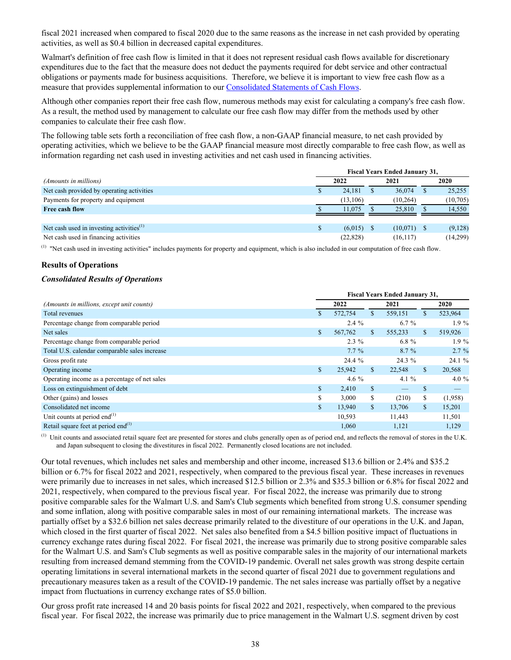fiscal 2021 increased when compared to fiscal 2020 due to the same reasons as the increase in net cash provided by operating activities, as well as \$0.4 billion in decreased capital expenditures.

Walmart's definition of free cash flow is limited in that it does not represent residual cash flows available for discretionary expenditures due to the fact that the measure does not deduct the payments required for debt service and other contractual obligations or payments made for business acquisitions. Therefore, we believe it is important to view free cash flow as a measure that provides supplemental information to our [Consolidated Statements of Cash Flows.](#page-56-0)

Although other companies report their free cash flow, numerous methods may exist for calculating a company's free cash flow. As a result, the method used by management to calculate our free cash flow may differ from the methods used by other companies to calculate their free cash flow.

The following table sets forth a reconciliation of free cash flow, a non-GAAP financial measure, to net cash provided by operating activities, which we believe to be the GAAP financial measure most directly comparable to free cash flow, as well as information regarding net cash used in investing activities and net cash used in financing activities.

|                                             | <b>Fiscal Years Ended January 31,</b> |  |               |  |           |  |  |
|---------------------------------------------|---------------------------------------|--|---------------|--|-----------|--|--|
| (Amounts in millions)                       | 2022                                  |  | 2021          |  | 2020      |  |  |
| Net cash provided by operating activities   | 24.181                                |  | 36,074        |  | 25,255    |  |  |
| Payments for property and equipment         | (13.106)                              |  | (10.264)      |  | (10, 705) |  |  |
| Free cash flow                              | 11.075                                |  | 25,810        |  | 14,550    |  |  |
|                                             |                                       |  |               |  |           |  |  |
| Net cash used in investing activities $(1)$ | $(6.015)$ \$                          |  | $(10,071)$ \$ |  | (9,128)   |  |  |
| Net cash used in financing activities       | (22, 828)                             |  | (16, 117)     |  | (14,299)  |  |  |

<sup>(1)</sup> "Net cash used in investing activities" includes payments for property and equipment, which is also included in our computation of free cash flow.

### **Results of Operations**

#### *Consolidated Results of Operations*

|                                               |    | <b>Fiscal Years Ended January 31,</b> |              |         |              |         |  |  |
|-----------------------------------------------|----|---------------------------------------|--------------|---------|--------------|---------|--|--|
| (Amounts in millions, except unit counts)     |    | 2022                                  |              | 2021    |              | 2020    |  |  |
| Total revenues                                | S. | 572,754                               | \$           | 559,151 | S            | 523,964 |  |  |
| Percentage change from comparable period      |    | $2.4\%$                               |              | $6.7\%$ |              | 1.9%    |  |  |
| Net sales                                     | \$ | 567,762                               | $\mathbb{S}$ | 555,233 | $\mathbb{S}$ | 519,926 |  |  |
| Percentage change from comparable period      |    | $2.3\%$                               |              | 6.8 $%$ |              | $1.9\%$ |  |  |
| Total U.S. calendar comparable sales increase |    | $7.7\%$                               |              | $8.7\%$ |              | $2.7\%$ |  |  |
| Gross profit rate                             |    | 24.4%                                 |              | 24.3 %  |              | 24.1 %  |  |  |
| Operating income                              | \$ | 25,942                                | $\mathbf{s}$ | 22,548  | \$.          | 20,568  |  |  |
| Operating income as a percentage of net sales |    | 4.6 $%$                               |              | 4.1 $%$ |              | 4.0 $%$ |  |  |
| Loss on extinguishment of debt                | \$ | 2.410                                 | \$           |         | S            |         |  |  |
| Other (gains) and losses                      | \$ | 3,000                                 | \$           | (210)   | \$           | (1,958) |  |  |
| Consolidated net income                       | \$ | 13.940                                | $\mathbb{S}$ | 13.706  | \$           | 15,201  |  |  |
| Unit counts at period end $^{(1)}$            |    | 10,593                                |              | 11,443  |              | 11,501  |  |  |
| Retail square feet at period end $^{(1)}$     |    | 1,060                                 |              | 1,121   |              | 1,129   |  |  |

 $^{(1)}$  Unit counts and associated retail square feet are presented for stores and clubs generally open as of period end, and reflects the removal of stores in the U.K. and Japan subsequent to closing the divestitures in fiscal 2022. Permanently closed locations are not included.

Our total revenues, which includes net sales and membership and other income, increased \$13.6 billion or 2.4% and \$35.2 billion or 6.7% for fiscal 2022 and 2021, respectively, when compared to the previous fiscal year. These increases in revenues were primarily due to increases in net sales, which increased \$12.5 billion or 2.3% and \$35.3 billion or 6.8% for fiscal 2022 and 2021, respectively, when compared to the previous fiscal year. For fiscal 2022, the increase was primarily due to strong positive comparable sales for the Walmart U.S. and Sam's Club segments which benefited from strong U.S. consumer spending and some inflation, along with positive comparable sales in most of our remaining international markets. The increase was partially offset by a \$32.6 billion net sales decrease primarily related to the divestiture of our operations in the U.K. and Japan, which closed in the first quarter of fiscal 2022. Net sales also benefited from a \$4.5 billion positive impact of fluctuations in currency exchange rates during fiscal 2022. For fiscal 2021, the increase was primarily due to strong positive comparable sales for the Walmart U.S. and Sam's Club segments as well as positive comparable sales in the majority of our international markets resulting from increased demand stemming from the COVID-19 pandemic. Overall net sales growth was strong despite certain operating limitations in several international markets in the second quarter of fiscal 2021 due to government regulations and precautionary measures taken as a result of the COVID-19 pandemic. The net sales increase was partially offset by a negative impact from fluctuations in currency exchange rates of \$5.0 billion.

Our gross profit rate increased 14 and 20 basis points for fiscal 2022 and 2021, respectively, when compared to the previous fiscal year. For fiscal 2022, the increase was primarily due to price management in the Walmart U.S. segment driven by cost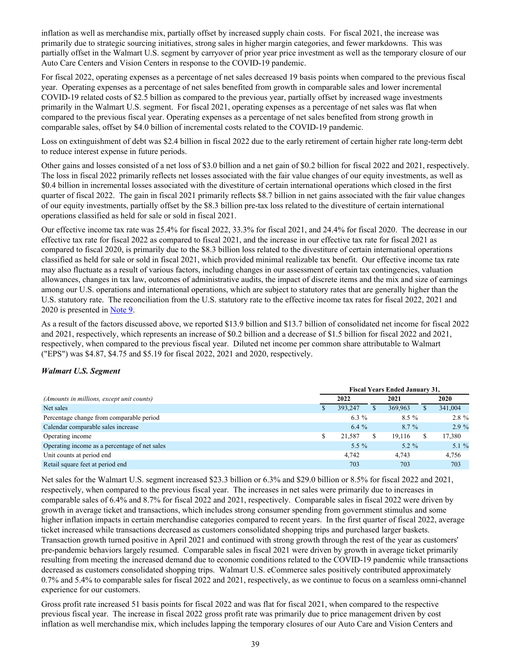inflation as well as merchandise mix, partially offset by increased supply chain costs. For fiscal 2021, the increase was primarily due to strategic sourcing initiatives, strong sales in higher margin categories, and fewer markdowns. This was partially offset in the Walmart U.S. segment by carryover of prior year price investment as well as the temporary closure of our Auto Care Centers and Vision Centers in response to the COVID-19 pandemic.

For fiscal 2022, operating expenses as a percentage of net sales decreased 19 basis points when compared to the previous fiscal year. Operating expenses as a percentage of net sales benefited from growth in comparable sales and lower incremental COVID-19 related costs of \$2.5 billion as compared to the previous year, partially offset by increased wage investments primarily in the Walmart U.S. segment. For fiscal 2021, operating expenses as a percentage of net sales was flat when compared to the previous fiscal year. Operating expenses as a percentage of net sales benefited from strong growth in comparable sales, offset by \$4.0 billion of incremental costs related to the COVID-19 pandemic.

Loss on extinguishment of debt was \$2.4 billion in fiscal 2022 due to the early retirement of certain higher rate long-term debt to reduce interest expense in future periods.

Other gains and losses consisted of a net loss of \$3.0 billion and a net gain of \$0.2 billion for fiscal 2022 and 2021, respectively. The loss in fiscal 2022 primarily reflects net losses associated with the fair value changes of our equity investments, as well as \$0.4 billion in incremental losses associated with the divestiture of certain international operations which closed in the first quarter of fiscal 2022. The gain in fiscal 2021 primarily reflects \$8.7 billion in net gains associated with the fair value changes of our equity investments, partially offset by the \$8.3 billion pre-tax loss related to the divestiture of certain international operations classified as held for sale or sold in fiscal 2021.

Our effective income tax rate was 25.4% for fiscal 2022, 33.3% for fiscal 2021, and 24.4% for fiscal 2020. The decrease in our effective tax rate for fiscal 2022 as compared to fiscal 2021, and the increase in our effective tax rate for fiscal 2021 as compared to fiscal 2020, is primarily due to the \$8.3 billion loss related to the divestiture of certain international operations classified as held for sale or sold in fiscal 2021, which provided minimal realizable tax benefit. Our effective income tax rate may also fluctuate as a result of various factors, including changes in our assessment of certain tax contingencies, valuation allowances, changes in tax law, outcomes of administrative audits, the impact of discrete items and the mix and size of earnings among our U.S. operations and international operations, which are subject to statutory rates that are generally higher than the U.S. statutory rate. The reconciliation from the U.S. statutory rate to the effective income tax rates for fiscal 2022, 2021 and 2020 is presented in [Note 9](#page-70-0).

As a result of the factors discussed above, we reported \$13.9 billion and \$13.7 billion of consolidated net income for fiscal 2022 and 2021, respectively, which represents an increase of \$0.2 billion and a decrease of \$1.5 billion for fiscal 2022 and 2021, respectively, when compared to the previous fiscal year. Diluted net income per common share attributable to Walmart ("EPS") was \$4.87, \$4.75 and \$5.19 for fiscal 2022, 2021 and 2020, respectively.

### *Walmart U.S. Segment*

|                                               | <b>Fiscal Years Ended January 31,</b> |         |    |         |  |         |  |
|-----------------------------------------------|---------------------------------------|---------|----|---------|--|---------|--|
| (Amounts in millions, except unit counts)     |                                       | 2022    |    | 2021    |  | 2020    |  |
| Net sales                                     |                                       | 393,247 | S. | 369.963 |  | 341,004 |  |
| Percentage change from comparable period      |                                       | $6.3\%$ |    | $8.5\%$ |  | 2.8 %   |  |
| Calendar comparable sales increase            |                                       | $6.4\%$ |    | $8.7\%$ |  | $2.9\%$ |  |
| Operating income                              |                                       | 21.587  | S  | 19,116  |  | 17,380  |  |
| Operating income as a percentage of net sales |                                       | 5.5 $%$ |    | $5.2\%$ |  | $5.1\%$ |  |
| Unit counts at period end                     |                                       | 4.742   |    | 4.743   |  | 4,756   |  |
| Retail square feet at period end              |                                       | 703     |    | 703     |  | 703     |  |

Net sales for the Walmart U.S. segment increased \$23.3 billion or 6.3% and \$29.0 billion or 8.5% for fiscal 2022 and 2021, respectively, when compared to the previous fiscal year. The increases in net sales were primarily due to increases in comparable sales of 6.4% and 8.7% for fiscal 2022 and 2021, respectively. Comparable sales in fiscal 2022 were driven by growth in average ticket and transactions, which includes strong consumer spending from government stimulus and some higher inflation impacts in certain merchandise categories compared to recent years. In the first quarter of fiscal 2022, average ticket increased while transactions decreased as customers consolidated shopping trips and purchased larger baskets. Transaction growth turned positive in April 2021 and continued with strong growth through the rest of the year as customers' pre-pandemic behaviors largely resumed. Comparable sales in fiscal 2021 were driven by growth in average ticket primarily resulting from meeting the increased demand due to economic conditions related to the COVID-19 pandemic while transactions decreased as customers consolidated shopping trips. Walmart U.S. eCommerce sales positively contributed approximately 0.7% and 5.4% to comparable sales for fiscal 2022 and 2021, respectively, as we continue to focus on a seamless omni-channel experience for our customers.

Gross profit rate increased 51 basis points for fiscal 2022 and was flat for fiscal 2021, when compared to the respective previous fiscal year. The increase in fiscal 2022 gross profit rate was primarily due to price management driven by cost inflation as well merchandise mix, which includes lapping the temporary closures of our Auto Care and Vision Centers and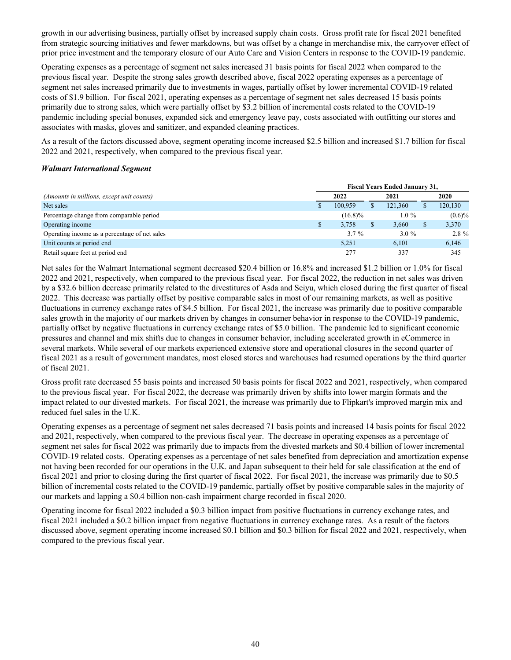growth in our advertising business, partially offset by increased supply chain costs. Gross profit rate for fiscal 2021 benefited from strategic sourcing initiatives and fewer markdowns, but was offset by a change in merchandise mix, the carryover effect of prior price investment and the temporary closure of our Auto Care and Vision Centers in response to the COVID-19 pandemic.

Operating expenses as a percentage of segment net sales increased 31 basis points for fiscal 2022 when compared to the previous fiscal year. Despite the strong sales growth described above, fiscal 2022 operating expenses as a percentage of segment net sales increased primarily due to investments in wages, partially offset by lower incremental COVID-19 related costs of \$1.9 billion. For fiscal 2021, operating expenses as a percentage of segment net sales decreased 15 basis points primarily due to strong sales, which were partially offset by \$3.2 billion of incremental costs related to the COVID-19 pandemic including special bonuses, expanded sick and emergency leave pay, costs associated with outfitting our stores and associates with masks, gloves and sanitizer, and expanded cleaning practices.

As a result of the factors discussed above, segment operating income increased \$2.5 billion and increased \$1.7 billion for fiscal 2022 and 2021, respectively, when compared to the previous fiscal year.

#### *Walmart International Segment*

|                                               |   | <b>Fiscal Years Ended January 31,</b> |         |         |           |         |  |      |
|-----------------------------------------------|---|---------------------------------------|---------|---------|-----------|---------|--|------|
| (Amounts in millions, except unit counts)     |   | 2022                                  |         | 2021    |           |         |  | 2020 |
| Net sales                                     |   | 100.959                               |         | 121.360 |           | 120,130 |  |      |
| Percentage change from comparable period      |   | $(16.8)\%$                            | $1.0\%$ |         | $(0.6)\%$ |         |  |      |
| Operating income                              | S | 3.758                                 | \$      | 3.660   |           | 3,370   |  |      |
| Operating income as a percentage of net sales |   | $3.7\%$                               | $3.0\%$ |         |           | 2.8 %   |  |      |
| Unit counts at period end.                    |   | 5,251                                 |         | 6.101   |           | 6,146   |  |      |
| Retail square feet at period end              |   | 277                                   |         | 337     |           | 345     |  |      |

Net sales for the Walmart International segment decreased \$20.4 billion or 16.8% and increased \$1.2 billion or 1.0% for fiscal 2022 and 2021, respectively, when compared to the previous fiscal year. For fiscal 2022, the reduction in net sales was driven by a \$32.6 billion decrease primarily related to the divestitures of Asda and Seiyu, which closed during the first quarter of fiscal 2022. This decrease was partially offset by positive comparable sales in most of our remaining markets, as well as positive fluctuations in currency exchange rates of \$4.5 billion. For fiscal 2021, the increase was primarily due to positive comparable sales growth in the majority of our markets driven by changes in consumer behavior in response to the COVID-19 pandemic, partially offset by negative fluctuations in currency exchange rates of \$5.0 billion. The pandemic led to significant economic pressures and channel and mix shifts due to changes in consumer behavior, including accelerated growth in eCommerce in several markets. While several of our markets experienced extensive store and operational closures in the second quarter of fiscal 2021 as a result of government mandates, most closed stores and warehouses had resumed operations by the third quarter of fiscal 2021.

Gross profit rate decreased 55 basis points and increased 50 basis points for fiscal 2022 and 2021, respectively, when compared to the previous fiscal year. For fiscal 2022, the decrease was primarily driven by shifts into lower margin formats and the impact related to our divested markets. For fiscal 2021, the increase was primarily due to Flipkart's improved margin mix and reduced fuel sales in the U.K.

Operating expenses as a percentage of segment net sales decreased 71 basis points and increased 14 basis points for fiscal 2022 and 2021, respectively, when compared to the previous fiscal year. The decrease in operating expenses as a percentage of segment net sales for fiscal 2022 was primarily due to impacts from the divested markets and \$0.4 billion of lower incremental COVID-19 related costs. Operating expenses as a percentage of net sales benefited from depreciation and amortization expense not having been recorded for our operations in the U.K. and Japan subsequent to their held for sale classification at the end of fiscal 2021 and prior to closing during the first quarter of fiscal 2022. For fiscal 2021, the increase was primarily due to \$0.5 billion of incremental costs related to the COVID-19 pandemic, partially offset by positive comparable sales in the majority of our markets and lapping a \$0.4 billion non-cash impairment charge recorded in fiscal 2020.

Operating income for fiscal 2022 included a \$0.3 billion impact from positive fluctuations in currency exchange rates, and fiscal 2021 included a \$0.2 billion impact from negative fluctuations in currency exchange rates. As a result of the factors discussed above, segment operating income increased \$0.1 billion and \$0.3 billion for fiscal 2022 and 2021, respectively, when compared to the previous fiscal year.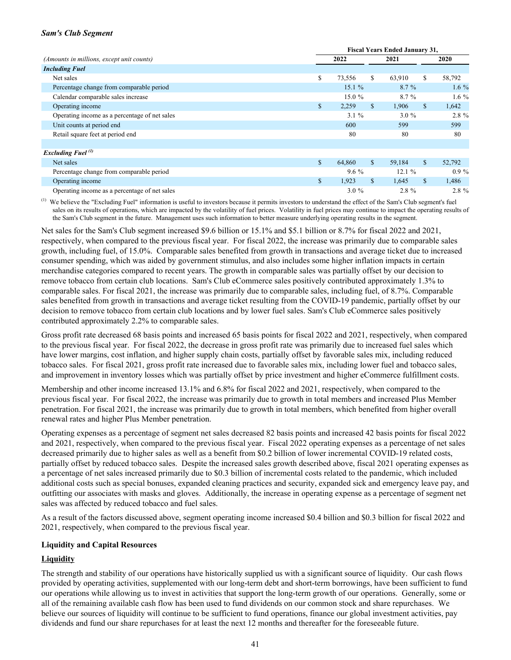### <span id="page-40-0"></span>*Sam's Club Segment*

|                                               | <b>Fiscal Years Ended January 31,</b> |           |              |          |              |         |  |  |
|-----------------------------------------------|---------------------------------------|-----------|--------------|----------|--------------|---------|--|--|
| (Amounts in millions, except unit counts)     |                                       | 2022      | 2021         |          |              |         |  |  |
| <b>Including Fuel</b>                         |                                       |           |              |          |              |         |  |  |
| Net sales                                     | \$                                    | 73,556    | S.           | 63,910   | S.           | 58,792  |  |  |
| Percentage change from comparable period      |                                       | 15.1%     |              | $8.7\%$  |              | $1.6\%$ |  |  |
| Calendar comparable sales increase            |                                       | $15.0 \%$ |              | $8.7\%$  |              | $1.6\%$ |  |  |
| Operating income                              | \$                                    | 2,259     | $\mathbb{S}$ | 1,906    | \$           | 1,642   |  |  |
| Operating income as a percentage of net sales |                                       | $3.1 \%$  |              | $3.0\%$  |              | 2.8 %   |  |  |
| Unit counts at period end                     |                                       | 600       |              | 599      |              | 599     |  |  |
| Retail square feet at period end              |                                       | 80        |              | 80       |              | 80      |  |  |
|                                               |                                       |           |              |          |              |         |  |  |
| <b>Excluding Fuel</b> <sup>(1)</sup>          |                                       |           |              |          |              |         |  |  |
| Net sales                                     | \$                                    | 64.860    | $\mathbb{S}$ | 59,184   | $\mathbb{S}$ | 52,792  |  |  |
| Percentage change from comparable period      |                                       | $9.6\%$   |              | 12.1%    |              | $0.9\%$ |  |  |
| Operating income                              | \$                                    | 1,923     | \$           | 1,645    | \$.          | 1,486   |  |  |
| Operating income as a percentage of net sales |                                       | $3.0\%$   |              | $2.8 \%$ |              | 2.8 %   |  |  |

<sup>(1)</sup> We believe the "Excluding Fuel" information is useful to investors because it permits investors to understand the effect of the Sam's Club segment's fuel sales on its results of operations, which are impacted by the volatility of fuel prices. Volatility in fuel prices may continue to impact the operating results of the Sam's Club segment in the future. Management uses such information to better measure underlying operating results in the segment.

Net sales for the Sam's Club segment increased \$9.6 billion or 15.1% and \$5.1 billion or 8.7% for fiscal 2022 and 2021, respectively, when compared to the previous fiscal year. For fiscal 2022, the increase was primarily due to comparable sales growth, including fuel, of 15.0%. Comparable sales benefited from growth in transactions and average ticket due to increased consumer spending, which was aided by government stimulus, and also includes some higher inflation impacts in certain merchandise categories compared to recent years. The growth in comparable sales was partially offset by our decision to remove tobacco from certain club locations. Sam's Club eCommerce sales positively contributed approximately 1.3% to comparable sales. For fiscal 2021, the increase was primarily due to comparable sales, including fuel, of 8.7%. Comparable sales benefited from growth in transactions and average ticket resulting from the COVID-19 pandemic, partially offset by our decision to remove tobacco from certain club locations and by lower fuel sales. Sam's Club eCommerce sales positively contributed approximately 2.2% to comparable sales.

Gross profit rate decreased 68 basis points and increased 65 basis points for fiscal 2022 and 2021, respectively, when compared to the previous fiscal year. For fiscal 2022, the decrease in gross profit rate was primarily due to increased fuel sales which have lower margins, cost inflation, and higher supply chain costs, partially offset by favorable sales mix, including reduced tobacco sales. For fiscal 2021, gross profit rate increased due to favorable sales mix, including lower fuel and tobacco sales, and improvement in inventory losses which was partially offset by price investment and higher eCommerce fulfillment costs.

Membership and other income increased 13.1% and 6.8% for fiscal 2022 and 2021, respectively, when compared to the previous fiscal year. For fiscal 2022, the increase was primarily due to growth in total members and increased Plus Member penetration. For fiscal 2021, the increase was primarily due to growth in total members, which benefited from higher overall renewal rates and higher Plus Member penetration.

Operating expenses as a percentage of segment net sales decreased 82 basis points and increased 42 basis points for fiscal 2022 and 2021, respectively, when compared to the previous fiscal year. Fiscal 2022 operating expenses as a percentage of net sales decreased primarily due to higher sales as well as a benefit from \$0.2 billion of lower incremental COVID-19 related costs, partially offset by reduced tobacco sales. Despite the increased sales growth described above, fiscal 2021 operating expenses as a percentage of net sales increased primarily due to \$0.3 billion of incremental costs related to the pandemic, which included additional costs such as special bonuses, expanded cleaning practices and security, expanded sick and emergency leave pay, and outfitting our associates with masks and gloves. Additionally, the increase in operating expense as a percentage of segment net sales was affected by reduced tobacco and fuel sales.

As a result of the factors discussed above, segment operating income increased \$0.4 billion and \$0.3 billion for fiscal 2022 and 2021, respectively, when compared to the previous fiscal year.

### **Liquidity and Capital Resources**

### **Liquidity**

The strength and stability of our operations have historically supplied us with a significant source of liquidity. Our cash flows provided by operating activities, supplemented with our long-term debt and short-term borrowings, have been sufficient to fund our operations while allowing us to invest in activities that support the long-term growth of our operations. Generally, some or all of the remaining available cash flow has been used to fund dividends on our common stock and share repurchases. We believe our sources of liquidity will continue to be sufficient to fund operations, finance our global investment activities, pay dividends and fund our share repurchases for at least the next 12 months and thereafter for the foreseeable future.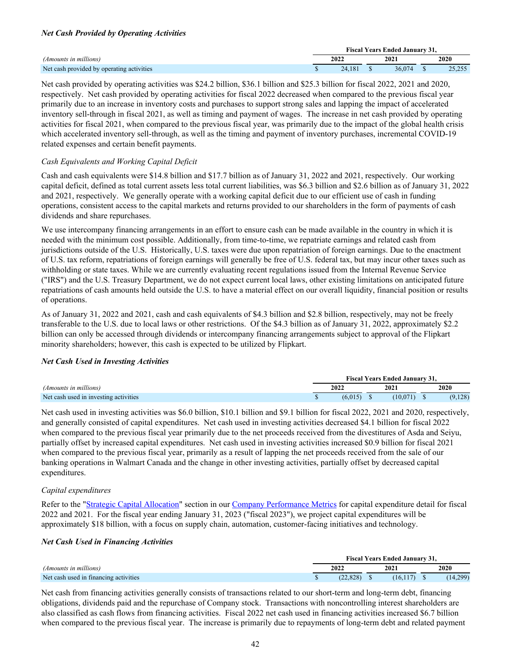### *Net Cash Provided by Operating Activities*

|                                           | <b>Fiscal Years Ended January 31,</b> |        |  |        |             |        |
|-------------------------------------------|---------------------------------------|--------|--|--------|-------------|--------|
| <i>(Amounts in millions)</i>              | 2022<br>2021                          |        |  |        | <b>2020</b> |        |
| Net cash provided by operating activities |                                       | 24.181 |  | 36.074 |             | 25.255 |

Net cash provided by operating activities was \$24.2 billion, \$36.1 billion and \$25.3 billion for fiscal 2022, 2021 and 2020, respectively. Net cash provided by operating activities for fiscal 2022 decreased when compared to the previous fiscal year primarily due to an increase in inventory costs and purchases to support strong sales and lapping the impact of accelerated inventory sell-through in fiscal 2021, as well as timing and payment of wages. The increase in net cash provided by operating activities for fiscal 2021, when compared to the previous fiscal year, was primarily due to the impact of the global health crisis which accelerated inventory sell-through, as well as the timing and payment of inventory purchases, incremental COVID-19 related expenses and certain benefit payments.

#### *Cash Equivalents and Working Capital Deficit*

Cash and cash equivalents were \$14.8 billion and \$17.7 billion as of January 31, 2022 and 2021, respectively. Our working capital deficit, defined as total current assets less total current liabilities, was \$6.3 billion and \$2.6 billion as of January 31, 2022 and 2021, respectively. We generally operate with a working capital deficit due to our efficient use of cash in funding operations, consistent access to the capital markets and returns provided to our shareholders in the form of payments of cash dividends and share repurchases.

We use intercompany financing arrangements in an effort to ensure cash can be made available in the country in which it is needed with the minimum cost possible. Additionally, from time-to-time, we repatriate earnings and related cash from jurisdictions outside of the U.S. Historically, U.S. taxes were due upon repatriation of foreign earnings. Due to the enactment of U.S. tax reform, repatriations of foreign earnings will generally be free of U.S. federal tax, but may incur other taxes such as withholding or state taxes. While we are currently evaluating recent regulations issued from the Internal Revenue Service ("IRS") and the U.S. Treasury Department, we do not expect current local laws, other existing limitations on anticipated future repatriations of cash amounts held outside the U.S. to have a material effect on our overall liquidity, financial position or results of operations.

As of January 31, 2022 and 2021, cash and cash equivalents of \$4.3 billion and \$2.8 billion, respectively, may not be freely transferable to the U.S. due to local laws or other restrictions. Of the \$4.3 billion as of January 31, 2022, approximately \$2.2 billion can only be accessed through dividends or intercompany financing arrangements subject to approval of the Flipkart minority shareholders; however, this cash is expected to be utilized by Flipkart.

#### *Net Cash Used in Investing Activities*

|                                       |         | <b>Fiscal Years Ended January 31.</b> |             |
|---------------------------------------|---------|---------------------------------------|-------------|
| <i>(Amounts in millions)</i>          | 2022    | 2021                                  | <b>2020</b> |
| Net cash used in investing activities | (6.015) |                                       | 128)        |

Net cash used in investing activities was \$6.0 billion, \$10.1 billion and \$9.1 billion for fiscal 2022, 2021 and 2020, respectively, and generally consisted of capital expenditures. Net cash used in investing activities decreased \$4.1 billion for fiscal 2022 when compared to the previous fiscal year primarily due to the net proceeds received from the divestitures of Asda and Seiyu, partially offset by increased capital expenditures. Net cash used in investing activities increased \$0.9 billion for fiscal 2021 when compared to the previous fiscal year, primarily as a result of lapping the net proceeds received from the sale of our banking operations in Walmart Canada and the change in other investing activities, partially offset by decreased capital expenditures.

### *Capital expenditures*

Refer to the ["Strategic Capital Allocation"](#page-35-0) section in our [Company Performance Metrics](#page-34-0) for capital expenditure detail for fiscal 2022 and 2021. For the fiscal year ending January 31, 2023 ("fiscal 2023"), we project capital expenditures will be approximately \$18 billion, with a focus on supply chain, automation, customer-facing initiatives and technology.

#### *Net Cash Used in Financing Activities*

|                                       |          | <b>Fiscal Years Ended January 31,</b> |          |
|---------------------------------------|----------|---------------------------------------|----------|
| <i>(Amounts in millions)</i>          | 2022     | 2021                                  | 2020     |
| Net cash used in financing activities | (22.828) | (16.117)                              | (14,299) |

Net cash from financing activities generally consists of transactions related to our short-term and long-term debt, financing obligations, dividends paid and the repurchase of Company stock. Transactions with noncontrolling interest shareholders are also classified as cash flows from financing activities. Fiscal 2022 net cash used in financing activities increased \$6.7 billion when compared to the previous fiscal year. The increase is primarily due to repayments of long-term debt and related payment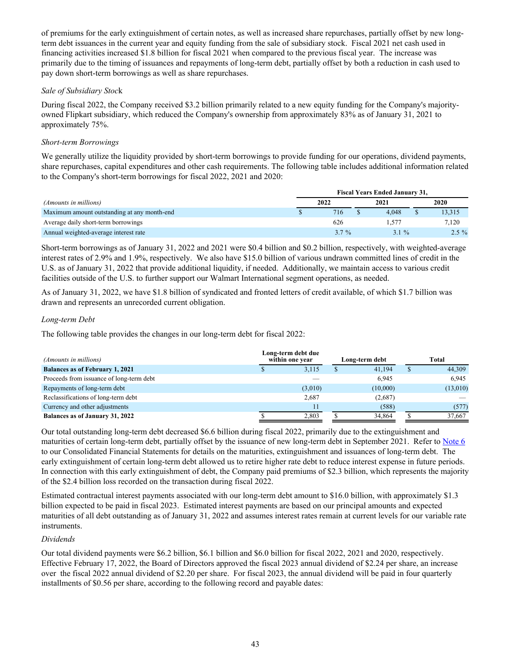of premiums for the early extinguishment of certain notes, as well as increased share repurchases, partially offset by new longterm debt issuances in the current year and equity funding from the sale of subsidiary stock. Fiscal 2021 net cash used in financing activities increased \$1.8 billion for fiscal 2021 when compared to the previous fiscal year. The increase was primarily due to the timing of issuances and repayments of long-term debt, partially offset by both a reduction in cash used to pay down short-term borrowings as well as share repurchases.

# *Sale of Subsidiary Stoc*k

During fiscal 2022, the Company received \$3.2 billion primarily related to a new equity funding for the Company's majorityowned Flipkart subsidiary, which reduced the Company's ownership from approximately 83% as of January 31, 2021 to approximately 75%.

# *Short-term Borrowings*

We generally utilize the liquidity provided by short-term borrowings to provide funding for our operations, dividend payments, share repurchases, capital expenditures and other cash requirements. The following table includes additional information related to the Company's short-term borrowings for fiscal 2022, 2021 and 2020:

|                                             | <b>Fiscal Years Ended January 31,</b> |  |         |  |         |  |  |  |  |  |
|---------------------------------------------|---------------------------------------|--|---------|--|---------|--|--|--|--|--|
| <i>(Amounts in millions)</i>                | 2022                                  |  | 2021    |  | 2020    |  |  |  |  |  |
| Maximum amount outstanding at any month-end | 716                                   |  | 4.048   |  | 13,315  |  |  |  |  |  |
| Average daily short-term borrowings         | 626                                   |  | .577    |  | 7.120   |  |  |  |  |  |
| Annual weighted-average interest rate       | $3.7\%$                               |  | $3.1\%$ |  | $2.5\%$ |  |  |  |  |  |

Short-term borrowings as of January 31, 2022 and 2021 were \$0.4 billion and \$0.2 billion, respectively, with weighted-average interest rates of 2.9% and 1.9%, respectively. We also have \$15.0 billion of various undrawn committed lines of credit in the U.S. as of January 31, 2022 that provide additional liquidity, if needed. Additionally, we maintain access to various credit facilities outside of the U.S. to further support our Walmart International segment operations, as needed.

As of January 31, 2022, we have \$1.8 billion of syndicated and fronted letters of credit available, of which \$1.7 billion was drawn and represents an unrecorded current obligation.

# *Long-term Debt*

The following table provides the changes in our long-term debt for fiscal 2022:

| <i>(Amounts in millions)</i>             | Long-term debt due<br>within one year |         |  | Long-term debt | Total    |
|------------------------------------------|---------------------------------------|---------|--|----------------|----------|
| <b>Balances as of February 1, 2021</b>   |                                       | 3,115   |  | 41.194         | 44,309   |
| Proceeds from issuance of long-term debt |                                       |         |  | 6.945          | 6.945    |
| Repayments of long-term debt             |                                       | (3,010) |  | (10,000)       | (13,010) |
| Reclassifications of long-term debt      |                                       | 2,687   |  | (2,687)        |          |
| Currency and other adjustments           |                                       |         |  | (588)          | (577)    |
| <b>Balances as of January 31, 2022</b>   |                                       | 2,803   |  | 34,864         | 37,667   |

Our total outstanding long-term debt decreased \$6.6 billion during fiscal 2022, primarily due to the extinguishment and maturities of certain long-term debt, partially offset by the issuance of new long-term debt in September 2021. Refer to [Note 6](#page-66-0) to our Consolidated Financial Statements for details on the maturities, extinguishment and issuances of long-term debt. The early extinguishment of certain long-term debt allowed us to retire higher rate debt to reduce interest expense in future periods. In connection with this early extinguishment of debt, the Company paid premiums of \$2.3 billion, which represents the majority of the \$2.4 billion loss recorded on the transaction during fiscal 2022.

Estimated contractual interest payments associated with our long-term debt amount to \$16.0 billion, with approximately \$1.3 billion expected to be paid in fiscal 2023. Estimated interest payments are based on our principal amounts and expected maturities of all debt outstanding as of January 31, 2022 and assumes interest rates remain at current levels for our variable rate instruments.

# *Dividends*

Our total dividend payments were \$6.2 billion, \$6.1 billion and \$6.0 billion for fiscal 2022, 2021 and 2020, respectively. Effective February 17, 2022, the Board of Directors approved the fiscal 2023 annual dividend of \$2.24 per share, an increase over the fiscal 2022 annual dividend of \$2.20 per share. For fiscal 2023, the annual dividend will be paid in four quarterly installments of \$0.56 per share, according to the following record and payable dates: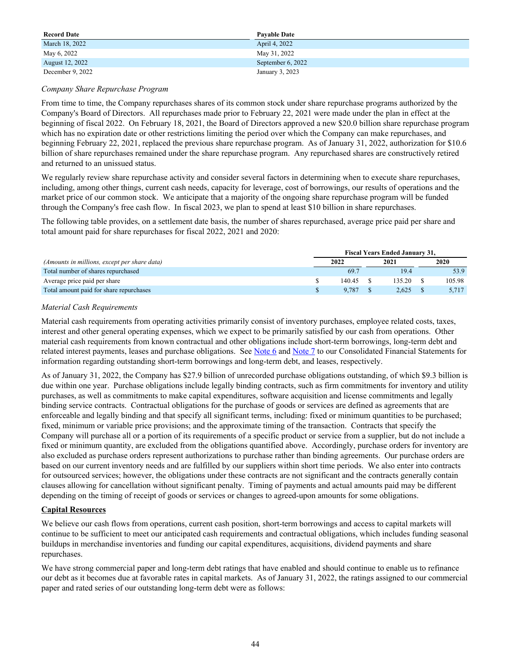| <b>Record Date</b> | <b>Pavable Date</b> |
|--------------------|---------------------|
| March 18, 2022     | April 4, 2022       |
| May 6, 2022        | May 31, 2022        |
| August 12, 2022    | September 6, 2022   |
| December 9, 2022   | January 3, 2023     |

### *Company Share Repurchase Program*

From time to time, the Company repurchases shares of its common stock under share repurchase programs authorized by the Company's Board of Directors. All repurchases made prior to February 22, 2021 were made under the plan in effect at the beginning of fiscal 2022. On February 18, 2021, the Board of Directors approved a new \$20.0 billion share repurchase program which has no expiration date or other restrictions limiting the period over which the Company can make repurchases, and beginning February 22, 2021, replaced the previous share repurchase program. As of January 31, 2022, authorization for \$10.6 billion of share repurchases remained under the share repurchase program. Any repurchased shares are constructively retired and returned to an unissued status.

We regularly review share repurchase activity and consider several factors in determining when to execute share repurchases, including, among other things, current cash needs, capacity for leverage, cost of borrowings, our results of operations and the market price of our common stock. We anticipate that a majority of the ongoing share repurchase program will be funded through the Company's free cash flow. In fiscal 2023, we plan to spend at least \$10 billion in share repurchases.

The following table provides, on a settlement date basis, the number of shares repurchased, average price paid per share and total amount paid for share repurchases for fiscal 2022, 2021 and 2020:

|                                              | <b>Fiscal Years Ended January 31,</b> |        |  |        |  |        |  |  |  |
|----------------------------------------------|---------------------------------------|--------|--|--------|--|--------|--|--|--|
| (Amounts in millions, except per share data) |                                       | 2022   |  | 2021   |  | 2020   |  |  |  |
| Total number of shares repurchased           |                                       | 69.7   |  | 19.4   |  | 53.9   |  |  |  |
| Average price paid per share                 |                                       | 140.45 |  | 135.20 |  | 105.98 |  |  |  |
| Total amount paid for share repurchases      |                                       | 9.787  |  | 2.625  |  | 5.717  |  |  |  |

### *Material Cash Requirements*

Material cash requirements from operating activities primarily consist of inventory purchases, employee related costs, taxes, interest and other general operating expenses, which we expect to be primarily satisfied by our cash from operations. Other material cash requirements from known contractual and other obligations include short-term borrowings, long-term debt and related interest payments, leases and purchase obligations. See [Note 6](#page-66-0) and [Note 7](#page-68-0) to our Consolidated Financial Statements for information regarding outstanding short-term borrowings and long-term debt, and leases, respectively.

As of January 31, 2022, the Company has \$27.9 billion of unrecorded purchase obligations outstanding, of which \$9.3 billion is due within one year. Purchase obligations include legally binding contracts, such as firm commitments for inventory and utility purchases, as well as commitments to make capital expenditures, software acquisition and license commitments and legally binding service contracts. Contractual obligations for the purchase of goods or services are defined as agreements that are enforceable and legally binding and that specify all significant terms, including: fixed or minimum quantities to be purchased; fixed, minimum or variable price provisions; and the approximate timing of the transaction. Contracts that specify the Company will purchase all or a portion of its requirements of a specific product or service from a supplier, but do not include a fixed or minimum quantity, are excluded from the obligations quantified above. Accordingly, purchase orders for inventory are also excluded as purchase orders represent authorizations to purchase rather than binding agreements. Our purchase orders are based on our current inventory needs and are fulfilled by our suppliers within short time periods. We also enter into contracts for outsourced services; however, the obligations under these contracts are not significant and the contracts generally contain clauses allowing for cancellation without significant penalty. Timing of payments and actual amounts paid may be different depending on the timing of receipt of goods or services or changes to agreed-upon amounts for some obligations.

### **Capital Resources**

We believe our cash flows from operations, current cash position, short-term borrowings and access to capital markets will continue to be sufficient to meet our anticipated cash requirements and contractual obligations, which includes funding seasonal buildups in merchandise inventories and funding our capital expenditures, acquisitions, dividend payments and share repurchases.

We have strong commercial paper and long-term debt ratings that have enabled and should continue to enable us to refinance our debt as it becomes due at favorable rates in capital markets. As of January 31, 2022, the ratings assigned to our commercial paper and rated series of our outstanding long-term debt were as follows: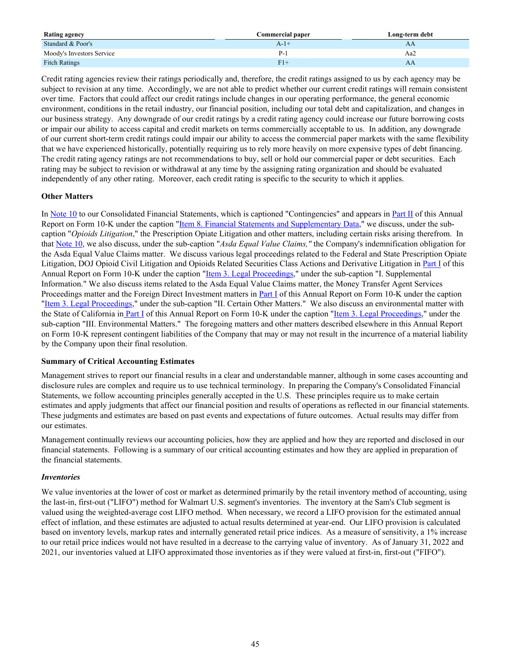| <b>Rating agency</b>      | Commercial paper | Long-term debt |
|---------------------------|------------------|----------------|
| Standard & Poor's         | $A-1+$           | AA             |
| Moody's Investors Service | $P-1$            | Aa2            |
| <b>Fitch Ratings</b>      | F1+              | AA             |

Credit rating agencies review their ratings periodically and, therefore, the credit ratings assigned to us by each agency may be subject to revision at any time. Accordingly, we are not able to predict whether our current credit ratings will remain consistent over time. Factors that could affect our credit ratings include changes in our operating performance, the general economic environment, conditions in the retail industry, our financial position, including our total debt and capitalization, and changes in our business strategy. Any downgrade of our credit ratings by a credit rating agency could increase our future borrowing costs or impair our ability to access capital and credit markets on terms commercially acceptable to us. In addition, any downgrade of our current short-term credit ratings could impair our ability to access the commercial paper markets with the same flexibility that we have experienced historically, potentially requiring us to rely more heavily on more expensive types of debt financing. The credit rating agency ratings are not recommendations to buy, sell or hold our commercial paper or debt securities. Each rating may be subject to revision or withdrawal at any time by the assigning rating organization and should be evaluated independently of any other rating. Moreover, each credit rating is specific to the security to which it applies.

# **Other Matters**

In [Note 10](#page-73-0) to our Consolidated Financial Statements, which is captioned "Contingencies" and appears in [Part II](#page-31-0) of this Annual Report on Form 10-K under the caption "[Item 8. Financial Statements and Supplementary Data,](#page-48-0)" we discuss, under the subcaption "*Opioids Litigation*," the Prescription Opiate Litigation and other matters, including certain risks arising therefrom. In that [Note 10,](#page-73-0) we also discuss, under the sub-caption "*Asda Equal Value Claims,"* the Company's indemnification obligation for the Asda Equal Value Claims matter. We discuss various legal proceedings related to the Federal and State Prescription Opiate Litigation, DOJ Opioid Civil Litigation and Opioids Related Securities Class Actions and Derivative Litigation in [Part I](#page-3-0) of this Annual Report on Form 10-K under the caption "[Item 3. Legal Proceedings,](#page-29-0)" under the sub-caption "I. Supplemental Information." We also discuss items related to the Asda Equal Value Claims matter, the Money Transfer Agent Services Proceedings matter and the Foreign Direct Investment matters in [Part I](#page-3-0) of this Annual Report on Form 10-K under the caption "[Item 3. Legal Proceedings,](#page-29-0)" under the sub-caption "II. Certain Other Matters." We also discuss an environmental matter with the State of California i[n Part I](#page-3-0) of this Annual Report on Form 10-K under the caption ["Item 3. Legal Proceedings](#page-29-0)," under the sub-caption "III. Environmental Matters." The foregoing matters and other matters described elsewhere in this Annual Report on Form 10-K represent contingent liabilities of the Company that may or may not result in the incurrence of a material liability by the Company upon their final resolution.

### **Summary of Critical Accounting Estimates**

Management strives to report our financial results in a clear and understandable manner, although in some cases accounting and disclosure rules are complex and require us to use technical terminology. In preparing the Company's Consolidated Financial Statements, we follow accounting principles generally accepted in the U.S. These principles require us to make certain estimates and apply judgments that affect our financial position and results of operations as reflected in our financial statements. These judgments and estimates are based on past events and expectations of future outcomes. Actual results may differ from our estimates.

Management continually reviews our accounting policies, how they are applied and how they are reported and disclosed in our financial statements. Following is a summary of our critical accounting estimates and how they are applied in preparation of the financial statements.

### *Inventories*

We value inventories at the lower of cost or market as determined primarily by the retail inventory method of accounting, using the last-in, first-out ("LIFO") method for Walmart U.S. segment's inventories. The inventory at the Sam's Club segment is valued using the weighted-average cost LIFO method. When necessary, we record a LIFO provision for the estimated annual effect of inflation, and these estimates are adjusted to actual results determined at year-end. Our LIFO provision is calculated based on inventory levels, markup rates and internally generated retail price indices. As a measure of sensitivity, a 1% increase to our retail price indices would not have resulted in a decrease to the carrying value of inventory. As of January 31, 2022 and 2021, our inventories valued at LIFO approximated those inventories as if they were valued at first-in, first-out ("FIFO").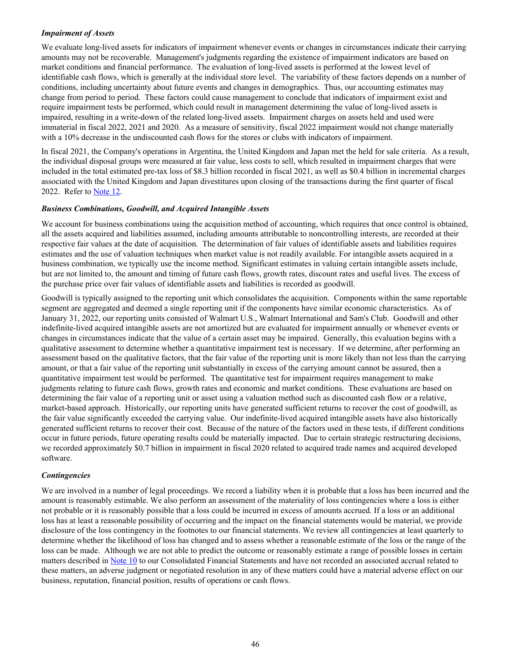### *Impairment of Assets*

We evaluate long-lived assets for indicators of impairment whenever events or changes in circumstances indicate their carrying amounts may not be recoverable. Management's judgments regarding the existence of impairment indicators are based on market conditions and financial performance. The evaluation of long-lived assets is performed at the lowest level of identifiable cash flows, which is generally at the individual store level. The variability of these factors depends on a number of conditions, including uncertainty about future events and changes in demographics. Thus, our accounting estimates may change from period to period. These factors could cause management to conclude that indicators of impairment exist and require impairment tests be performed, which could result in management determining the value of long-lived assets is impaired, resulting in a write-down of the related long-lived assets. Impairment charges on assets held and used were immaterial in fiscal 2022, 2021 and 2020. As a measure of sensitivity, fiscal 2022 impairment would not change materially with a 10% decrease in the undiscounted cash flows for the stores or clubs with indicators of impairment.

In fiscal 2021, the Company's operations in Argentina, the United Kingdom and Japan met the held for sale criteria. As a result, the individual disposal groups were measured at fair value, less costs to sell, which resulted in impairment charges that were included in the total estimated pre-tax loss of \$8.3 billion recorded in fiscal 2021, as well as \$0.4 billion in incremental charges associated with the United Kingdom and Japan divestitures upon closing of the transactions during the first quarter of fiscal 2022. Refer to [Note 12.](#page-75-0)

### *Business Combinations, Goodwill, and Acquired Intangible Assets*

We account for business combinations using the acquisition method of accounting, which requires that once control is obtained, all the assets acquired and liabilities assumed, including amounts attributable to noncontrolling interests, are recorded at their respective fair values at the date of acquisition. The determination of fair values of identifiable assets and liabilities requires estimates and the use of valuation techniques when market value is not readily available. For intangible assets acquired in a business combination, we typically use the income method. Significant estimates in valuing certain intangible assets include, but are not limited to, the amount and timing of future cash flows, growth rates, discount rates and useful lives. The excess of the purchase price over fair values of identifiable assets and liabilities is recorded as goodwill.

Goodwill is typically assigned to the reporting unit which consolidates the acquisition. Components within the same reportable segment are aggregated and deemed a single reporting unit if the components have similar economic characteristics. As of January 31, 2022, our reporting units consisted of Walmart U.S., Walmart International and Sam's Club. Goodwill and other indefinite-lived acquired intangible assets are not amortized but are evaluated for impairment annually or whenever events or changes in circumstances indicate that the value of a certain asset may be impaired. Generally, this evaluation begins with a qualitative assessment to determine whether a quantitative impairment test is necessary. If we determine, after performing an assessment based on the qualitative factors, that the fair value of the reporting unit is more likely than not less than the carrying amount, or that a fair value of the reporting unit substantially in excess of the carrying amount cannot be assured, then a quantitative impairment test would be performed. The quantitative test for impairment requires management to make judgments relating to future cash flows, growth rates and economic and market conditions. These evaluations are based on determining the fair value of a reporting unit or asset using a valuation method such as discounted cash flow or a relative, market-based approach. Historically, our reporting units have generated sufficient returns to recover the cost of goodwill, as the fair value significantly exceeded the carrying value. Our indefinite-lived acquired intangible assets have also historically generated sufficient returns to recover their cost. Because of the nature of the factors used in these tests, if different conditions occur in future periods, future operating results could be materially impacted. Due to certain strategic restructuring decisions, we recorded approximately \$0.7 billion in impairment in fiscal 2020 related to acquired trade names and acquired developed software.

### *Contingencies*

We are involved in a number of legal proceedings. We record a liability when it is probable that a loss has been incurred and the amount is reasonably estimable. We also perform an assessment of the materiality of loss contingencies where a loss is either not probable or it is reasonably possible that a loss could be incurred in excess of amounts accrued. If a loss or an additional loss has at least a reasonable possibility of occurring and the impact on the financial statements would be material, we provide disclosure of the loss contingency in the footnotes to our financial statements. We review all contingencies at least quarterly to determine whether the likelihood of loss has changed and to assess whether a reasonable estimate of the loss or the range of the loss can be made. Although we are not able to predict the outcome or reasonably estimate a range of possible losses in certain matters described in [Note 10](#page-73-0) to our Consolidated Financial Statements and have not recorded an associated accrual related to these matters, an adverse judgment or negotiated resolution in any of these matters could have a material adverse effect on our business, reputation, financial position, results of operations or cash flows.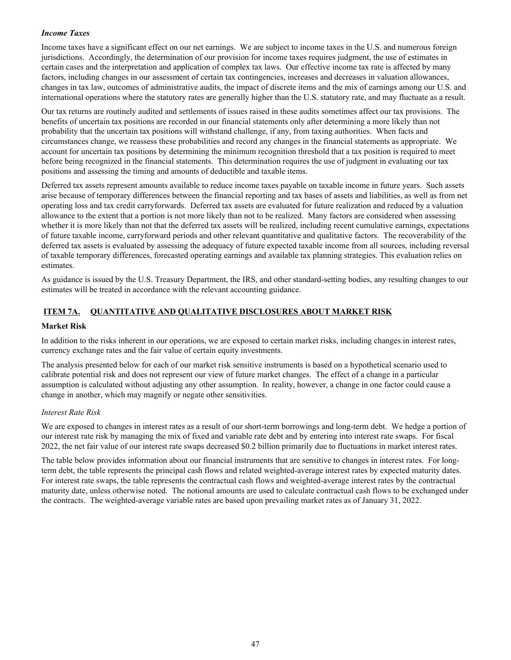### *Income Taxes*

Income taxes have a significant effect on our net earnings. We are subject to income taxes in the U.S. and numerous foreign jurisdictions. Accordingly, the determination of our provision for income taxes requires judgment, the use of estimates in certain cases and the interpretation and application of complex tax laws. Our effective income tax rate is affected by many factors, including changes in our assessment of certain tax contingencies, increases and decreases in valuation allowances, changes in tax law, outcomes of administrative audits, the impact of discrete items and the mix of earnings among our U.S. and international operations where the statutory rates are generally higher than the U.S. statutory rate, and may fluctuate as a result.

Our tax returns are routinely audited and settlements of issues raised in these audits sometimes affect our tax provisions. The benefits of uncertain tax positions are recorded in our financial statements only after determining a more likely than not probability that the uncertain tax positions will withstand challenge, if any, from taxing authorities. When facts and circumstances change, we reassess these probabilities and record any changes in the financial statements as appropriate. We account for uncertain tax positions by determining the minimum recognition threshold that a tax position is required to meet before being recognized in the financial statements. This determination requires the use of judgment in evaluating our tax positions and assessing the timing and amounts of deductible and taxable items.

Deferred tax assets represent amounts available to reduce income taxes payable on taxable income in future years. Such assets arise because of temporary differences between the financial reporting and tax bases of assets and liabilities, as well as from net operating loss and tax credit carryforwards. Deferred tax assets are evaluated for future realization and reduced by a valuation allowance to the extent that a portion is not more likely than not to be realized. Many factors are considered when assessing whether it is more likely than not that the deferred tax assets will be realized, including recent cumulative earnings, expectations of future taxable income, carryforward periods and other relevant quantitative and qualitative factors. The recoverability of the deferred tax assets is evaluated by assessing the adequacy of future expected taxable income from all sources, including reversal of taxable temporary differences, forecasted operating earnings and available tax planning strategies. This evaluation relies on estimates.

As guidance is issued by the U.S. Treasury Department, the IRS, and other standard-setting bodies, any resulting changes to our estimates will be treated in accordance with the relevant accounting guidance.

# **ITEM 7A. QUANTITATIVE AND QUALITATIVE DISCLOSURES ABOUT MARKET RISK**

# **Market Risk**

In addition to the risks inherent in our operations, we are exposed to certain market risks, including changes in interest rates, currency exchange rates and the fair value of certain equity investments.

The analysis presented below for each of our market risk sensitive instruments is based on a hypothetical scenario used to calibrate potential risk and does not represent our view of future market changes. The effect of a change in a particular assumption is calculated without adjusting any other assumption. In reality, however, a change in one factor could cause a change in another, which may magnify or negate other sensitivities.

### *Interest Rate Risk*

We are exposed to changes in interest rates as a result of our short-term borrowings and long-term debt. We hedge a portion of our interest rate risk by managing the mix of fixed and variable rate debt and by entering into interest rate swaps. For fiscal 2022, the net fair value of our interest rate swaps decreased \$0.2 billion primarily due to fluctuations in market interest rates.

The table below provides information about our financial instruments that are sensitive to changes in interest rates. For longterm debt, the table represents the principal cash flows and related weighted-average interest rates by expected maturity dates. For interest rate swaps, the table represents the contractual cash flows and weighted-average interest rates by the contractual maturity date, unless otherwise noted. The notional amounts are used to calculate contractual cash flows to be exchanged under the contracts. The weighted-average variable rates are based upon prevailing market rates as of January 31, 2022.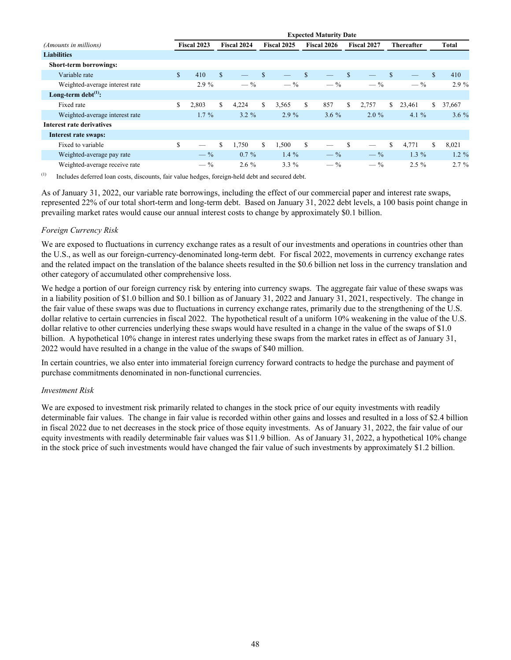|                                | <b>Expected Maturity Date</b> |                 |              |                    |               |             |              |                          |               |             |    |                   |             |          |
|--------------------------------|-------------------------------|-----------------|--------------|--------------------|---------------|-------------|--------------|--------------------------|---------------|-------------|----|-------------------|-------------|----------|
| (Amounts in millions)          |                               | Fiscal 2023     |              | <b>Fiscal 2024</b> |               | Fiscal 2025 |              | Fiscal 2026              |               | Fiscal 2027 |    | <b>Thereafter</b> |             | Total    |
| <b>Liabilities</b>             |                               |                 |              |                    |               |             |              |                          |               |             |    |                   |             |          |
| <b>Short-term borrowings:</b>  |                               |                 |              |                    |               |             |              |                          |               |             |    |                   |             |          |
| Variable rate                  | $\mathbf{s}$                  | 410             | $\mathbf{s}$ |                    | $\mathbf{s}$  |             | $\mathbf{s}$ |                          | $\mathcal{S}$ |             |    |                   | $\mathbf S$ | 410      |
| Weighted-average interest rate |                               | $2.9\%$         |              | $-$ %              |               | $-$ %       |              | $-$ %                    |               | $-$ %       |    | $-$ %             |             | $2.9\%$  |
| Long-term debt $(1)$ :         |                               |                 |              |                    |               |             |              |                          |               |             |    |                   |             |          |
| Fixed rate                     | \$                            | 2,803           | \$           | 4,224              | <sup>\$</sup> | 3,565       | S            | 857                      | \$            | 2,757       | S. | 23,461            | S.          | 37,667   |
| Weighted-average interest rate |                               | $1.7\%$         |              | $3.2 \%$           |               | $2.9\%$     |              | $3.6\%$                  |               | $2.0 \%$    |    | 4.1 $%$           |             | $3.6\%$  |
| Interest rate derivatives      |                               |                 |              |                    |               |             |              |                          |               |             |    |                   |             |          |
| Interest rate swaps:           |                               |                 |              |                    |               |             |              |                          |               |             |    |                   |             |          |
| Fixed to variable              | \$                            |                 | \$           | 1,750              | <sup>\$</sup> | 1,500       | \$           | $\overline{\phantom{0}}$ | S             | —           | \$ | 4,771             | S           | 8,021    |
| Weighted-average pay rate      |                               | $- \frac{9}{6}$ |              | $0.7\%$            |               | $1.4\%$     |              | $-$ %                    |               | $-$ %       |    | $1.3\%$           |             | $1.2 \%$ |
| Weighted-average receive rate  |                               | $-$ %           |              | $2.6\%$            |               | $3.3\%$     |              | $-$ %                    |               | $-$ %       |    | $2.5\%$           |             | $2.7\%$  |

(1) Includes deferred loan costs, discounts, fair value hedges, foreign-held debt and secured debt.

As of January 31, 2022, our variable rate borrowings, including the effect of our commercial paper and interest rate swaps, represented 22% of our total short-term and long-term debt. Based on January 31, 2022 debt levels, a 100 basis point change in prevailing market rates would cause our annual interest costs to change by approximately \$0.1 billion.

### *Foreign Currency Risk*

We are exposed to fluctuations in currency exchange rates as a result of our investments and operations in countries other than the U.S., as well as our foreign-currency-denominated long-term debt. For fiscal 2022, movements in currency exchange rates and the related impact on the translation of the balance sheets resulted in the \$0.6 billion net loss in the currency translation and other category of accumulated other comprehensive loss.

We hedge a portion of our foreign currency risk by entering into currency swaps. The aggregate fair value of these swaps was in a liability position of \$1.0 billion and \$0.1 billion as of January 31, 2022 and January 31, 2021, respectively. The change in the fair value of these swaps was due to fluctuations in currency exchange rates, primarily due to the strengthening of the U.S. dollar relative to certain currencies in fiscal 2022. The hypothetical result of a uniform 10% weakening in the value of the U.S. dollar relative to other currencies underlying these swaps would have resulted in a change in the value of the swaps of \$1.0 billion. A hypothetical 10% change in interest rates underlying these swaps from the market rates in effect as of January 31, 2022 would have resulted in a change in the value of the swaps of \$40 million.

In certain countries, we also enter into immaterial foreign currency forward contracts to hedge the purchase and payment of purchase commitments denominated in non-functional currencies.

#### *Investment Risk*

We are exposed to investment risk primarily related to changes in the stock price of our equity investments with readily determinable fair values. The change in fair value is recorded within other gains and losses and resulted in a loss of \$2.4 billion in fiscal 2022 due to net decreases in the stock price of those equity investments. As of January 31, 2022, the fair value of our equity investments with readily determinable fair values was \$11.9 billion. As of January 31, 2022, a hypothetical 10% change in the stock price of such investments would have changed the fair value of such investments by approximately \$1.2 billion.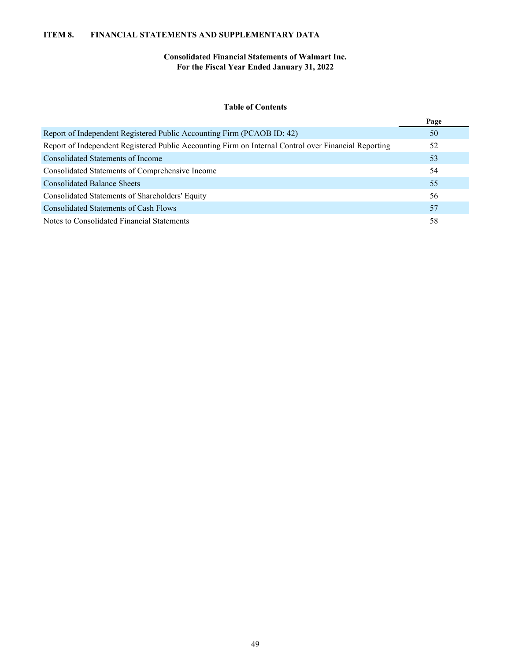### <span id="page-48-0"></span>**ITEM 8. FINANCIAL STATEMENTS AND SUPPLEMENTARY DATA**

# **Consolidated Financial Statements of Walmart Inc. For the Fiscal Year Ended January 31, 2022**

# **Table of Contents**

|                                                                                                      | Page |
|------------------------------------------------------------------------------------------------------|------|
| Report of Independent Registered Public Accounting Firm (PCAOB ID: 42)                               | 50   |
| Report of Independent Registered Public Accounting Firm on Internal Control over Financial Reporting | 52   |
| Consolidated Statements of Income                                                                    | 53   |
| Consolidated Statements of Comprehensive Income                                                      | 54   |
| <b>Consolidated Balance Sheets</b>                                                                   | 55   |
| Consolidated Statements of Shareholders' Equity                                                      | 56   |
| <b>Consolidated Statements of Cash Flows</b>                                                         | 57   |
| Notes to Consolidated Financial Statements                                                           | 58   |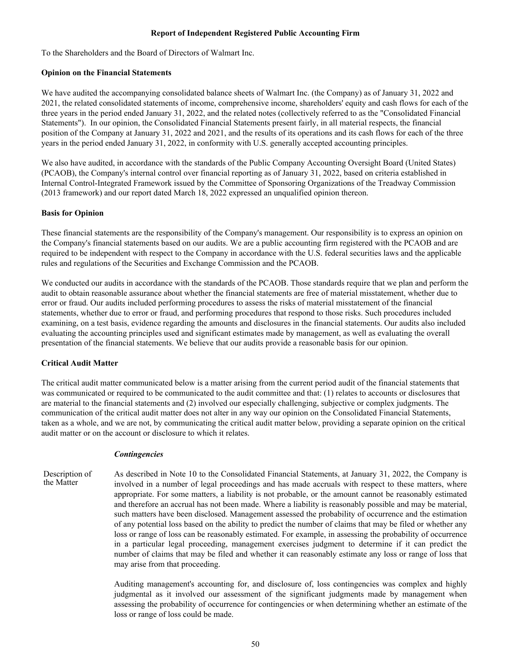### **Report of Independent Registered Public Accounting Firm**

<span id="page-49-0"></span>To the Shareholders and the Board of Directors of Walmart Inc.

### **Opinion on the Financial Statements**

We have audited the accompanying consolidated balance sheets of Walmart Inc. (the Company) as of January 31, 2022 and 2021, the related consolidated statements of income, comprehensive income, shareholders' equity and cash flows for each of the three years in the period ended January 31, 2022, and the related notes (collectively referred to as the "Consolidated Financial Statements"). In our opinion, the Consolidated Financial Statements present fairly, in all material respects, the financial position of the Company at January 31, 2022 and 2021, and the results of its operations and its cash flows for each of the three years in the period ended January 31, 2022, in conformity with U.S. generally accepted accounting principles.

We also have audited, in accordance with the standards of the Public Company Accounting Oversight Board (United States) (PCAOB), the Company's internal control over financial reporting as of January 31, 2022, based on criteria established in Internal Control-Integrated Framework issued by the Committee of Sponsoring Organizations of the Treadway Commission (2013 framework) and our report dated March 18, 2022 expressed an unqualified opinion thereon.

### **Basis for Opinion**

These financial statements are the responsibility of the Company's management. Our responsibility is to express an opinion on the Company's financial statements based on our audits. We are a public accounting firm registered with the PCAOB and are required to be independent with respect to the Company in accordance with the U.S. federal securities laws and the applicable rules and regulations of the Securities and Exchange Commission and the PCAOB.

We conducted our audits in accordance with the standards of the PCAOB. Those standards require that we plan and perform the audit to obtain reasonable assurance about whether the financial statements are free of material misstatement, whether due to error or fraud. Our audits included performing procedures to assess the risks of material misstatement of the financial statements, whether due to error or fraud, and performing procedures that respond to those risks. Such procedures included examining, on a test basis, evidence regarding the amounts and disclosures in the financial statements. Our audits also included evaluating the accounting principles used and significant estimates made by management, as well as evaluating the overall presentation of the financial statements. We believe that our audits provide a reasonable basis for our opinion.

#### **Critical Audit Matter**

The critical audit matter communicated below is a matter arising from the current period audit of the financial statements that was communicated or required to be communicated to the audit committee and that: (1) relates to accounts or disclosures that are material to the financial statements and (2) involved our especially challenging, subjective or complex judgments. The communication of the critical audit matter does not alter in any way our opinion on the Consolidated Financial Statements, taken as a whole, and we are not, by communicating the critical audit matter below, providing a separate opinion on the critical audit matter or on the account or disclosure to which it relates.

#### *Contingencies*

Description of the Matter

As described in Note 10 to the Consolidated Financial Statements, at January 31, 2022, the Company is involved in a number of legal proceedings and has made accruals with respect to these matters, where appropriate. For some matters, a liability is not probable, or the amount cannot be reasonably estimated and therefore an accrual has not been made. Where a liability is reasonably possible and may be material, such matters have been disclosed. Management assessed the probability of occurrence and the estimation of any potential loss based on the ability to predict the number of claims that may be filed or whether any loss or range of loss can be reasonably estimated. For example, in assessing the probability of occurrence in a particular legal proceeding, management exercises judgment to determine if it can predict the number of claims that may be filed and whether it can reasonably estimate any loss or range of loss that may arise from that proceeding.

Auditing management's accounting for, and disclosure of, loss contingencies was complex and highly judgmental as it involved our assessment of the significant judgments made by management when assessing the probability of occurrence for contingencies or when determining whether an estimate of the loss or range of loss could be made.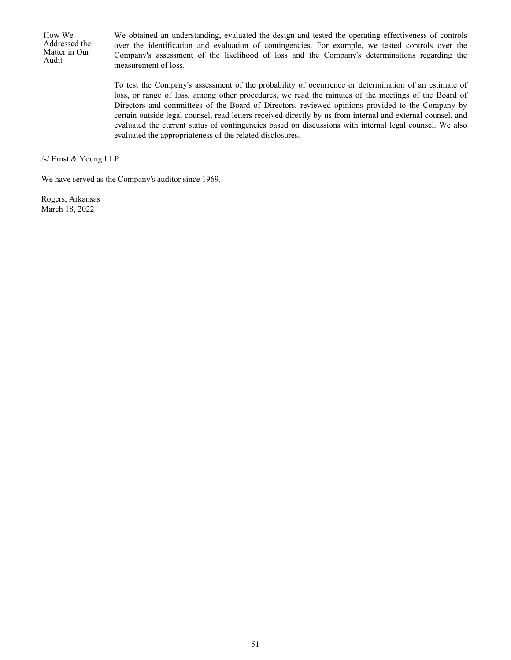How We Addressed the Matter in Our Audit

We obtained an understanding, evaluated the design and tested the operating effectiveness of controls over the identification and evaluation of contingencies. For example, we tested controls over the Company's assessment of the likelihood of loss and the Company's determinations regarding the measurement of loss.

To test the Company's assessment of the probability of occurrence or determination of an estimate of loss, or range of loss, among other procedures, we read the minutes of the meetings of the Board of Directors and committees of the Board of Directors, reviewed opinions provided to the Company by certain outside legal counsel, read letters received directly by us from internal and external counsel, and evaluated the current status of contingencies based on discussions with internal legal counsel. We also evaluated the appropriateness of the related disclosures.

/s/ Ernst & Young LLP

We have served as the Company's auditor since 1969.

Rogers, Arkansas March 18, 2022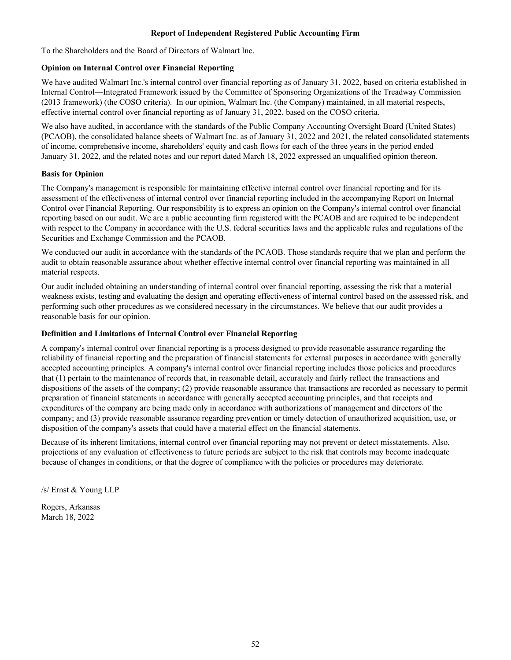### **Report of Independent Registered Public Accounting Firm**

<span id="page-51-0"></span>To the Shareholders and the Board of Directors of Walmart Inc.

### **Opinion on Internal Control over Financial Reporting**

We have audited Walmart Inc.'s internal control over financial reporting as of January 31, 2022, based on criteria established in Internal Control—Integrated Framework issued by the Committee of Sponsoring Organizations of the Treadway Commission (2013 framework) (the COSO criteria). In our opinion, Walmart Inc. (the Company) maintained, in all material respects, effective internal control over financial reporting as of January 31, 2022, based on the COSO criteria.

We also have audited, in accordance with the standards of the Public Company Accounting Oversight Board (United States) (PCAOB), the consolidated balance sheets of Walmart Inc. as of January 31, 2022 and 2021, the related consolidated statements of income, comprehensive income, shareholders' equity and cash flows for each of the three years in the period ended January 31, 2022, and the related notes and our report dated March 18, 2022 expressed an unqualified opinion thereon.

### **Basis for Opinion**

The Company's management is responsible for maintaining effective internal control over financial reporting and for its assessment of the effectiveness of internal control over financial reporting included in the accompanying Report on Internal Control over Financial Reporting. Our responsibility is to express an opinion on the Company's internal control over financial reporting based on our audit. We are a public accounting firm registered with the PCAOB and are required to be independent with respect to the Company in accordance with the U.S. federal securities laws and the applicable rules and regulations of the Securities and Exchange Commission and the PCAOB.

We conducted our audit in accordance with the standards of the PCAOB. Those standards require that we plan and perform the audit to obtain reasonable assurance about whether effective internal control over financial reporting was maintained in all material respects.

Our audit included obtaining an understanding of internal control over financial reporting, assessing the risk that a material weakness exists, testing and evaluating the design and operating effectiveness of internal control based on the assessed risk, and performing such other procedures as we considered necessary in the circumstances. We believe that our audit provides a reasonable basis for our opinion.

### **Definition and Limitations of Internal Control over Financial Reporting**

A company's internal control over financial reporting is a process designed to provide reasonable assurance regarding the reliability of financial reporting and the preparation of financial statements for external purposes in accordance with generally accepted accounting principles. A company's internal control over financial reporting includes those policies and procedures that (1) pertain to the maintenance of records that, in reasonable detail, accurately and fairly reflect the transactions and dispositions of the assets of the company; (2) provide reasonable assurance that transactions are recorded as necessary to permit preparation of financial statements in accordance with generally accepted accounting principles, and that receipts and expenditures of the company are being made only in accordance with authorizations of management and directors of the company; and (3) provide reasonable assurance regarding prevention or timely detection of unauthorized acquisition, use, or disposition of the company's assets that could have a material effect on the financial statements.

Because of its inherent limitations, internal control over financial reporting may not prevent or detect misstatements. Also, projections of any evaluation of effectiveness to future periods are subject to the risk that controls may become inadequate because of changes in conditions, or that the degree of compliance with the policies or procedures may deteriorate.

/s/ Ernst & Young LLP

Rogers, Arkansas March 18, 2022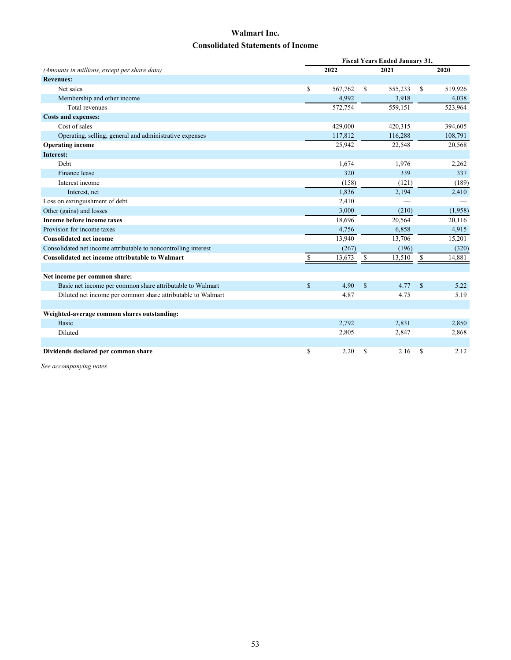# **Walmart Inc. Consolidated Statements of Income**

<span id="page-52-0"></span>

|                                                                 | <b>Fiscal Years Ended January 31,</b> |         |             |         |               |         |  |  |  |  |
|-----------------------------------------------------------------|---------------------------------------|---------|-------------|---------|---------------|---------|--|--|--|--|
| (Amounts in millions, except per share data)                    |                                       | 2022    | 2021        |         |               | 2020    |  |  |  |  |
| <b>Revenues:</b>                                                |                                       |         |             |         |               |         |  |  |  |  |
| Net sales                                                       | S                                     | 567,762 | \$          | 555,233 | \$            | 519,926 |  |  |  |  |
| Membership and other income                                     |                                       | 4,992   |             | 3,918   |               | 4,038   |  |  |  |  |
| Total revenues                                                  |                                       | 572,754 |             | 559,151 |               | 523,964 |  |  |  |  |
| <b>Costs and expenses:</b>                                      |                                       |         |             |         |               |         |  |  |  |  |
| Cost of sales                                                   |                                       | 429,000 |             | 420,315 |               | 394,605 |  |  |  |  |
| Operating, selling, general and administrative expenses         |                                       | 117,812 |             | 116,288 |               | 108,791 |  |  |  |  |
| <b>Operating income</b>                                         |                                       | 25,942  |             | 22,548  |               | 20,568  |  |  |  |  |
| Interest:                                                       |                                       |         |             |         |               |         |  |  |  |  |
| Debt                                                            |                                       | 1,674   |             | 1,976   |               | 2,262   |  |  |  |  |
| Finance lease                                                   |                                       | 320     |             | 339     |               | 337     |  |  |  |  |
| Interest income                                                 |                                       | (158)   |             | (121)   |               | (189)   |  |  |  |  |
| Interest, net                                                   |                                       | 1,836   |             | 2,194   |               | 2,410   |  |  |  |  |
| Loss on extinguishment of debt                                  |                                       | 2,410   |             |         |               |         |  |  |  |  |
| Other (gains) and losses                                        |                                       | 3,000   |             | (210)   |               | (1,958) |  |  |  |  |
| Income before income taxes                                      |                                       | 18,696  |             | 20,564  |               | 20,116  |  |  |  |  |
| Provision for income taxes                                      |                                       | 4,756   |             | 6,858   |               | 4,915   |  |  |  |  |
| <b>Consolidated net income</b>                                  |                                       | 13,940  |             | 13,706  |               | 15,201  |  |  |  |  |
| Consolidated net income attributable to noncontrolling interest |                                       | (267)   |             | (196)   |               | (320)   |  |  |  |  |
| <b>Consolidated net income attributable to Walmart</b>          | <sup>\$</sup>                         | 13,673  | \$          | 13,510  | \$            | 14,881  |  |  |  |  |
|                                                                 |                                       |         |             |         |               |         |  |  |  |  |
| Net income per common share:                                    |                                       |         |             |         |               |         |  |  |  |  |
| Basic net income per common share attributable to Walmart       | $\mathbf S$                           | 4.90    | $\mathbf S$ | 4.77    | $\mathbf S$   | 5.22    |  |  |  |  |
| Diluted net income per common share attributable to Walmart     |                                       | 4.87    |             | 4.75    |               | 5.19    |  |  |  |  |
|                                                                 |                                       |         |             |         |               |         |  |  |  |  |
| Weighted-average common shares outstanding:                     |                                       |         |             |         |               |         |  |  |  |  |
| <b>Basic</b>                                                    |                                       | 2,792   |             | 2,831   |               | 2,850   |  |  |  |  |
| Diluted                                                         |                                       | 2,805   |             | 2,847   |               | 2,868   |  |  |  |  |
|                                                                 |                                       |         |             |         |               |         |  |  |  |  |
| Dividends declared per common share                             | \$                                    | 2.20    | S           | 2.16    | <sup>\$</sup> | 2.12    |  |  |  |  |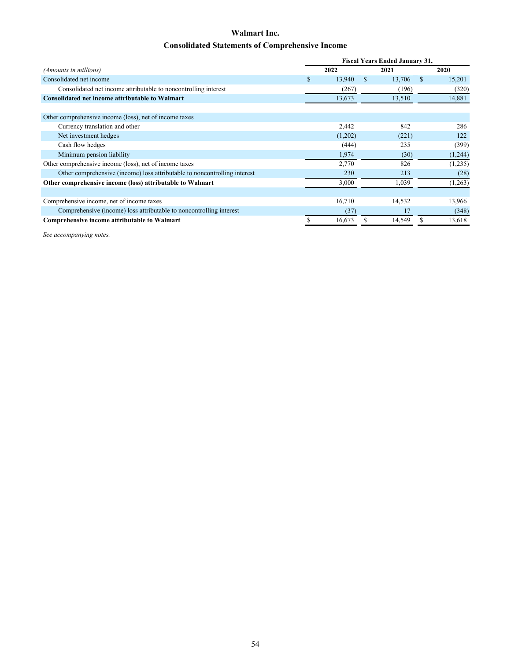# **Walmart Inc.**

# **Consolidated Statements of Comprehensive Income**

<span id="page-53-0"></span>

|                                                                           | <b>Fiscal Years Ended January 31,</b> |             |      |               |         |  |  |  |  |  |
|---------------------------------------------------------------------------|---------------------------------------|-------------|------|---------------|---------|--|--|--|--|--|
| (Amounts in millions)                                                     | 2022                                  | 2021        |      |               | 2020    |  |  |  |  |  |
| Consolidated net income                                                   | 13,940                                | 13,706<br>S |      | <sup>\$</sup> | 15,201  |  |  |  |  |  |
| Consolidated net income attributable to noncontrolling interest           | (267)                                 | (196)       |      |               | (320)   |  |  |  |  |  |
| <b>Consolidated net income attributable to Walmart</b>                    | 13,673                                | 13,510      |      |               | 14,881  |  |  |  |  |  |
|                                                                           |                                       |             |      |               |         |  |  |  |  |  |
| Other comprehensive income (loss), net of income taxes                    |                                       |             |      |               |         |  |  |  |  |  |
| Currency translation and other                                            | 2,442                                 | 842         |      |               | 286     |  |  |  |  |  |
| Net investment hedges                                                     | (1,202)                               | (221)       |      |               | 122     |  |  |  |  |  |
| Cash flow hedges                                                          | (444)                                 | 235         |      |               | (399)   |  |  |  |  |  |
| Minimum pension liability                                                 | 1,974                                 |             | (30) |               | (1,244) |  |  |  |  |  |
| Other comprehensive income (loss), net of income taxes                    | 2,770                                 | 826         |      |               | (1,235) |  |  |  |  |  |
| Other comprehensive (income) loss attributable to noncontrolling interest | 230                                   | 213         |      |               | (28)    |  |  |  |  |  |
| Other comprehensive income (loss) attributable to Walmart                 | 3,000                                 | 1,039       |      |               | (1,263) |  |  |  |  |  |
|                                                                           |                                       |             |      |               |         |  |  |  |  |  |
| Comprehensive income, net of income taxes                                 | 16,710                                | 14,532      |      |               | 13,966  |  |  |  |  |  |
| Comprehensive (income) loss attributable to noncontrolling interest       | (37)                                  |             | 17   |               | (348)   |  |  |  |  |  |
| Comprehensive income attributable to Walmart                              | 16,673                                | 14,549      |      |               | 13,618  |  |  |  |  |  |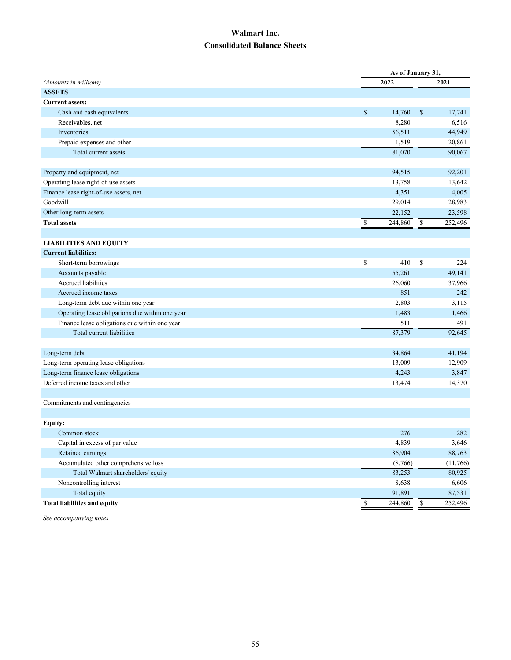# **Walmart Inc. Consolidated Balance Sheets**

<span id="page-54-0"></span>

| 2022<br>(Amounts in millions)<br>2021<br><b>ASSETS</b><br><b>Current assets:</b><br>$\mathbb{S}$<br>$\mathbb{S}$<br>Cash and cash equivalents<br>14,760<br>17,741<br>Receivables, net<br>8,280<br>6,516<br>56,511<br>44,949<br>Inventories<br>Prepaid expenses and other<br>20,861<br>1,519<br>Total current assets<br>81,070<br>90,067<br>94,515<br>92,201<br>Property and equipment, net<br>Operating lease right-of-use assets<br>13,758<br>13,642<br>Finance lease right-of-use assets, net<br>4,351<br>4,005<br>Goodwill<br>28,983<br>29,014<br>Other long-term assets<br>22,152<br>23,598<br><b>Total assets</b><br>\$<br>244,860<br>\$<br>252,496<br><b>LIABILITIES AND EQUITY</b><br><b>Current liabilities:</b><br>$\mathbb{S}$<br>410<br>\$<br>Short-term borrowings<br>224<br>55,261<br>49,141<br>Accounts payable<br>Accrued liabilities<br>26,060<br>37,966<br>Accrued income taxes<br>851<br>242<br>Long-term debt due within one year<br>2,803<br>3,115<br>Operating lease obligations due within one year<br>1,483<br>1,466<br>Finance lease obligations due within one year<br>491<br>511<br>87,379<br>Total current liabilities<br>92,645<br>Long-term debt<br>34,864<br>41,194<br>Long-term operating lease obligations<br>13,009<br>12,909<br>Long-term finance lease obligations<br>4,243<br>3,847<br>Deferred income taxes and other<br>14,370<br>13,474<br>Commitments and contingencies<br><b>Equity:</b><br>Common stock<br>276<br>282<br>Capital in excess of par value<br>4,839<br>3,646<br>86,904<br>88,763<br>Retained earnings<br>Accumulated other comprehensive loss<br>(8,766)<br>(11,766)<br>Total Walmart shareholders' equity<br>83,253<br>80,925<br>Noncontrolling interest<br>8,638<br>6,606<br>Total equity<br>91,891<br>87,531<br><b>Total liabilities and equity</b><br>244,860<br>252,496<br>$\frac{S}{\sqrt{2}}$<br>\$ |  | As of January 31, |  |  |  |  |  |  |
|-------------------------------------------------------------------------------------------------------------------------------------------------------------------------------------------------------------------------------------------------------------------------------------------------------------------------------------------------------------------------------------------------------------------------------------------------------------------------------------------------------------------------------------------------------------------------------------------------------------------------------------------------------------------------------------------------------------------------------------------------------------------------------------------------------------------------------------------------------------------------------------------------------------------------------------------------------------------------------------------------------------------------------------------------------------------------------------------------------------------------------------------------------------------------------------------------------------------------------------------------------------------------------------------------------------------------------------------------------------------------------------------------------------------------------------------------------------------------------------------------------------------------------------------------------------------------------------------------------------------------------------------------------------------------------------------------------------------------------------------------------------------------------------------------------------------------------------------------------------------|--|-------------------|--|--|--|--|--|--|
|                                                                                                                                                                                                                                                                                                                                                                                                                                                                                                                                                                                                                                                                                                                                                                                                                                                                                                                                                                                                                                                                                                                                                                                                                                                                                                                                                                                                                                                                                                                                                                                                                                                                                                                                                                                                                                                                   |  |                   |  |  |  |  |  |  |
|                                                                                                                                                                                                                                                                                                                                                                                                                                                                                                                                                                                                                                                                                                                                                                                                                                                                                                                                                                                                                                                                                                                                                                                                                                                                                                                                                                                                                                                                                                                                                                                                                                                                                                                                                                                                                                                                   |  |                   |  |  |  |  |  |  |
|                                                                                                                                                                                                                                                                                                                                                                                                                                                                                                                                                                                                                                                                                                                                                                                                                                                                                                                                                                                                                                                                                                                                                                                                                                                                                                                                                                                                                                                                                                                                                                                                                                                                                                                                                                                                                                                                   |  |                   |  |  |  |  |  |  |
|                                                                                                                                                                                                                                                                                                                                                                                                                                                                                                                                                                                                                                                                                                                                                                                                                                                                                                                                                                                                                                                                                                                                                                                                                                                                                                                                                                                                                                                                                                                                                                                                                                                                                                                                                                                                                                                                   |  |                   |  |  |  |  |  |  |
|                                                                                                                                                                                                                                                                                                                                                                                                                                                                                                                                                                                                                                                                                                                                                                                                                                                                                                                                                                                                                                                                                                                                                                                                                                                                                                                                                                                                                                                                                                                                                                                                                                                                                                                                                                                                                                                                   |  |                   |  |  |  |  |  |  |
|                                                                                                                                                                                                                                                                                                                                                                                                                                                                                                                                                                                                                                                                                                                                                                                                                                                                                                                                                                                                                                                                                                                                                                                                                                                                                                                                                                                                                                                                                                                                                                                                                                                                                                                                                                                                                                                                   |  |                   |  |  |  |  |  |  |
|                                                                                                                                                                                                                                                                                                                                                                                                                                                                                                                                                                                                                                                                                                                                                                                                                                                                                                                                                                                                                                                                                                                                                                                                                                                                                                                                                                                                                                                                                                                                                                                                                                                                                                                                                                                                                                                                   |  |                   |  |  |  |  |  |  |
|                                                                                                                                                                                                                                                                                                                                                                                                                                                                                                                                                                                                                                                                                                                                                                                                                                                                                                                                                                                                                                                                                                                                                                                                                                                                                                                                                                                                                                                                                                                                                                                                                                                                                                                                                                                                                                                                   |  |                   |  |  |  |  |  |  |
|                                                                                                                                                                                                                                                                                                                                                                                                                                                                                                                                                                                                                                                                                                                                                                                                                                                                                                                                                                                                                                                                                                                                                                                                                                                                                                                                                                                                                                                                                                                                                                                                                                                                                                                                                                                                                                                                   |  |                   |  |  |  |  |  |  |
|                                                                                                                                                                                                                                                                                                                                                                                                                                                                                                                                                                                                                                                                                                                                                                                                                                                                                                                                                                                                                                                                                                                                                                                                                                                                                                                                                                                                                                                                                                                                                                                                                                                                                                                                                                                                                                                                   |  |                   |  |  |  |  |  |  |
|                                                                                                                                                                                                                                                                                                                                                                                                                                                                                                                                                                                                                                                                                                                                                                                                                                                                                                                                                                                                                                                                                                                                                                                                                                                                                                                                                                                                                                                                                                                                                                                                                                                                                                                                                                                                                                                                   |  |                   |  |  |  |  |  |  |
|                                                                                                                                                                                                                                                                                                                                                                                                                                                                                                                                                                                                                                                                                                                                                                                                                                                                                                                                                                                                                                                                                                                                                                                                                                                                                                                                                                                                                                                                                                                                                                                                                                                                                                                                                                                                                                                                   |  |                   |  |  |  |  |  |  |
|                                                                                                                                                                                                                                                                                                                                                                                                                                                                                                                                                                                                                                                                                                                                                                                                                                                                                                                                                                                                                                                                                                                                                                                                                                                                                                                                                                                                                                                                                                                                                                                                                                                                                                                                                                                                                                                                   |  |                   |  |  |  |  |  |  |
|                                                                                                                                                                                                                                                                                                                                                                                                                                                                                                                                                                                                                                                                                                                                                                                                                                                                                                                                                                                                                                                                                                                                                                                                                                                                                                                                                                                                                                                                                                                                                                                                                                                                                                                                                                                                                                                                   |  |                   |  |  |  |  |  |  |
|                                                                                                                                                                                                                                                                                                                                                                                                                                                                                                                                                                                                                                                                                                                                                                                                                                                                                                                                                                                                                                                                                                                                                                                                                                                                                                                                                                                                                                                                                                                                                                                                                                                                                                                                                                                                                                                                   |  |                   |  |  |  |  |  |  |
|                                                                                                                                                                                                                                                                                                                                                                                                                                                                                                                                                                                                                                                                                                                                                                                                                                                                                                                                                                                                                                                                                                                                                                                                                                                                                                                                                                                                                                                                                                                                                                                                                                                                                                                                                                                                                                                                   |  |                   |  |  |  |  |  |  |
|                                                                                                                                                                                                                                                                                                                                                                                                                                                                                                                                                                                                                                                                                                                                                                                                                                                                                                                                                                                                                                                                                                                                                                                                                                                                                                                                                                                                                                                                                                                                                                                                                                                                                                                                                                                                                                                                   |  |                   |  |  |  |  |  |  |
|                                                                                                                                                                                                                                                                                                                                                                                                                                                                                                                                                                                                                                                                                                                                                                                                                                                                                                                                                                                                                                                                                                                                                                                                                                                                                                                                                                                                                                                                                                                                                                                                                                                                                                                                                                                                                                                                   |  |                   |  |  |  |  |  |  |
|                                                                                                                                                                                                                                                                                                                                                                                                                                                                                                                                                                                                                                                                                                                                                                                                                                                                                                                                                                                                                                                                                                                                                                                                                                                                                                                                                                                                                                                                                                                                                                                                                                                                                                                                                                                                                                                                   |  |                   |  |  |  |  |  |  |
|                                                                                                                                                                                                                                                                                                                                                                                                                                                                                                                                                                                                                                                                                                                                                                                                                                                                                                                                                                                                                                                                                                                                                                                                                                                                                                                                                                                                                                                                                                                                                                                                                                                                                                                                                                                                                                                                   |  |                   |  |  |  |  |  |  |
|                                                                                                                                                                                                                                                                                                                                                                                                                                                                                                                                                                                                                                                                                                                                                                                                                                                                                                                                                                                                                                                                                                                                                                                                                                                                                                                                                                                                                                                                                                                                                                                                                                                                                                                                                                                                                                                                   |  |                   |  |  |  |  |  |  |
|                                                                                                                                                                                                                                                                                                                                                                                                                                                                                                                                                                                                                                                                                                                                                                                                                                                                                                                                                                                                                                                                                                                                                                                                                                                                                                                                                                                                                                                                                                                                                                                                                                                                                                                                                                                                                                                                   |  |                   |  |  |  |  |  |  |
|                                                                                                                                                                                                                                                                                                                                                                                                                                                                                                                                                                                                                                                                                                                                                                                                                                                                                                                                                                                                                                                                                                                                                                                                                                                                                                                                                                                                                                                                                                                                                                                                                                                                                                                                                                                                                                                                   |  |                   |  |  |  |  |  |  |
|                                                                                                                                                                                                                                                                                                                                                                                                                                                                                                                                                                                                                                                                                                                                                                                                                                                                                                                                                                                                                                                                                                                                                                                                                                                                                                                                                                                                                                                                                                                                                                                                                                                                                                                                                                                                                                                                   |  |                   |  |  |  |  |  |  |
|                                                                                                                                                                                                                                                                                                                                                                                                                                                                                                                                                                                                                                                                                                                                                                                                                                                                                                                                                                                                                                                                                                                                                                                                                                                                                                                                                                                                                                                                                                                                                                                                                                                                                                                                                                                                                                                                   |  |                   |  |  |  |  |  |  |
|                                                                                                                                                                                                                                                                                                                                                                                                                                                                                                                                                                                                                                                                                                                                                                                                                                                                                                                                                                                                                                                                                                                                                                                                                                                                                                                                                                                                                                                                                                                                                                                                                                                                                                                                                                                                                                                                   |  |                   |  |  |  |  |  |  |
|                                                                                                                                                                                                                                                                                                                                                                                                                                                                                                                                                                                                                                                                                                                                                                                                                                                                                                                                                                                                                                                                                                                                                                                                                                                                                                                                                                                                                                                                                                                                                                                                                                                                                                                                                                                                                                                                   |  |                   |  |  |  |  |  |  |
|                                                                                                                                                                                                                                                                                                                                                                                                                                                                                                                                                                                                                                                                                                                                                                                                                                                                                                                                                                                                                                                                                                                                                                                                                                                                                                                                                                                                                                                                                                                                                                                                                                                                                                                                                                                                                                                                   |  |                   |  |  |  |  |  |  |
|                                                                                                                                                                                                                                                                                                                                                                                                                                                                                                                                                                                                                                                                                                                                                                                                                                                                                                                                                                                                                                                                                                                                                                                                                                                                                                                                                                                                                                                                                                                                                                                                                                                                                                                                                                                                                                                                   |  |                   |  |  |  |  |  |  |
|                                                                                                                                                                                                                                                                                                                                                                                                                                                                                                                                                                                                                                                                                                                                                                                                                                                                                                                                                                                                                                                                                                                                                                                                                                                                                                                                                                                                                                                                                                                                                                                                                                                                                                                                                                                                                                                                   |  |                   |  |  |  |  |  |  |
|                                                                                                                                                                                                                                                                                                                                                                                                                                                                                                                                                                                                                                                                                                                                                                                                                                                                                                                                                                                                                                                                                                                                                                                                                                                                                                                                                                                                                                                                                                                                                                                                                                                                                                                                                                                                                                                                   |  |                   |  |  |  |  |  |  |
|                                                                                                                                                                                                                                                                                                                                                                                                                                                                                                                                                                                                                                                                                                                                                                                                                                                                                                                                                                                                                                                                                                                                                                                                                                                                                                                                                                                                                                                                                                                                                                                                                                                                                                                                                                                                                                                                   |  |                   |  |  |  |  |  |  |
|                                                                                                                                                                                                                                                                                                                                                                                                                                                                                                                                                                                                                                                                                                                                                                                                                                                                                                                                                                                                                                                                                                                                                                                                                                                                                                                                                                                                                                                                                                                                                                                                                                                                                                                                                                                                                                                                   |  |                   |  |  |  |  |  |  |
|                                                                                                                                                                                                                                                                                                                                                                                                                                                                                                                                                                                                                                                                                                                                                                                                                                                                                                                                                                                                                                                                                                                                                                                                                                                                                                                                                                                                                                                                                                                                                                                                                                                                                                                                                                                                                                                                   |  |                   |  |  |  |  |  |  |
|                                                                                                                                                                                                                                                                                                                                                                                                                                                                                                                                                                                                                                                                                                                                                                                                                                                                                                                                                                                                                                                                                                                                                                                                                                                                                                                                                                                                                                                                                                                                                                                                                                                                                                                                                                                                                                                                   |  |                   |  |  |  |  |  |  |
|                                                                                                                                                                                                                                                                                                                                                                                                                                                                                                                                                                                                                                                                                                                                                                                                                                                                                                                                                                                                                                                                                                                                                                                                                                                                                                                                                                                                                                                                                                                                                                                                                                                                                                                                                                                                                                                                   |  |                   |  |  |  |  |  |  |
|                                                                                                                                                                                                                                                                                                                                                                                                                                                                                                                                                                                                                                                                                                                                                                                                                                                                                                                                                                                                                                                                                                                                                                                                                                                                                                                                                                                                                                                                                                                                                                                                                                                                                                                                                                                                                                                                   |  |                   |  |  |  |  |  |  |
|                                                                                                                                                                                                                                                                                                                                                                                                                                                                                                                                                                                                                                                                                                                                                                                                                                                                                                                                                                                                                                                                                                                                                                                                                                                                                                                                                                                                                                                                                                                                                                                                                                                                                                                                                                                                                                                                   |  |                   |  |  |  |  |  |  |
|                                                                                                                                                                                                                                                                                                                                                                                                                                                                                                                                                                                                                                                                                                                                                                                                                                                                                                                                                                                                                                                                                                                                                                                                                                                                                                                                                                                                                                                                                                                                                                                                                                                                                                                                                                                                                                                                   |  |                   |  |  |  |  |  |  |
|                                                                                                                                                                                                                                                                                                                                                                                                                                                                                                                                                                                                                                                                                                                                                                                                                                                                                                                                                                                                                                                                                                                                                                                                                                                                                                                                                                                                                                                                                                                                                                                                                                                                                                                                                                                                                                                                   |  |                   |  |  |  |  |  |  |
|                                                                                                                                                                                                                                                                                                                                                                                                                                                                                                                                                                                                                                                                                                                                                                                                                                                                                                                                                                                                                                                                                                                                                                                                                                                                                                                                                                                                                                                                                                                                                                                                                                                                                                                                                                                                                                                                   |  |                   |  |  |  |  |  |  |
|                                                                                                                                                                                                                                                                                                                                                                                                                                                                                                                                                                                                                                                                                                                                                                                                                                                                                                                                                                                                                                                                                                                                                                                                                                                                                                                                                                                                                                                                                                                                                                                                                                                                                                                                                                                                                                                                   |  |                   |  |  |  |  |  |  |
|                                                                                                                                                                                                                                                                                                                                                                                                                                                                                                                                                                                                                                                                                                                                                                                                                                                                                                                                                                                                                                                                                                                                                                                                                                                                                                                                                                                                                                                                                                                                                                                                                                                                                                                                                                                                                                                                   |  |                   |  |  |  |  |  |  |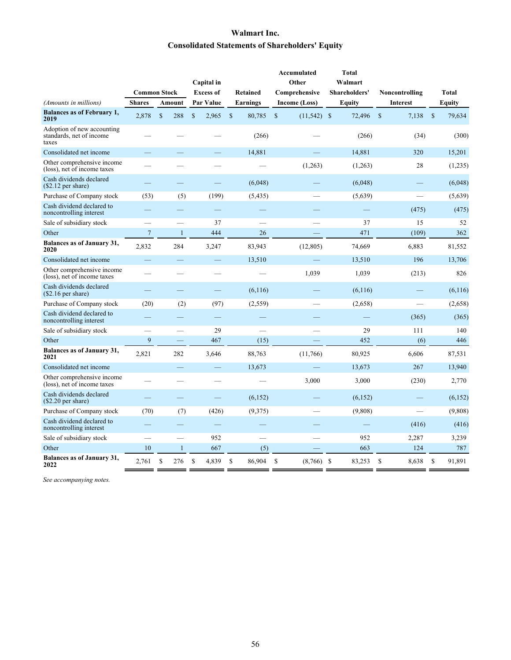# **Walmart Inc. Consolidated Statements of Shareholders' Equity**

<span id="page-55-0"></span>

|                                                                 | Accumulated<br>Capital in<br>Other |      | <b>Total</b><br>Walmart  |              |                  |              |          |               |               |               |               |              |                |             |         |  |  |  |  |  |  |  |  |  |  |  |  |  |                  |  |                 |  |                      |  |        |  |                 |  |               |
|-----------------------------------------------------------------|------------------------------------|------|--------------------------|--------------|------------------|--------------|----------|---------------|---------------|---------------|---------------|--------------|----------------|-------------|---------|--|--|--|--|--|--|--|--|--|--|--|--|--|------------------|--|-----------------|--|----------------------|--|--------|--|-----------------|--|---------------|
|                                                                 | <b>Common Stock</b>                |      |                          |              | <b>Excess of</b> |              | Retained |               | Comprehensive |               | Shareholders' |              | Noncontrolling |             | Total   |  |  |  |  |  |  |  |  |  |  |  |  |  |                  |  |                 |  |                      |  |        |  |                 |  |               |
| (Amounts in millions)                                           | <b>Shares</b>                      |      |                          |              | Amount           |              |          |               |               |               |               |              |                |             |         |  |  |  |  |  |  |  |  |  |  |  |  |  | <b>Par Value</b> |  | <b>Earnings</b> |  | <b>Income (Loss)</b> |  | Equity |  | <b>Interest</b> |  | <b>Equity</b> |
| <b>Balances as of February 1,</b><br>2019                       | 2,878                              | $\$$ | 288                      | $\mathbf S$  | 2,965            | $\$$         | 80,785   | $\mathbb{S}$  | (11, 542)     | $\mathcal{S}$ | 72,496        | $\mathbb{S}$ | 7,138          | $\mathbb S$ | 79,634  |  |  |  |  |  |  |  |  |  |  |  |  |  |                  |  |                 |  |                      |  |        |  |                 |  |               |
| Adoption of new accounting<br>standards, net of income<br>taxes |                                    |      |                          |              |                  |              | (266)    |               |               |               | (266)         |              | (34)           |             | (300)   |  |  |  |  |  |  |  |  |  |  |  |  |  |                  |  |                 |  |                      |  |        |  |                 |  |               |
| Consolidated net income                                         |                                    |      |                          |              |                  |              | 14,881   |               |               |               | 14,881        |              | 320            |             | 15,201  |  |  |  |  |  |  |  |  |  |  |  |  |  |                  |  |                 |  |                      |  |        |  |                 |  |               |
| Other comprehensive income<br>(loss), net of income taxes       |                                    |      |                          |              |                  |              |          |               | (1,263)       |               | (1,263)       |              | 28             |             | (1,235) |  |  |  |  |  |  |  |  |  |  |  |  |  |                  |  |                 |  |                      |  |        |  |                 |  |               |
| Cash dividends declared<br>$($2.12$ per share)                  |                                    |      |                          |              |                  |              | (6,048)  |               |               |               | (6,048)       |              |                |             | (6,048) |  |  |  |  |  |  |  |  |  |  |  |  |  |                  |  |                 |  |                      |  |        |  |                 |  |               |
| Purchase of Company stock                                       | (53)                               |      | (5)                      |              | (199)            |              | (5, 435) |               |               |               | (5,639)       |              |                |             | (5,639) |  |  |  |  |  |  |  |  |  |  |  |  |  |                  |  |                 |  |                      |  |        |  |                 |  |               |
| Cash dividend declared to<br>noncontrolling interest            |                                    |      |                          |              |                  |              |          |               |               |               |               |              | (475)          |             | (475)   |  |  |  |  |  |  |  |  |  |  |  |  |  |                  |  |                 |  |                      |  |        |  |                 |  |               |
| Sale of subsidiary stock                                        |                                    |      |                          |              | 37               |              |          |               |               |               | 37            |              | 15             |             | 52      |  |  |  |  |  |  |  |  |  |  |  |  |  |                  |  |                 |  |                      |  |        |  |                 |  |               |
| Other                                                           | $\overline{7}$                     |      | 1                        |              | 444              |              | 26       |               |               |               | 471           |              | (109)          |             | 362     |  |  |  |  |  |  |  |  |  |  |  |  |  |                  |  |                 |  |                      |  |        |  |                 |  |               |
| <b>Balances as of January 31,</b><br>2020                       | 2,832                              |      | 284                      |              | 3,247            |              | 83,943   |               | (12, 805)     |               | 74,669        |              | 6,883          |             | 81,552  |  |  |  |  |  |  |  |  |  |  |  |  |  |                  |  |                 |  |                      |  |        |  |                 |  |               |
| Consolidated net income                                         |                                    |      |                          |              |                  |              | 13,510   |               |               |               | 13,510        |              | 196            |             | 13,706  |  |  |  |  |  |  |  |  |  |  |  |  |  |                  |  |                 |  |                      |  |        |  |                 |  |               |
| Other comprehensive income<br>(loss), net of income taxes       |                                    |      |                          |              |                  |              |          |               | 1,039         |               | 1,039         |              | (213)          |             | 826     |  |  |  |  |  |  |  |  |  |  |  |  |  |                  |  |                 |  |                      |  |        |  |                 |  |               |
| Cash dividends declared<br>$(\$2.16$ per share)                 |                                    |      |                          |              |                  |              | (6,116)  |               |               |               | (6,116)       |              |                |             | (6,116) |  |  |  |  |  |  |  |  |  |  |  |  |  |                  |  |                 |  |                      |  |        |  |                 |  |               |
| Purchase of Company stock                                       | (20)                               |      | (2)                      |              | (97)             |              | (2, 559) |               |               |               | (2,658)       |              | -              |             | (2,658) |  |  |  |  |  |  |  |  |  |  |  |  |  |                  |  |                 |  |                      |  |        |  |                 |  |               |
| Cash dividend declared to<br>noncontrolling interest            |                                    |      |                          |              |                  |              |          |               |               |               |               |              | (365)          |             | (365)   |  |  |  |  |  |  |  |  |  |  |  |  |  |                  |  |                 |  |                      |  |        |  |                 |  |               |
| Sale of subsidiary stock                                        |                                    |      |                          |              | 29               |              |          |               |               |               | 29            |              | 111            |             | 140     |  |  |  |  |  |  |  |  |  |  |  |  |  |                  |  |                 |  |                      |  |        |  |                 |  |               |
| Other                                                           | 9                                  |      | $\overline{\phantom{0}}$ |              | 467              |              | (15)     |               |               |               | 452           |              | (6)            |             | 446     |  |  |  |  |  |  |  |  |  |  |  |  |  |                  |  |                 |  |                      |  |        |  |                 |  |               |
| Balances as of January 31,<br>2021                              | 2,821                              |      | 282                      |              | 3,646            |              | 88,763   |               | (11,766)      |               | 80,925        |              | 6,606          |             | 87,531  |  |  |  |  |  |  |  |  |  |  |  |  |  |                  |  |                 |  |                      |  |        |  |                 |  |               |
| Consolidated net income                                         |                                    |      |                          |              |                  |              | 13,673   |               |               |               | 13,673        |              | 267            |             | 13,940  |  |  |  |  |  |  |  |  |  |  |  |  |  |                  |  |                 |  |                      |  |        |  |                 |  |               |
| Other comprehensive income<br>(loss), net of income taxes       |                                    |      |                          |              |                  |              |          |               | 3,000         |               | 3,000         |              | (230)          |             | 2,770   |  |  |  |  |  |  |  |  |  |  |  |  |  |                  |  |                 |  |                      |  |        |  |                 |  |               |
| Cash dividends declared<br>$(\$2.20$ per share)                 |                                    |      |                          |              |                  |              | (6,152)  |               |               |               | (6, 152)      |              |                |             | (6,152) |  |  |  |  |  |  |  |  |  |  |  |  |  |                  |  |                 |  |                      |  |        |  |                 |  |               |
| Purchase of Company stock                                       | (70)                               |      | (7)                      |              | (426)            |              | (9,375)  |               |               |               | (9,808)       |              |                |             | (9,808) |  |  |  |  |  |  |  |  |  |  |  |  |  |                  |  |                 |  |                      |  |        |  |                 |  |               |
| Cash dividend declared to<br>noncontrolling interest            |                                    |      |                          |              |                  |              |          |               |               |               |               |              | (416)          |             | (416)   |  |  |  |  |  |  |  |  |  |  |  |  |  |                  |  |                 |  |                      |  |        |  |                 |  |               |
| Sale of subsidiary stock                                        |                                    |      |                          |              | 952              |              |          |               |               |               | 952           |              | 2,287          |             | 3,239   |  |  |  |  |  |  |  |  |  |  |  |  |  |                  |  |                 |  |                      |  |        |  |                 |  |               |
| Other                                                           | 10                                 |      | $\mathbf{1}$             |              | 667              |              | (5)      |               |               |               | 663           |              | 124            |             | 787     |  |  |  |  |  |  |  |  |  |  |  |  |  |                  |  |                 |  |                      |  |        |  |                 |  |               |
| <b>Balances as of January 31,</b><br>2022                       | 2,761                              | \$   | 276                      | $\mathbb{S}$ | 4,839            | $\mathbb{S}$ | 86,904   | <sup>\$</sup> | (8,766)       | <sup>\$</sup> | 83,253        | \$           | 8,638          | \$          | 91,891  |  |  |  |  |  |  |  |  |  |  |  |  |  |                  |  |                 |  |                      |  |        |  |                 |  |               |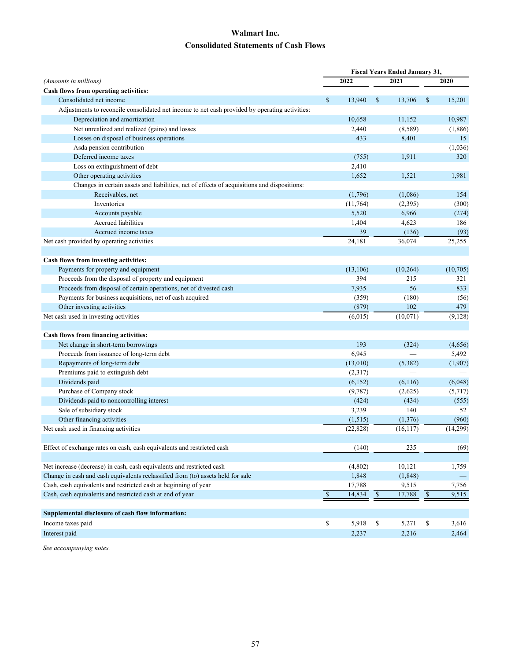# **Walmart Inc. Consolidated Statements of Cash Flows**

<span id="page-56-0"></span>

|                                                                                                | <b>Fiscal Years Ended January 31,</b> |           |             |           |                      |          |  |  |  |
|------------------------------------------------------------------------------------------------|---------------------------------------|-----------|-------------|-----------|----------------------|----------|--|--|--|
| (Amounts in millions)                                                                          |                                       | 2022      |             | 2021      |                      | 2020     |  |  |  |
| Cash flows from operating activities:                                                          |                                       |           |             |           |                      |          |  |  |  |
| Consolidated net income                                                                        | \$                                    | 13,940    | \$          | 13,706    | \$                   | 15,201   |  |  |  |
| Adjustments to reconcile consolidated net income to net cash provided by operating activities: |                                       |           |             |           |                      |          |  |  |  |
| Depreciation and amortization                                                                  |                                       | 10,658    |             | 11,152    |                      | 10,987   |  |  |  |
| Net unrealized and realized (gains) and losses                                                 |                                       | 2,440     |             | (8,589)   |                      | (1,886)  |  |  |  |
| Losses on disposal of business operations                                                      |                                       | 433       |             | 8,401     |                      | 15       |  |  |  |
| Asda pension contribution                                                                      |                                       |           |             |           |                      | (1,036)  |  |  |  |
| Deferred income taxes                                                                          |                                       | (755)     |             | 1,911     |                      | 320      |  |  |  |
| Loss on extinguishment of debt                                                                 |                                       | 2,410     |             |           |                      |          |  |  |  |
| Other operating activities                                                                     |                                       | 1,652     |             | 1,521     |                      | 1,981    |  |  |  |
| Changes in certain assets and liabilities, net of effects of acquisitions and dispositions:    |                                       |           |             |           |                      |          |  |  |  |
| Receivables, net                                                                               |                                       | (1,796)   |             | (1,086)   |                      | 154      |  |  |  |
| Inventories                                                                                    |                                       | (11,764)  |             | (2,395)   |                      | (300)    |  |  |  |
| Accounts payable                                                                               |                                       | 5,520     |             | 6,966     |                      | (274)    |  |  |  |
| <b>Accrued liabilities</b>                                                                     |                                       | 1,404     |             | 4,623     |                      | 186      |  |  |  |
| Accrued income taxes                                                                           |                                       | 39        |             | (136)     |                      | (93)     |  |  |  |
| Net cash provided by operating activities                                                      |                                       | 24,181    |             | 36,074    |                      | 25,255   |  |  |  |
|                                                                                                |                                       |           |             |           |                      |          |  |  |  |
| Cash flows from investing activities:                                                          |                                       |           |             |           |                      |          |  |  |  |
| Payments for property and equipment                                                            |                                       | (13,106)  |             | (10, 264) |                      | (10,705) |  |  |  |
| Proceeds from the disposal of property and equipment                                           |                                       | 394       |             | 215       |                      | 321      |  |  |  |
| Proceeds from disposal of certain operations, net of divested cash                             |                                       | 7,935     |             | 56        |                      | 833      |  |  |  |
| Payments for business acquisitions, net of cash acquired                                       |                                       | (359)     |             | (180)     |                      | (56)     |  |  |  |
| Other investing activities                                                                     |                                       | (879)     |             | 102       |                      | 479      |  |  |  |
| Net cash used in investing activities                                                          |                                       | (6,015)   |             | (10,071)  |                      | (9,128)  |  |  |  |
|                                                                                                |                                       |           |             |           |                      |          |  |  |  |
| Cash flows from financing activities:                                                          |                                       |           |             |           |                      |          |  |  |  |
| Net change in short-term borrowings                                                            |                                       | 193       |             | (324)     |                      | (4,656)  |  |  |  |
| Proceeds from issuance of long-term debt                                                       |                                       | 6,945     |             |           |                      | 5,492    |  |  |  |
| Repayments of long-term debt                                                                   |                                       | (13,010)  |             | (5,382)   |                      | (1,907)  |  |  |  |
| Premiums paid to extinguish debt                                                               |                                       | (2,317)   |             |           |                      |          |  |  |  |
| Dividends paid                                                                                 |                                       | (6,152)   |             | (6,116)   |                      | (6,048)  |  |  |  |
| Purchase of Company stock                                                                      |                                       | (9,787)   |             | (2,625)   |                      | (5,717)  |  |  |  |
| Dividends paid to noncontrolling interest                                                      |                                       | (424)     |             | (434)     |                      | (555)    |  |  |  |
| Sale of subsidiary stock                                                                       |                                       | 3,239     |             | 140       |                      | 52       |  |  |  |
| Other financing activities                                                                     |                                       | (1,515)   |             | (1,376)   |                      | (960)    |  |  |  |
| Net cash used in financing activities                                                          |                                       | (22, 828) |             | (16, 117) |                      | (14,299) |  |  |  |
|                                                                                                |                                       |           |             |           |                      |          |  |  |  |
| Effect of exchange rates on cash, cash equivalents and restricted cash                         |                                       | (140)     |             | 235       |                      | (69)     |  |  |  |
|                                                                                                |                                       |           |             |           |                      |          |  |  |  |
| Net increase (decrease) in cash, cash equivalents and restricted cash                          |                                       | (4,802)   |             | 10,121    |                      | 1,759    |  |  |  |
| Change in cash and cash equivalents reclassified from (to) assets held for sale                |                                       | 1,848     |             | (1, 848)  |                      |          |  |  |  |
| Cash, cash equivalents and restricted cash at beginning of year                                |                                       |           |             |           |                      |          |  |  |  |
| Cash, cash equivalents and restricted cash at end of year                                      |                                       | 17,788    |             | 9,515     |                      | 7,756    |  |  |  |
|                                                                                                | $\sqrt{\frac{2}{5}}$                  | 14,834    | $\sqrt{\$}$ | 17,788    | $\sqrt{\frac{2}{2}}$ | 9,515    |  |  |  |
| Supplemental disclosure of cash flow information:                                              |                                       |           |             |           |                      |          |  |  |  |
|                                                                                                |                                       |           |             |           |                      |          |  |  |  |
| Income taxes paid                                                                              | \$                                    | 5,918     | \$          | 5,271     | \$                   | 3,616    |  |  |  |
| Interest paid                                                                                  |                                       | 2,237     |             | 2,216     |                      | 2,464    |  |  |  |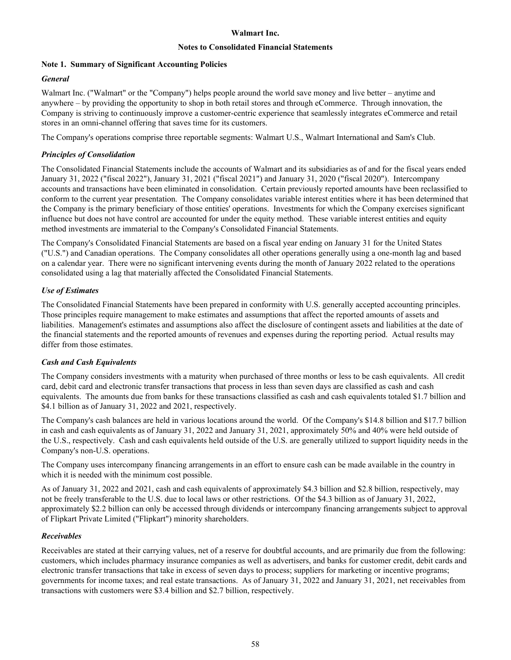### **Walmart Inc.**

### **Notes to Consolidated Financial Statements**

# <span id="page-57-0"></span>**Note 1. Summary of Significant Accounting Policies**

# *General*

Walmart Inc. ("Walmart" or the "Company") helps people around the world save money and live better – anytime and anywhere – by providing the opportunity to shop in both retail stores and through eCommerce. Through innovation, the Company is striving to continuously improve a customer-centric experience that seamlessly integrates eCommerce and retail stores in an omni-channel offering that saves time for its customers.

The Company's operations comprise three reportable segments: Walmart U.S., Walmart International and Sam's Club.

# *Principles of Consolidation*

The Consolidated Financial Statements include the accounts of Walmart and its subsidiaries as of and for the fiscal years ended January 31, 2022 ("fiscal 2022"), January 31, 2021 ("fiscal 2021") and January 31, 2020 ("fiscal 2020"). Intercompany accounts and transactions have been eliminated in consolidation. Certain previously reported amounts have been reclassified to conform to the current year presentation. The Company consolidates variable interest entities where it has been determined that the Company is the primary beneficiary of those entities' operations. Investments for which the Company exercises significant influence but does not have control are accounted for under the equity method. These variable interest entities and equity method investments are immaterial to the Company's Consolidated Financial Statements.

The Company's Consolidated Financial Statements are based on a fiscal year ending on January 31 for the United States ("U.S.") and Canadian operations. The Company consolidates all other operations generally using a one-month lag and based on a calendar year. There were no significant intervening events during the month of January 2022 related to the operations consolidated using a lag that materially affected the Consolidated Financial Statements.

# *Use of Estimates*

The Consolidated Financial Statements have been prepared in conformity with U.S. generally accepted accounting principles. Those principles require management to make estimates and assumptions that affect the reported amounts of assets and liabilities. Management's estimates and assumptions also affect the disclosure of contingent assets and liabilities at the date of the financial statements and the reported amounts of revenues and expenses during the reporting period. Actual results may differ from those estimates.

# *Cash and Cash Equivalents*

The Company considers investments with a maturity when purchased of three months or less to be cash equivalents. All credit card, debit card and electronic transfer transactions that process in less than seven days are classified as cash and cash equivalents. The amounts due from banks for these transactions classified as cash and cash equivalents totaled \$1.7 billion and \$4.1 billion as of January 31, 2022 and 2021, respectively.

The Company's cash balances are held in various locations around the world. Of the Company's \$14.8 billion and \$17.7 billion in cash and cash equivalents as of January 31, 2022 and January 31, 2021, approximately 50% and 40% were held outside of the U.S., respectively. Cash and cash equivalents held outside of the U.S. are generally utilized to support liquidity needs in the Company's non-U.S. operations.

The Company uses intercompany financing arrangements in an effort to ensure cash can be made available in the country in which it is needed with the minimum cost possible.

As of January 31, 2022 and 2021, cash and cash equivalents of approximately \$4.3 billion and \$2.8 billion, respectively, may not be freely transferable to the U.S. due to local laws or other restrictions. Of the \$4.3 billion as of January 31, 2022, approximately \$2.2 billion can only be accessed through dividends or intercompany financing arrangements subject to approval of Flipkart Private Limited ("Flipkart") minority shareholders.

# *Receivables*

Receivables are stated at their carrying values, net of a reserve for doubtful accounts, and are primarily due from the following: customers, which includes pharmacy insurance companies as well as advertisers, and banks for customer credit, debit cards and electronic transfer transactions that take in excess of seven days to process; suppliers for marketing or incentive programs; governments for income taxes; and real estate transactions. As of January 31, 2022 and January 31, 2021, net receivables from transactions with customers were \$3.4 billion and \$2.7 billion, respectively.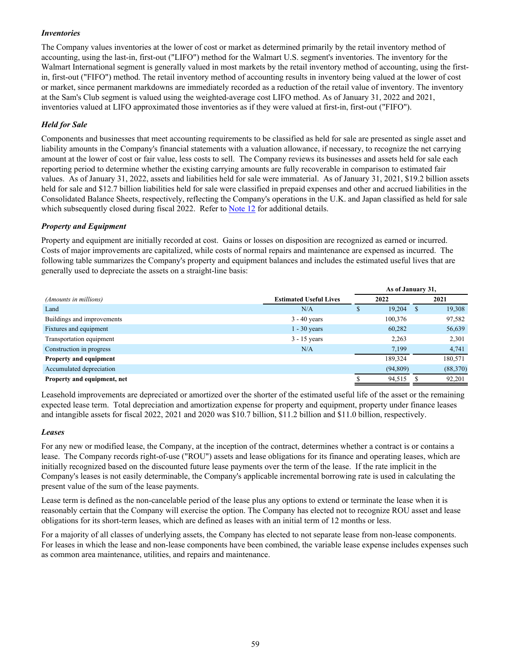# *Inventories*

The Company values inventories at the lower of cost or market as determined primarily by the retail inventory method of accounting, using the last-in, first-out ("LIFO") method for the Walmart U.S. segment's inventories. The inventory for the Walmart International segment is generally valued in most markets by the retail inventory method of accounting, using the firstin, first-out ("FIFO") method. The retail inventory method of accounting results in inventory being valued at the lower of cost or market, since permanent markdowns are immediately recorded as a reduction of the retail value of inventory. The inventory at the Sam's Club segment is valued using the weighted-average cost LIFO method. As of January 31, 2022 and 2021, inventories valued at LIFO approximated those inventories as if they were valued at first-in, first-out ("FIFO").

### *Held for Sale*

Components and businesses that meet accounting requirements to be classified as held for sale are presented as single asset and liability amounts in the Company's financial statements with a valuation allowance, if necessary, to recognize the net carrying amount at the lower of cost or fair value, less costs to sell. The Company reviews its businesses and assets held for sale each reporting period to determine whether the existing carrying amounts are fully recoverable in comparison to estimated fair values. As of January 31, 2022, assets and liabilities held for sale were immaterial. As of January 31, 2021, \$19.2 billion assets held for sale and \$12.7 billion liabilities held for sale were classified in prepaid expenses and other and accrued liabilities in the Consolidated Balance Sheets, respectively, reflecting the Company's operations in the U.K. and Japan classified as held for sale which subsequently closed during fiscal 2022. Refer to  $\frac{\text{Note } 12}{\text{ for additional details.}}$ 

# *Property and Equipment*

Property and equipment are initially recorded at cost. Gains or losses on disposition are recognized as earned or incurred. Costs of major improvements are capitalized, while costs of normal repairs and maintenance are expensed as incurred. The following table summarizes the Company's property and equipment balances and includes the estimated useful lives that are generally used to depreciate the assets on a straight-line basis:

|                               |                               | As of January 31, |     |          |  |  |  |
|-------------------------------|-------------------------------|-------------------|-----|----------|--|--|--|
| <i>(Amounts in millions)</i>  | <b>Estimated Useful Lives</b> | 2022              |     | 2021     |  |  |  |
| Land                          | N/A                           | 19.204            | - S | 19,308   |  |  |  |
| Buildings and improvements    | $3 - 40$ years                | 100,376           |     | 97,582   |  |  |  |
| Fixtures and equipment        | $1 - 30$ years                | 60,282            |     | 56,639   |  |  |  |
| Transportation equipment      | $3 - 15$ years                | 2,263             |     | 2,301    |  |  |  |
| Construction in progress      | N/A                           | 7,199             |     | 4,741    |  |  |  |
| <b>Property and equipment</b> |                               | 189,324           |     | 180,571  |  |  |  |
| Accumulated depreciation      |                               | (94, 809)         |     | (88,370) |  |  |  |
| Property and equipment, net   |                               | 94,515            |     | 92,201   |  |  |  |

Leasehold improvements are depreciated or amortized over the shorter of the estimated useful life of the asset or the remaining expected lease term. Total depreciation and amortization expense for property and equipment, property under finance leases and intangible assets for fiscal 2022, 2021 and 2020 was \$10.7 billion, \$11.2 billion and \$11.0 billion, respectively.

### *Leases*

For any new or modified lease, the Company, at the inception of the contract, determines whether a contract is or contains a lease. The Company records right-of-use ("ROU") assets and lease obligations for its finance and operating leases, which are initially recognized based on the discounted future lease payments over the term of the lease. If the rate implicit in the Company's leases is not easily determinable, the Company's applicable incremental borrowing rate is used in calculating the present value of the sum of the lease payments.

Lease term is defined as the non-cancelable period of the lease plus any options to extend or terminate the lease when it is reasonably certain that the Company will exercise the option. The Company has elected not to recognize ROU asset and lease obligations for its short-term leases, which are defined as leases with an initial term of 12 months or less.

For a majority of all classes of underlying assets, the Company has elected to not separate lease from non-lease components. For leases in which the lease and non-lease components have been combined, the variable lease expense includes expenses such as common area maintenance, utilities, and repairs and maintenance.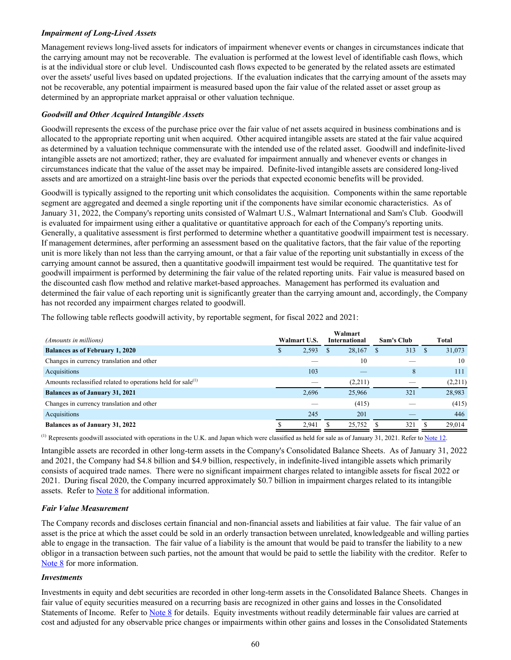### *Impairment of Long-Lived Assets*

Management reviews long-lived assets for indicators of impairment whenever events or changes in circumstances indicate that the carrying amount may not be recoverable. The evaluation is performed at the lowest level of identifiable cash flows, which is at the individual store or club level. Undiscounted cash flows expected to be generated by the related assets are estimated over the assets' useful lives based on updated projections. If the evaluation indicates that the carrying amount of the assets may not be recoverable, any potential impairment is measured based upon the fair value of the related asset or asset group as determined by an appropriate market appraisal or other valuation technique.

### *Goodwill and Other Acquired Intangible Assets*

Goodwill represents the excess of the purchase price over the fair value of net assets acquired in business combinations and is allocated to the appropriate reporting unit when acquired. Other acquired intangible assets are stated at the fair value acquired as determined by a valuation technique commensurate with the intended use of the related asset. Goodwill and indefinite-lived intangible assets are not amortized; rather, they are evaluated for impairment annually and whenever events or changes in circumstances indicate that the value of the asset may be impaired. Definite-lived intangible assets are considered long-lived assets and are amortized on a straight-line basis over the periods that expected economic benefits will be provided.

Goodwill is typically assigned to the reporting unit which consolidates the acquisition. Components within the same reportable segment are aggregated and deemed a single reporting unit if the components have similar economic characteristics. As of January 31, 2022, the Company's reporting units consisted of Walmart U.S., Walmart International and Sam's Club. Goodwill is evaluated for impairment using either a qualitative or quantitative approach for each of the Company's reporting units. Generally, a qualitative assessment is first performed to determine whether a quantitative goodwill impairment test is necessary. If management determines, after performing an assessment based on the qualitative factors, that the fair value of the reporting unit is more likely than not less than the carrying amount, or that a fair value of the reporting unit substantially in excess of the carrying amount cannot be assured, then a quantitative goodwill impairment test would be required. The quantitative test for goodwill impairment is performed by determining the fair value of the related reporting units. Fair value is measured based on the discounted cash flow method and relative market-based approaches. Management has performed its evaluation and determined the fair value of each reporting unit is significantly greater than the carrying amount and, accordingly, the Company has not recorded any impairment charges related to goodwill.

| Walmart U.S. |   |         | <b>Sam's Club</b>               | Total   |
|--------------|---|---------|---------------------------------|---------|
| 2,593<br>D   | S | 28,167  | 313                             | 31,073  |
|              |   | 10      |                                 | 10      |
| 103          |   |         | 8                               | 111     |
|              |   | (2,211) |                                 | (2,211) |
|              |   | 25,966  | 321                             | 28,983  |
|              |   | (415)   |                                 | (415)   |
| 245          |   | 201     |                                 | 446     |
| 2.941        |   | 25.752  | 321                             | 29,014  |
|              |   | 2,696   | Walmart<br><b>International</b> |         |

The following table reflects goodwill activity, by reportable segment, for fiscal 2022 and 2021:

(1) Represents goodwill associated with operations in the U.K. and Japan which were classified as held for sale as of January 31, 2021. Refer to [Note 12](#page-75-0).

Intangible assets are recorded in other long-term assets in the Company's Consolidated Balance Sheets. As of January 31, 2022 and 2021, the Company had \$4.8 billion and \$4.9 billion, respectively, in indefinite-lived intangible assets which primarily consists of acquired trade names. There were no significant impairment charges related to intangible assets for fiscal 2022 or 2021. During fiscal 2020, the Company incurred approximately \$0.7 billion in impairment charges related to its intangible assets. Refer to **Note 8** for additional information.

#### *Fair Value Measurement*

The Company records and discloses certain financial and non-financial assets and liabilities at fair value. The fair value of an asset is the price at which the asset could be sold in an orderly transaction between unrelated, knowledgeable and willing parties able to engage in the transaction. The fair value of a liability is the amount that would be paid to transfer the liability to a new obligor in a transaction between such parties, not the amount that would be paid to settle the liability with the creditor. Refer to [Note 8](#page-69-0) for more information.

#### *Investments*

Investments in equity and debt securities are recorded in other long-term assets in the Consolidated Balance Sheets. Changes in fair value of equity securities measured on a recurring basis are recognized in other gains and losses in the Consolidated Statements of Income. Refer to [Note 8](#page-69-0) for details. Equity investments without readily determinable fair values are carried at cost and adjusted for any observable price changes or impairments within other gains and losses in the Consolidated Statements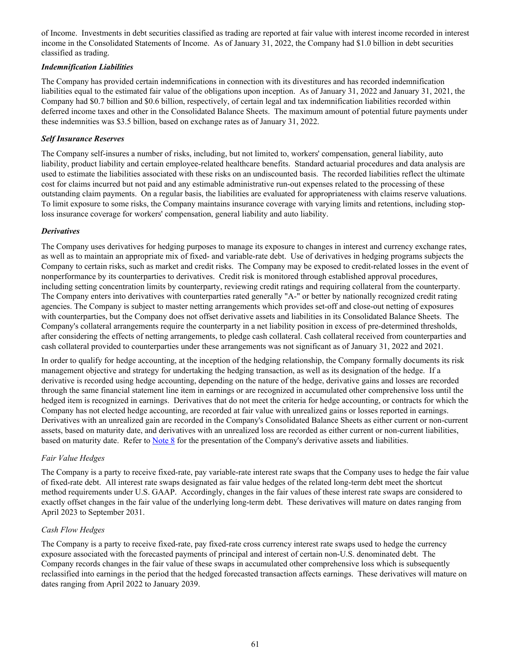of Income. Investments in debt securities classified as trading are reported at fair value with interest income recorded in interest income in the Consolidated Statements of Income. As of January 31, 2022, the Company had \$1.0 billion in debt securities classified as trading.

### *Indemnification Liabilities*

The Company has provided certain indemnifications in connection with its divestitures and has recorded indemnification liabilities equal to the estimated fair value of the obligations upon inception. As of January 31, 2022 and January 31, 2021, the Company had \$0.7 billion and \$0.6 billion, respectively, of certain legal and tax indemnification liabilities recorded within deferred income taxes and other in the Consolidated Balance Sheets. The maximum amount of potential future payments under these indemnities was \$3.5 billion, based on exchange rates as of January 31, 2022.

### *Self Insurance Reserves*

The Company self-insures a number of risks, including, but not limited to, workers' compensation, general liability, auto liability, product liability and certain employee-related healthcare benefits. Standard actuarial procedures and data analysis are used to estimate the liabilities associated with these risks on an undiscounted basis. The recorded liabilities reflect the ultimate cost for claims incurred but not paid and any estimable administrative run-out expenses related to the processing of these outstanding claim payments. On a regular basis, the liabilities are evaluated for appropriateness with claims reserve valuations. To limit exposure to some risks, the Company maintains insurance coverage with varying limits and retentions, including stoploss insurance coverage for workers' compensation, general liability and auto liability.

### *Derivatives*

The Company uses derivatives for hedging purposes to manage its exposure to changes in interest and currency exchange rates, as well as to maintain an appropriate mix of fixed- and variable-rate debt. Use of derivatives in hedging programs subjects the Company to certain risks, such as market and credit risks. The Company may be exposed to credit-related losses in the event of nonperformance by its counterparties to derivatives. Credit risk is monitored through established approval procedures, including setting concentration limits by counterparty, reviewing credit ratings and requiring collateral from the counterparty. The Company enters into derivatives with counterparties rated generally "A-" or better by nationally recognized credit rating agencies. The Company is subject to master netting arrangements which provides set-off and close-out netting of exposures with counterparties, but the Company does not offset derivative assets and liabilities in its Consolidated Balance Sheets. The Company's collateral arrangements require the counterparty in a net liability position in excess of pre-determined thresholds, after considering the effects of netting arrangements, to pledge cash collateral. Cash collateral received from counterparties and cash collateral provided to counterparties under these arrangements was not significant as of January 31, 2022 and 2021.

In order to qualify for hedge accounting, at the inception of the hedging relationship, the Company formally documents its risk management objective and strategy for undertaking the hedging transaction, as well as its designation of the hedge. If a derivative is recorded using hedge accounting, depending on the nature of the hedge, derivative gains and losses are recorded through the same financial statement line item in earnings or are recognized in accumulated other comprehensive loss until the hedged item is recognized in earnings. Derivatives that do not meet the criteria for hedge accounting, or contracts for which the Company has not elected hedge accounting, are recorded at fair value with unrealized gains or losses reported in earnings. Derivatives with an unrealized gain are recorded in the Company's Consolidated Balance Sheets as either current or non-current assets, based on maturity date, and derivatives with an unrealized loss are recorded as either current or non-current liabilities, based on maturity date. Refer to [Note 8](#page-69-0) for the presentation of the Company's derivative assets and liabilities.

### *Fair Value Hedges*

The Company is a party to receive fixed-rate, pay variable-rate interest rate swaps that the Company uses to hedge the fair value of fixed-rate debt. All interest rate swaps designated as fair value hedges of the related long-term debt meet the shortcut method requirements under U.S. GAAP. Accordingly, changes in the fair values of these interest rate swaps are considered to exactly offset changes in the fair value of the underlying long-term debt. These derivatives will mature on dates ranging from April 2023 to September 2031.

### *Cash Flow Hedges*

The Company is a party to receive fixed-rate, pay fixed-rate cross currency interest rate swaps used to hedge the currency exposure associated with the forecasted payments of principal and interest of certain non-U.S. denominated debt. The Company records changes in the fair value of these swaps in accumulated other comprehensive loss which is subsequently reclassified into earnings in the period that the hedged forecasted transaction affects earnings. These derivatives will mature on dates ranging from April 2022 to January 2039.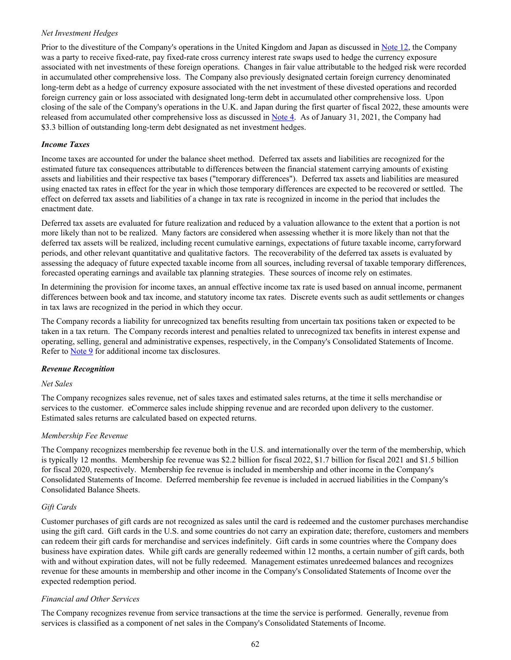### *Net Investment Hedges*

Prior to the divestiture of the Company's operations in the United Kingdom and Japan as discussed in [Note 12](#page-75-0), the Company was a party to receive fixed-rate, pay fixed-rate cross currency interest rate swaps used to hedge the currency exposure associated with net investments of these foreign operations. Changes in fair value attributable to the hedged risk were recorded in accumulated other comprehensive loss. The Company also previously designated certain foreign currency denominated long-term debt as a hedge of currency exposure associated with the net investment of these divested operations and recorded foreign currency gain or loss associated with designated long-term debt in accumulated other comprehensive loss. Upon closing of the sale of the Company's operations in the U.K. and Japan during the first quarter of fiscal 2022, these amounts were released from accumulated other comprehensive loss as discussed in [Note 4](#page-64-0). As of January 31, 2021, the Company had \$3.3 billion of outstanding long-term debt designated as net investment hedges.

### *Income Taxes*

Income taxes are accounted for under the balance sheet method. Deferred tax assets and liabilities are recognized for the estimated future tax consequences attributable to differences between the financial statement carrying amounts of existing assets and liabilities and their respective tax bases ("temporary differences"). Deferred tax assets and liabilities are measured using enacted tax rates in effect for the year in which those temporary differences are expected to be recovered or settled. The effect on deferred tax assets and liabilities of a change in tax rate is recognized in income in the period that includes the enactment date.

Deferred tax assets are evaluated for future realization and reduced by a valuation allowance to the extent that a portion is not more likely than not to be realized. Many factors are considered when assessing whether it is more likely than not that the deferred tax assets will be realized, including recent cumulative earnings, expectations of future taxable income, carryforward periods, and other relevant quantitative and qualitative factors. The recoverability of the deferred tax assets is evaluated by assessing the adequacy of future expected taxable income from all sources, including reversal of taxable temporary differences, forecasted operating earnings and available tax planning strategies. These sources of income rely on estimates.

In determining the provision for income taxes, an annual effective income tax rate is used based on annual income, permanent differences between book and tax income, and statutory income tax rates. Discrete events such as audit settlements or changes in tax laws are recognized in the period in which they occur.

The Company records a liability for unrecognized tax benefits resulting from uncertain tax positions taken or expected to be taken in a tax return. The Company records interest and penalties related to unrecognized tax benefits in interest expense and operating, selling, general and administrative expenses, respectively, in the Company's Consolidated Statements of Income. Refer to **Note 9** for additional income tax disclosures.

### *Revenue Recognition*

### *Net Sales*

The Company recognizes sales revenue, net of sales taxes and estimated sales returns, at the time it sells merchandise or services to the customer. eCommerce sales include shipping revenue and are recorded upon delivery to the customer. Estimated sales returns are calculated based on expected returns.

### *Membership Fee Revenue*

The Company recognizes membership fee revenue both in the U.S. and internationally over the term of the membership, which is typically 12 months. Membership fee revenue was \$2.2 billion for fiscal 2022, \$1.7 billion for fiscal 2021 and \$1.5 billion for fiscal 2020, respectively. Membership fee revenue is included in membership and other income in the Company's Consolidated Statements of Income. Deferred membership fee revenue is included in accrued liabilities in the Company's Consolidated Balance Sheets.

### *Gift Cards*

Customer purchases of gift cards are not recognized as sales until the card is redeemed and the customer purchases merchandise using the gift card. Gift cards in the U.S. and some countries do not carry an expiration date; therefore, customers and members can redeem their gift cards for merchandise and services indefinitely. Gift cards in some countries where the Company does business have expiration dates. While gift cards are generally redeemed within 12 months, a certain number of gift cards, both with and without expiration dates, will not be fully redeemed. Management estimates unredeemed balances and recognizes revenue for these amounts in membership and other income in the Company's Consolidated Statements of Income over the expected redemption period.

#### *Financial and Other Services*

The Company recognizes revenue from service transactions at the time the service is performed. Generally, revenue from services is classified as a component of net sales in the Company's Consolidated Statements of Income.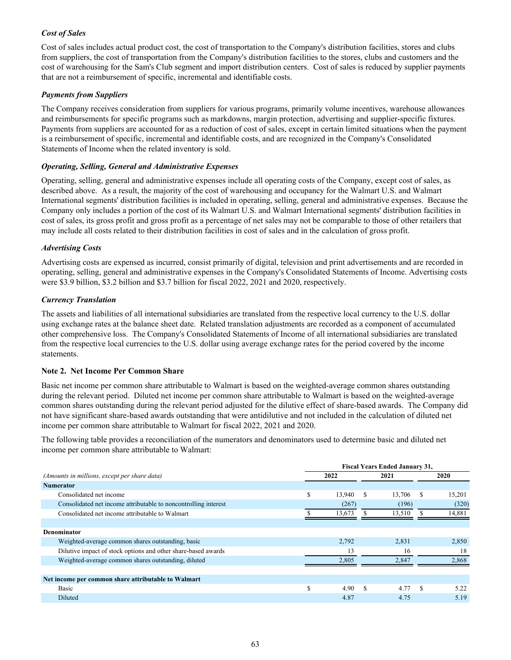# *Cost of Sales*

Cost of sales includes actual product cost, the cost of transportation to the Company's distribution facilities, stores and clubs from suppliers, the cost of transportation from the Company's distribution facilities to the stores, clubs and customers and the cost of warehousing for the Sam's Club segment and import distribution centers. Cost of sales is reduced by supplier payments that are not a reimbursement of specific, incremental and identifiable costs.

### *Payments from Suppliers*

The Company receives consideration from suppliers for various programs, primarily volume incentives, warehouse allowances and reimbursements for specific programs such as markdowns, margin protection, advertising and supplier-specific fixtures. Payments from suppliers are accounted for as a reduction of cost of sales, except in certain limited situations when the payment is a reimbursement of specific, incremental and identifiable costs, and are recognized in the Company's Consolidated Statements of Income when the related inventory is sold.

### *Operating, Selling, General and Administrative Expenses*

Operating, selling, general and administrative expenses include all operating costs of the Company, except cost of sales, as described above. As a result, the majority of the cost of warehousing and occupancy for the Walmart U.S. and Walmart International segments' distribution facilities is included in operating, selling, general and administrative expenses. Because the Company only includes a portion of the cost of its Walmart U.S. and Walmart International segments' distribution facilities in cost of sales, its gross profit and gross profit as a percentage of net sales may not be comparable to those of other retailers that may include all costs related to their distribution facilities in cost of sales and in the calculation of gross profit.

# *Advertising Costs*

Advertising costs are expensed as incurred, consist primarily of digital, television and print advertisements and are recorded in operating, selling, general and administrative expenses in the Company's Consolidated Statements of Income. Advertising costs were \$3.9 billion, \$3.2 billion and \$3.7 billion for fiscal 2022, 2021 and 2020, respectively.

# *Currency Translation*

The assets and liabilities of all international subsidiaries are translated from the respective local currency to the U.S. dollar using exchange rates at the balance sheet date. Related translation adjustments are recorded as a component of accumulated other comprehensive loss. The Company's Consolidated Statements of Income of all international subsidiaries are translated from the respective local currencies to the U.S. dollar using average exchange rates for the period covered by the income statements.

### **Note 2. Net Income Per Common Share**

Basic net income per common share attributable to Walmart is based on the weighted-average common shares outstanding during the relevant period. Diluted net income per common share attributable to Walmart is based on the weighted-average common shares outstanding during the relevant period adjusted for the dilutive effect of share-based awards. The Company did not have significant share-based awards outstanding that were antidilutive and not included in the calculation of diluted net income per common share attributable to Walmart for fiscal 2022, 2021 and 2020.

The following table provides a reconciliation of the numerators and denominators used to determine basic and diluted net income per common share attributable to Walmart:

|                                                                 | <b>Fiscal Years Ended January 31,</b> |        |    |        |     |        |  |  |
|-----------------------------------------------------------------|---------------------------------------|--------|----|--------|-----|--------|--|--|
| (Amounts in millions, except per share data)                    | 2022                                  |        |    | 2021   |     | 2020   |  |  |
| <b>Numerator</b>                                                |                                       |        |    |        |     |        |  |  |
| Consolidated net income                                         | <sup>\$</sup>                         | 13,940 | -S | 13,706 | \$. | 15,201 |  |  |
| Consolidated net income attributable to noncontrolling interest |                                       | (267)  |    | (196)  |     | (320)  |  |  |
| Consolidated net income attributable to Walmart                 |                                       | 13,673 |    | 13,510 |     | 14,881 |  |  |
|                                                                 |                                       |        |    |        |     |        |  |  |
| <b>Denominator</b>                                              |                                       |        |    |        |     |        |  |  |
| Weighted-average common shares outstanding, basic               |                                       | 2,792  |    | 2,831  |     | 2,850  |  |  |
| Dilutive impact of stock options and other share-based awards   |                                       | 13     |    | 16     |     | 18     |  |  |
| Weighted-average common shares outstanding, diluted             |                                       | 2,805  |    | 2,847  |     | 2,868  |  |  |
|                                                                 |                                       |        |    |        |     |        |  |  |
| Net income per common share attributable to Walmart             |                                       |        |    |        |     |        |  |  |
| Basic                                                           | \$                                    | 4.90   | -S | 4.77   | -S  | 5.22   |  |  |
| Diluted                                                         |                                       | 4.87   |    | 4.75   |     | 5.19   |  |  |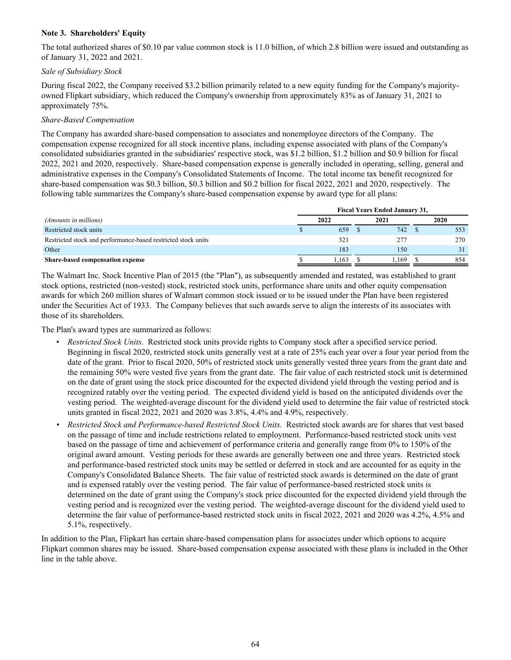### **Note 3. Shareholders' Equity**

The total authorized shares of \$0.10 par value common stock is 11.0 billion, of which 2.8 billion were issued and outstanding as of January 31, 2022 and 2021.

# *Sale of Subsidiary Stock*

During fiscal 2022, the Company received \$3.2 billion primarily related to a new equity funding for the Company's majorityowned Flipkart subsidiary, which reduced the Company's ownership from approximately 83% as of January 31, 2021 to approximately 75%.

# *Share-Based Compensation*

The Company has awarded share-based compensation to associates and nonemployee directors of the Company. The compensation expense recognized for all stock incentive plans, including expense associated with plans of the Company's consolidated subsidiaries granted in the subsidiaries' respective stock, was \$1.2 billion, \$1.2 billion and \$0.9 billion for fiscal 2022, 2021 and 2020, respectively. Share-based compensation expense is generally included in operating, selling, general and administrative expenses in the Company's Consolidated Statements of Income. The total income tax benefit recognized for share-based compensation was \$0.3 billion, \$0.3 billion and \$0.2 billion for fiscal 2022, 2021 and 2020, respectively. The following table summarizes the Company's share-based compensation expense by award type for all plans:

|                                                               | <b>Fiscal Years Ended January 31,</b> |      |  |        |  |      |  |
|---------------------------------------------------------------|---------------------------------------|------|--|--------|--|------|--|
| <i>(Amounts in millions)</i>                                  |                                       | 2022 |  | 2021   |  | 2020 |  |
| Restricted stock units                                        |                                       | 659  |  | 742 \$ |  | 553  |  |
| Restricted stock and performance-based restricted stock units |                                       | 321  |  | 277    |  | 270  |  |
| Other                                                         |                                       | 183  |  | 150    |  | 31   |  |
| Share-based compensation expense                              |                                       | .163 |  | . 169ء |  | 854  |  |

The Walmart Inc. Stock Incentive Plan of 2015 (the "Plan"), as subsequently amended and restated, was established to grant stock options, restricted (non-vested) stock, restricted stock units, performance share units and other equity compensation awards for which 260 million shares of Walmart common stock issued or to be issued under the Plan have been registered under the Securities Act of 1933. The Company believes that such awards serve to align the interests of its associates with those of its shareholders.

The Plan's award types are summarized as follows:

- *Restricted Stock Units.* Restricted stock units provide rights to Company stock after a specified service period. Beginning in fiscal 2020, restricted stock units generally vest at a rate of 25% each year over a four year period from the date of the grant. Prior to fiscal 2020, 50% of restricted stock units generally vested three years from the grant date and the remaining 50% were vested five years from the grant date. The fair value of each restricted stock unit is determined on the date of grant using the stock price discounted for the expected dividend yield through the vesting period and is recognized ratably over the vesting period. The expected dividend yield is based on the anticipated dividends over the vesting period. The weighted-average discount for the dividend yield used to determine the fair value of restricted stock units granted in fiscal 2022, 2021 and 2020 was 3.8%, 4.4% and 4.9%, respectively.
- *• Restricted Stock and Performance-based Restricted Stock Units.* Restricted stock awards are for shares that vest based on the passage of time and include restrictions related to employment. Performance-based restricted stock units vest based on the passage of time and achievement of performance criteria and generally range from 0% to 150% of the original award amount. Vesting periods for these awards are generally between one and three years. Restricted stock and performance-based restricted stock units may be settled or deferred in stock and are accounted for as equity in the Company's Consolidated Balance Sheets. The fair value of restricted stock awards is determined on the date of grant and is expensed ratably over the vesting period. The fair value of performance-based restricted stock units is determined on the date of grant using the Company's stock price discounted for the expected dividend yield through the vesting period and is recognized over the vesting period. The weighted-average discount for the dividend yield used to determine the fair value of performance-based restricted stock units in fiscal 2022, 2021 and 2020 was 4.2%, 4.5% and 5.1%, respectively.

In addition to the Plan, Flipkart has certain share-based compensation plans for associates under which options to acquire Flipkart common shares may be issued. Share-based compensation expense associated with these plans is included in the Other line in the table above.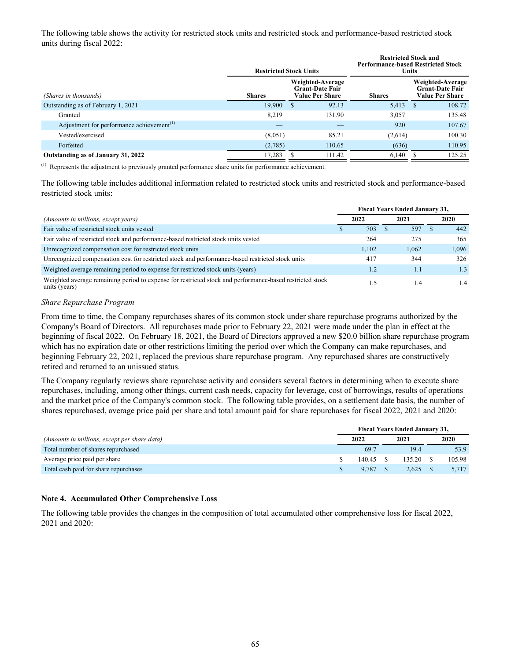<span id="page-64-0"></span>The following table shows the activity for restricted stock units and restricted stock and performance-based restricted stock units during fiscal 2022:

|                                                       |                                                                                | <b>Restricted Stock Units</b> |               | <b>Restricted Stock and</b><br><b>Performance-based Restricted Stock</b><br><b>Units</b> |
|-------------------------------------------------------|--------------------------------------------------------------------------------|-------------------------------|---------------|------------------------------------------------------------------------------------------|
| (Shares in thousands)                                 | Weighted-Average<br><b>Grant-Date Fair</b><br>Value Per Share<br><b>Shares</b> |                               | <b>Shares</b> | Weighted-Average<br><b>Grant-Date Fair</b><br><b>Value Per Share</b>                     |
| Outstanding as of February 1, 2021                    | 19,900                                                                         | 92.13<br>- \$                 | 5,413         | 108.72<br>-S                                                                             |
| Granted                                               | 8,219                                                                          | 131.90                        | 3,057         | 135.48                                                                                   |
| Adjustment for performance achievement <sup>(1)</sup> |                                                                                |                               | 920           | 107.67                                                                                   |
| Vested/exercised                                      | (8,051)                                                                        | 85.21                         | (2,614)       | 100.30                                                                                   |
| Forfeited                                             | (2,785)                                                                        | 110.65                        | (636)         | 110.95                                                                                   |
| Outstanding as of January 31, 2022                    | 17,283                                                                         | 111.42                        | 6,140         | 125.25                                                                                   |

 $<sup>(1)</sup>$  Represents the adjustment to previously granted performance share units for performance achievement.</sup>

The following table includes additional information related to restricted stock units and restricted stock and performance-based restricted stock units:

|                                                                                                                           | <b>Fiscal Years Ended January 31,</b> |       |  |       |  |       |
|---------------------------------------------------------------------------------------------------------------------------|---------------------------------------|-------|--|-------|--|-------|
| (Amounts in millions, except years)                                                                                       |                                       | 2022  |  | 2021  |  | 2020  |
| Fair value of restricted stock units vested                                                                               |                                       | 703   |  | 597   |  | 442   |
| Fair value of restricted stock and performance-based restricted stock units vested                                        |                                       | 264   |  | 275   |  | 365   |
| Unrecognized compensation cost for restricted stock units                                                                 |                                       | 1.102 |  | 1.062 |  | 1.096 |
| Unrecognized compensation cost for restricted stock and performance-based restricted stock units                          |                                       | 417   |  | 344   |  | 326   |
| Weighted average remaining period to expense for restricted stock units (years)                                           |                                       | 1.2   |  | 1.1   |  | 1.3   |
| Weighted average remaining period to expense for restricted stock and performance-based restricted stock<br>units (years) |                                       | . 5   |  | 1.4   |  | 1.4   |

### *Share Repurchase Program*

From time to time, the Company repurchases shares of its common stock under share repurchase programs authorized by the Company's Board of Directors. All repurchases made prior to February 22, 2021 were made under the plan in effect at the beginning of fiscal 2022. On February 18, 2021, the Board of Directors approved a new \$20.0 billion share repurchase program which has no expiration date or other restrictions limiting the period over which the Company can make repurchases, and beginning February 22, 2021, replaced the previous share repurchase program. Any repurchased shares are constructively retired and returned to an unissued status.

The Company regularly reviews share repurchase activity and considers several factors in determining when to execute share repurchases, including, among other things, current cash needs, capacity for leverage, cost of borrowings, results of operations and the market price of the Company's common stock. The following table provides, on a settlement date basis, the number of shares repurchased, average price paid per share and total amount paid for share repurchases for fiscal 2022, 2021 and 2020:

|                                              |  | <b>Fiscal Years Ended January 31,</b> |        |  |        |
|----------------------------------------------|--|---------------------------------------|--------|--|--------|
| (Amounts in millions, except per share data) |  | 2022                                  | 2021   |  | 2020   |
| Total number of shares repurchased           |  | 69.7                                  | 19.4   |  | 53.9   |
| Average price paid per share                 |  | 140.45                                | 135.20 |  | 105.98 |
| Total cash paid for share repurchases        |  | 9.787                                 | 2.625  |  | 5.717  |

#### **Note 4. Accumulated Other Comprehensive Loss**

The following table provides the changes in the composition of total accumulated other comprehensive loss for fiscal 2022, 2021 and 2020: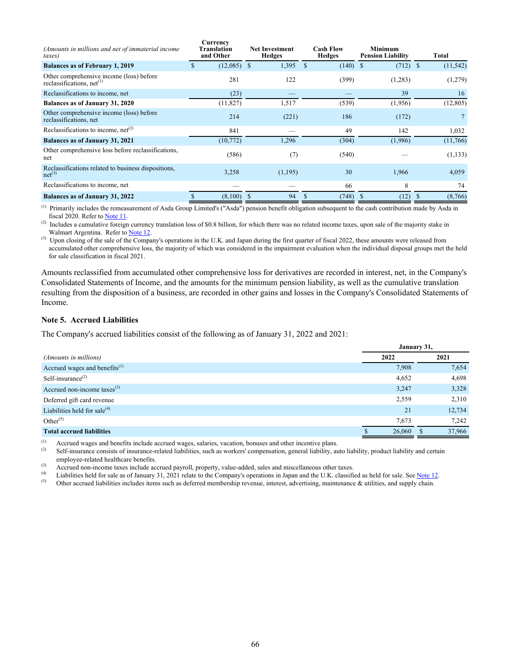| (Amounts in millions and net of immaterial income<br>taxes)                       | Currency<br>Translation<br>and Other |    | <b>Net Investment</b><br><b>Hedges</b> | <b>Cash Flow</b><br><b>Hedges</b> | <b>Minimum</b><br><b>Pension Liability</b> | Total     |
|-----------------------------------------------------------------------------------|--------------------------------------|----|----------------------------------------|-----------------------------------|--------------------------------------------|-----------|
| <b>Balances as of February 1, 2019</b>                                            | \$<br>$(12,085)$ \$                  |    | 1,395                                  | $(140)$ \$                        | $(712)$ \$                                 | (11, 542) |
| Other comprehensive income (loss) before<br>reclassifications, net <sup>(1)</sup> | 281                                  |    | 122                                    | (399)                             | (1,283)                                    | (1,279)   |
| Reclassifications to income, net                                                  | (23)                                 |    |                                        |                                   | 39                                         | 16        |
| Balances as of January 31, 2020                                                   | (11, 827)                            |    | 1,517                                  | (539)                             | (1,956)                                    | (12, 805) |
| Other comprehensive income (loss) before<br>reclassifications, net                | 214                                  |    | (221)                                  | 186                               | (172)                                      |           |
| Reclassifications to income, $net^{(2)}$                                          | 841                                  |    |                                        | 49                                | 142                                        | 1,032     |
| Balances as of January 31, 2021                                                   | (10,772)                             |    | 1,296                                  | (304)                             | (1,986)                                    | (11,766)  |
| Other comprehensive loss before reclassifications,<br>net                         | (586)                                |    | (7)                                    | (540)                             |                                            | (1, 133)  |
| Reclassifications related to business dispositions,<br>net <sup>(3)</sup>         | 3,258                                |    | (1,195)                                | 30                                | 1,966                                      | 4,059     |
| Reclassifications to income, net                                                  |                                      |    |                                        | 66                                | 8                                          | 74        |
| <b>Balances as of January 31, 2022</b>                                            | (8,100)                              | -S | 94                                     | (748)                             | (12)                                       | (8,766)   |

(1) Primarily includes the remeasurement of Asda Group Limited's ("Asda") pension benefit obligation subsequent to the cash contribution made by Asda in fiscal 2020. Refer to [Note 11](#page-74-0).

<sup>(2)</sup> Includes a cumulative foreign currency translation loss of \$0.8 billion, for which there was no related income taxes, upon sale of the majority stake in Walmart Argentina. Refer to [Note 12.](#page-75-0)

 $<sup>(3)</sup>$  Upon closing of the sale of the Company's operations in the U.K. and Japan during the first quarter of fiscal 2022, these amounts were released from</sup> accumulated other comprehensive loss, the majority of which was considered in the impairment evaluation when the individual disposal groups met the held for sale classification in fiscal 2021.

Amounts reclassified from accumulated other comprehensive loss for derivatives are recorded in interest, net, in the Company's Consolidated Statements of Income, and the amounts for the minimum pension liability, as well as the cumulative translation resulting from the disposition of a business, are recorded in other gains and losses in the Company's Consolidated Statements of Income.

### **Note 5. Accrued Liabilities**

The Company's accrued liabilities consist of the following as of January 31, 2022 and 2021:

|                                           | January 31, |        |  |  |
|-------------------------------------------|-------------|--------|--|--|
| (Amounts in millions)                     | 2022        | 2021   |  |  |
| Accrued wages and benefits <sup>(1)</sup> | 7,908       | 7,654  |  |  |
| Self-insurance $^{(2)}$                   | 4,652       | 4,698  |  |  |
| Accrued non-income taxes $^{(3)}$         | 3,247       | 3,328  |  |  |
| Deferred gift card revenue                | 2,559       | 2,310  |  |  |
| Liabilities held for sale $(4)$           | 21          | 12,734 |  |  |
| Other $(5)$                               | 7,673       | 7.242  |  |  |
| <b>Total accrued liabilities</b>          | 26,060      | 37,966 |  |  |

(1) Accrued wages and benefits include accrued wages, salaries, vacation, bonuses and other incentive plans.<br>(2) Self insurance consists of insurance related lighilities, such as workers' compensation, general lighility

Self-insurance consists of insurance-related liabilities, such as workers' compensation, general liability, auto liability, product liability and certain employee-related healthcare benefits.

(3) Accrued non-income taxes include accrued payroll, property, value-added, sales and miscellaneous other taxes.

(4) Liabilities held for sale as of January 31, 2021 relate to the Company's operations in Japan and the U.K. classified as held for sale. See <u>[Note 12](#page-75-0).</u><br>Other accrued liabilities includes items such as deferred membershi

(5) Other accrued liabilities includes items such as deferred membership revenue, interest, advertising, maintenance & utilities, and supply chain.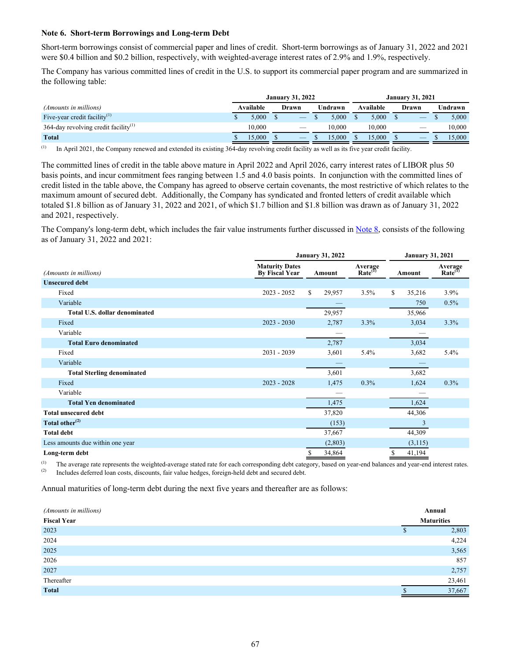#### <span id="page-66-0"></span>**Note 6. Short-term Borrowings and Long-term Debt**

Short-term borrowings consist of commercial paper and lines of credit. Short-term borrowings as of January 31, 2022 and 2021 were \$0.4 billion and \$0.2 billion, respectively, with weighted-average interest rates of 2.9% and 1.9%, respectively.

The Company has various committed lines of credit in the U.S. to support its commercial paper program and are summarized in the following table:

|                                         | <b>January 31, 2022</b> |  |       |  | <b>January 31, 2021</b> |  |           |  |       |  |         |
|-----------------------------------------|-------------------------|--|-------|--|-------------------------|--|-----------|--|-------|--|---------|
| (Amounts in millions)                   | Available               |  | Drawn |  | Undrawn                 |  | Available |  | Drawn |  | Undrawn |
| Five-year credit facility $(1)$         | 5.000                   |  |       |  | 5.000                   |  | 5.000     |  |       |  | 5,000   |
| 364-day revolving credit facility $(1)$ | 10.000                  |  |       |  | 10.000                  |  | 10.000    |  | _     |  | 10.000  |
| Total                                   | 15.000                  |  |       |  | 15.000                  |  | 15.000    |  |       |  | 15,000  |

(1) In April 2021, the Company renewed and extended its existing 364-day revolving credit facility as well as its five year credit facility.

The committed lines of credit in the table above mature in April 2022 and April 2026, carry interest rates of LIBOR plus 50 basis points, and incur commitment fees ranging between 1.5 and 4.0 basis points. In conjunction with the committed lines of credit listed in the table above, the Company has agreed to observe certain covenants, the most restrictive of which relates to the maximum amount of secured debt. Additionally, the Company has syndicated and fronted letters of credit available which totaled \$1.8 billion as of January 31, 2022 and 2021, of which \$1.7 billion and \$1.8 billion was drawn as of January 31, 2022 and 2021, respectively.

The Company's long-term debt, which includes the fair value instruments further discussed in [Note 8](#page-69-0), consists of the following as of January 31, 2022 and 2021:

|                                      |                                                | <b>January 31, 2022</b> |         |                         |        |         |                                |
|--------------------------------------|------------------------------------------------|-------------------------|---------|-------------------------|--------|---------|--------------------------------|
| (Amounts in millions)                | <b>Maturity Dates</b><br><b>By Fiscal Year</b> | Amount                  |         | Average<br>$Rate^{(1)}$ | Amount |         | Average<br>Rate <sup>(1)</sup> |
| <b>Unsecured debt</b>                |                                                |                         |         |                         |        |         |                                |
| Fixed                                | $2023 - 2052$                                  | S.                      | 29,957  | 3.5%                    | \$     | 35,216  | 3.9%                           |
| Variable                             |                                                |                         |         |                         |        | 750     | 0.5%                           |
| <b>Total U.S. dollar denominated</b> |                                                |                         | 29,957  |                         |        | 35,966  |                                |
| Fixed                                | $2023 - 2030$                                  |                         | 2,787   | 3.3%                    |        | 3,034   | 3.3%                           |
| Variable                             |                                                |                         |         |                         |        |         |                                |
| <b>Total Euro denominated</b>        |                                                |                         | 2,787   |                         |        | 3,034   |                                |
| Fixed                                | $2031 - 2039$                                  |                         | 3,601   | 5.4%                    |        | 3,682   | 5.4%                           |
| Variable                             |                                                |                         |         |                         |        |         |                                |
| <b>Total Sterling denominated</b>    |                                                |                         | 3,601   |                         |        | 3,682   |                                |
| Fixed                                | $2023 - 2028$                                  |                         | 1,475   | 0.3%                    |        | 1,624   | 0.3%                           |
| Variable                             |                                                |                         |         |                         |        |         |                                |
| <b>Total Yen denominated</b>         |                                                |                         | 1,475   |                         |        | 1,624   |                                |
| <b>Total unsecured debt</b>          |                                                |                         | 37,820  |                         |        | 44,306  |                                |
| Total other $^{(2)}$                 |                                                |                         | (153)   |                         |        | 3       |                                |
| <b>Total debt</b>                    |                                                |                         | 37,667  |                         |        | 44,309  |                                |
| Less amounts due within one year     |                                                |                         | (2,803) |                         |        | (3,115) |                                |
| Long-term debt                       |                                                | \$                      | 34,864  |                         |        | 41,194  |                                |

(1) The average rate represents the weighted-average stated rate for each corresponding debt category, based on year-end balances and year-end interest rates.<br>  $\frac{12}{2}$  Includes deferred logs position that for value bad Includes deferred loan costs, discounts, fair value hedges, foreign-held debt and secured debt.

Annual maturities of long-term debt during the next five years and thereafter are as follows:

| (Amounts in millions) | Annual            |
|-----------------------|-------------------|
| <b>Fiscal Year</b>    | <b>Maturities</b> |
| 2023                  | 2,803             |
| 2024                  | 4,224             |
| 2025                  | 3,565             |
| 2026                  | 857               |
| 2027                  | 2,757             |
| Thereafter            | 23,461            |
| <b>Total</b>          | 37,667            |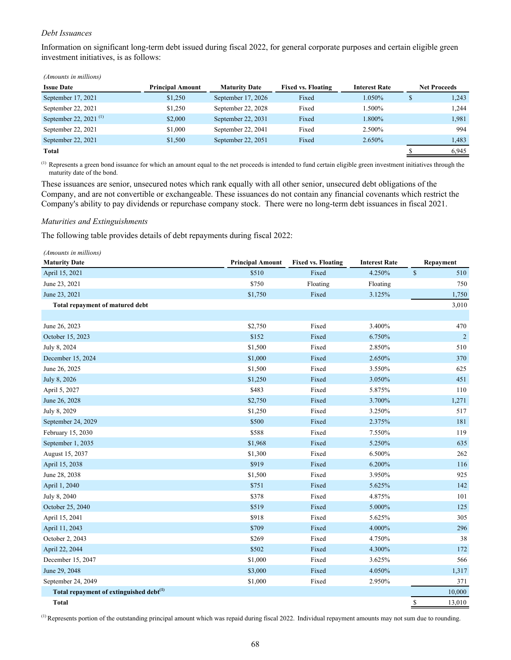### *Debt Issuances*

Information on significant long-term debt issued during fiscal 2022, for general corporate purposes and certain eligible green investment initiatives, is as follows:

| <b>Issue Date</b>        | <b>Principal Amount</b> | <b>Maturity Date</b> | <b>Fixed vs. Floating</b><br><b>Interest Rate</b> |        | <b>Net Proceeds</b> |
|--------------------------|-------------------------|----------------------|---------------------------------------------------|--------|---------------------|
| September 17, 2021       | \$1,250                 | September 17, 2026   | Fixed                                             | 1.050% | 1,243               |
| September 22, 2021       | \$1,250                 | September 22, 2028   | Fixed                                             | 1.500% | 1.244               |
| September 22, 2021 $(1)$ | \$2,000                 | September 22, 2031   | Fixed                                             | 1.800% | 1,981               |
| September 22, 2021       | \$1,000                 | September 22, 2041   | Fixed                                             | 2.500% | 994                 |
| September 22, 2021       | \$1,500                 | September 22, 2051   | Fixed                                             | 2.650% | 1,483               |
| Total                    |                         |                      |                                                   |        | 6.945               |

*(Amounts in millions)*

<sup>(1)</sup> Represents a green bond issuance for which an amount equal to the net proceeds is intended to fund certain eligible green investment initiatives through the maturity date of the bond.

These issuances are senior, unsecured notes which rank equally with all other senior, unsecured debt obligations of the Company, and are not convertible or exchangeable. These issuances do not contain any financial covenants which restrict the Company's ability to pay dividends or repurchase company stock. There were no long-term debt issuances in fiscal 2021.

#### *Maturities and Extinguishments*

The following table provides details of debt repayments during fiscal 2022:

*(Amounts in millions)*

| <b>Maturity Date</b>                                | <b>Principal Amount</b> | <b>Fixed vs. Floating</b> | <b>Interest Rate</b> | Repayment    |       |
|-----------------------------------------------------|-------------------------|---------------------------|----------------------|--------------|-------|
| April 15, 2021                                      | \$510                   | Fixed                     | 4.250%               | $\mathbb{S}$ | 510   |
| June 23, 2021                                       | \$750                   | Floating                  | Floating             |              | 750   |
| June 23, 2021                                       | \$1,750                 | Fixed                     | 3.125%               |              | 1,750 |
| Total repayment of matured debt                     |                         |                           |                      | 3,010        |       |
|                                                     |                         |                           |                      |              |       |
| June 26, 2023                                       | \$2,750                 | Fixed                     | 3.400%               |              | 470   |
| October 15, 2023                                    | \$152                   | Fixed                     | 6.750%               |              | 2     |
| July 8, 2024                                        | \$1,500                 | Fixed                     | 2.850%               |              | 510   |
| December 15, 2024                                   | \$1,000                 | Fixed                     | 2.650%               |              | 370   |
| June 26, 2025                                       | \$1,500                 | Fixed                     | 3.550%               |              | 625   |
| July 8, 2026                                        | \$1,250                 | Fixed                     | 3.050%               |              | 451   |
| April 5, 2027                                       | \$483                   | Fixed                     | 5.875%               |              | 110   |
| June 26, 2028                                       | \$2,750                 | Fixed                     | 3.700%               | 1,271        |       |
| July 8, 2029                                        | \$1,250                 | Fixed                     | 3.250%               |              | 517   |
| September 24, 2029                                  | \$500                   | Fixed                     | 2.375%               |              | 181   |
| February 15, 2030                                   | \$588                   | Fixed                     | 7.550%               |              | 119   |
| September 1, 2035                                   | \$1,968                 | Fixed                     | 5.250%               |              | 635   |
| August 15, 2037                                     | \$1,300                 | Fixed                     | 6.500%               |              | 262   |
| April 15, 2038                                      | \$919                   | Fixed                     | 6.200%               |              | 116   |
| June 28, 2038                                       | \$1,500                 | Fixed                     | 3.950%               |              | 925   |
| April 1, 2040                                       | \$751                   | Fixed                     | 5.625%               |              | 142   |
| July 8, 2040                                        | \$378                   | Fixed                     | 4.875%               |              | 101   |
| October 25, 2040                                    | \$519                   | Fixed                     | 5.000%               |              | 125   |
| April 15, 2041                                      | \$918                   | Fixed                     | 5.625%               |              | 305   |
| April 11, 2043                                      | \$709                   | Fixed                     | 4.000%               |              | 296   |
| October 2, 2043                                     | \$269                   | Fixed                     | 4.750%               |              | 38    |
| April 22, 2044                                      | \$502                   | Fixed                     | 4.300%               |              | 172   |
| December 15, 2047                                   | \$1,000                 | Fixed                     | 3.625%               |              | 566   |
| June 29, 2048                                       | \$3,000                 | Fixed                     | 4.050%               |              | 1,317 |
| September 24, 2049                                  | \$1,000                 | Fixed                     | 2.950%               |              | 371   |
| Total repayment of extinguished debt <sup>(1)</sup> |                         |                           |                      | 10,000       |       |
| <b>Total</b>                                        |                         |                           |                      | \$<br>13,010 |       |

(1) Represents portion of the outstanding principal amount which was repaid during fiscal 2022. Individual repayment amounts may not sum due to rounding.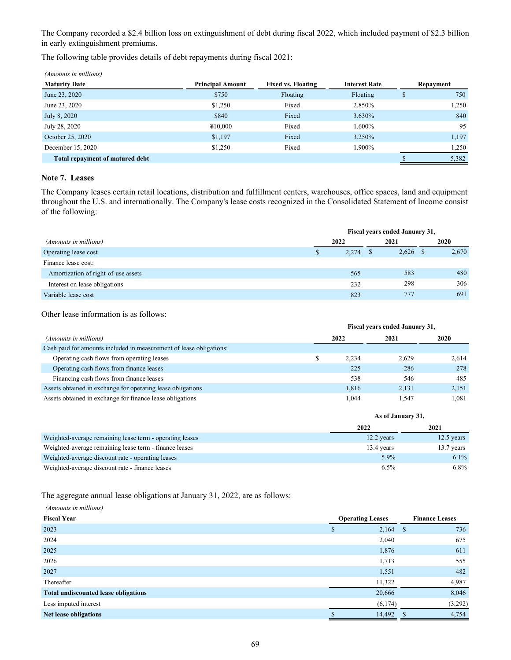<span id="page-68-0"></span>The Company recorded a \$2.4 billion loss on extinguishment of debt during fiscal 2022, which included payment of \$2.3 billion in early extinguishment premiums.

The following table provides details of debt repayments during fiscal 2021:

| (Amounts in millions)           |                         |                           |                      |           |
|---------------------------------|-------------------------|---------------------------|----------------------|-----------|
| <b>Maturity Date</b>            | <b>Principal Amount</b> | <b>Fixed vs. Floating</b> | <b>Interest Rate</b> | Repayment |
| June 23, 2020                   | \$750                   | Floating                  | Floating             | 750       |
| June 23, 2020                   | \$1,250                 | Fixed                     | 2.850%               | 1,250     |
| July 8, 2020                    | \$840                   | Fixed                     | $3.630\%$            | 840       |
| July 28, 2020                   | ¥10,000                 | Fixed                     | 1.600%               | 95        |
| October 25, 2020                | \$1,197                 | Fixed                     | 3.250%               | 1,197     |
| December 15, 2020               | \$1.250                 | Fixed                     | 1.900%               | 1,250     |
| Total repayment of matured debt |                         |                           |                      | 5,382     |

### **Note 7. Leases**

The Company leases certain retail locations, distribution and fulfillment centers, warehouses, office spaces, land and equipment throughout the U.S. and internationally. The Company's lease costs recognized in the Consolidated Statement of Income consist of the following:

|                                     | Fiscal years ended January 31, |       |    |            |  |       |
|-------------------------------------|--------------------------------|-------|----|------------|--|-------|
| (Amounts in millions)               | 2022                           |       |    | 2021       |  | 2020  |
| Operating lease cost                | \$                             | 2.274 | -S | $2,626$ \$ |  | 2,670 |
| Finance lease cost:                 |                                |       |    |            |  |       |
| Amortization of right-of-use assets |                                | 565   |    | 583        |  | 480   |
| Interest on lease obligations       |                                | 232   |    | 298        |  | 306   |
| Variable lease cost                 |                                | 823   |    | 777        |  | 691   |

### Other lease information is as follows:

|                                                                     |   | Fiscal years ended January 31, |       |       |  |  |  |  |  |
|---------------------------------------------------------------------|---|--------------------------------|-------|-------|--|--|--|--|--|
| (Amounts in millions)                                               |   | 2022<br>2021                   |       | 2020  |  |  |  |  |  |
| Cash paid for amounts included in measurement of lease obligations: |   |                                |       |       |  |  |  |  |  |
| Operating cash flows from operating leases                          | S | 2.234                          | 2.629 | 2.614 |  |  |  |  |  |
| Operating cash flows from finance leases                            |   | 225                            | 286   | 278   |  |  |  |  |  |
| Financing cash flows from finance leases                            |   | 538                            | 546   | 485   |  |  |  |  |  |
| Assets obtained in exchange for operating lease obligations         |   | 1,816                          | 2,131 | 2,151 |  |  |  |  |  |
| Assets obtained in exchange for finance lease obligations           |   | 1.044                          | l.547 | 1.081 |  |  |  |  |  |

|                                                          | As of January 31, |              |
|----------------------------------------------------------|-------------------|--------------|
|                                                          | 2022              | 2021         |
| Weighted-average remaining lease term - operating leases | 12.2 years        | $12.5$ years |
| Weighted-average remaining lease term - finance leases   | 13.4 years        | 13.7 years   |
| Weighted-average discount rate - operating leases        | 5.9%              | $6.1\%$      |
| Weighted-average discount rate - finance leases          | 6.5%              | $6.8\%$      |

The aggregate annual lease obligations at January 31, 2022, are as follows:

*<sup>(</sup>Amounts in millions)*

| <b>Fiscal Year</b>                          |   | <b>Operating Leases</b> |    | <b>Finance Leases</b> |
|---------------------------------------------|---|-------------------------|----|-----------------------|
| 2023                                        | Ф | 2,164                   | -S | 736                   |
| 2024                                        |   | 2,040                   |    | 675                   |
| 2025                                        |   | 1,876                   |    | 611                   |
| 2026                                        |   | 1,713                   |    | 555                   |
| 2027                                        |   | 1,551                   |    | 482                   |
| Thereafter                                  |   | 11,322                  |    | 4,987                 |
| <b>Total undiscounted lease obligations</b> |   | 20,666                  |    | 8,046                 |
| Less imputed interest                       |   | (6,174)                 |    | (3,292)               |
| <b>Net lease obligations</b>                |   | 14,492                  | S  | 4,754                 |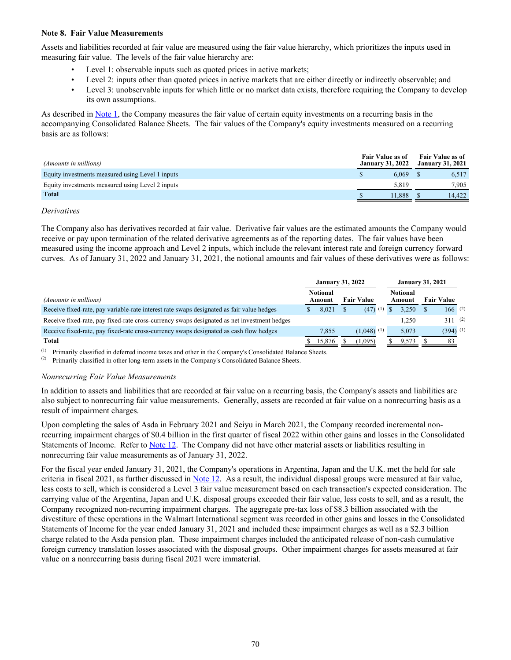#### <span id="page-69-0"></span>**Note 8. Fair Value Measurements**

Assets and liabilities recorded at fair value are measured using the fair value hierarchy, which prioritizes the inputs used in measuring fair value. The levels of the fair value hierarchy are:

- Level 1: observable inputs such as quoted prices in active markets;
- Level 2: inputs other than quoted prices in active markets that are either directly or indirectly observable; and
- Level 3: unobservable inputs for which little or no market data exists, therefore requiring the Company to develop its own assumptions.

As described in <u>Note 1</u>, the Company measures the fair value of certain equity investments on a recurring basis in the accompanying Consolidated Balance Sheets. The fair values of the Company's equity investments measured on a recurring basis are as follows:

| (Amounts in millions)                            | <b>Fair Value as of</b><br><b>January 31, 2022</b> |        | <b>Fair Value as of</b><br><b>January 31, 2021</b> |        |
|--------------------------------------------------|----------------------------------------------------|--------|----------------------------------------------------|--------|
| Equity investments measured using Level 1 inputs |                                                    | 6.069  |                                                    | 6.517  |
| Equity investments measured using Level 2 inputs |                                                    | 5.819  |                                                    | 7.905  |
| <b>Total</b>                                     |                                                    | 11.888 |                                                    | 14.422 |

### *Derivatives*

The Company also has derivatives recorded at fair value. Derivative fair values are the estimated amounts the Company would receive or pay upon termination of the related derivative agreements as of the reporting dates. The fair values have been measured using the income approach and Level 2 inputs, which include the relevant interest rate and foreign currency forward curves. As of January 31, 2022 and January 31, 2021, the notional amounts and fair values of these derivatives were as follows:

|                                                                                             | <b>January 31, 2022</b>   |                          |  | <b>January 31, 2021</b>   |                        |  |  |
|---------------------------------------------------------------------------------------------|---------------------------|--------------------------|--|---------------------------|------------------------|--|--|
| (Amounts in millions)                                                                       | <b>Notional</b><br>Amount | <b>Fair Value</b>        |  | <b>Notional</b><br>Amount | <b>Fair Value</b>      |  |  |
| Receive fixed-rate, pay variable-rate interest rate swaps designated as fair value hedges   | 8.021                     | $(47)$ (1) \$            |  | 3,250                     | 166(2)                 |  |  |
| Receive fixed-rate, pay fixed-rate cross-currency swaps designated as net investment hedges |                           |                          |  | 1.250                     | 311(2)                 |  |  |
| Receive fixed-rate, pay fixed-rate cross-currency swaps designated as cash flow hedges      | 7,855                     | $(1.048)$ <sup>(1)</sup> |  | 5.073                     | $(394)$ <sup>(1)</sup> |  |  |
| Total                                                                                       | 15,876                    | (1,095)                  |  | 9,573                     | 83                     |  |  |

 $<sup>(1)</sup>$  Primarily classified in deferred income taxes and other in the Company's Consolidated Balance Sheets.</sup>

(2) Primarily classified in other long-term assets in the Company's Consolidated Balance Sheets.

#### *Nonrecurring Fair Value Measurements*

In addition to assets and liabilities that are recorded at fair value on a recurring basis, the Company's assets and liabilities are also subject to nonrecurring fair value measurements. Generally, assets are recorded at fair value on a nonrecurring basis as a result of impairment charges.

Upon completing the sales of Asda in February 2021 and Seiyu in March 2021, the Company recorded incremental nonrecurring impairment charges of \$0.4 billion in the first quarter of fiscal 2022 within other gains and losses in the Consolidated Statements of Income. Refer to [Note 12.](#page-75-0) The Company did not have other material assets or liabilities resulting in nonrecurring fair value measurements as of January 31, 2022.

For the fiscal year ended January 31, 2021, the Company's operations in Argentina, Japan and the U.K. met the held for sale criteria in fiscal 2021, as further discussed in [Note 12](#page-75-0). As a result, the individual disposal groups were measured at fair value, less costs to sell, which is considered a Level 3 fair value measurement based on each transaction's expected consideration. The carrying value of the Argentina, Japan and U.K. disposal groups exceeded their fair value, less costs to sell, and as a result, the Company recognized non-recurring impairment charges. The aggregate pre-tax loss of \$8.3 billion associated with the divestiture of these operations in the Walmart International segment was recorded in other gains and losses in the Consolidated Statements of Income for the year ended January 31, 2021 and included these impairment charges as well as a \$2.3 billion charge related to the Asda pension plan. These impairment charges included the anticipated release of non-cash cumulative foreign currency translation losses associated with the disposal groups. Other impairment charges for assets measured at fair value on a nonrecurring basis during fiscal 2021 were immaterial.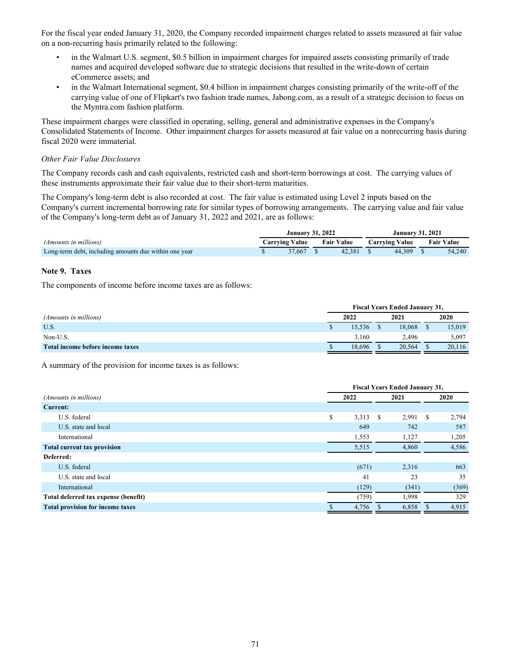<span id="page-70-0"></span>For the fiscal year ended January 31, 2020, the Company recorded impairment charges related to assets measured at fair value on a non-recurring basis primarily related to the following:

- in the Walmart U.S. segment, \$0.5 billion in impairment charges for impaired assets consisting primarily of trade names and acquired developed software due to strategic decisions that resulted in the write-down of certain eCommerce assets; and
- in the Walmart International segment, \$0.4 billion in impairment charges consisting primarily of the write-off of the carrying value of one of Flipkart's two fashion trade names, Jabong.com, as a result of a strategic decision to focus on the Myntra.com fashion platform.

These impairment charges were classified in operating, selling, general and administrative expenses in the Company's Consolidated Statements of Income. Other impairment charges for assets measured at fair value on a nonrecurring basis during fiscal 2020 were immaterial.

#### *Other Fair Value Disclosures*

The Company records cash and cash equivalents, restricted cash and short-term borrowings at cost. The carrying values of these instruments approximate their fair value due to their short-term maturities.

The Company's long-term debt is also recorded at cost. The fair value is estimated using Level 2 inputs based on the Company's current incremental borrowing rate for similar types of borrowing arrangements. The carrying value and fair value of the Company's long-term debt as of January 31, 2022 and 2021, are as follows:

|                                                       | <b>January 31, 2022</b> |        |                   | <b>January 31, 2021</b> |  |                       |                   |  |  |
|-------------------------------------------------------|-------------------------|--------|-------------------|-------------------------|--|-----------------------|-------------------|--|--|
| <i>(Amounts in millions)</i>                          | <b>Carrying Value</b>   |        | <b>Fair Value</b> |                         |  | <b>Carrving Value</b> | <b>Fair Value</b> |  |  |
| Long-term debt, including amounts due within one year |                         | 37.667 |                   | 42.381                  |  | 44.309                | 54.240            |  |  |

### **Note 9. Taxes**

The components of income before income taxes are as follows:

|                                  | <b>Fiscal Years Ended January 31,</b> |  |        |  |        |
|----------------------------------|---------------------------------------|--|--------|--|--------|
| (Amounts in millions)            | 2022                                  |  | 2021   |  | 2020   |
| U.S.                             | 15.536                                |  | 18.068 |  | 15,019 |
| Non-U.S.                         | 3.160                                 |  | 2.496  |  | 5,097  |
| Total income before income taxes | 18.696                                |  | 20.564 |  | 20,116 |

A summary of the provision for income taxes is as follows:

|                                         |    | <b>Fiscal Years Ended January 31,</b> |   |       |    |       |
|-----------------------------------------|----|---------------------------------------|---|-------|----|-------|
| (Amounts in millions)                   |    | 2022                                  |   | 2021  |    | 2020  |
| <b>Current:</b>                         |    |                                       |   |       |    |       |
| U.S. federal                            | \$ | 3,313                                 | S | 2,991 | \$ | 2,794 |
| U.S. state and local                    |    | 649                                   |   | 742   |    | 587   |
| International                           |    | 1,553                                 |   | 1,127 |    | 1,205 |
| <b>Total current tax provision</b>      |    | 5,515                                 |   | 4,860 |    | 4,586 |
| Deferred:                               |    |                                       |   |       |    |       |
| U.S. federal                            |    | (671)                                 |   | 2,316 |    | 663   |
| U.S. state and local                    |    | 41                                    |   | 23    |    | 35    |
| International                           |    | (129)                                 |   | (341) |    | (369) |
| Total deferred tax expense (benefit)    |    | (759)                                 |   | 1,998 |    | 329   |
| <b>Total provision for income taxes</b> |    | 4,756                                 |   | 6,858 |    | 4,915 |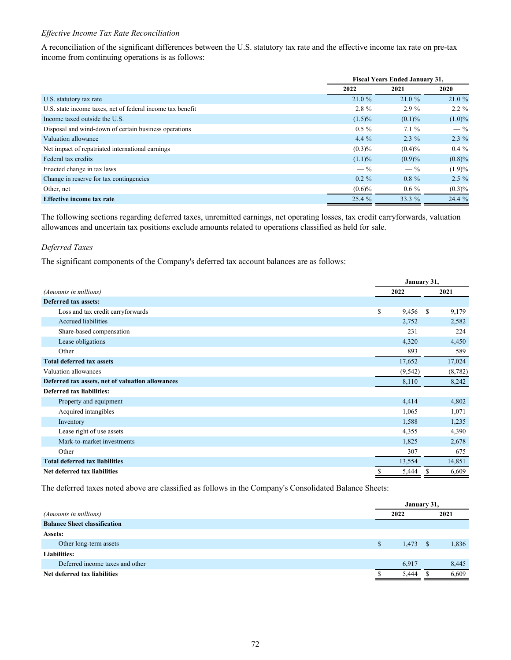### *Effective Income Tax Rate Reconciliation*

A reconciliation of the significant differences between the U.S. statutory tax rate and the effective income tax rate on pre-tax income from continuing operations is as follows:

|                                                            | <b>Fiscal Years Ended January 31,</b> |           |           |  |  |
|------------------------------------------------------------|---------------------------------------|-----------|-----------|--|--|
|                                                            | 2022                                  | 2021      | 2020      |  |  |
| U.S. statutory tax rate                                    | 21.0%                                 | 21.0%     | 21.0%     |  |  |
| U.S. state income taxes, net of federal income tax benefit | $2.8 \%$                              | $2.9\%$   | $2.2\%$   |  |  |
| Income taxed outside the U.S.                              | $(1.5)\%$                             | (0.1)%    | $(1.0)\%$ |  |  |
| Disposal and wind-down of certain business operations      | $0.5 \%$                              | $7.1 \%$  | $-$ %     |  |  |
| Valuation allowance                                        | $4.4\%$                               | $2.3\%$   | $2.3\%$   |  |  |
| Net impact of repatriated international earnings           | $(0.3)\%$                             | $(0.4)\%$ | $0.4\%$   |  |  |
| Federal tax credits                                        | (1.1)%                                | (0.9)%    | $(0.8)\%$ |  |  |
| Enacted change in tax laws                                 | $-$ %                                 | $-$ %     | (1.9)%    |  |  |
| Change in reserve for tax contingencies                    | $0.2 \%$                              | $0.8 \%$  | $2.5\%$   |  |  |
| Other, net                                                 | $(0.6)\%$                             | $0.6\%$   | $(0.3)\%$ |  |  |
| <b>Effective income tax rate</b>                           | 25.4%                                 | 33.3 %    | 24.4 %    |  |  |

The following sections regarding deferred taxes, unremitted earnings, net operating losses, tax credit carryforwards, valuation allowances and uncertain tax positions exclude amounts related to operations classified as held for sale.

### *Deferred Taxes*

The significant components of the Company's deferred tax account balances are as follows:

|                                                  | January 31, |    |          |
|--------------------------------------------------|-------------|----|----------|
| (Amounts in millions)                            | 2022        |    | 2021     |
| <b>Deferred tax assets:</b>                      |             |    |          |
| Loss and tax credit carryforwards                | \$<br>9,456 | \$ | 9,179    |
| <b>Accrued liabilities</b>                       | 2,752       |    | 2,582    |
| Share-based compensation                         | 231         |    | 224      |
| Lease obligations                                | 4,320       |    | 4,450    |
| Other                                            | 893         |    | 589      |
| <b>Total deferred tax assets</b>                 | 17,652      |    | 17,024   |
| Valuation allowances                             | (9, 542)    |    | (8, 782) |
| Deferred tax assets, net of valuation allowances | 8,110       |    | 8,242    |
| <b>Deferred tax liabilities:</b>                 |             |    |          |
| Property and equipment                           | 4,414       |    | 4,802    |
| Acquired intangibles                             | 1,065       |    | 1,071    |
| Inventory                                        | 1,588       |    | 1,235    |
| Lease right of use assets                        | 4,355       |    | 4,390    |
| Mark-to-market investments                       | 1,825       |    | 2,678    |
| Other                                            | 307         |    | 675      |
| <b>Total deferred tax liabilities</b>            | 13,554      |    | 14,851   |
| Net deferred tax liabilities                     | \$<br>5,444 | S  | 6,609    |

The deferred taxes noted above are classified as follows in the Company's Consolidated Balance Sheets:

|                                     | January 31, |       |      |       |  |
|-------------------------------------|-------------|-------|------|-------|--|
| (Amounts in millions)               |             | 2022  |      | 2021  |  |
| <b>Balance Sheet classification</b> |             |       |      |       |  |
| Assets:                             |             |       |      |       |  |
| Other long-term assets              |             | 1,473 | - \$ | 1,836 |  |
| <b>Liabilities:</b>                 |             |       |      |       |  |
| Deferred income taxes and other     |             | 6,917 |      | 8,445 |  |
| Net deferred tax liabilities        |             | 5.444 |      | 6.609 |  |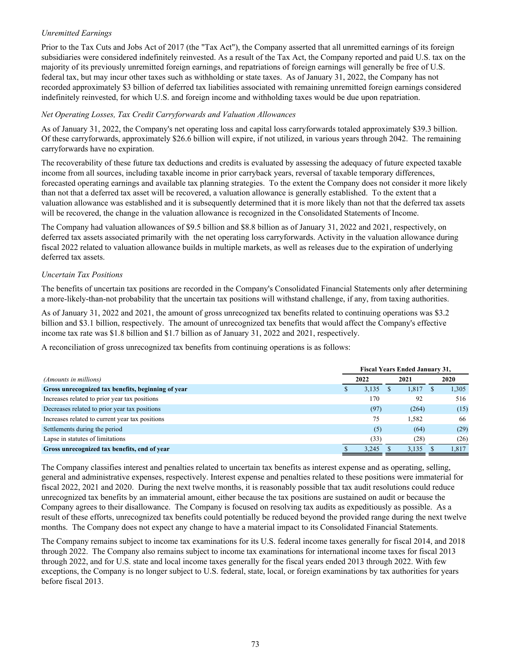### *Unremitted Earnings*

Prior to the Tax Cuts and Jobs Act of 2017 (the "Tax Act"), the Company asserted that all unremitted earnings of its foreign subsidiaries were considered indefinitely reinvested. As a result of the Tax Act, the Company reported and paid U.S. tax on the majority of its previously unremitted foreign earnings, and repatriations of foreign earnings will generally be free of U.S. federal tax, but may incur other taxes such as withholding or state taxes. As of January 31, 2022, the Company has not recorded approximately \$3 billion of deferred tax liabilities associated with remaining unremitted foreign earnings considered indefinitely reinvested, for which U.S. and foreign income and withholding taxes would be due upon repatriation.

# *Net Operating Losses, Tax Credit Carryforwards and Valuation Allowances*

As of January 31, 2022, the Company's net operating loss and capital loss carryforwards totaled approximately \$39.3 billion. Of these carryforwards, approximately \$26.6 billion will expire, if not utilized, in various years through 2042. The remaining carryforwards have no expiration.

The recoverability of these future tax deductions and credits is evaluated by assessing the adequacy of future expected taxable income from all sources, including taxable income in prior carryback years, reversal of taxable temporary differences, forecasted operating earnings and available tax planning strategies. To the extent the Company does not consider it more likely than not that a deferred tax asset will be recovered, a valuation allowance is generally established. To the extent that a valuation allowance was established and it is subsequently determined that it is more likely than not that the deferred tax assets will be recovered, the change in the valuation allowance is recognized in the Consolidated Statements of Income.

The Company had valuation allowances of \$9.5 billion and \$8.8 billion as of January 31, 2022 and 2021, respectively, on deferred tax assets associated primarily with the net operating loss carryforwards. Activity in the valuation allowance during fiscal 2022 related to valuation allowance builds in multiple markets, as well as releases due to the expiration of underlying deferred tax assets.

#### *Uncertain Tax Positions*

The benefits of uncertain tax positions are recorded in the Company's Consolidated Financial Statements only after determining a more-likely-than-not probability that the uncertain tax positions will withstand challenge, if any, from taxing authorities.

As of January 31, 2022 and 2021, the amount of gross unrecognized tax benefits related to continuing operations was \$3.2 billion and \$3.1 billion, respectively. The amount of unrecognized tax benefits that would affect the Company's effective income tax rate was \$1.8 billion and \$1.7 billion as of January 31, 2022 and 2021, respectively.

A reconciliation of gross unrecognized tax benefits from continuing operations is as follows:

|                                                    | <b>Fiscal Years Ended January 31,</b> |       |  |       |  |       |
|----------------------------------------------------|---------------------------------------|-------|--|-------|--|-------|
| <i>(Amounts in millions)</i>                       |                                       | 2022  |  | 2021  |  | 2020  |
| Gross unrecognized tax benefits, beginning of year |                                       | 3,135 |  | 1,817 |  | 1,305 |
| Increases related to prior year tax positions      |                                       | 170   |  | 92    |  | 516   |
| Decreases related to prior year tax positions      |                                       | (97)  |  | (264) |  | (15)  |
| Increases related to current year tax positions    |                                       | 75    |  | 1,582 |  | 66    |
| Settlements during the period                      |                                       | (5)   |  | (64)  |  | (29)  |
| Lapse in statutes of limitations                   |                                       | (33)  |  | (28)  |  | (26)  |
| Gross unrecognized tax benefits, end of year       |                                       | 3,245 |  | 3,135 |  | 1,817 |

The Company classifies interest and penalties related to uncertain tax benefits as interest expense and as operating, selling, general and administrative expenses, respectively. Interest expense and penalties related to these positions were immaterial for fiscal 2022, 2021 and 2020. During the next twelve months, it is reasonably possible that tax audit resolutions could reduce unrecognized tax benefits by an immaterial amount, either because the tax positions are sustained on audit or because the Company agrees to their disallowance. The Company is focused on resolving tax audits as expeditiously as possible. As a result of these efforts, unrecognized tax benefits could potentially be reduced beyond the provided range during the next twelve months. The Company does not expect any change to have a material impact to its Consolidated Financial Statements.

The Company remains subject to income tax examinations for its U.S. federal income taxes generally for fiscal 2014, and 2018 through 2022. The Company also remains subject to income tax examinations for international income taxes for fiscal 2013 through 2022, and for U.S. state and local income taxes generally for the fiscal years ended 2013 through 2022. With few exceptions, the Company is no longer subject to U.S. federal, state, local, or foreign examinations by tax authorities for years before fiscal 2013.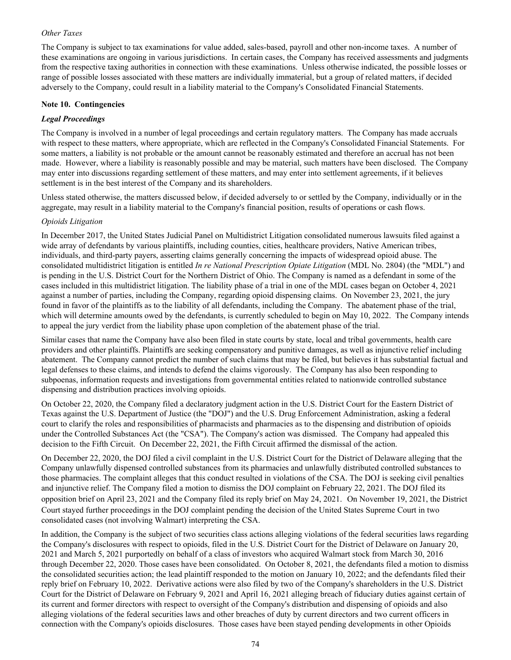### *Other Taxes*

The Company is subject to tax examinations for value added, sales-based, payroll and other non-income taxes. A number of these examinations are ongoing in various jurisdictions. In certain cases, the Company has received assessments and judgments from the respective taxing authorities in connection with these examinations. Unless otherwise indicated, the possible losses or range of possible losses associated with these matters are individually immaterial, but a group of related matters, if decided adversely to the Company, could result in a liability material to the Company's Consolidated Financial Statements.

#### **Note 10. Contingencies**

### *Legal Proceedings*

The Company is involved in a number of legal proceedings and certain regulatory matters. The Company has made accruals with respect to these matters, where appropriate, which are reflected in the Company's Consolidated Financial Statements. For some matters, a liability is not probable or the amount cannot be reasonably estimated and therefore an accrual has not been made. However, where a liability is reasonably possible and may be material, such matters have been disclosed. The Company may enter into discussions regarding settlement of these matters, and may enter into settlement agreements, if it believes settlement is in the best interest of the Company and its shareholders.

Unless stated otherwise, the matters discussed below, if decided adversely to or settled by the Company, individually or in the aggregate, may result in a liability material to the Company's financial position, results of operations or cash flows.

#### *Opioids Litigation*

In December 2017, the United States Judicial Panel on Multidistrict Litigation consolidated numerous lawsuits filed against a wide array of defendants by various plaintiffs, including counties, cities, healthcare providers, Native American tribes, individuals, and third-party payers, asserting claims generally concerning the impacts of widespread opioid abuse. The consolidated multidistrict litigation is entitled *In re National Prescription Opiate Litigation* (MDL No. 2804) (the "MDL") and is pending in the U.S. District Court for the Northern District of Ohio. The Company is named as a defendant in some of the cases included in this multidistrict litigation. The liability phase of a trial in one of the MDL cases began on October 4, 2021 against a number of parties, including the Company, regarding opioid dispensing claims. On November 23, 2021, the jury found in favor of the plaintiffs as to the liability of all defendants, including the Company. The abatement phase of the trial, which will determine amounts owed by the defendants, is currently scheduled to begin on May 10, 2022. The Company intends to appeal the jury verdict from the liability phase upon completion of the abatement phase of the trial.

Similar cases that name the Company have also been filed in state courts by state, local and tribal governments, health care providers and other plaintiffs. Plaintiffs are seeking compensatory and punitive damages, as well as injunctive relief including abatement. The Company cannot predict the number of such claims that may be filed, but believes it has substantial factual and legal defenses to these claims, and intends to defend the claims vigorously. The Company has also been responding to subpoenas, information requests and investigations from governmental entities related to nationwide controlled substance dispensing and distribution practices involving opioids.

On October 22, 2020, the Company filed a declaratory judgment action in the U.S. District Court for the Eastern District of Texas against the U.S. Department of Justice (the "DOJ") and the U.S. Drug Enforcement Administration, asking a federal court to clarify the roles and responsibilities of pharmacists and pharmacies as to the dispensing and distribution of opioids under the Controlled Substances Act (the "CSA"). The Company's action was dismissed. The Company had appealed this decision to the Fifth Circuit. On December 22, 2021, the Fifth Circuit affirmed the dismissal of the action.

On December 22, 2020, the DOJ filed a civil complaint in the U.S. District Court for the District of Delaware alleging that the Company unlawfully dispensed controlled substances from its pharmacies and unlawfully distributed controlled substances to those pharmacies. The complaint alleges that this conduct resulted in violations of the CSA. The DOJ is seeking civil penalties and injunctive relief. The Company filed a motion to dismiss the DOJ complaint on February 22, 2021. The DOJ filed its opposition brief on April 23, 2021 and the Company filed its reply brief on May 24, 2021. On November 19, 2021, the District Court stayed further proceedings in the DOJ complaint pending the decision of the United States Supreme Court in two consolidated cases (not involving Walmart) interpreting the CSA.

In addition, the Company is the subject of two securities class actions alleging violations of the federal securities laws regarding the Company's disclosures with respect to opioids, filed in the U.S. District Court for the District of Delaware on January 20, 2021 and March 5, 2021 purportedly on behalf of a class of investors who acquired Walmart stock from March 30, 2016 through December 22, 2020. Those cases have been consolidated. On October 8, 2021, the defendants filed a motion to dismiss the consolidated securities action; the lead plaintiff responded to the motion on January 10, 2022; and the defendants filed their reply brief on February 10, 2022. Derivative actions were also filed by two of the Company's shareholders in the U.S. District Court for the District of Delaware on February 9, 2021 and April 16, 2021 alleging breach of fiduciary duties against certain of its current and former directors with respect to oversight of the Company's distribution and dispensing of opioids and also alleging violations of the federal securities laws and other breaches of duty by current directors and two current officers in connection with the Company's opioids disclosures. Those cases have been stayed pending developments in other Opioids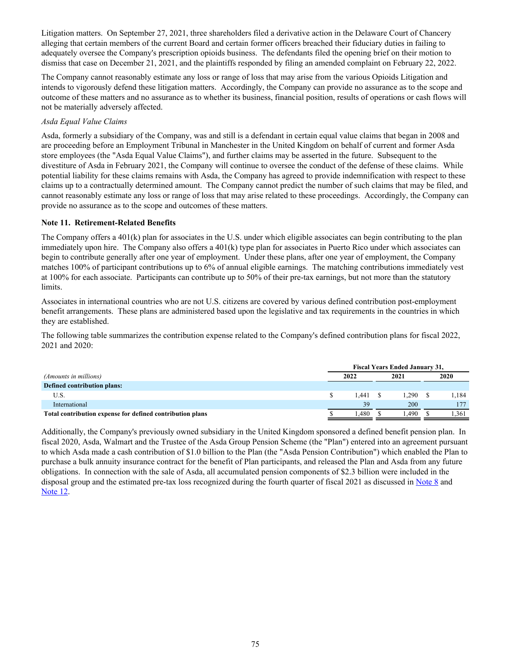Litigation matters. On September 27, 2021, three shareholders filed a derivative action in the Delaware Court of Chancery alleging that certain members of the current Board and certain former officers breached their fiduciary duties in failing to adequately oversee the Company's prescription opioids business. The defendants filed the opening brief on their motion to dismiss that case on December 21, 2021, and the plaintiffs responded by filing an amended complaint on February 22, 2022.

The Company cannot reasonably estimate any loss or range of loss that may arise from the various Opioids Litigation and intends to vigorously defend these litigation matters. Accordingly, the Company can provide no assurance as to the scope and outcome of these matters and no assurance as to whether its business, financial position, results of operations or cash flows will not be materially adversely affected.

### *Asda Equal Value Claims*

Asda, formerly a subsidiary of the Company, was and still is a defendant in certain equal value claims that began in 2008 and are proceeding before an Employment Tribunal in Manchester in the United Kingdom on behalf of current and former Asda store employees (the "Asda Equal Value Claims"), and further claims may be asserted in the future. Subsequent to the divestiture of Asda in February 2021, the Company will continue to oversee the conduct of the defense of these claims. While potential liability for these claims remains with Asda, the Company has agreed to provide indemnification with respect to these claims up to a contractually determined amount. The Company cannot predict the number of such claims that may be filed, and cannot reasonably estimate any loss or range of loss that may arise related to these proceedings. Accordingly, the Company can provide no assurance as to the scope and outcomes of these matters.

#### **Note 11. Retirement-Related Benefits**

The Company offers a 401(k) plan for associates in the U.S. under which eligible associates can begin contributing to the plan immediately upon hire. The Company also offers a 401(k) type plan for associates in Puerto Rico under which associates can begin to contribute generally after one year of employment. Under these plans, after one year of employment, the Company matches 100% of participant contributions up to 6% of annual eligible earnings. The matching contributions immediately vest at 100% for each associate. Participants can contribute up to 50% of their pre-tax earnings, but not more than the statutory limits.

Associates in international countries who are not U.S. citizens are covered by various defined contribution post-employment benefit arrangements. These plans are administered based upon the legislative and tax requirements in the countries in which they are established.

The following table summarizes the contribution expense related to the Company's defined contribution plans for fiscal 2022, 2021 and 2020:

|                                                           | <b>Fiscal Years Ended January 31,</b> |       |      |       |  |       |
|-----------------------------------------------------------|---------------------------------------|-------|------|-------|--|-------|
| <i>(Amounts in millions)</i>                              | 2022<br>2021                          |       | 2020 |       |  |       |
| Defined contribution plans:                               |                                       |       |      |       |  |       |
| U.S.                                                      |                                       | l.441 |      | 1.290 |  | l.184 |
| International                                             |                                       | 39    |      | 200   |  | 177   |
| Total contribution expense for defined contribution plans |                                       | .480  |      | .490  |  | .361  |

Additionally, the Company's previously owned subsidiary in the United Kingdom sponsored a defined benefit pension plan. In fiscal 2020, Asda, Walmart and the Trustee of the Asda Group Pension Scheme (the "Plan") entered into an agreement pursuant to which Asda made a cash contribution of \$1.0 billion to the Plan (the "Asda Pension Contribution") which enabled the Plan to purchase a bulk annuity insurance contract for the benefit of Plan participants, and released the Plan and Asda from any future obligations. In connection with the sale of Asda, all accumulated pension components of \$2.3 billion were included in the disposal group and the estimated pre-tax loss recognized during the fourth quarter of fiscal 2021 as discussed in [Note 8](#page-69-0) and [Note 12](#page-75-0).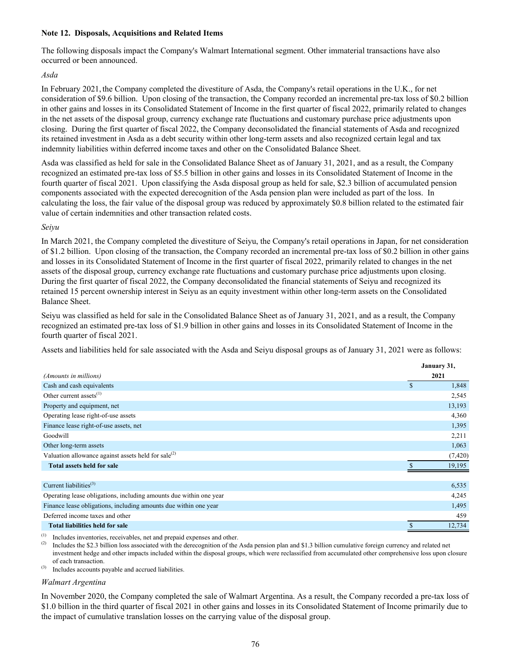#### <span id="page-75-0"></span>**Note 12. Disposals, Acquisitions and Related Items**

The following disposals impact the Company's Walmart International segment. Other immaterial transactions have also occurred or been announced.

#### *Asda*

In February 2021, the Company completed the divestiture of Asda, the Company's retail operations in the U.K., for net consideration of \$9.6 billion. Upon closing of the transaction, the Company recorded an incremental pre-tax loss of \$0.2 billion in other gains and losses in its Consolidated Statement of Income in the first quarter of fiscal 2022, primarily related to changes in the net assets of the disposal group, currency exchange rate fluctuations and customary purchase price adjustments upon closing. During the first quarter of fiscal 2022, the Company deconsolidated the financial statements of Asda and recognized its retained investment in Asda as a debt security within other long-term assets and also recognized certain legal and tax indemnity liabilities within deferred income taxes and other on the Consolidated Balance Sheet.

Asda was classified as held for sale in the Consolidated Balance Sheet as of January 31, 2021, and as a result, the Company recognized an estimated pre-tax loss of \$5.5 billion in other gains and losses in its Consolidated Statement of Income in the fourth quarter of fiscal 2021. Upon classifying the Asda disposal group as held for sale, \$2.3 billion of accumulated pension components associated with the expected derecognition of the Asda pension plan were included as part of the loss. In calculating the loss, the fair value of the disposal group was reduced by approximately \$0.8 billion related to the estimated fair value of certain indemnities and other transaction related costs.

#### *Seiyu*

In March 2021, the Company completed the divestiture of Seiyu, the Company's retail operations in Japan, for net consideration of \$1.2 billion. Upon closing of the transaction, the Company recorded an incremental pre-tax loss of \$0.2 billion in other gains and losses in its Consolidated Statement of Income in the first quarter of fiscal 2022, primarily related to changes in the net assets of the disposal group, currency exchange rate fluctuations and customary purchase price adjustments upon closing. During the first quarter of fiscal 2022, the Company deconsolidated the financial statements of Seiyu and recognized its retained 15 percent ownership interest in Seiyu as an equity investment within other long-term assets on the Consolidated Balance Sheet.

Seiyu was classified as held for sale in the Consolidated Balance Sheet as of January 31, 2021, and as a result, the Company recognized an estimated pre-tax loss of \$1.9 billion in other gains and losses in its Consolidated Statement of Income in the fourth quarter of fiscal 2021.

Assets and liabilities held for sale associated with the Asda and Seiyu disposal groups as of January 31, 2021 were as follows:

|                                                                    | January 31, |
|--------------------------------------------------------------------|-------------|
| (Amounts in millions)                                              | 2021        |
| Cash and cash equivalents                                          | 1,848<br>\$ |
| Other current assets $^{(1)}$                                      | 2,545       |
| Property and equipment, net                                        | 13,193      |
| Operating lease right-of-use assets                                | 4,360       |
| Finance lease right-of-use assets, net                             | 1,395       |
| Goodwill                                                           | 2,211       |
| Other long-term assets                                             | 1,063       |
| Valuation allowance against assets held for sale <sup>(2)</sup>    | (7, 420)    |
| Total assets held for sale                                         | 19,195      |
|                                                                    |             |
| Current liabilities $(3)$                                          | 6,535       |
| Operating lease obligations, including amounts due within one year | 4,245       |
| Finance lease obligations, including amounts due within one year   | 1,495       |
| Deferred income taxes and other                                    | 459         |
| <b>Total liabilities held for sale</b>                             | 12,734      |

(1) Includes inventories, receivables, net and prepaid expenses and other.<br>(2) Includes the \$2.2 billion loss associated with the democration of the

Includes the \$2.3 billion loss associated with the derecognition of the Asda pension plan and \$1.3 billion cumulative foreign currency and related net investment hedge and other impacts included within the disposal groups, which were reclassified from accumulated other comprehensive loss upon closure of each transaction.

(3) Includes accounts payable and accrued liabilities.

#### *Walmart Argentina*

In November 2020, the Company completed the sale of Walmart Argentina. As a result, the Company recorded a pre-tax loss of \$1.0 billion in the third quarter of fiscal 2021 in other gains and losses in its Consolidated Statement of Income primarily due to the impact of cumulative translation losses on the carrying value of the disposal group.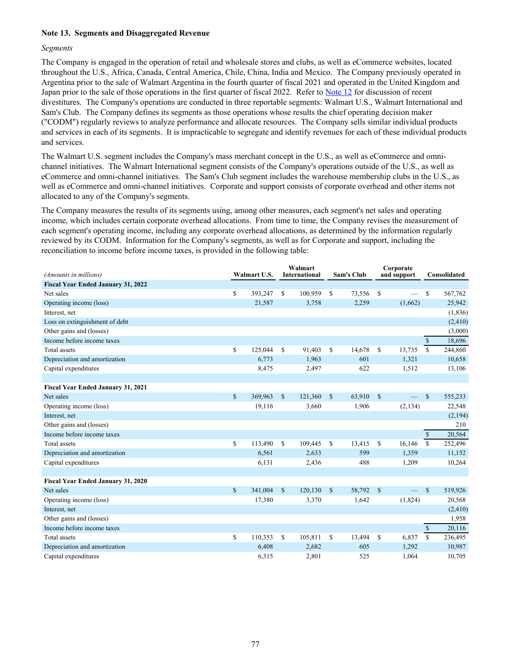#### **Note 13. Segments and Disaggregated Revenue**

#### *Segments*

The Company is engaged in the operation of retail and wholesale stores and clubs, as well as eCommerce websites, located throughout the U.S., Africa, Canada, Central America, Chile, China, India and Mexico. The Company previously operated in Argentina prior to the sale of Walmart Argentina in the fourth quarter of fiscal 2021 and operated in the United Kingdom and Japan prior to the sale of those operations in the first quarter of fiscal 2022. Refer to [Note 12](#page-75-0) for discussion of recent divestitures. The Company's operations are conducted in three reportable segments: Walmart U.S., Walmart International and Sam's Club. The Company defines its segments as those operations whose results the chief operating decision maker ("CODM") regularly reviews to analyze performance and allocate resources. The Company sells similar individual products and services in each of its segments. It is impracticable to segregate and identify revenues for each of these individual products and services.

The Walmart U.S. segment includes the Company's mass merchant concept in the U.S., as well as eCommerce and omnichannel initiatives. The Walmart International segment consists of the Company's operations outside of the U.S., as well as eCommerce and omni-channel initiatives. The Sam's Club segment includes the warehouse membership clubs in the U.S., as well as eCommerce and omni-channel initiatives. Corporate and support consists of corporate overhead and other items not allocated to any of the Company's segments.

The Company measures the results of its segments using, among other measures, each segment's net sales and operating income, which includes certain corporate overhead allocations. From time to time, the Company revises the measurement of each segment's operating income, including any corporate overhead allocations, as determined by the information regularly reviewed by its CODM. Information for the Company's segments, as well as for Corporate and support, including the reconciliation to income before income taxes, is provided in the following table:

| (Amounts in millions)                     | Walmart U.S. |         | Walmart<br>International |         | Sam's Club    |        | Corporate<br>and support |                          |              | Consolidated |
|-------------------------------------------|--------------|---------|--------------------------|---------|---------------|--------|--------------------------|--------------------------|--------------|--------------|
| <b>Fiscal Year Ended January 31, 2022</b> |              |         |                          |         |               |        |                          |                          |              |              |
| Net sales                                 | \$           | 393,247 | \$                       | 100,959 | \$            | 73,556 | \$                       |                          | \$           | 567,762      |
| Operating income (loss)                   |              | 21,587  |                          | 3,758   |               | 2,259  |                          | (1,662)                  |              | 25,942       |
| Interest, net                             |              |         |                          |         |               |        |                          |                          |              | (1, 836)     |
| Loss on extinguishment of debt            |              |         |                          |         |               |        |                          |                          |              | (2, 410)     |
| Other gains and (losses)                  |              |         |                          |         |               |        |                          |                          |              | (3,000)      |
| Income before income taxes                |              |         |                          |         |               |        |                          |                          | $\mathbb{S}$ | 18,696       |
| Total assets                              | \$           | 125,044 | \$                       | 91,403  | \$            | 14,678 | \$                       | 13,735                   | \$           | 244,860      |
| Depreciation and amortization             |              | 6,773   |                          | 1,963   |               | 601    |                          | 1,321                    |              | 10,658       |
| Capital expenditures                      |              | 8,475   |                          | 2,497   |               | 622    |                          | 1,512                    |              | 13,106       |
|                                           |              |         |                          |         |               |        |                          |                          |              |              |
| Fiscal Year Ended January 31, 2021        |              |         |                          |         |               |        |                          |                          |              |              |
| Net sales                                 | $\mathbb{S}$ | 369,963 | <sup>\$</sup>            | 121,360 | <sup>\$</sup> | 63,910 | $\mathbb{S}$             | $\overline{\phantom{0}}$ | \$           | 555,233      |
| Operating income (loss)                   |              | 19,116  |                          | 3,660   |               | 1,906  |                          | (2, 134)                 |              | 22,548       |
| Interest, net                             |              |         |                          |         |               |        |                          |                          |              | (2,194)      |
| Other gains and (losses)                  |              |         |                          |         |               |        |                          |                          |              | 210          |
| Income before income taxes                |              |         |                          |         |               |        |                          |                          | $\mathbb{S}$ | 20,564       |
| Total assets                              | \$           | 113,490 | \$                       | 109,445 | \$            | 13,415 | \$                       | 16,146                   | \$           | 252,496      |
| Depreciation and amortization             |              | 6,561   |                          | 2,633   |               | 599    |                          | 1,359                    |              | 11,152       |
| Capital expenditures                      |              | 6,131   |                          | 2,436   |               | 488    |                          | 1,209                    |              | 10,264       |
|                                           |              |         |                          |         |               |        |                          |                          |              |              |
| <b>Fiscal Year Ended January 31, 2020</b> |              |         |                          |         |               |        |                          |                          |              |              |
| Net sales                                 | \$           | 341,004 | $\mathbb{S}$             | 120,130 | $\mathbb{S}$  | 58,792 | $\mathbb{S}$             | $\overline{\phantom{0}}$ | $\mathbb{S}$ | 519,926      |
| Operating income (loss)                   |              | 17,380  |                          | 3,370   |               | 1,642  |                          | (1, 824)                 |              | 20,568       |
| Interest, net                             |              |         |                          |         |               |        |                          |                          |              | (2, 410)     |
| Other gains and (losses)                  |              |         |                          |         |               |        |                          |                          |              | 1,958        |
| Income before income taxes                |              |         |                          |         |               |        |                          |                          | $\mathbb{S}$ | 20,116       |
| Total assets                              | \$           | 110,353 | \$                       | 105,811 | S             | 13,494 | \$                       | 6,837                    | S            | 236,495      |
| Depreciation and amortization             |              | 6,408   |                          | 2,682   |               | 605    |                          | 1,292                    |              | 10,987       |
| Capital expenditures                      |              | 6,315   |                          | 2.801   |               | 525    |                          | 1.064                    |              | 10,705       |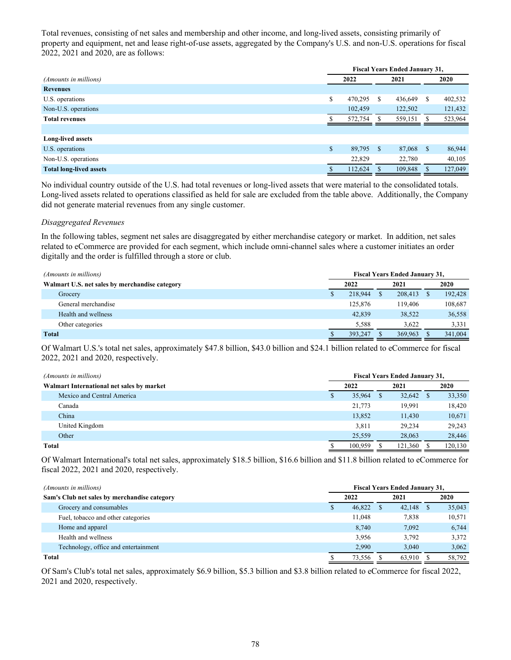Total revenues, consisting of net sales and membership and other income, and long-lived assets, consisting primarily of property and equipment, net and lease right-of-use assets, aggregated by the Company's U.S. and non-U.S. operations for fiscal 2022, 2021 and 2020, are as follows:

|                                | <b>Fiscal Years Ended January 31,</b> |         |              |         |               |         |
|--------------------------------|---------------------------------------|---------|--------------|---------|---------------|---------|
| (Amounts in millions)          |                                       | 2022    |              | 2021    |               | 2020    |
| <b>Revenues</b>                |                                       |         |              |         |               |         |
| U.S. operations                | \$                                    | 470,295 | \$           | 436,649 | S             | 402,532 |
| Non-U.S. operations            |                                       | 102,459 |              | 122,502 |               | 121,432 |
| <b>Total revenues</b>          |                                       | 572,754 |              | 559,151 |               | 523,964 |
|                                |                                       |         |              |         |               |         |
| <b>Long-lived assets</b>       |                                       |         |              |         |               |         |
| U.S. operations                | \$                                    | 89,795  | <sup>S</sup> | 87,068  | <sup>\$</sup> | 86,944  |
| Non-U.S. operations            |                                       | 22,829  |              | 22,780  |               | 40,105  |
| <b>Total long-lived assets</b> |                                       | 112,624 |              | 109,848 |               | 127,049 |

No individual country outside of the U.S. had total revenues or long-lived assets that were material to the consolidated totals. Long-lived assets related to operations classified as held for sale are excluded from the table above. Additionally, the Company did not generate material revenues from any single customer.

#### *Disaggregated Revenues*

In the following tables, segment net sales are disaggregated by either merchandise category or market. In addition, net sales related to eCommerce are provided for each segment, which include omni-channel sales where a customer initiates an order digitally and the order is fulfilled through a store or club.

| (Amounts in millions)                          | <b>Fiscal Years Ended January 31,</b> |         |  |         |      |         |
|------------------------------------------------|---------------------------------------|---------|--|---------|------|---------|
| Walmart U.S. net sales by merchandise category | 2022<br>2021                          |         |  |         | 2020 |         |
| Grocery                                        |                                       | 218,944 |  | 208,413 |      | 192,428 |
| General merchandise                            |                                       | 125.876 |  | 119.406 |      | 108,687 |
| Health and wellness                            |                                       | 42.839  |  | 38,522  |      | 36,558  |
| Other categories                               |                                       | 5.588   |  | 3.622   |      | 3,331   |
| <b>Total</b>                                   |                                       | 393.247 |  | 369,963 |      | 341,004 |

Of Walmart U.S.'s total net sales, approximately \$47.8 billion, \$43.0 billion and \$24.1 billion related to eCommerce for fiscal 2022, 2021 and 2020, respectively.

| (Amounts in millions)                     | <b>Fiscal Years Ended January 31,</b> |         |   |           |      |         |
|-------------------------------------------|---------------------------------------|---------|---|-----------|------|---------|
| Walmart International net sales by market | 2022<br>2021                          |         |   |           | 2020 |         |
| Mexico and Central America                |                                       | 35,964  | S | 32,642 \$ |      | 33,350  |
| Canada                                    |                                       | 21,773  |   | 19.991    |      | 18,420  |
| China                                     |                                       | 13,852  |   | 11.430    |      | 10,671  |
| United Kingdom                            |                                       | 3,811   |   | 29,234    |      | 29,243  |
| Other                                     |                                       | 25,559  |   | 28,063    |      | 28,446  |
| Total                                     |                                       | 100.959 |   | 121,360   |      | 120,130 |

Of Walmart International's total net sales, approximately \$18.5 billion, \$16.6 billion and \$11.8 billion related to eCommerce for fiscal 2022, 2021 and 2020, respectively.

| (Amounts in millions)                        | <b>Fiscal Years Ended January 31,</b> |        |  |        |      |        |
|----------------------------------------------|---------------------------------------|--------|--|--------|------|--------|
| Sam's Club net sales by merchandise category | 2022<br>2021                          |        |  |        | 2020 |        |
| Grocery and consumables                      |                                       | 46,822 |  | 42.148 |      | 35,043 |
| Fuel, tobacco and other categories           |                                       | 11.048 |  | 7,838  |      | 10,571 |
| Home and apparel                             |                                       | 8,740  |  | 7,092  |      | 6,744  |
| Health and wellness                          |                                       | 3.956  |  | 3.792  |      | 3,372  |
| Technology, office and entertainment         |                                       | 2.990  |  | 3.040  |      | 3,062  |
| Total                                        |                                       | 73,556 |  | 63,910 |      | 58,792 |

Of Sam's Club's total net sales, approximately \$6.9 billion, \$5.3 billion and \$3.8 billion related to eCommerce for fiscal 2022, 2021 and 2020, respectively.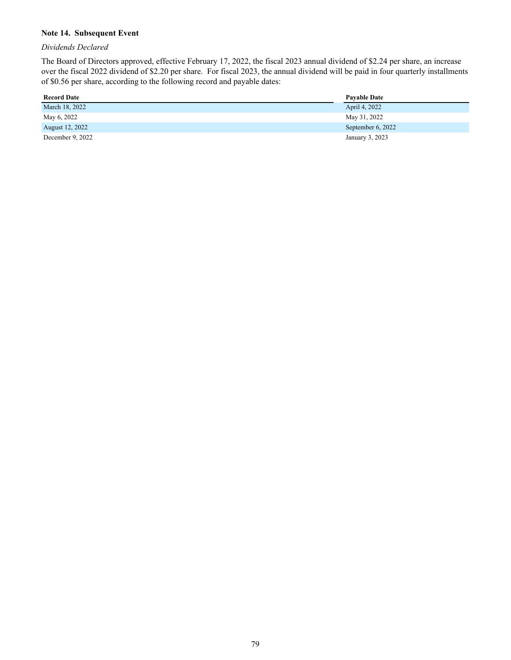### **Note 14. Subsequent Event**

# *Dividends Declared*

The Board of Directors approved, effective February 17, 2022, the fiscal 2023 annual dividend of \$2.24 per share, an increase over the fiscal 2022 dividend of \$2.20 per share. For fiscal 2023, the annual dividend will be paid in four quarterly installments of \$0.56 per share, according to the following record and payable dates:

| <b>Record Date</b> | <b>Payable Date</b> |
|--------------------|---------------------|
| March 18, 2022     | April 4, 2022       |
| May 6, 2022        | May 31, 2022        |
| August 12, 2022    | September 6, 2022   |
| December 9, 2022   | January 3, 2023     |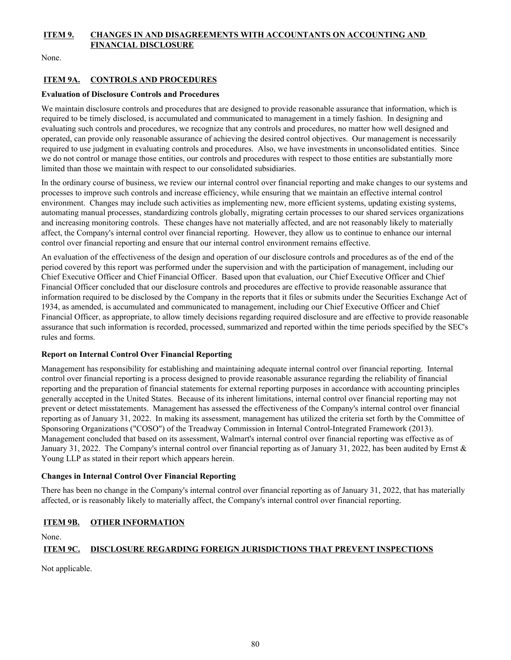# **ITEM 9. CHANGES IN AND DISAGREEMENTS WITH ACCOUNTANTS ON ACCOUNTING AND FINANCIAL DISCLOSURE**

None.

# **ITEM 9A. CONTROLS AND PROCEDURES**

### **Evaluation of Disclosure Controls and Procedures**

We maintain disclosure controls and procedures that are designed to provide reasonable assurance that information, which is required to be timely disclosed, is accumulated and communicated to management in a timely fashion. In designing and evaluating such controls and procedures, we recognize that any controls and procedures, no matter how well designed and operated, can provide only reasonable assurance of achieving the desired control objectives. Our management is necessarily required to use judgment in evaluating controls and procedures. Also, we have investments in unconsolidated entities. Since we do not control or manage those entities, our controls and procedures with respect to those entities are substantially more limited than those we maintain with respect to our consolidated subsidiaries.

In the ordinary course of business, we review our internal control over financial reporting and make changes to our systems and processes to improve such controls and increase efficiency, while ensuring that we maintain an effective internal control environment. Changes may include such activities as implementing new, more efficient systems, updating existing systems, automating manual processes, standardizing controls globally, migrating certain processes to our shared services organizations and increasing monitoring controls. These changes have not materially affected, and are not reasonably likely to materially affect, the Company's internal control over financial reporting. However, they allow us to continue to enhance our internal control over financial reporting and ensure that our internal control environment remains effective.

An evaluation of the effectiveness of the design and operation of our disclosure controls and procedures as of the end of the period covered by this report was performed under the supervision and with the participation of management, including our Chief Executive Officer and Chief Financial Officer. Based upon that evaluation, our Chief Executive Officer and Chief Financial Officer concluded that our disclosure controls and procedures are effective to provide reasonable assurance that information required to be disclosed by the Company in the reports that it files or submits under the Securities Exchange Act of 1934, as amended, is accumulated and communicated to management, including our Chief Executive Officer and Chief Financial Officer, as appropriate, to allow timely decisions regarding required disclosure and are effective to provide reasonable assurance that such information is recorded, processed, summarized and reported within the time periods specified by the SEC's rules and forms.

#### **Report on Internal Control Over Financial Reporting**

Management has responsibility for establishing and maintaining adequate internal control over financial reporting. Internal control over financial reporting is a process designed to provide reasonable assurance regarding the reliability of financial reporting and the preparation of financial statements for external reporting purposes in accordance with accounting principles generally accepted in the United States. Because of its inherent limitations, internal control over financial reporting may not prevent or detect misstatements. Management has assessed the effectiveness of the Company's internal control over financial reporting as of January 31, 2022. In making its assessment, management has utilized the criteria set forth by the Committee of Sponsoring Organizations ("COSO") of the Treadway Commission in Internal Control-Integrated Framework (2013). Management concluded that based on its assessment, Walmart's internal control over financial reporting was effective as of January 31, 2022. The Company's internal control over financial reporting as of January 31, 2022, has been audited by Ernst & Young LLP as stated in their report which appears herein.

#### **Changes in Internal Control Over Financial Reporting**

There has been no change in the Company's internal control over financial reporting as of January 31, 2022, that has materially affected, or is reasonably likely to materially affect, the Company's internal control over financial reporting.

# **ITEM 9B. OTHER INFORMATION**

None.

# **ITEM 9C. DISCLOSURE REGARDING FOREIGN JURISDICTIONS THAT PREVENT INSPECTIONS**

Not applicable.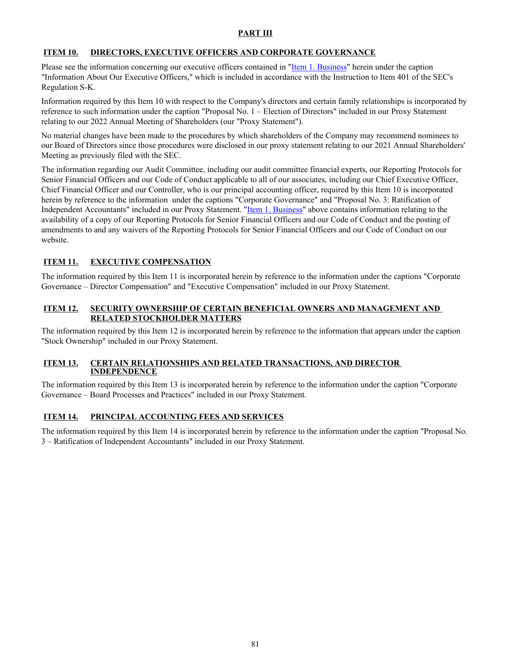### **PART III**

# **ITEM 10. DIRECTORS, EXECUTIVE OFFICERS AND CORPORATE GOVERNANCE**

Please see the information concerning our executive officers contained in ["Item 1. Business"](#page-5-0) herein under the caption "Information About Our Executive Officers," which is included in accordance with the Instruction to Item 401 of the SEC's Regulation S-K.

Information required by this Item 10 with respect to the Company's directors and certain family relationships is incorporated by reference to such information under the caption "Proposal No. 1 – Election of Directors" included in our Proxy Statement relating to our 2022 Annual Meeting of Shareholders (our "Proxy Statement").

No material changes have been made to the procedures by which shareholders of the Company may recommend nominees to our Board of Directors since those procedures were disclosed in our proxy statement relating to our 2021 Annual Shareholders' Meeting as previously filed with the SEC.

The information regarding our Audit Committee, including our audit committee financial experts, our Reporting Protocols for Senior Financial Officers and our Code of Conduct applicable to all of our associates, including our Chief Executive Officer, Chief Financial Officer and our Controller, who is our principal accounting officer, required by this Item 10 is incorporated herein by reference to the information under the captions "Corporate Governance" and "Proposal No. 3: Ratification of Independent Accountants" included in our Proxy Statement. ["Item 1. Business"](#page-5-0) above contains information relating to the availability of a copy of our Reporting Protocols for Senior Financial Officers and our Code of Conduct and the posting of amendments to and any waivers of the Reporting Protocols for Senior Financial Officers and our Code of Conduct on our website.

# **ITEM 11. EXECUTIVE COMPENSATION**

The information required by this Item 11 is incorporated herein by reference to the information under the captions "Corporate Governance – Director Compensation" and "Executive Compensation" included in our Proxy Statement.

### **ITEM 12. SECURITY OWNERSHIP OF CERTAIN BENEFICIAL OWNERS AND MANAGEMENT AND RELATED STOCKHOLDER MATTERS**

The information required by this Item 12 is incorporated herein by reference to the information that appears under the caption "Stock Ownership" included in our Proxy Statement.

#### **ITEM 13. CERTAIN RELATIONSHIPS AND RELATED TRANSACTIONS, AND DIRECTOR INDEPENDENCE**

The information required by this Item 13 is incorporated herein by reference to the information under the caption "Corporate Governance – Board Processes and Practices" included in our Proxy Statement.

#### **ITEM 14. PRINCIPAL ACCOUNTING FEES AND SERVICES**

The information required by this Item 14 is incorporated herein by reference to the information under the caption "Proposal No. 3 – Ratification of Independent Accountants" included in our Proxy Statement.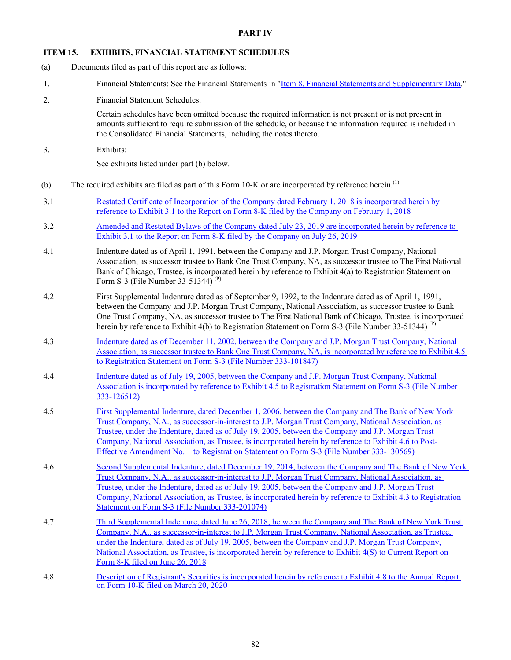#### **PART IV**

#### **ITEM 15. EXHIBITS, FINANCIAL STATEMENT SCHEDULES**

- (a) Documents filed as part of this report are as follows:
- 1. Financial Statements: See the Financial Statements in "[Item 8. Financial Statements and Supplementary Data](#page-48-0)."
- 2. Financial Statement Schedules:

Certain schedules have been omitted because the required information is not present or is not present in amounts sufficient to require submission of the schedule, or because the information required is included in the Consolidated Financial Statements, including the notes thereto.

3. Exhibits:

See exhibits listed under part (b) below.

- (b) The required exhibits are filed as part of this Form 10-K or are incorporated by reference herein.<sup>(1)</sup>
- 3.1 [Restated Certificate of Incorporation of the Company dated February 1, 2018 is incorporated herein by](http://www.sec.gov/Archives/edgar/data/104169/000010416918000013/exhibit31-212018.htm)  [reference to Exhibit 3.1 to the Report on Form 8-K filed by the Company on February 1, 2018](http://www.sec.gov/Archives/edgar/data/104169/000010416918000013/exhibit31-212018.htm)
- 3.2 [Amended and Restated Bylaws of the Company dated July 23, 2019 are incorporated herein by reference to](https://www.sec.gov/Archives/edgar/data/104169/000010416919000054/exhibit31dated7262019.htm)  [Exhibit 3.1 to the Report on Form 8-K filed by the Company on July 26, 2019](https://www.sec.gov/Archives/edgar/data/104169/000010416919000054/exhibit31dated7262019.htm)
- 4.1 Indenture dated as of April 1, 1991, between the Company and J.P. Morgan Trust Company, National Association, as successor trustee to Bank One Trust Company, NA, as successor trustee to The First National Bank of Chicago, Trustee, is incorporated herein by reference to Exhibit 4(a) to Registration Statement on Form S-3 (File Number 33-51344) (P)
- 4.2 First Supplemental Indenture dated as of September 9, 1992, to the Indenture dated as of April 1, 1991, between the Company and J.P. Morgan Trust Company, National Association, as successor trustee to Bank One Trust Company, NA, as successor trustee to The First National Bank of Chicago, Trustee, is incorporated herein by reference to Exhibit 4(b) to Registration Statement on Form S-3 (File Number 33-51344)<sup>(P)</sup>
- 4.3 [Indenture dated as of December 11, 2002, between the Company and J.P. Morgan Trust Company, National](http://www.sec.gov/Archives/edgar/data/104169/000093066102004320/dex45.txt)  [Association, as successor trustee to Bank One Trust Company, NA, is incorporated by reference to Exhibit 4.5](http://www.sec.gov/Archives/edgar/data/104169/000093066102004320/dex45.txt)  [to Registration Statement on Form S-3 \(File Number 333-101847\)](http://www.sec.gov/Archives/edgar/data/104169/000093066102004320/dex45.txt)
- 4.4 [Indenture dated as of July 19, 2005, between the Company and J.P. Morgan Trust Company, National](http://www.sec.gov/Archives/edgar/data/104169/000119312505140337/dex45.htm)  [Association is incorporated by reference to Exhibit 4.5 to Registration Statement on Form S-3 \(File Number](http://www.sec.gov/Archives/edgar/data/104169/000119312505140337/dex45.htm)  [333-126512\)](http://www.sec.gov/Archives/edgar/data/104169/000119312505140337/dex45.htm)
- 4.5 [First Supplemental Indenture, dated December 1, 2006, between the Company and The Bank of New York](http://www.sec.gov/Archives/edgar/data/104169/000119312506248692/dex46.htm)  [Trust Company, N.A., as successor-in-interest to J.P. Morgan Trust Company, National Association, as](http://www.sec.gov/Archives/edgar/data/104169/000119312506248692/dex46.htm)  [Trustee, under the Indenture, dated as of July 19, 2005, between the Company and J.P. Morgan Trust](http://www.sec.gov/Archives/edgar/data/104169/000119312506248692/dex46.htm)  [Company, National Association, as Trustee, is incorporated herein by reference to Exhibit 4.6 to Post-](http://www.sec.gov/Archives/edgar/data/104169/000119312506248692/dex46.htm)[Effective Amendment No. 1 to Registration Statement on Form S-3 \(File Number 333-130569\)](http://www.sec.gov/Archives/edgar/data/104169/000119312506248692/dex46.htm)
- 4.6 [Second Supplemental Indenture, dated December 19, 2014, between the Company and The Bank of New York](http://www.sec.gov/Archives/edgar/data/104169/000119312514448061/d838288dex43.htm)  [Trust Company, N.A., as successor-in-interest to J.P. Morgan Trust Company, National Association, as](http://www.sec.gov/Archives/edgar/data/104169/000119312514448061/d838288dex43.htm)  [Trustee, under the Indenture, dated as of July 19, 2005, between the Company and J.P. Morgan Trust](http://www.sec.gov/Archives/edgar/data/104169/000119312514448061/d838288dex43.htm)  [Company, National Association, as Trustee, is incorporated herein by reference to Exhibit 4.3 to Registration](http://www.sec.gov/Archives/edgar/data/104169/000119312514448061/d838288dex43.htm)  [Statement on Form S-3 \(File Number 333-201074\)](http://www.sec.gov/Archives/edgar/data/104169/000119312514448061/d838288dex43.htm)
- 4.7 [Third Supplemental Indenture, dated June 26, 2018, between the Company and The Bank of New York Trust](http://www.sec.gov/Archives/edgar/data/104169/000119312518204205/d561440dex4s.htm)  [Company, N.A., as successor-in-interest to J.P. Morgan Trust Company, National Association, as Trustee,](http://www.sec.gov/Archives/edgar/data/104169/000119312518204205/d561440dex4s.htm)  [under the Indenture, dated as of July 19, 2005, between the Company and J.P. Morgan Trust Company,](http://www.sec.gov/Archives/edgar/data/104169/000119312518204205/d561440dex4s.htm)  [National Association, as Trustee, is incorporated herein by reference to Exhibit 4\(S\) to Current Report on](http://www.sec.gov/Archives/edgar/data/104169/000119312518204205/d561440dex4s.htm)  [Form 8-K filed on June 26, 2018](http://www.sec.gov/Archives/edgar/data/104169/000119312518204205/d561440dex4s.htm)
- 4.8 [Description of Registrant's Securities is incorporated herein by reference to Exhibit 4.8 to the Annual Report](https://www.sec.gov/Archives/edgar/data/104169/000010416920000011/exhibit48.htm)  [on Form 10-K filed on March 20, 2020](https://www.sec.gov/Archives/edgar/data/104169/000010416920000011/exhibit48.htm)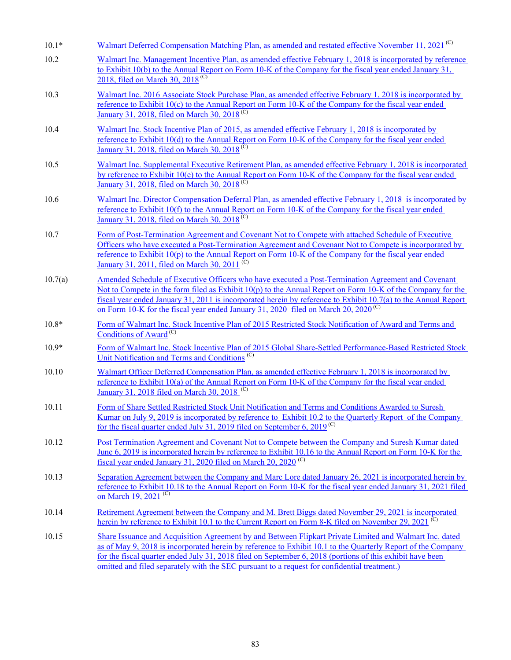| $10.1*$ | Walmart Deferred Compensation Matching Plan, as amended and restated effective November 11, 2021 <sup>(C)</sup>                                                                                                                                                                                                                                                                                                                        |
|---------|----------------------------------------------------------------------------------------------------------------------------------------------------------------------------------------------------------------------------------------------------------------------------------------------------------------------------------------------------------------------------------------------------------------------------------------|
| 10.2    | Walmart Inc. Management Incentive Plan, as amended effective February 1, 2018 is incorporated by reference<br>to Exhibit 10(b) to the Annual Report on Form 10-K of the Company for the fiscal year ended January 31,<br>2018, filed on March 30, 2018 <sup>(C)</sup>                                                                                                                                                                  |
| 10.3    | Walmart Inc. 2016 Associate Stock Purchase Plan, as amended effective February 1, 2018 is incorporated by<br>reference to Exhibit 10(c) to the Annual Report on Form 10-K of the Company for the fiscal year ended<br>January 31, 2018, filed on March 30, 2018 <sup>(C)</sup>                                                                                                                                                         |
| 10.4    | Walmart Inc. Stock Incentive Plan of 2015, as amended effective February 1, 2018 is incorporated by<br>reference to Exhibit 10(d) to the Annual Report on Form 10-K of the Company for the fiscal year ended<br>January 31, 2018, filed on March 30, 2018 <sup>(C)</sup>                                                                                                                                                               |
| 10.5    | Walmart Inc. Supplemental Executive Retirement Plan, as amended effective February 1, 2018 is incorporated<br>by reference to Exhibit 10(e) to the Annual Report on Form 10-K of the Company for the fiscal year ended<br>January 31, 2018, filed on March 30, 2018 <sup>(C)</sup>                                                                                                                                                     |
| 10.6    | Walmart Inc. Director Compensation Deferral Plan, as amended effective February 1, 2018 is incorporated by<br>reference to Exhibit $10(f)$ to the Annual Report on Form $10-K$ of the Company for the fiscal year ended<br>January 31, 2018, filed on March 30, 2018 <sup>(C)</sup>                                                                                                                                                    |
| 10.7    | Form of Post-Termination Agreement and Covenant Not to Compete with attached Schedule of Executive<br>Officers who have executed a Post-Termination Agreement and Covenant Not to Compete is incorporated by<br>reference to Exhibit $10(p)$ to the Annual Report on Form $10-K$ of the Company for the fiscal year ended<br>January 31, 2011, filed on March 30, 2011 <sup>(C)</sup>                                                  |
| 10.7(a) | Amended Schedule of Executive Officers who have executed a Post-Termination Agreement and Covenant<br>Not to Compete in the form filed as Exhibit $10(p)$ to the Annual Report on Form 10-K of the Company for the<br>fiscal year ended January 31, 2011 is incorporated herein by reference to Exhibit 10.7(a) to the Annual Report<br>on Form 10-K for the fiscal year ended January 31, 2020 filed on March 20, 2020 <sup>(C)</sup> |
| $10.8*$ | Form of Walmart Inc. Stock Incentive Plan of 2015 Restricted Stock Notification of Award and Terms and<br>Conditions of Award <sup>(C)</sup>                                                                                                                                                                                                                                                                                           |
| $10.9*$ | Form of Walmart Inc. Stock Incentive Plan of 2015 Global Share-Settled Performance-Based Restricted Stock<br>Unit Notification and Terms and Conditions <sup>(C)</sup>                                                                                                                                                                                                                                                                 |
| 10.10   | Walmart Officer Deferred Compensation Plan, as amended effective February 1, 2018 is incorporated by<br>reference to Exhibit 10(a) of the Annual Report on Form 10-K of the Company for the fiscal year ended<br>January 31, 2018 filed on March 30, 2018 <sup>(C)</sup>                                                                                                                                                               |
| 10.11   | Form of Share Settled Restricted Stock Unit Notification and Terms and Conditions Awarded to Suresh<br>Kumar on July 9, 2019 is incorporated by reference to Exhibit 10.2 to the Quarterly Report of the Company<br>for the fiscal quarter ended July 31, 2019 filed on September 6, 2019 <sup>(C)</sup>                                                                                                                               |
| 10.12   | Post Termination Agreement and Covenant Not to Compete between the Company and Suresh Kumar dated<br>June 6, 2019 is incorporated herein by reference to Exhibit 10.16 to the Annual Report on Form 10-K for the<br>fiscal year ended January 31, 2020 filed on March 20, 2020 <sup>(C)</sup>                                                                                                                                          |
| 10.13   | Separation Agreement between the Company and Marc Lore dated January 26, 2021 is incorporated herein by<br>reference to Exhibit 10.18 to the Annual Report on Form 10-K for the fiscal year ended January 31, 2021 filed<br>on March 19, 2021 <sup>(C)</sup>                                                                                                                                                                           |
| 10.14   | Retirement Agreement between the Company and M. Brett Biggs dated November 29, 2021 is incorporated<br>herein by reference to Exhibit 10.1 to the Current Report on Form 8-K filed on November 29, 2021 <sup>(C)</sup>                                                                                                                                                                                                                 |
| 10.15   | Share Issuance and Acquisition Agreement by and Between Flipkart Private Limited and Walmart Inc. dated<br>as of May 9, 2018 is incorporated herein by reference to Exhibit 10.1 to the Quarterly Report of the Company<br>for the fiscal quarter ended July 31, 2018 filed on September 6, 2018 (portions of this exhibit have been<br>omitted and filed separately with the SEC pursuant to a request for confidential treatment.)   |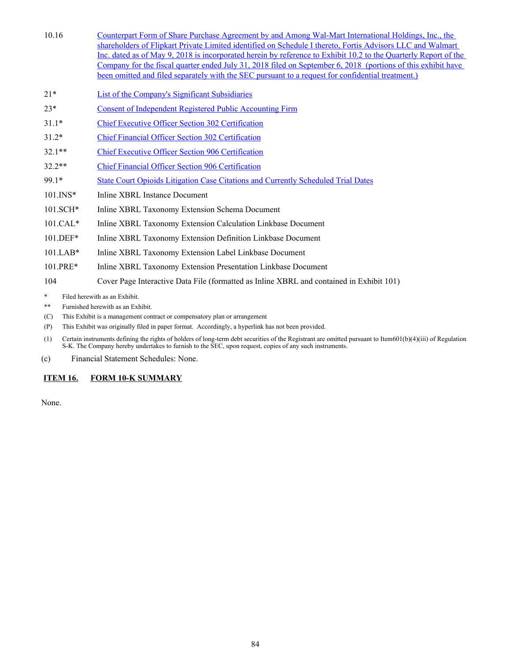- 10.16 [Counterpart Form of Share Purchase Agreement by and Among Wal-Mart International Holdings, Inc., the](http://www.sec.gov/Archives/edgar/data/104169/000010416918000086/exhibit102sharepurchasea.htm)  [shareholders of Flipkart Private Limited identified on Schedule I thereto, Fortis Advisors LLC and Walmart](http://www.sec.gov/Archives/edgar/data/104169/000010416918000086/exhibit102sharepurchasea.htm)  [Inc. dated as of May 9, 2018 is incorporated herein by reference to Exhibit 10.2 to the Quarterly Report of the](http://www.sec.gov/Archives/edgar/data/104169/000010416918000086/exhibit102sharepurchasea.htm)  [Company for the fiscal quarter ended July 31, 2018 filed on September 6, 2018 \(portions of this exhibit have](http://www.sec.gov/Archives/edgar/data/104169/000010416918000086/exhibit102sharepurchasea.htm)  [been omitted and filed separately with the SEC pursuant to a request for confidential treatment.\)](http://www.sec.gov/Archives/edgar/data/104169/000010416918000086/exhibit102sharepurchasea.htm) 21\* [List of the Company's Significant Subsidiaries](#page-86-0) 23\* [Consent of Independent Registered Public Accounting Firm](#page-87-0) 31.1\* Chief Executive Officer Section 302 Certification 31.2\* [Chief Financial Officer Section 302 Certification](#page-89-0) 32.1\*\* Chief Executive Officer Section 906 Certification 32.2\*\* [Chief Financial Officer Section 906 Certification](#page-91-0) 99.1\* State Court Opioids Litigation Case Citations and Currently Scheduled Trial Dates 101.INS\* Inline XBRL Instance Document 101.SCH\* Inline XBRL Taxonomy Extension Schema Document 101.CAL\* Inline XBRL Taxonomy Extension Calculation Linkbase Document 101.DEF\* Inline XBRL Taxonomy Extension Definition Linkbase Document 101.LAB\* Inline XBRL Taxonomy Extension Label Linkbase Document 101.PRE\* Inline XBRL Taxonomy Extension Presentation Linkbase Document 104 Cover Page Interactive Data File (formatted as Inline XBRL and contained in Exhibit 101) \* Filed herewith as an Exhibit.
- \*\* Furnished herewith as an Exhibit.
- (C) This Exhibit is a management contract or compensatory plan or arrangement
- (P) This Exhibit was originally filed in paper format. Accordingly, a hyperlink has not been provided.
- (1) Certain instruments defining the rights of holders of long-term debt securities of the Registrant are omitted pursuant to Item601(b)(4)(iii) of Regulation S-K. The Company hereby undertakes to furnish to the SEC, upon request, copies of any such instruments.
- (c) Financial Statement Schedules: None.

#### **ITEM 16. FORM 10-K SUMMARY**

None.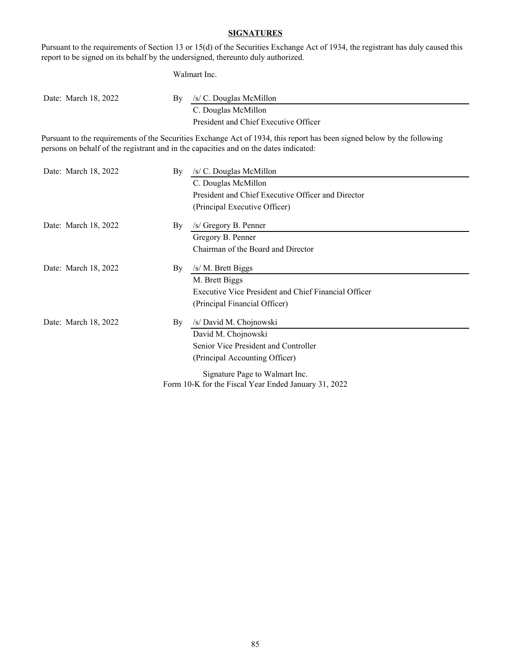# **SIGNATURES**

Pursuant to the requirements of Section 13 or 15(d) of the Securities Exchange Act of 1934, the registrant has duly caused this report to be signed on its behalf by the undersigned, thereunto duly authorized.

|                      |    | Walmart Inc.                                                                                                                                                                                                     |
|----------------------|----|------------------------------------------------------------------------------------------------------------------------------------------------------------------------------------------------------------------|
| Date: March 18, 2022 | By | /s/ C. Douglas McMillon<br>C. Douglas McMillon<br>President and Chief Executive Officer                                                                                                                          |
|                      |    | Pursuant to the requirements of the Securities Exchange Act of 1934, this report has been signed below by the following<br>persons on behalf of the registrant and in the capacities and on the dates indicated: |
| Date: March 18, 2022 | By | /s/ C. Douglas McMillon                                                                                                                                                                                          |
|                      |    | C. Douglas McMillon                                                                                                                                                                                              |
|                      |    | President and Chief Executive Officer and Director                                                                                                                                                               |
|                      |    | (Principal Executive Officer)                                                                                                                                                                                    |
| Date: March 18, 2022 | By | /s/ Gregory B. Penner                                                                                                                                                                                            |
|                      |    | Gregory B. Penner                                                                                                                                                                                                |
|                      |    | Chairman of the Board and Director                                                                                                                                                                               |
| Date: March 18, 2022 | By | /s/ M. Brett Biggs                                                                                                                                                                                               |
|                      |    | M. Brett Biggs                                                                                                                                                                                                   |
|                      |    | Executive Vice President and Chief Financial Officer                                                                                                                                                             |
|                      |    | (Principal Financial Officer)                                                                                                                                                                                    |
| Date: March 18, 2022 | By | /s/ David M. Chojnowski                                                                                                                                                                                          |
|                      |    | David M. Chojnowski                                                                                                                                                                                              |
|                      |    | Senior Vice President and Controller                                                                                                                                                                             |
|                      |    | (Principal Accounting Officer)                                                                                                                                                                                   |
|                      |    | Signature Page to Walmart Inc.<br>Form 10-K for the Fiscal Year Ended January 31, 2022                                                                                                                           |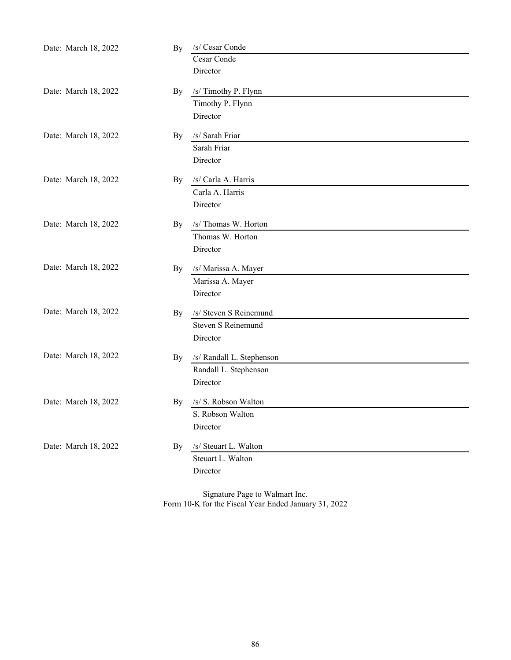| Date: March 18, 2022 | By        | /s/ Cesar Conde           |
|----------------------|-----------|---------------------------|
|                      |           | Cesar Conde               |
|                      |           | Director                  |
| Date: March 18, 2022 | By        | /s/ Timothy P. Flynn      |
|                      |           | Timothy P. Flynn          |
|                      |           | Director                  |
| Date: March 18, 2022 | By        | /s/ Sarah Friar           |
|                      |           | Sarah Friar               |
|                      |           | Director                  |
| Date: March 18, 2022 | By        | /s/ Carla A. Harris       |
|                      |           | Carla A. Harris           |
|                      |           | Director                  |
| Date: March 18, 2022 | By        | /s/ Thomas W. Horton      |
|                      |           | Thomas W. Horton          |
|                      |           | Director                  |
| Date: March 18, 2022 | By        | /s/ Marissa A. Mayer      |
|                      |           | Marissa A. Mayer          |
|                      |           | Director                  |
| Date: March 18, 2022 | By        | /s/ Steven S Reinemund    |
|                      |           | Steven S Reinemund        |
|                      |           | Director                  |
| Date: March 18, 2022 | By        | /s/ Randall L. Stephenson |
|                      |           | Randall L. Stephenson     |
|                      |           | Director                  |
| Date: March 18, 2022 | By        | /s/ S. Robson Walton      |
|                      |           | S. Robson Walton          |
|                      |           | Director                  |
| Date: March 18, 2022 | <b>By</b> | /s/ Steuart L. Walton     |
|                      |           | Steuart L. Walton         |
|                      |           | Director                  |
|                      |           |                           |

Signature Page to Walmart Inc. Form 10-K for the Fiscal Year Ended January 31, 2022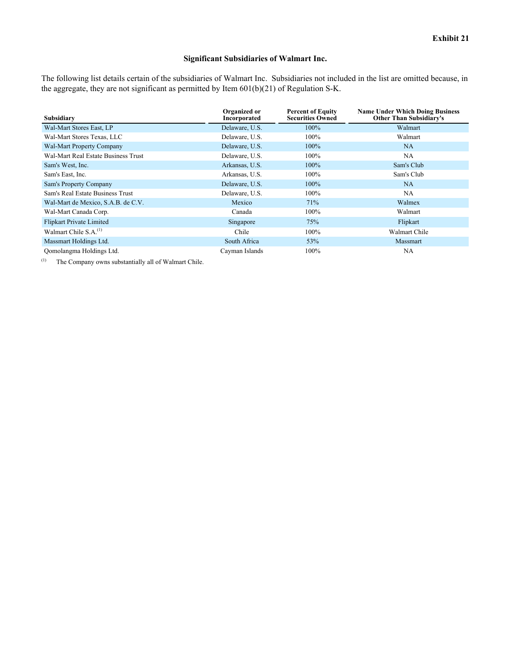# **Significant Subsidiaries of Walmart Inc.**

<span id="page-86-0"></span>The following list details certain of the subsidiaries of Walmart Inc. Subsidiaries not included in the list are omitted because, in the aggregate, they are not significant as permitted by Item 601(b)(21) of Regulation S-K.

| Subsidiary                          | Organized or<br>Incorporated | <b>Percent of Equity</b><br><b>Securities Owned</b> | <b>Name Under Which Doing Business</b><br><b>Other Than Subsidiary's</b> |
|-------------------------------------|------------------------------|-----------------------------------------------------|--------------------------------------------------------------------------|
| Wal-Mart Stores East, LP            | Delaware, U.S.               | $100\%$                                             | Walmart                                                                  |
| Wal-Mart Stores Texas, LLC          | Delaware, U.S.               | 100%                                                | Walmart                                                                  |
| <b>Wal-Mart Property Company</b>    | Delaware, U.S.               | 100%                                                | NA                                                                       |
| Wal-Mart Real Estate Business Trust | Delaware, U.S.               | $100\%$                                             | NA                                                                       |
| Sam's West, Inc.                    | Arkansas, U.S.               | $100\%$                                             | Sam's Club                                                               |
| Sam's East, Inc.                    | Arkansas, U.S.               | $100\%$                                             | Sam's Club                                                               |
| Sam's Property Company              | Delaware, U.S.               | $100\%$                                             | NA                                                                       |
| Sam's Real Estate Business Trust    | Delaware, U.S.               | $100\%$                                             | NA                                                                       |
| Wal-Mart de Mexico, S.A.B. de C.V.  | Mexico                       | 71%                                                 | Walmex                                                                   |
| Wal-Mart Canada Corp.               | Canada                       | 100%                                                | Walmart                                                                  |
| Flipkart Private Limited            | Singapore                    | 75%                                                 | Flipkart                                                                 |
| Walmart Chile S.A. <sup>(1)</sup>   | Chile                        | 100%                                                | Walmart Chile                                                            |
| Massmart Holdings Ltd.              | South Africa                 | 53%                                                 | Massmart                                                                 |
| Oomolangma Holdings Ltd.            | Cayman Islands               | $100\%$                                             | NA                                                                       |

(1) The Company owns substantially all of Walmart Chile.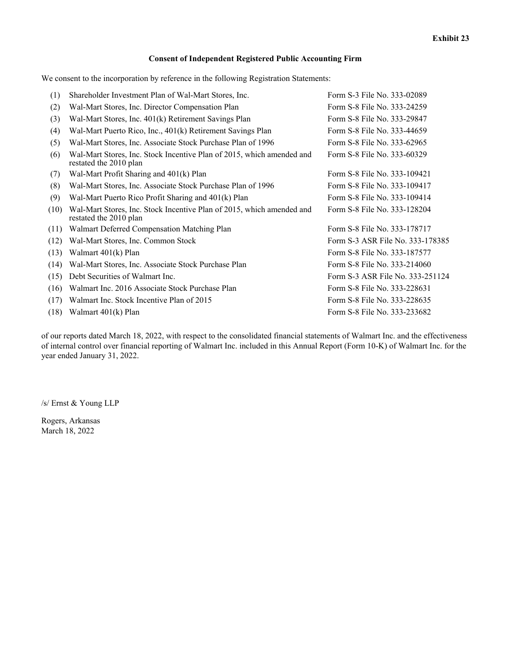#### **Consent of Independent Registered Public Accounting Firm**

<span id="page-87-0"></span>We consent to the incorporation by reference in the following Registration Statements:

| (1)  | Shareholder Investment Plan of Wal-Mart Stores, Inc.                                            | Form S-3 File No. 333-02089      |
|------|-------------------------------------------------------------------------------------------------|----------------------------------|
| (2)  | Wal-Mart Stores, Inc. Director Compensation Plan                                                | Form S-8 File No. 333-24259      |
| (3)  | Wal-Mart Stores, Inc. 401(k) Retirement Savings Plan                                            | Form S-8 File No. 333-29847      |
| (4)  | Wal-Mart Puerto Rico, Inc., 401(k) Retirement Savings Plan                                      | Form S-8 File No. 333-44659      |
| (5)  | Wal-Mart Stores, Inc. Associate Stock Purchase Plan of 1996                                     | Form S-8 File No. 333-62965      |
| (6)  | Wal-Mart Stores, Inc. Stock Incentive Plan of 2015, which amended and<br>restated the 2010 plan | Form S-8 File No. 333-60329      |
| (7)  | Wal-Mart Profit Sharing and 401(k) Plan                                                         | Form S-8 File No. 333-109421     |
| (8)  | Wal-Mart Stores, Inc. Associate Stock Purchase Plan of 1996                                     | Form S-8 File No. 333-109417     |
| (9)  | Wal-Mart Puerto Rico Profit Sharing and 401(k) Plan                                             | Form S-8 File No. 333-109414     |
| (10) | Wal-Mart Stores, Inc. Stock Incentive Plan of 2015, which amended and<br>restated the 2010 plan | Form S-8 File No. 333-128204     |
| (11) | Walmart Deferred Compensation Matching Plan                                                     | Form S-8 File No. 333-178717     |
| (12) | Wal-Mart Stores, Inc. Common Stock                                                              | Form S-3 ASR File No. 333-178385 |
| (13) | Walmart 401(k) Plan                                                                             | Form S-8 File No. 333-187577     |
| (14) | Wal-Mart Stores, Inc. Associate Stock Purchase Plan                                             | Form S-8 File No. 333-214060     |
| (15) | Debt Securities of Walmart Inc.                                                                 | Form S-3 ASR File No. 333-251124 |
| (16) | Walmart Inc. 2016 Associate Stock Purchase Plan                                                 | Form S-8 File No. 333-228631     |
| (17) | Walmart Inc. Stock Incentive Plan of 2015                                                       | Form S-8 File No. 333-228635     |
| (18) | Walmart 401(k) Plan                                                                             | Form S-8 File No. 333-233682     |

of our reports dated March 18, 2022, with respect to the consolidated financial statements of Walmart Inc. and the effectiveness of internal control over financial reporting of Walmart Inc. included in this Annual Report (Form 10-K) of Walmart Inc. for the year ended January 31, 2022.

/s/ Ernst & Young LLP

Rogers, Arkansas March 18, 2022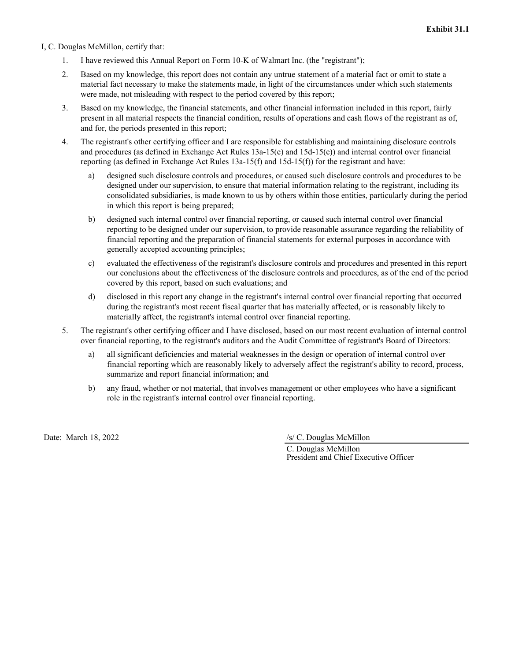#### I, C. Douglas McMillon, certify that:

- 1. I have reviewed this Annual Report on Form 10-K of Walmart Inc. (the "registrant");
- 2. Based on my knowledge, this report does not contain any untrue statement of a material fact or omit to state a material fact necessary to make the statements made, in light of the circumstances under which such statements were made, not misleading with respect to the period covered by this report;
- 3. Based on my knowledge, the financial statements, and other financial information included in this report, fairly present in all material respects the financial condition, results of operations and cash flows of the registrant as of, and for, the periods presented in this report;
- 4. The registrant's other certifying officer and I are responsible for establishing and maintaining disclosure controls and procedures (as defined in Exchange Act Rules 13a-15(e) and 15d-15(e)) and internal control over financial reporting (as defined in Exchange Act Rules 13a-15(f) and 15d-15(f)) for the registrant and have:
	- a) designed such disclosure controls and procedures, or caused such disclosure controls and procedures to be designed under our supervision, to ensure that material information relating to the registrant, including its consolidated subsidiaries, is made known to us by others within those entities, particularly during the period in which this report is being prepared;
	- b) designed such internal control over financial reporting, or caused such internal control over financial reporting to be designed under our supervision, to provide reasonable assurance regarding the reliability of financial reporting and the preparation of financial statements for external purposes in accordance with generally accepted accounting principles;
	- c) evaluated the effectiveness of the registrant's disclosure controls and procedures and presented in this report our conclusions about the effectiveness of the disclosure controls and procedures, as of the end of the period covered by this report, based on such evaluations; and
	- d) disclosed in this report any change in the registrant's internal control over financial reporting that occurred during the registrant's most recent fiscal quarter that has materially affected, or is reasonably likely to materially affect, the registrant's internal control over financial reporting.
- 5. The registrant's other certifying officer and I have disclosed, based on our most recent evaluation of internal control over financial reporting, to the registrant's auditors and the Audit Committee of registrant's Board of Directors:
	- a) all significant deficiencies and material weaknesses in the design or operation of internal control over financial reporting which are reasonably likely to adversely affect the registrant's ability to record, process, summarize and report financial information; and
	- b) any fraud, whether or not material, that involves management or other employees who have a significant role in the registrant's internal control over financial reporting.

Date: March 18, 2022 /s/ C. Douglas McMillon

C. Douglas McMillon President and Chief Executive Officer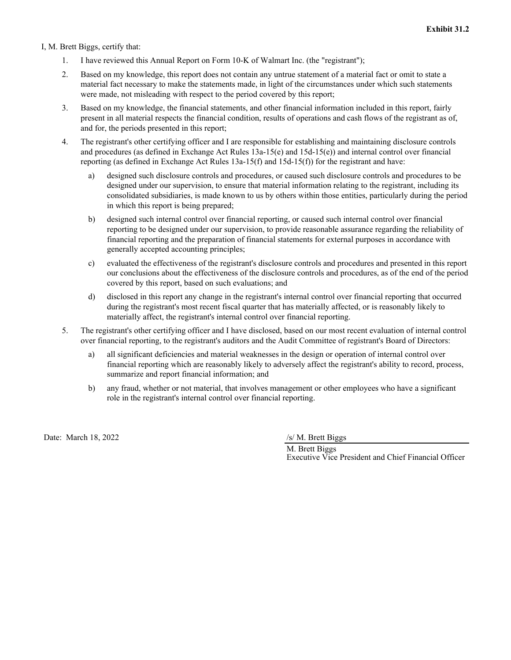#### <span id="page-89-0"></span>I, M. Brett Biggs, certify that:

- 1. I have reviewed this Annual Report on Form 10-K of Walmart Inc. (the "registrant");
- 2. Based on my knowledge, this report does not contain any untrue statement of a material fact or omit to state a material fact necessary to make the statements made, in light of the circumstances under which such statements were made, not misleading with respect to the period covered by this report;
- 3. Based on my knowledge, the financial statements, and other financial information included in this report, fairly present in all material respects the financial condition, results of operations and cash flows of the registrant as of, and for, the periods presented in this report;
- 4. The registrant's other certifying officer and I are responsible for establishing and maintaining disclosure controls and procedures (as defined in Exchange Act Rules 13a-15(e) and 15d-15(e)) and internal control over financial reporting (as defined in Exchange Act Rules 13a-15(f) and 15d-15(f)) for the registrant and have:
	- a) designed such disclosure controls and procedures, or caused such disclosure controls and procedures to be designed under our supervision, to ensure that material information relating to the registrant, including its consolidated subsidiaries, is made known to us by others within those entities, particularly during the period in which this report is being prepared;
	- b) designed such internal control over financial reporting, or caused such internal control over financial reporting to be designed under our supervision, to provide reasonable assurance regarding the reliability of financial reporting and the preparation of financial statements for external purposes in accordance with generally accepted accounting principles;
	- c) evaluated the effectiveness of the registrant's disclosure controls and procedures and presented in this report our conclusions about the effectiveness of the disclosure controls and procedures, as of the end of the period covered by this report, based on such evaluations; and
	- d) disclosed in this report any change in the registrant's internal control over financial reporting that occurred during the registrant's most recent fiscal quarter that has materially affected, or is reasonably likely to materially affect, the registrant's internal control over financial reporting.
- 5. The registrant's other certifying officer and I have disclosed, based on our most recent evaluation of internal control over financial reporting, to the registrant's auditors and the Audit Committee of registrant's Board of Directors:
	- a) all significant deficiencies and material weaknesses in the design or operation of internal control over financial reporting which are reasonably likely to adversely affect the registrant's ability to record, process, summarize and report financial information; and
	- b) any fraud, whether or not material, that involves management or other employees who have a significant role in the registrant's internal control over financial reporting.

Date: March 18, 2022 /s/ M. Brett Biggs

M. Brett Biggs Executive Vice President and Chief Financial Officer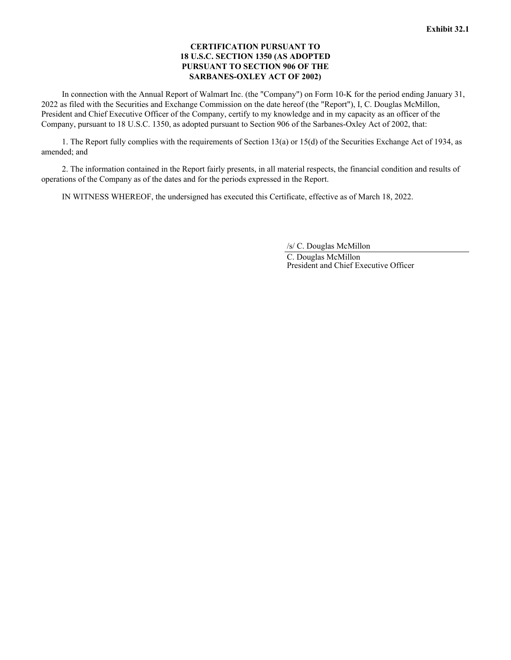### **CERTIFICATION PURSUANT TO 18 U.S.C. SECTION 1350 (AS ADOPTED PURSUANT TO SECTION 906 OF THE SARBANES-OXLEY ACT OF 2002)**

In connection with the Annual Report of Walmart Inc. (the "Company") on Form 10-K for the period ending January 31, 2022 as filed with the Securities and Exchange Commission on the date hereof (the "Report"), I, C. Douglas McMillon, President and Chief Executive Officer of the Company, certify to my knowledge and in my capacity as an officer of the Company, pursuant to 18 U.S.C. 1350, as adopted pursuant to Section 906 of the Sarbanes-Oxley Act of 2002, that:

1. The Report fully complies with the requirements of Section 13(a) or 15(d) of the Securities Exchange Act of 1934, as amended; and

2. The information contained in the Report fairly presents, in all material respects, the financial condition and results of operations of the Company as of the dates and for the periods expressed in the Report.

IN WITNESS WHEREOF, the undersigned has executed this Certificate, effective as of March 18, 2022.

/s/ C. Douglas McMillon

C. Douglas McMillon President and Chief Executive Officer